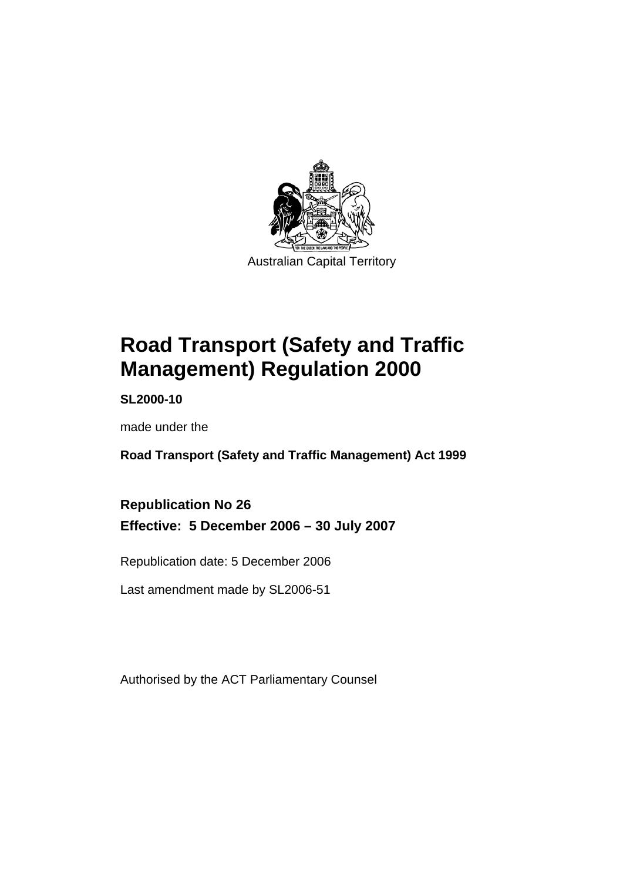

**Road Transport (Safety and Traffic Management) Regulation 2000** 

**SL2000-10** 

made under the

**Road Transport (Safety and Traffic Management) Act 1999** 

**Republication No 26 Effective: 5 December 2006 – 30 July 2007** 

Republication date: 5 December 2006

Last amendment made by SL2006-51

Authorised by the ACT Parliamentary Counsel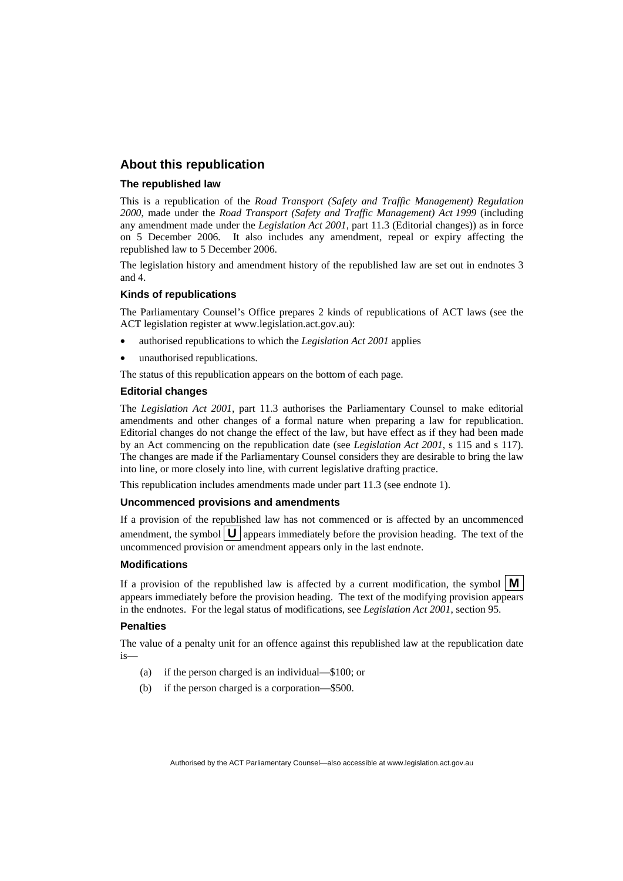#### **About this republication**

#### **The republished law**

This is a republication of the *Road Transport (Safety and Traffic Management) Regulation 2000*, made under the *Road Transport (Safety and Traffic Management) Act 1999* (including any amendment made under the *Legislation Act 2001*, part 11.3 (Editorial changes)) as in force on 5 December 2006*.* It also includes any amendment, repeal or expiry affecting the republished law to 5 December 2006.

The legislation history and amendment history of the republished law are set out in endnotes 3 and 4.

#### **Kinds of republications**

The Parliamentary Counsel's Office prepares 2 kinds of republications of ACT laws (see the ACT legislation register at www.legislation.act.gov.au):

- authorised republications to which the *Legislation Act 2001* applies
- unauthorised republications.

The status of this republication appears on the bottom of each page.

#### **Editorial changes**

The *Legislation Act 2001*, part 11.3 authorises the Parliamentary Counsel to make editorial amendments and other changes of a formal nature when preparing a law for republication. Editorial changes do not change the effect of the law, but have effect as if they had been made by an Act commencing on the republication date (see *Legislation Act 2001*, s 115 and s 117). The changes are made if the Parliamentary Counsel considers they are desirable to bring the law into line, or more closely into line, with current legislative drafting practice.

This republication includes amendments made under part 11.3 (see endnote 1).

#### **Uncommenced provisions and amendments**

If a provision of the republished law has not commenced or is affected by an uncommenced amendment, the symbol  $\mathbf{U}$  appears immediately before the provision heading. The text of the uncommenced provision or amendment appears only in the last endnote.

#### **Modifications**

If a provision of the republished law is affected by a current modification, the symbol  $\vert \mathbf{M} \vert$ appears immediately before the provision heading. The text of the modifying provision appears in the endnotes. For the legal status of modifications, see *Legislation Act 2001*, section 95.

#### **Penalties**

The value of a penalty unit for an offence against this republished law at the republication date is—

- (a) if the person charged is an individual—\$100; or
- (b) if the person charged is a corporation—\$500.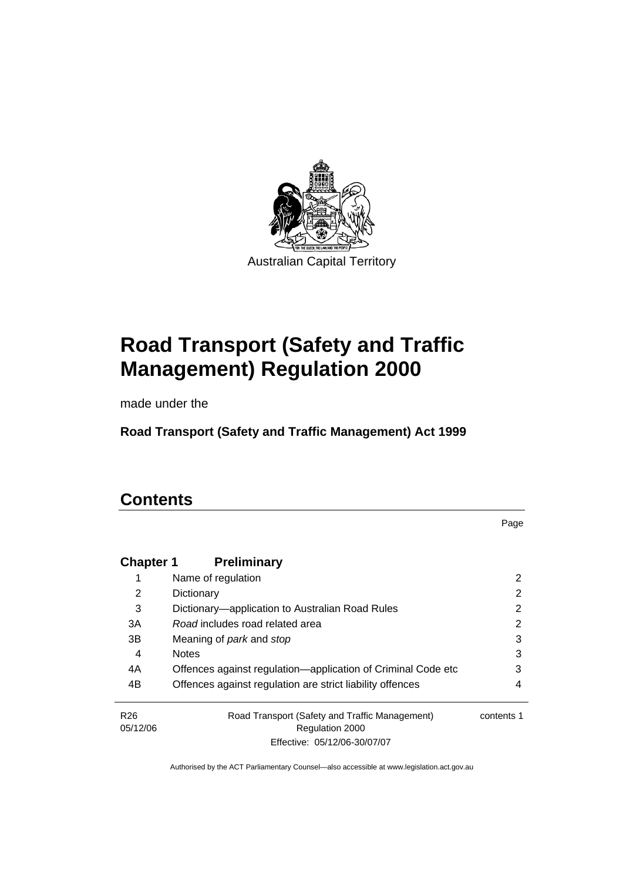

Australian Capital Territory

# **Road Transport (Safety and Traffic Management) Regulation 2000**

made under the

**Road Transport (Safety and Traffic Management) Act 1999** 

# **Contents**

Page

| <b>Chapter 1</b>            | <b>Preliminary</b>                                                |            |
|-----------------------------|-------------------------------------------------------------------|------------|
|                             | Name of regulation                                                | 2          |
| 2                           | Dictionary                                                        | 2          |
| 3                           | Dictionary—application to Australian Road Rules                   | 2          |
| 3A                          | Road includes road related area                                   | 2          |
| 3B                          | Meaning of <i>park</i> and <i>stop</i>                            | 3          |
| 4                           | <b>Notes</b>                                                      | 3          |
| 4A                          | Offences against regulation-application of Criminal Code etc      | 3          |
| 4B                          | Offences against regulation are strict liability offences         | 4          |
| R <sub>26</sub><br>05/12/06 | Road Transport (Safety and Traffic Management)<br>Regulation 2000 | contents 1 |
|                             | Effective: 05/12/06-30/07/07                                      |            |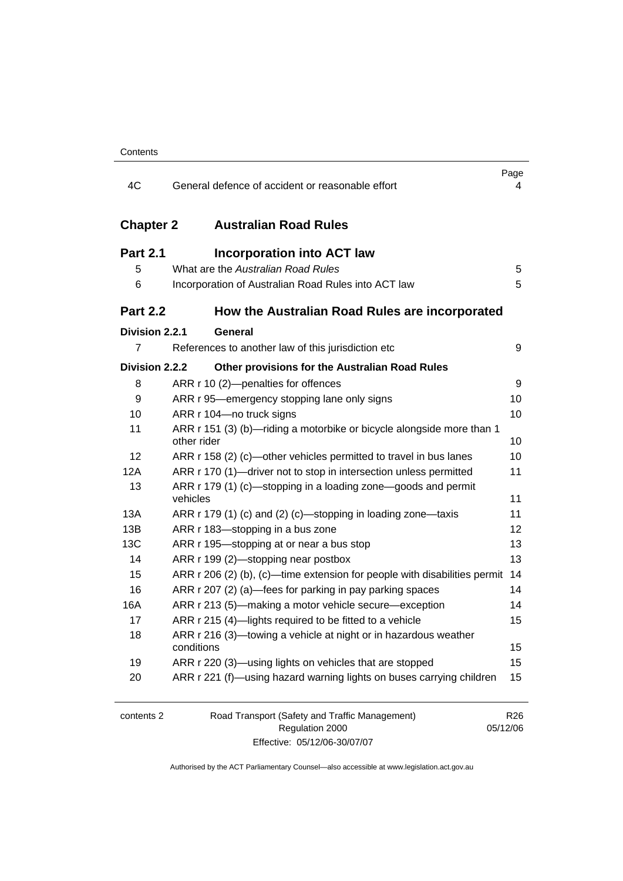| 4C               | General defence of accident or reasonable effort                                     | Page<br>4                   |
|------------------|--------------------------------------------------------------------------------------|-----------------------------|
| <b>Chapter 2</b> | <b>Australian Road Rules</b>                                                         |                             |
| <b>Part 2.1</b>  | <b>Incorporation into ACT law</b>                                                    |                             |
| 5                | What are the Australian Road Rules                                                   | 5                           |
| 6                | Incorporation of Australian Road Rules into ACT law                                  | 5                           |
| <b>Part 2.2</b>  | How the Australian Road Rules are incorporated                                       |                             |
| Division 2.2.1   | General                                                                              |                             |
| $\overline{7}$   | References to another law of this jurisdiction etc                                   | 9                           |
| Division 2.2.2   | Other provisions for the Australian Road Rules                                       |                             |
| 8                | ARR r 10 (2)-penalties for offences                                                  | 9                           |
| 9                | ARR r 95—emergency stopping lane only signs                                          | 10                          |
| 10               | ARR r 104-no truck signs                                                             | 10                          |
| 11               | ARR r 151 (3) (b)-riding a motorbike or bicycle alongside more than 1<br>other rider | 10                          |
| 12               | ARR r 158 (2) (c)-other vehicles permitted to travel in bus lanes                    | 10                          |
| 12A              | ARR r 170 (1)—driver not to stop in intersection unless permitted                    | 11                          |
| 13               | ARR r 179 (1) (c)—stopping in a loading zone—goods and permit<br>vehicles            | 11                          |
| 13A              | ARR r 179 (1) (c) and (2) (c)—stopping in loading zone—taxis                         | 11                          |
| 13B              | ARR r 183-stopping in a bus zone                                                     | 12                          |
| 13C              | ARR r 195-stopping at or near a bus stop                                             | 13                          |
| 14               | ARR r 199 (2)—stopping near postbox                                                  | 13                          |
| 15               | ARR r 206 (2) (b), (c)—time extension for people with disabilities permit            | -14                         |
| 16               | ARR r 207 (2) (a)—fees for parking in pay parking spaces                             | 14                          |
| 16A              | ARR r 213 (5)—making a motor vehicle secure—exception                                | 14                          |
| 17               | ARR r 215 (4)-lights required to be fitted to a vehicle                              | 15                          |
| 18               | ARR r 216 (3)-towing a vehicle at night or in hazardous weather<br>conditions        | 15                          |
| 19               | ARR r 220 (3)—using lights on vehicles that are stopped                              | 15                          |
| 20               | ARR r 221 (f)—using hazard warning lights on buses carrying children                 | 15                          |
| contents 2       | Road Transport (Safety and Traffic Management)<br>Regulation 2000                    | R <sub>26</sub><br>05/12/06 |

Effective: 05/12/06-30/07/07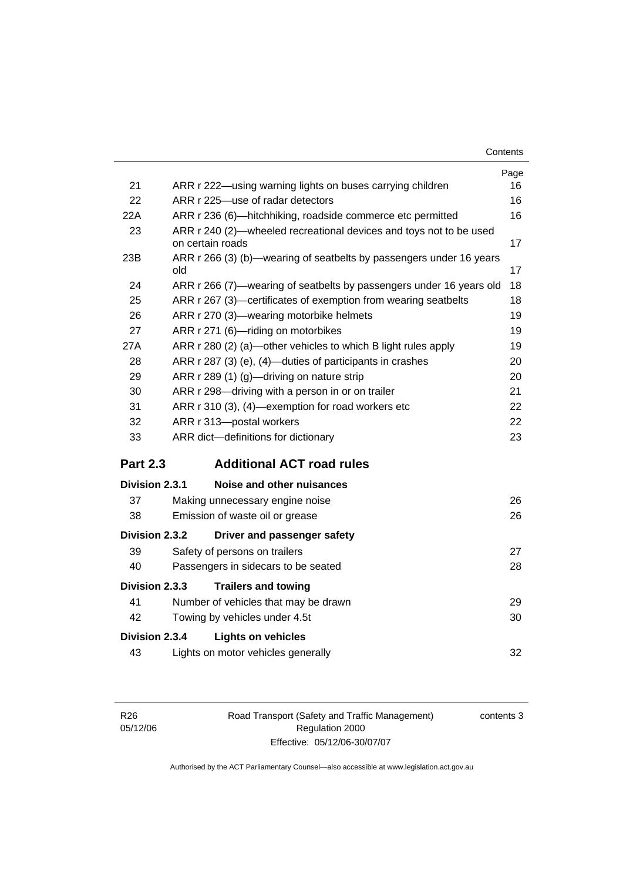| Contents |
|----------|
|----------|

|                 |                                                                                        | Page |
|-----------------|----------------------------------------------------------------------------------------|------|
| 21              | ARR r 222-using warning lights on buses carrying children                              | 16   |
| 22              | ARR r 225-use of radar detectors                                                       | 16   |
| 22A             | ARR r 236 (6)—hitchhiking, roadside commerce etc permitted                             | 16   |
| 23              | ARR r 240 (2)-wheeled recreational devices and toys not to be used<br>on certain roads | 17   |
| 23B             | ARR r 266 (3) (b)—wearing of seatbelts by passengers under 16 years<br>old             | 17   |
| 24              | ARR r 266 (7)—wearing of seatbelts by passengers under 16 years old                    | 18   |
| 25              | ARR r 267 (3)-certificates of exemption from wearing seatbelts                         | 18   |
| 26              | ARR r 270 (3)-wearing motorbike helmets                                                | 19   |
| 27              | ARR r 271 (6)-riding on motorbikes                                                     | 19   |
| 27A             | ARR r 280 (2) (a)—other vehicles to which B light rules apply                          | 19   |
| 28              | ARR r 287 (3) (e), (4)—duties of participants in crashes                               | 20   |
| 29              | ARR r 289 (1) (g)-driving on nature strip                                              | 20   |
| 30              | ARR r 298-driving with a person in or on trailer                                       | 21   |
| 31              | ARR r 310 (3), (4)-exemption for road workers etc                                      | 22   |
| 32              | ARR r 313-postal workers                                                               | 22   |
| 33              | ARR dict-definitions for dictionary                                                    | 23   |
| <b>Part 2.3</b> | <b>Additional ACT road rules</b>                                                       |      |
| Division 2.3.1  | Noise and other nuisances                                                              |      |
| 37              | Making unnecessary engine noise                                                        | 26   |
| 38              | Emission of waste oil or grease                                                        | 26   |
| Division 2.3.2  | Driver and passenger safety                                                            |      |
| 39              | Safety of persons on trailers                                                          | 27   |
| 40              | Passengers in sidecars to be seated                                                    | 28   |
| Division 2.3.3  | <b>Trailers and towing</b>                                                             |      |
| 41              | Number of vehicles that may be drawn                                                   | 29   |
| 42              | Towing by vehicles under 4.5t                                                          | 30   |
| Division 2.3.4  | <b>Lights on vehicles</b>                                                              |      |
| 43              | Lights on motor vehicles generally                                                     | 32   |
|                 |                                                                                        |      |

Road Transport (Safety and Traffic Management) Regulation 2000 Effective: 05/12/06-30/07/07

contents 3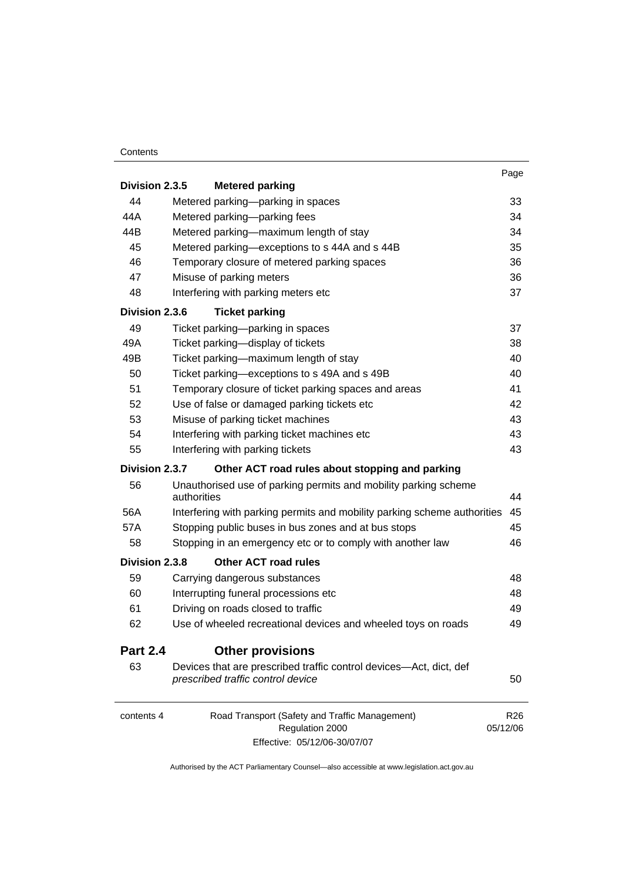#### **Contents**

| Division 2.3.5  | <b>Metered parking</b>                                                                                  | Page                        |
|-----------------|---------------------------------------------------------------------------------------------------------|-----------------------------|
| 44              | Metered parking-parking in spaces                                                                       | 33                          |
| 44A             | Metered parking-parking fees                                                                            | 34                          |
| 44B             | Metered parking—maximum length of stay                                                                  | 34                          |
| 45              | Metered parking-exceptions to s 44A and s 44B                                                           | 35                          |
| 46              | Temporary closure of metered parking spaces                                                             | 36                          |
| 47              | Misuse of parking meters                                                                                | 36                          |
| 48              | Interfering with parking meters etc                                                                     | 37                          |
| Division 2.3.6  | <b>Ticket parking</b>                                                                                   |                             |
| 49              | Ticket parking-parking in spaces                                                                        | 37                          |
| 49A             | Ticket parking-display of tickets                                                                       | 38                          |
| 49B             | Ticket parking-maximum length of stay                                                                   | 40                          |
| 50              | Ticket parking-exceptions to s 49A and s 49B                                                            | 40                          |
| 51              | Temporary closure of ticket parking spaces and areas                                                    | 41                          |
| 52              | Use of false or damaged parking tickets etc                                                             | 42                          |
| 53              | Misuse of parking ticket machines                                                                       | 43                          |
| 54              | Interfering with parking ticket machines etc                                                            | 43                          |
| 55              | Interfering with parking tickets                                                                        | 43                          |
| Division 2.3.7  | Other ACT road rules about stopping and parking                                                         |                             |
| 56              | Unauthorised use of parking permits and mobility parking scheme<br>authorities                          | 44                          |
| 56A             | Interfering with parking permits and mobility parking scheme authorities                                | 45                          |
| 57A             | Stopping public buses in bus zones and at bus stops                                                     | 45                          |
| 58              | Stopping in an emergency etc or to comply with another law                                              | 46                          |
| Division 2.3.8  | <b>Other ACT road rules</b>                                                                             |                             |
| 59              | Carrying dangerous substances                                                                           | 48                          |
| 60              | Interrupting funeral processions etc                                                                    | 48                          |
| 61              | Driving on roads closed to traffic                                                                      | 49                          |
| 62              | Use of wheeled recreational devices and wheeled toys on roads                                           | 49                          |
| <b>Part 2.4</b> | <b>Other provisions</b>                                                                                 |                             |
| 63              | Devices that are prescribed traffic control devices—Act, dict, def<br>prescribed traffic control device | 50                          |
| contents 4      | Road Transport (Safety and Traffic Management)<br>Regulation 2000                                       | R <sub>26</sub><br>05/12/06 |

Effective: 05/12/06-30/07/07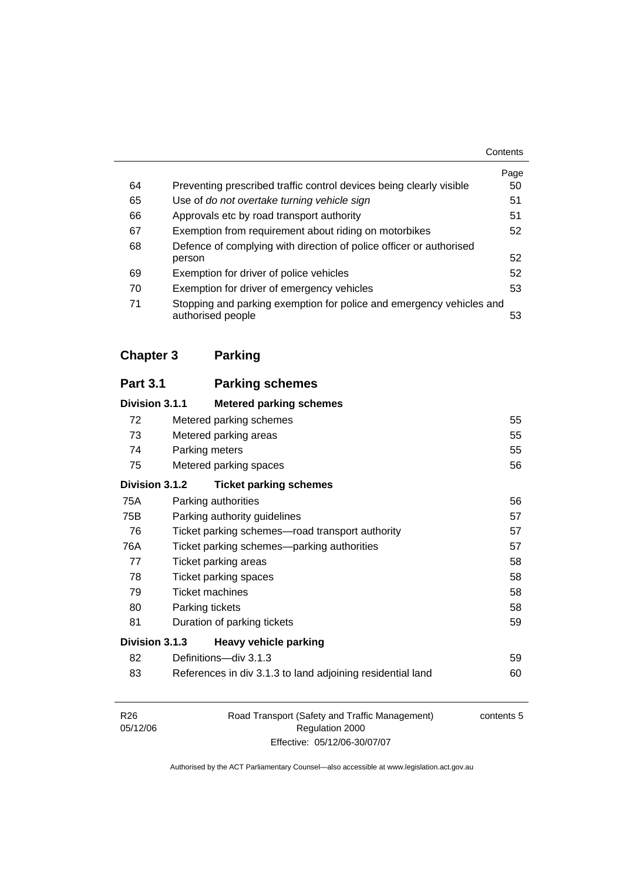|    |                                                                                           | Contents |
|----|-------------------------------------------------------------------------------------------|----------|
|    |                                                                                           | Page     |
| 64 | Preventing prescribed traffic control devices being clearly visible                       | 50       |
| 65 | Use of do not overtake turning vehicle sign                                               | 51       |
| 66 | Approvals etc by road transport authority                                                 | 51       |
| 67 | Exemption from requirement about riding on motorbikes                                     | 52       |
| 68 | Defence of complying with direction of police officer or authorised                       |          |
|    | person                                                                                    | 52       |
| 69 | Exemption for driver of police vehicles                                                   | 52       |
| 70 | Exemption for driver of emergency vehicles                                                | 53       |
| 71 | Stopping and parking exemption for police and emergency vehicles and<br>authorised people | 53       |

# **Chapter 3 Parking**

| <b>Part 3.1</b> | <b>Parking schemes</b>                          |                                                            |    |
|-----------------|-------------------------------------------------|------------------------------------------------------------|----|
| Division 3.1.1  | <b>Metered parking schemes</b>                  |                                                            |    |
| 72              | Metered parking schemes                         |                                                            | 55 |
| 73              | Metered parking areas                           |                                                            | 55 |
| 74              | Parking meters                                  |                                                            | 55 |
| 75              | Metered parking spaces                          |                                                            | 56 |
| Division 3.1.2  | <b>Ticket parking schemes</b>                   |                                                            |    |
| 75A             | Parking authorities                             |                                                            | 56 |
| 75B             | Parking authority guidelines                    |                                                            | 57 |
| 76              | Ticket parking schemes—road transport authority |                                                            | 57 |
| 76A             | Ticket parking schemes—parking authorities      |                                                            | 57 |
| 77              | Ticket parking areas                            |                                                            | 58 |
| 78              | Ticket parking spaces                           |                                                            | 58 |
| 79              | <b>Ticket machines</b>                          |                                                            | 58 |
| 80              | Parking tickets                                 |                                                            | 58 |
| 81              | Duration of parking tickets                     |                                                            | 59 |
| Division 3.1.3  | <b>Heavy vehicle parking</b>                    |                                                            |    |
| 82              | Definitions-div 3.1.3                           |                                                            | 59 |
| 83              |                                                 | References in div 3.1.3 to land adjoining residential land | 60 |

| R26      | Road Transport (Safety and Traffic Management) | contents 5 |
|----------|------------------------------------------------|------------|
| 05/12/06 | Regulation 2000                                |            |
|          | Effective: 05/12/06-30/07/07                   |            |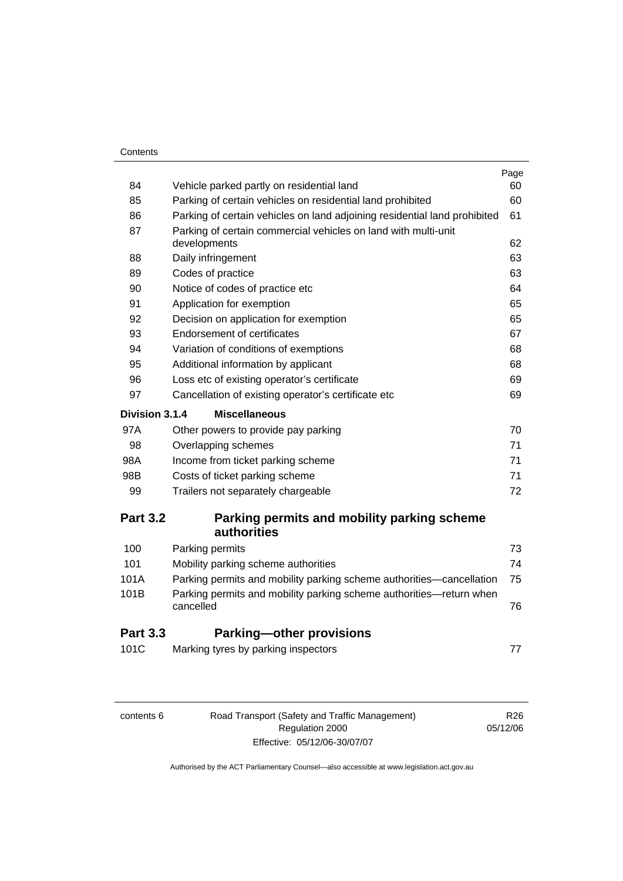| Contents |
|----------|
|----------|

| 84              | Vehicle parked partly on residential land                                        | Page<br>60 |
|-----------------|----------------------------------------------------------------------------------|------------|
| 85              | Parking of certain vehicles on residential land prohibited                       | 60         |
| 86              | Parking of certain vehicles on land adjoining residential land prohibited        | 61         |
| 87              | Parking of certain commercial vehicles on land with multi-unit                   |            |
|                 | developments                                                                     | 62         |
| 88              | Daily infringement                                                               | 63         |
| 89              | Codes of practice                                                                | 63         |
| 90              | Notice of codes of practice etc                                                  | 64         |
| 91              | Application for exemption                                                        | 65         |
| 92              | Decision on application for exemption                                            | 65         |
| 93              | <b>Endorsement of certificates</b>                                               | 67         |
| 94              | Variation of conditions of exemptions                                            | 68         |
| 95              | Additional information by applicant                                              | 68         |
| 96              | Loss etc of existing operator's certificate                                      | 69         |
| 97              | Cancellation of existing operator's certificate etc                              | 69         |
| Division 3.1.4  | <b>Miscellaneous</b>                                                             |            |
| 97A             | Other powers to provide pay parking                                              | 70         |
| 98              | Overlapping schemes                                                              | 71         |
| 98A             | Income from ticket parking scheme                                                | 71         |
| 98B             | Costs of ticket parking scheme                                                   | 71         |
| 99              | Trailers not separately chargeable                                               | 72         |
| <b>Part 3.2</b> | Parking permits and mobility parking scheme                                      |            |
|                 | authorities                                                                      |            |
| 100             | Parking permits                                                                  | 73         |
| 101             | Mobility parking scheme authorities                                              | 74         |
| 101A            | Parking permits and mobility parking scheme authorities-cancellation             | 75         |
| 101B            | Parking permits and mobility parking scheme authorities-return when<br>cancelled | 76         |
| <b>Part 3.3</b> | <b>Parking-other provisions</b>                                                  |            |
| 101C            | Marking tyres by parking inspectors                                              | 77         |
|                 |                                                                                  |            |

| contents 6 |  |
|------------|--|
|------------|--|

6 Road Transport (Safety and Traffic Management) Regulation 2000 Effective: 05/12/06-30/07/07

R26 05/12/06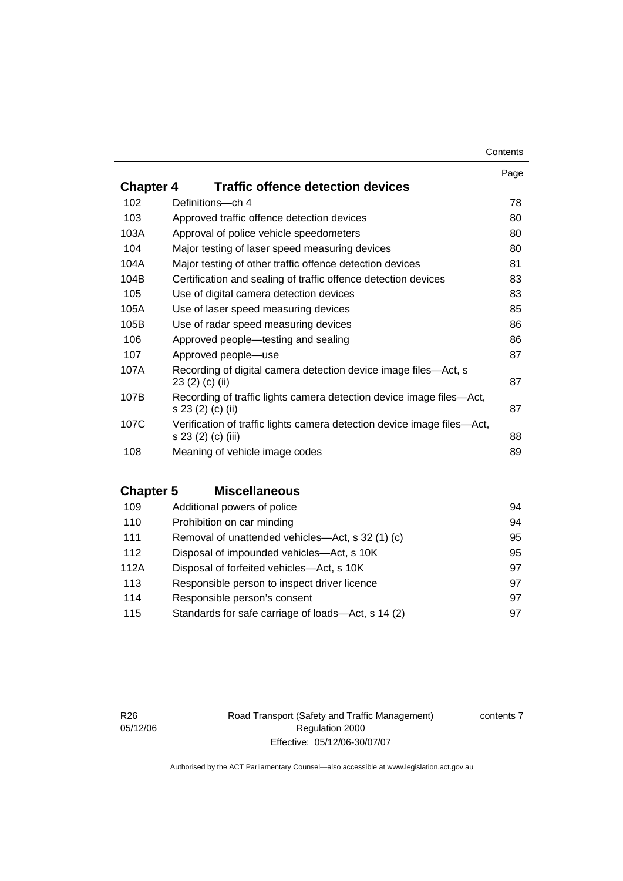#### **Contents**

|                  |                                                                                               | Page |
|------------------|-----------------------------------------------------------------------------------------------|------|
| <b>Chapter 4</b> | <b>Traffic offence detection devices</b>                                                      |      |
| 102              | Definitions-ch 4                                                                              | 78   |
| 103              | Approved traffic offence detection devices                                                    | 80   |
| 103A             | Approval of police vehicle speedometers                                                       | 80   |
| 104              | Major testing of laser speed measuring devices                                                | 80   |
| 104A             | Major testing of other traffic offence detection devices                                      | 81   |
| 104B             | Certification and sealing of traffic offence detection devices                                | 83   |
| 105              | Use of digital camera detection devices                                                       | 83   |
| 105A             | Use of laser speed measuring devices                                                          | 85   |
| 105B             | Use of radar speed measuring devices                                                          | 86   |
| 106              | Approved people—testing and sealing                                                           | 86   |
| 107              | Approved people-use                                                                           | 87   |
| 107A             | Recording of digital camera detection device image files—Act, s<br>23 (2) (c) (ii)            | 87   |
| 107B             | Recording of traffic lights camera detection device image files—Act,<br>s 23 (2) (c) (ii)     | 87   |
| 107C             | Verification of traffic lights camera detection device image files—Act,<br>s 23 (2) (c) (iii) | 88   |
| 108              | Meaning of vehicle image codes                                                                | 89   |
|                  |                                                                                               |      |

# **Chapter 5 Miscellaneous**

| Additional powers of police                        | 94 |
|----------------------------------------------------|----|
| Prohibition on car minding                         | 94 |
| Removal of unattended vehicles—Act, s 32 (1) (c)   | 95 |
| Disposal of impounded vehicles-Act, s 10K          | 95 |
| Disposal of forfeited vehicles-Act, s 10K          | 97 |
| Responsible person to inspect driver licence       | 97 |
| Responsible person's consent                       | 97 |
| Standards for safe carriage of loads-Act, s 14 (2) | 97 |
|                                                    |    |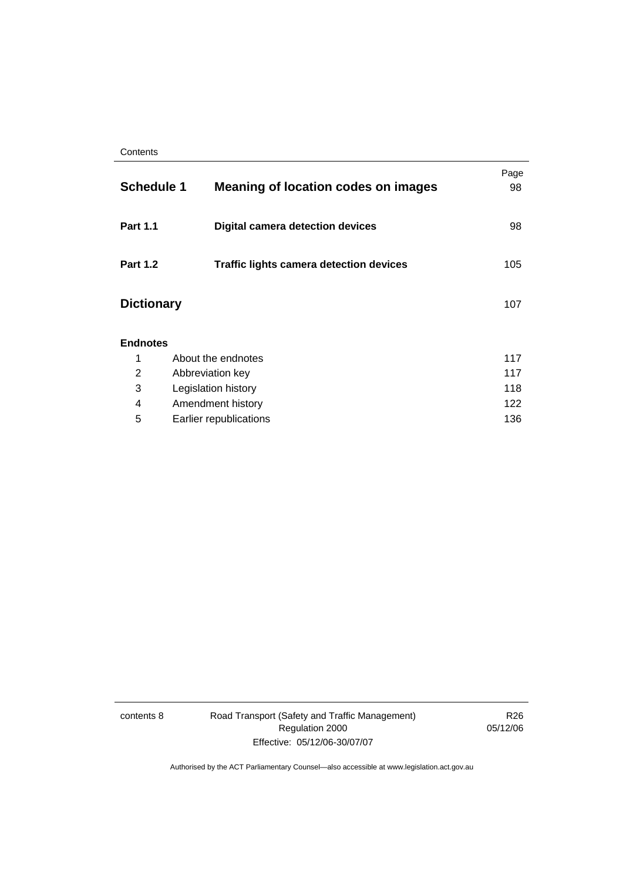| <b>Schedule 1</b> | <b>Meaning of location codes on images</b>     | Page<br>98 |
|-------------------|------------------------------------------------|------------|
| <b>Part 1.1</b>   | <b>Digital camera detection devices</b>        | 98         |
| <b>Part 1.2</b>   | <b>Traffic lights camera detection devices</b> | 105        |
| <b>Dictionary</b> |                                                | 107        |
| <b>Endnotes</b>   |                                                |            |
| 1                 | About the endnotes                             | 117        |
| 2                 | Abbreviation key                               | 117        |
| 3                 | Legislation history                            | 118        |
| 4                 | Amendment history                              | 122        |
| 5                 | Earlier republications                         | 136        |

contents 8 Road Transport (Safety and Traffic Management) Regulation 2000 Effective: 05/12/06-30/07/07

R26 05/12/06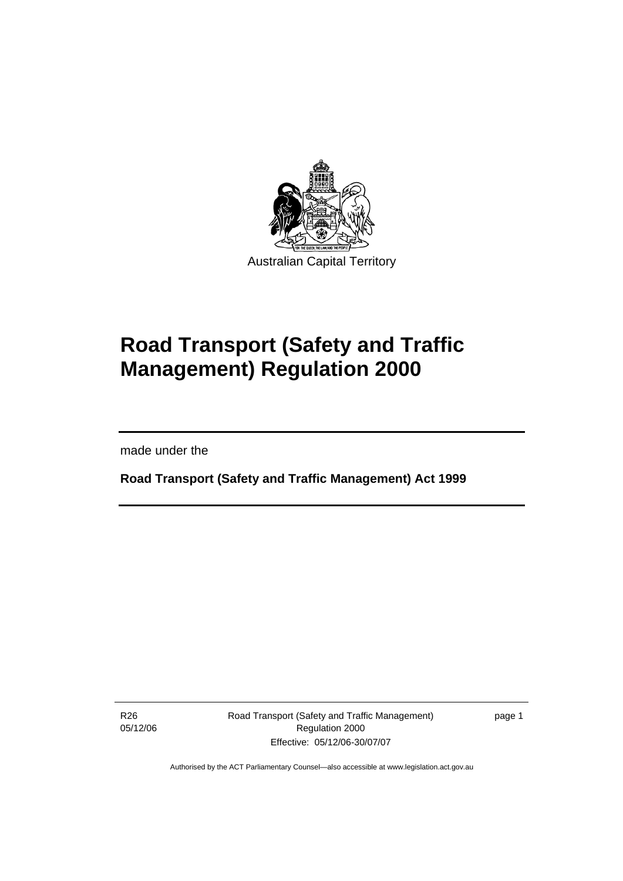

# **Road Transport (Safety and Traffic Management) Regulation 2000**

made under the

I

**Road Transport (Safety and Traffic Management) Act 1999** 

R26 05/12/06 Road Transport (Safety and Traffic Management) Regulation 2000 Effective: 05/12/06-30/07/07

page 1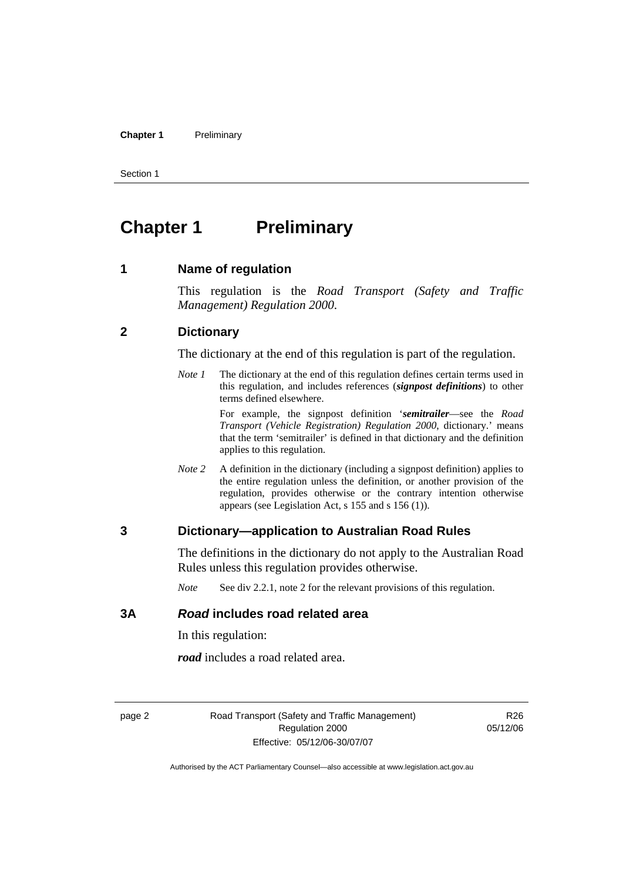#### **Chapter 1** Preliminary

Section 1

# **Chapter 1** Preliminary

**1 Name of regulation** 

This regulation is the *Road Transport (Safety and Traffic Management) Regulation 2000*.

#### **2 Dictionary**

The dictionary at the end of this regulation is part of the regulation.

*Note 1* The dictionary at the end of this regulation defines certain terms used in this regulation, and includes references (*signpost definitions*) to other terms defined elsewhere.

> For example, the signpost definition '*semitrailer*—see the *Road Transport (Vehicle Registration) Regulation 2000*, dictionary.' means that the term 'semitrailer' is defined in that dictionary and the definition applies to this regulation.

*Note* 2 A definition in the dictionary (including a signpost definition) applies to the entire regulation unless the definition, or another provision of the regulation, provides otherwise or the contrary intention otherwise appears (see Legislation Act, s 155 and s 156 (1)).

# **3 Dictionary—application to Australian Road Rules**

The definitions in the dictionary do not apply to the Australian Road Rules unless this regulation provides otherwise.

*Note* See div 2.2.1, note 2 for the relevant provisions of this regulation.

#### **3A** *Road* **includes road related area**

In this regulation:

*road* includes a road related area.

page 2 Road Transport (Safety and Traffic Management) Regulation 2000 Effective: 05/12/06-30/07/07

R26 05/12/06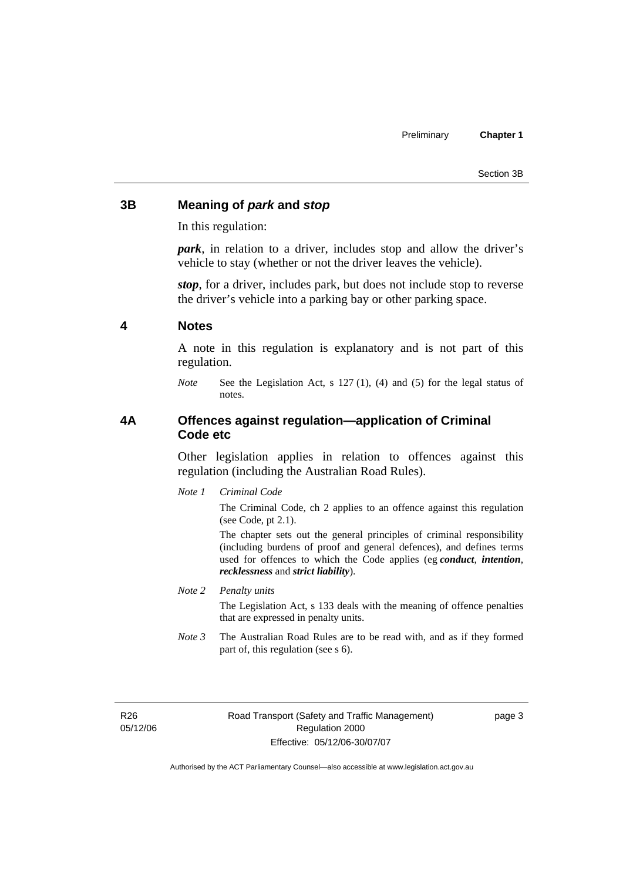#### **3B Meaning of** *park* **and** *stop*

In this regulation:

*park*, in relation to a driver, includes stop and allow the driver's vehicle to stay (whether or not the driver leaves the vehicle).

*stop*, for a driver, includes park, but does not include stop to reverse the driver's vehicle into a parking bay or other parking space.

#### **4 Notes**

A note in this regulation is explanatory and is not part of this regulation.

### **4A Offences against regulation—application of Criminal Code etc**

Other legislation applies in relation to offences against this regulation (including the Australian Road Rules).

*Note 1 Criminal Code*

The Criminal Code, ch 2 applies to an offence against this regulation (see Code, pt 2.1).

The chapter sets out the general principles of criminal responsibility (including burdens of proof and general defences), and defines terms used for offences to which the Code applies (eg *conduct*, *intention*, *recklessness* and *strict liability*).

#### *Note 2 Penalty units*

The Legislation Act, s 133 deals with the meaning of offence penalties that are expressed in penalty units.

*Note 3* The Australian Road Rules are to be read with, and as if they formed part of, this regulation (see s 6).

R26 05/12/06 page 3

*Note* See the Legislation Act, s 127 (1), (4) and (5) for the legal status of notes.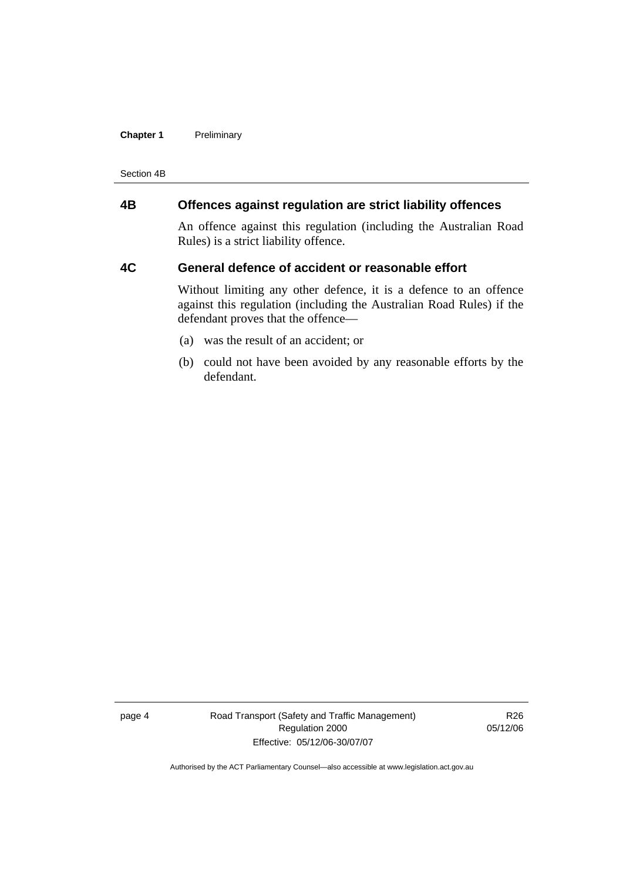#### **Chapter 1** Preliminary

Section 4B

# **4B Offences against regulation are strict liability offences**

An offence against this regulation (including the Australian Road Rules) is a strict liability offence.

#### **4C General defence of accident or reasonable effort**

Without limiting any other defence, it is a defence to an offence against this regulation (including the Australian Road Rules) if the defendant proves that the offence—

- (a) was the result of an accident; or
- (b) could not have been avoided by any reasonable efforts by the defendant.

page 4 Road Transport (Safety and Traffic Management) Regulation 2000 Effective: 05/12/06-30/07/07

R26 05/12/06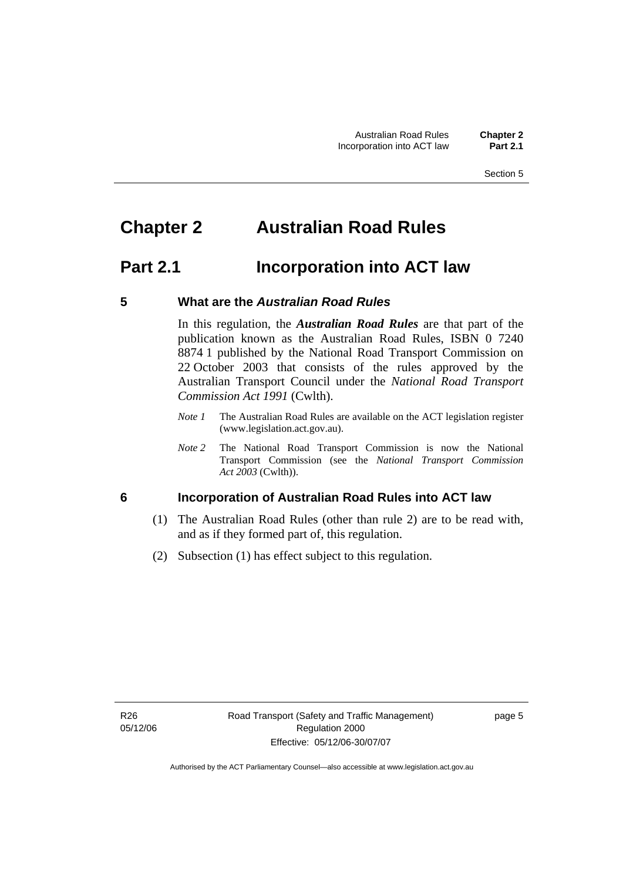# **Chapter 2 Australian Road Rules**

# **Part 2.1 Incorporation into ACT law**

# **5 What are the** *Australian Road Rules*

In this regulation, the *Australian Road Rules* are that part of the publication known as the Australian Road Rules, ISBN 0 7240 8874 1 published by the National Road Transport Commission on 22 October 2003 that consists of the rules approved by the Australian Transport Council under the *National Road Transport Commission Act 1991* (Cwlth).

- *Note 1* The Australian Road Rules are available on the ACT legislation register (www.legislation.act.gov.au).
- *Note 2* The National Road Transport Commission is now the National Transport Commission (see the *National Transport Commission Act 2003* (Cwlth)).

# **6 Incorporation of Australian Road Rules into ACT law**

- (1) The Australian Road Rules (other than rule 2) are to be read with, and as if they formed part of, this regulation.
- (2) Subsection (1) has effect subject to this regulation.

page 5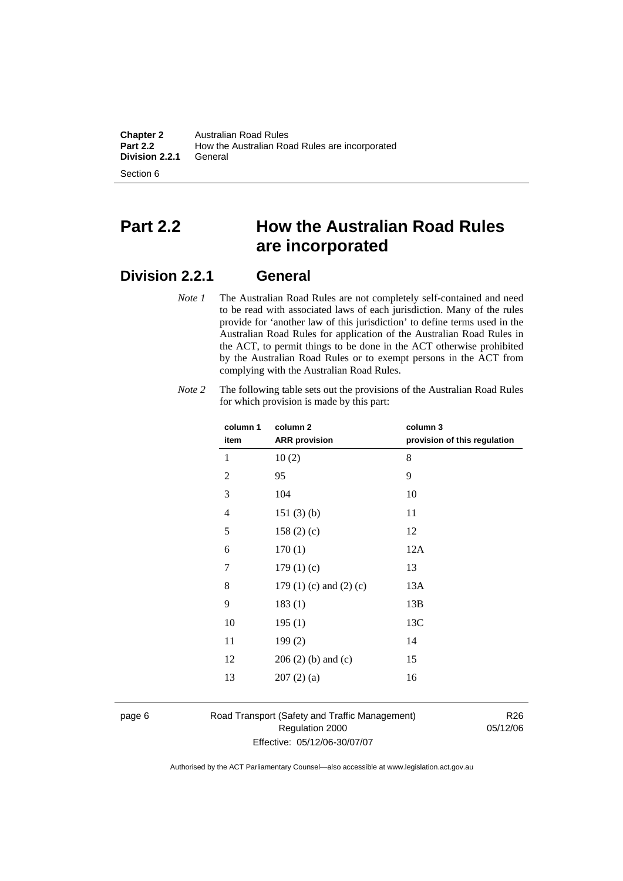**Chapter 2** Australian Road Rules<br>**Part 2.2** How the Australian Road How the Australian Road Rules are incorporated<br>General **Division 2.2.1** 

Section 6

# **Part 2.2 How the Australian Road Rules are incorporated**

# **Division 2.2.1 General**

*Note 1* The Australian Road Rules are not completely self-contained and need to be read with associated laws of each jurisdiction. Many of the rules provide for 'another law of this jurisdiction' to define terms used in the Australian Road Rules for application of the Australian Road Rules in the ACT, to permit things to be done in the ACT otherwise prohibited by the Australian Road Rules or to exempt persons in the ACT from complying with the Australian Road Rules.

| column 1       | column <sub>2</sub>             | column 3                     |
|----------------|---------------------------------|------------------------------|
| item           | <b>ARR</b> provision            | provision of this regulation |
| 1              | 10(2)                           | 8                            |
| $\overline{2}$ | 95                              | 9                            |
| 3              | 104                             | 10                           |
| 4              | 151(3)(b)                       | 11                           |
| 5              | 158(2)(c)                       | 12                           |
| 6              | 170(1)                          | 12A                          |
| 7              | 179(1)(c)                       | 13                           |
| 8              | 179 $(1)$ $(c)$ and $(2)$ $(c)$ | 13A                          |
| 9              | 183(1)                          | 13B                          |
| 10             | 195(1)                          | 13C                          |
| 11             | 199(2)                          | 14                           |
| 12             | $206(2)$ (b) and (c)            | 15                           |
| 13             | 207(2)(a)                       | 16                           |
|                |                                 |                              |

*Note 2* The following table sets out the provisions of the Australian Road Rules for which provision is made by this part:

page 6 Road Transport (Safety and Traffic Management) Regulation 2000 Effective: 05/12/06-30/07/07

R26 05/12/06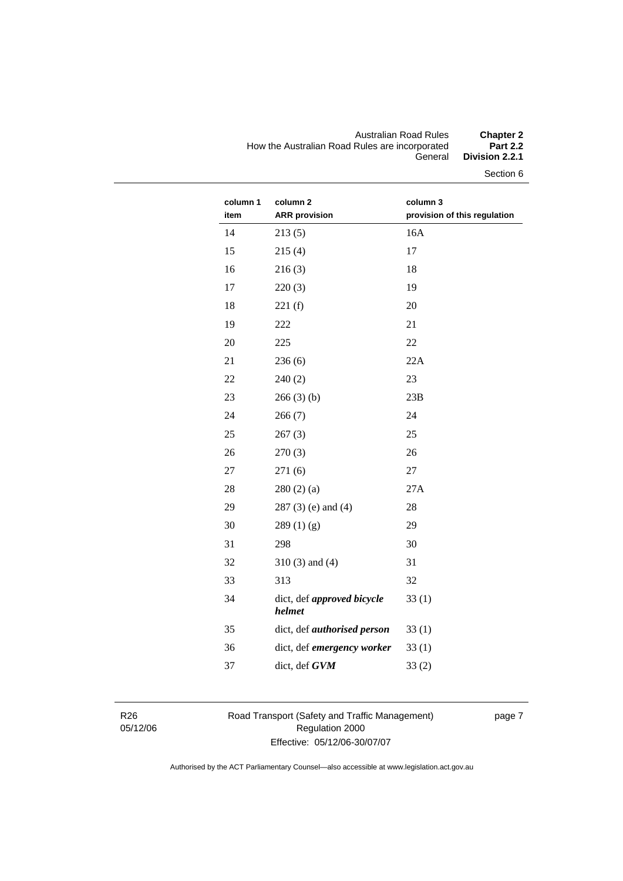#### Australian Road Rules **Chapter 2**  How the Australian Road Rules are incorporated<br>General Division 2.2.1

Section 6

| column 1<br>item | column 2<br><b>ARR</b> provision     | column 3<br>provision of this regulation |
|------------------|--------------------------------------|------------------------------------------|
| 14               | 213(5)                               | 16A                                      |
| 15               | 215(4)                               | 17                                       |
| 16               | 216(3)                               | 18                                       |
| 17               | 220(3)                               | 19                                       |
| 18               | 221(f)                               | 20                                       |
| 19               | 222                                  | 21                                       |
| 20               | 225                                  | 22                                       |
| 21               | 236(6)                               | 22A                                      |
| 22               | 240(2)                               | 23                                       |
| 23               | 266(3)(b)                            | 23B                                      |
| 24               | 266(7)                               | 24                                       |
| 25               | 267(3)                               | 25                                       |
| 26               | 270(3)                               | 26                                       |
| 27               | 271(6)                               | 27                                       |
| 28               | 280(2)(a)                            | 27A                                      |
| 29               | $287(3)$ (e) and (4)                 | 28                                       |
| 30               | 289(1)(g)                            | 29                                       |
| 31               | 298                                  | 30                                       |
| 32               | $310(3)$ and $(4)$                   | 31                                       |
| 33               | 313                                  | 32                                       |
| 34               | dict, def approved bicycle<br>helmet | 33(1)                                    |
| 35               | dict, def authorised person          | 33(1)                                    |
| 36               | dict, def emergency worker           | 33(1)                                    |
| 37               | dict, def GVM                        | 33(2)                                    |
|                  |                                      |                                          |

R26 05/12/06 Road Transport (Safety and Traffic Management) Regulation 2000 Effective: 05/12/06-30/07/07

page 7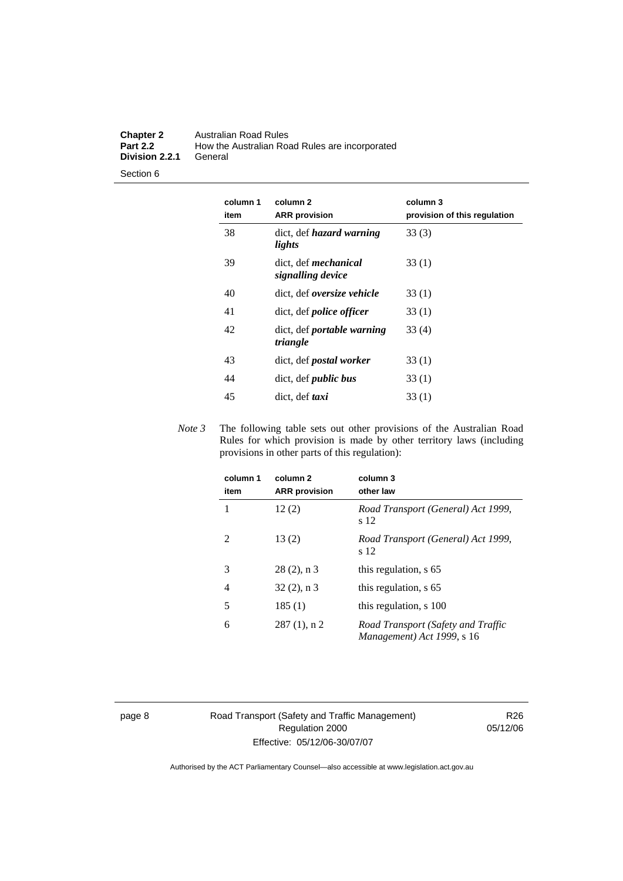#### **Chapter 2** Australian Road Rules<br>**Part 2.2** How the Australian Road **Part 2.2** How the Australian Road Rules are incorporated **Division 2.2.1**

Section 6

| column 1<br>item | column <sub>2</sub><br><b>ARR</b> provision      | column 3<br>provision of this regulation |
|------------------|--------------------------------------------------|------------------------------------------|
| 38               | dict, def <i>hazard</i> warning<br>lights        | 33(3)                                    |
| 39               | dict, def <i>mechanical</i><br>signalling device | 33(1)                                    |
| 40               | dict, def oversize vehicle                       | 33(1)                                    |
| 41               | dict, def <i>police</i> officer                  | 33(1)                                    |
| 42               | dict, def <i>portable</i> warning<br>triangle    | 33(4)                                    |
| 43               | dict, def <i>postal</i> worker                   | 33(1)                                    |
| 44               | dict, def <i>public</i> bus                      | 33(1)                                    |
| 45               | dict, def taxi                                   | 33(1)                                    |

*Note 3* The following table sets out other provisions of the Australian Road Rules for which provision is made by other territory laws (including provisions in other parts of this regulation):

| column 1<br>item | column 2<br><b>ARR</b> provision | column 3<br>other law                                            |
|------------------|----------------------------------|------------------------------------------------------------------|
|                  | 12(2)                            | Road Transport (General) Act 1999,<br>s 12                       |
| 2                | 13(2)                            | Road Transport (General) Act 1999,<br>s 12                       |
| 3                | $28(2)$ , n 3                    | this regulation, s 65                                            |
| 4                | $32(2)$ , n 3                    | this regulation, s 65                                            |
| 5                | 185(1)                           | this regulation, s 100                                           |
| 6                | $287(1)$ , n 2                   | Road Transport (Safety and Traffic<br>Management) Act 1999, s 16 |

page 8 Road Transport (Safety and Traffic Management) Regulation 2000 Effective: 05/12/06-30/07/07

R26 05/12/06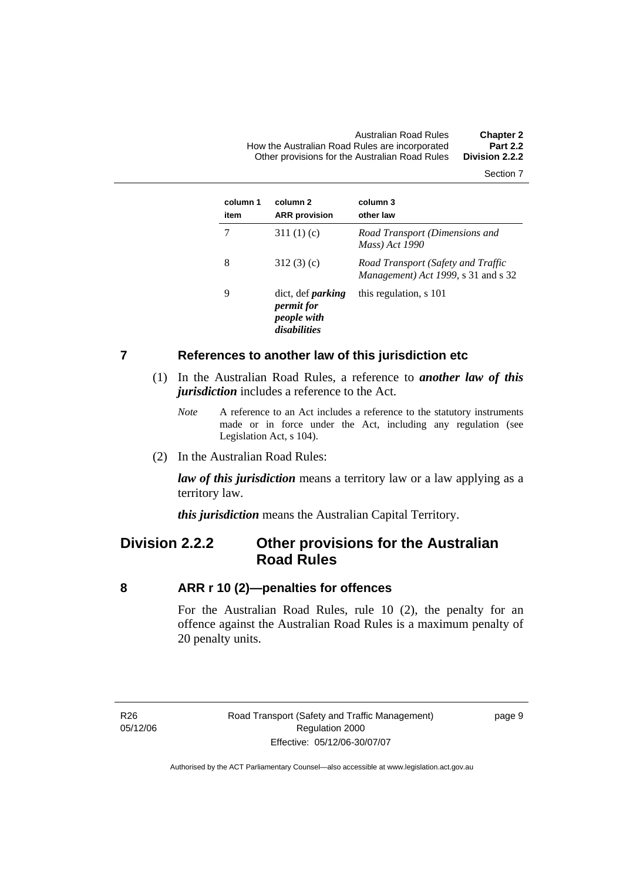Australian Road Rules **Chapter 2**  How the Australian Road Rules are incorporated **Part 2.2**  Other provisions for the Australian Road Rules

Section 7

| column 1<br>item | column 2<br><b>ARR</b> provision                                             | column 3<br>other law                                                     |
|------------------|------------------------------------------------------------------------------|---------------------------------------------------------------------------|
|                  | 311 $(1)(c)$                                                                 | Road Transport (Dimensions and<br>Mass) Act 1990                          |
| 8                | 312(3)(c)                                                                    | Road Transport (Safety and Traffic<br>Management) Act 1999, s 31 and s 32 |
| 9                | dict, def <i>parking</i><br><i>permit for</i><br>people with<br>disabilities | this regulation, s 101                                                    |

#### **7 References to another law of this jurisdiction etc**

- (1) In the Australian Road Rules, a reference to *another law of this jurisdiction* includes a reference to the Act.
	- *Note* A reference to an Act includes a reference to the statutory instruments made or in force under the Act, including any regulation (see Legislation Act, s 104).
- (2) In the Australian Road Rules:

*law of this jurisdiction* means a territory law or a law applying as a territory law.

*this jurisdiction* means the Australian Capital Territory.

# **Division 2.2.2 Other provisions for the Australian Road Rules**

#### **8 ARR r 10 (2)—penalties for offences**

For the Australian Road Rules, rule 10 (2), the penalty for an offence against the Australian Road Rules is a maximum penalty of 20 penalty units.

R26 05/12/06 page 9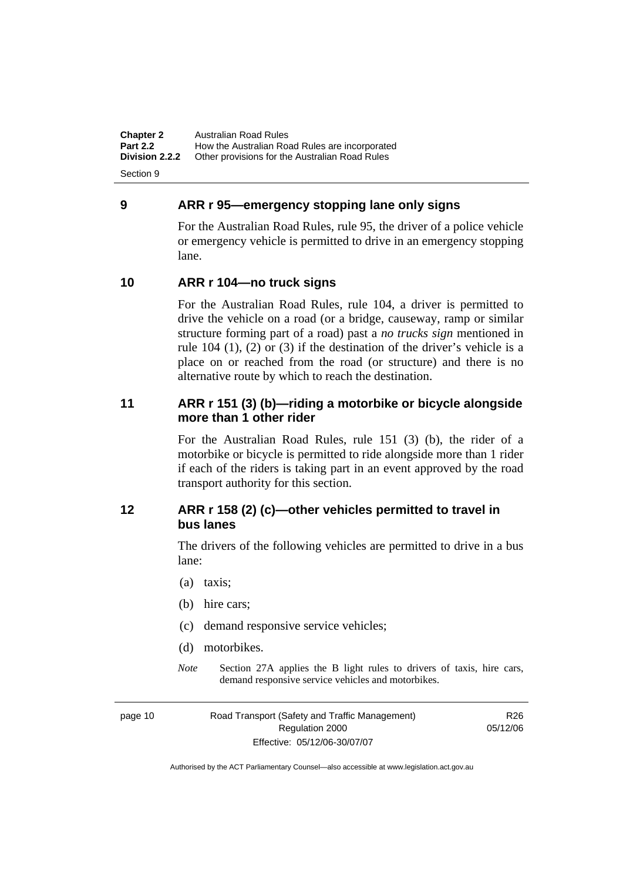**Chapter 2** Australian Road Rules<br>**Part 2.2** How the Australian Road **Part 2.2 How the Australian Road Rules are incorporated Division 2.2.2** Other provisions for the Australian Road Rules **Other provisions for the Australian Road Rules** 

Section 9

### **9 ARR r 95—emergency stopping lane only signs**

For the Australian Road Rules, rule 95, the driver of a police vehicle or emergency vehicle is permitted to drive in an emergency stopping lane.

# **10 ARR r 104—no truck signs**

For the Australian Road Rules, rule 104, a driver is permitted to drive the vehicle on a road (or a bridge, causeway, ramp or similar structure forming part of a road) past a *no trucks sign* mentioned in rule 104 (1), (2) or (3) if the destination of the driver's vehicle is a place on or reached from the road (or structure) and there is no alternative route by which to reach the destination.

### **11 ARR r 151 (3) (b)—riding a motorbike or bicycle alongside more than 1 other rider**

For the Australian Road Rules, rule 151 (3) (b), the rider of a motorbike or bicycle is permitted to ride alongside more than 1 rider if each of the riders is taking part in an event approved by the road transport authority for this section.

# **12 ARR r 158 (2) (c)—other vehicles permitted to travel in bus lanes**

The drivers of the following vehicles are permitted to drive in a bus lane:

- (a) taxis;
- (b) hire cars;
- (c) demand responsive service vehicles;
- (d) motorbikes.
- *Note* Section 27A applies the B light rules to drivers of taxis, hire cars, demand responsive service vehicles and motorbikes.

page 10 Road Transport (Safety and Traffic Management) Regulation 2000 Effective: 05/12/06-30/07/07

R26 05/12/06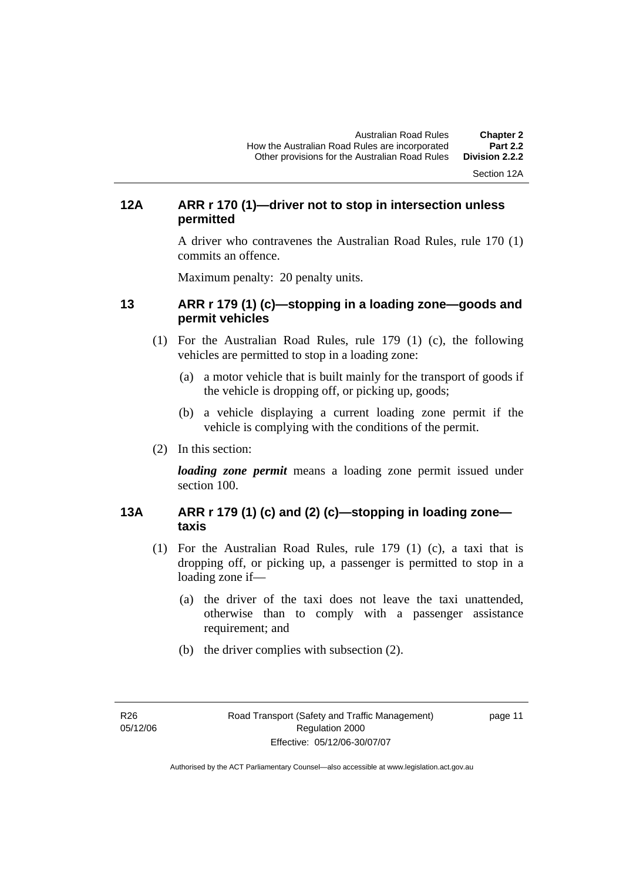Section 12A

# **12A ARR r 170 (1)—driver not to stop in intersection unless permitted**

A driver who contravenes the Australian Road Rules, rule 170 (1) commits an offence.

Maximum penalty: 20 penalty units.

# **13 ARR r 179 (1) (c)—stopping in a loading zone—goods and permit vehicles**

- (1) For the Australian Road Rules, rule 179 (1) (c), the following vehicles are permitted to stop in a loading zone:
	- (a) a motor vehicle that is built mainly for the transport of goods if the vehicle is dropping off, or picking up, goods;
	- (b) a vehicle displaying a current loading zone permit if the vehicle is complying with the conditions of the permit.
- (2) In this section:

*loading zone permit* means a loading zone permit issued under section 100.

# **13A ARR r 179 (1) (c) and (2) (c)—stopping in loading zone taxis**

- (1) For the Australian Road Rules, rule 179 (1) (c), a taxi that is dropping off, or picking up, a passenger is permitted to stop in a loading zone if—
	- (a) the driver of the taxi does not leave the taxi unattended, otherwise than to comply with a passenger assistance requirement; and
	- (b) the driver complies with subsection (2).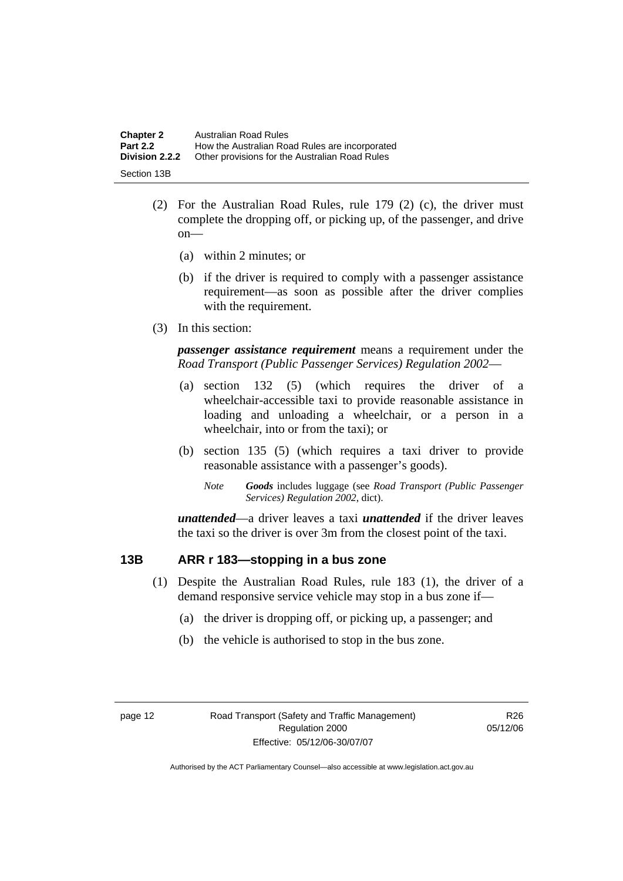| <b>Chapter 2</b>      | Australian Road Rules                          |
|-----------------------|------------------------------------------------|
| <b>Part 2.2</b>       | How the Australian Road Rules are incorporated |
| <b>Division 2.2.2</b> | Other provisions for the Australian Road Rules |
| Section 13B           |                                                |

- (2) For the Australian Road Rules, rule 179 (2) (c), the driver must complete the dropping off, or picking up, of the passenger, and drive on—
	- (a) within 2 minutes; or
	- (b) if the driver is required to comply with a passenger assistance requirement—as soon as possible after the driver complies with the requirement.
- (3) In this section:

*passenger assistance requirement* means a requirement under the *Road Transport (Public Passenger Services) Regulation 2002*—

- (a) section 132 (5) (which requires the driver of a wheelchair-accessible taxi to provide reasonable assistance in loading and unloading a wheelchair, or a person in a wheelchair, into or from the taxi); or
- (b) section 135 (5) (which requires a taxi driver to provide reasonable assistance with a passenger's goods).
	- *Note Goods* includes luggage (see *Road Transport (Public Passenger Services) Regulation 2002*, dict).

*unattended*—a driver leaves a taxi *unattended* if the driver leaves the taxi so the driver is over 3m from the closest point of the taxi.

# **13B ARR r 183—stopping in a bus zone**

- (1) Despite the Australian Road Rules, rule 183 (1), the driver of a demand responsive service vehicle may stop in a bus zone if—
	- (a) the driver is dropping off, or picking up, a passenger; and
	- (b) the vehicle is authorised to stop in the bus zone.

R26 05/12/06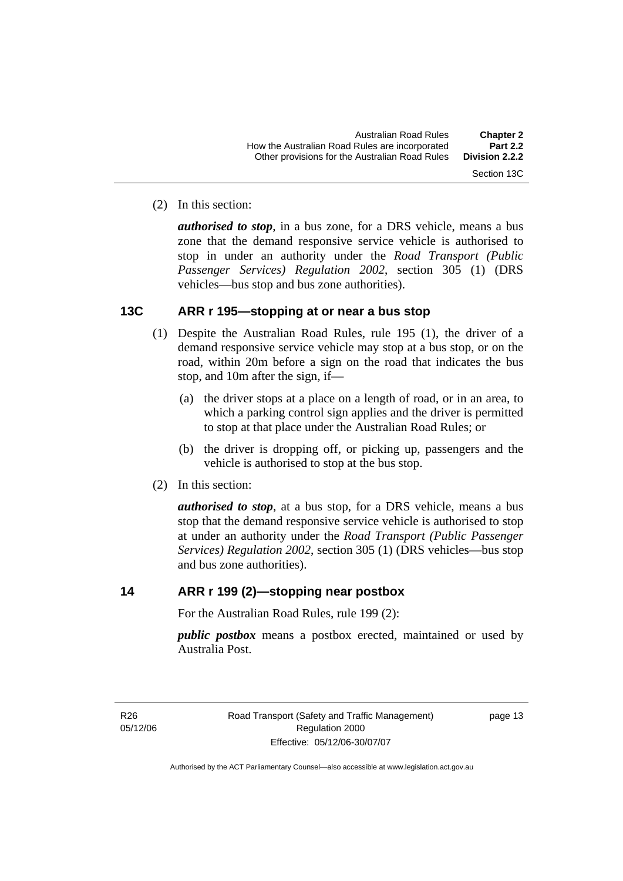(2) In this section:

*authorised to stop*, in a bus zone, for a DRS vehicle, means a bus zone that the demand responsive service vehicle is authorised to stop in under an authority under the *Road Transport (Public Passenger Services) Regulation 2002*, section 305 (1) (DRS vehicles—bus stop and bus zone authorities).

#### **13C ARR r 195—stopping at or near a bus stop**

- (1) Despite the Australian Road Rules, rule 195 (1), the driver of a demand responsive service vehicle may stop at a bus stop, or on the road, within 20m before a sign on the road that indicates the bus stop, and 10m after the sign, if—
	- (a) the driver stops at a place on a length of road, or in an area, to which a parking control sign applies and the driver is permitted to stop at that place under the Australian Road Rules; or
	- (b) the driver is dropping off, or picking up, passengers and the vehicle is authorised to stop at the bus stop.
- (2) In this section:

*authorised to stop*, at a bus stop, for a DRS vehicle, means a bus stop that the demand responsive service vehicle is authorised to stop at under an authority under the *Road Transport (Public Passenger Services) Regulation 2002*, section 305 (1) (DRS vehicles—bus stop and bus zone authorities).

# **14 ARR r 199 (2)—stopping near postbox**

For the Australian Road Rules, rule 199 (2):

*public postbox* means a postbox erected, maintained or used by Australia Post.

R26 05/12/06 Road Transport (Safety and Traffic Management) Regulation 2000 Effective: 05/12/06-30/07/07

page 13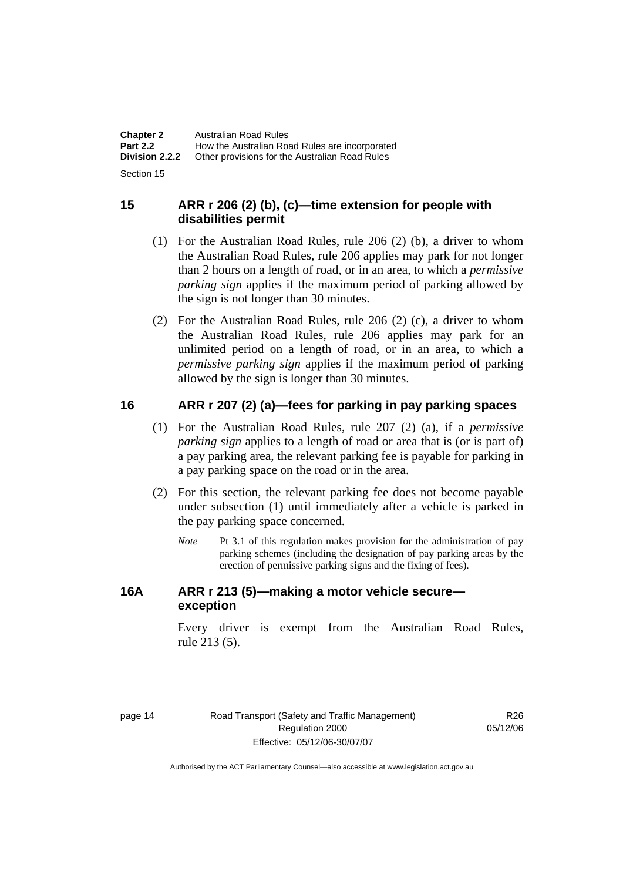| <b>Chapter 2</b> | <b>Australian Road Rules</b>                   |
|------------------|------------------------------------------------|
| <b>Part 2.2</b>  | How the Australian Road Rules are incorporated |
| Division 2.2.2   | Other provisions for the Australian Road Rules |
|                  |                                                |

Section 15

# **15 ARR r 206 (2) (b), (c)—time extension for people with disabilities permit**

- (1) For the Australian Road Rules, rule 206 (2) (b), a driver to whom the Australian Road Rules, rule 206 applies may park for not longer than 2 hours on a length of road, or in an area, to which a *permissive parking sign* applies if the maximum period of parking allowed by the sign is not longer than 30 minutes.
- (2) For the Australian Road Rules, rule 206 (2) (c), a driver to whom the Australian Road Rules, rule 206 applies may park for an unlimited period on a length of road, or in an area, to which a *permissive parking sign* applies if the maximum period of parking allowed by the sign is longer than 30 minutes.

# **16 ARR r 207 (2) (a)—fees for parking in pay parking spaces**

- (1) For the Australian Road Rules, rule 207 (2) (a), if a *permissive parking sign* applies to a length of road or area that is (or is part of) a pay parking area, the relevant parking fee is payable for parking in a pay parking space on the road or in the area.
- (2) For this section, the relevant parking fee does not become payable under subsection (1) until immediately after a vehicle is parked in the pay parking space concerned.
	- *Note* Pt 3.1 of this regulation makes provision for the administration of pay parking schemes (including the designation of pay parking areas by the erection of permissive parking signs and the fixing of fees).

# **16A ARR r 213 (5)—making a motor vehicle secure exception**

Every driver is exempt from the Australian Road Rules, rule 213 (5).

R<sub>26</sub> 05/12/06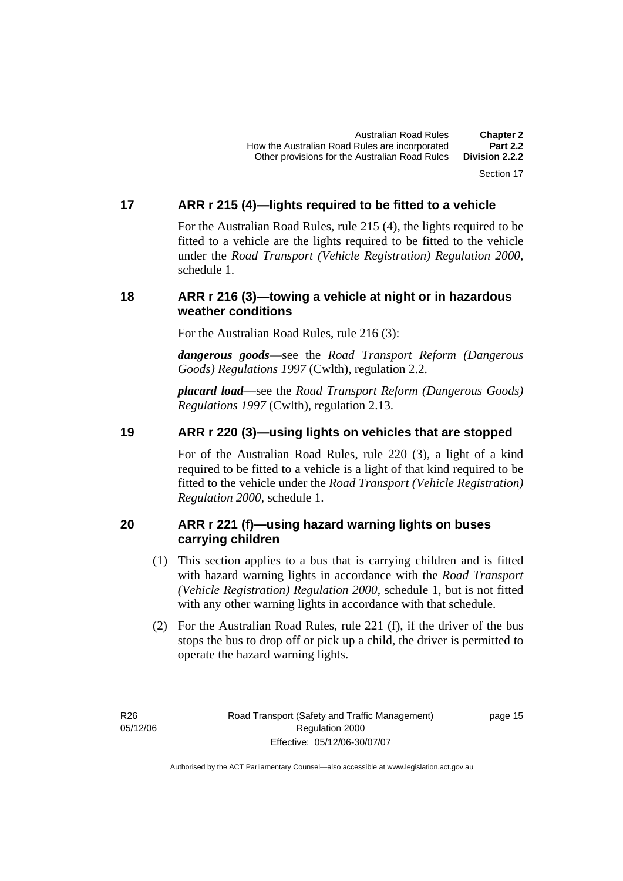#### Section 17

# **17 ARR r 215 (4)—lights required to be fitted to a vehicle**

For the Australian Road Rules, rule 215 (4), the lights required to be fitted to a vehicle are the lights required to be fitted to the vehicle under the *Road Transport (Vehicle Registration) Regulation 2000,*  schedule 1.

#### **18 ARR r 216 (3)—towing a vehicle at night or in hazardous weather conditions**

For the Australian Road Rules, rule 216 (3):

*dangerous goods*—see the *Road Transport Reform (Dangerous Goods) Regulations 1997* (Cwlth), regulation 2.2.

*placard load*—see the *Road Transport Reform (Dangerous Goods) Regulations 1997* (Cwlth), regulation 2.13.

# **19 ARR r 220 (3)—using lights on vehicles that are stopped**

For of the Australian Road Rules, rule 220 (3), a light of a kind required to be fitted to a vehicle is a light of that kind required to be fitted to the vehicle under the *Road Transport (Vehicle Registration) Regulation 2000*, schedule 1.

# **20 ARR r 221 (f)—using hazard warning lights on buses carrying children**

- (1) This section applies to a bus that is carrying children and is fitted with hazard warning lights in accordance with the *Road Transport (Vehicle Registration) Regulation 2000*, schedule 1, but is not fitted with any other warning lights in accordance with that schedule.
- (2) For the Australian Road Rules, rule 221 (f), if the driver of the bus stops the bus to drop off or pick up a child, the driver is permitted to operate the hazard warning lights.

R26 05/12/06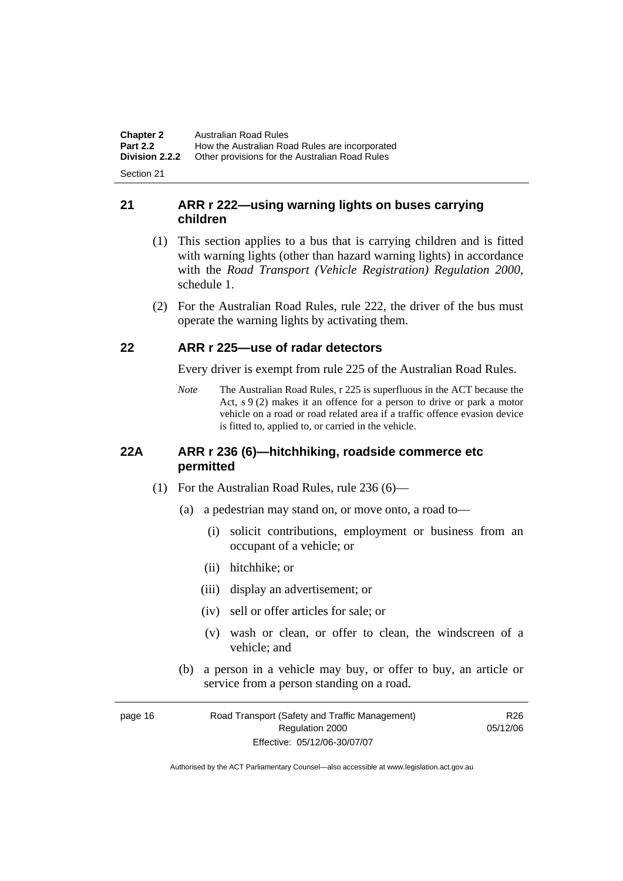**Chapter 2** Australian Road Rules<br>**Part 2.2** How the Australian Road **Part 2.2 How the Australian Road Rules are incorporated Division 2.2.2** Other provisions for the Australian Road Rules **Other provisions for the Australian Road Rules** 

Section 21

# **21 ARR r 222—using warning lights on buses carrying children**

- (1) This section applies to a bus that is carrying children and is fitted with warning lights (other than hazard warning lights) in accordance with the *Road Transport (Vehicle Registration) Regulation 2000*, schedule 1.
- (2) For the Australian Road Rules, rule 222, the driver of the bus must operate the warning lights by activating them.

# **22 ARR r 225—use of radar detectors**

Every driver is exempt from rule 225 of the Australian Road Rules.

*Note* The Australian Road Rules, r 225 is superfluous in the ACT because the Act, s 9 (2) makes it an offence for a person to drive or park a motor vehicle on a road or road related area if a traffic offence evasion device is fitted to, applied to, or carried in the vehicle.

#### **22A ARR r 236 (6)—hitchhiking, roadside commerce etc permitted**

- (1) For the Australian Road Rules, rule 236 (6)—
	- (a) a pedestrian may stand on, or move onto, a road to—
		- (i) solicit contributions, employment or business from an occupant of a vehicle; or
		- (ii) hitchhike; or
		- (iii) display an advertisement; or
		- (iv) sell or offer articles for sale; or
		- (v) wash or clean, or offer to clean, the windscreen of a vehicle; and
	- (b) a person in a vehicle may buy, or offer to buy, an article or service from a person standing on a road.

| page 16 | Road Transport (Safety and Traffic Management) | R <sub>26</sub> |
|---------|------------------------------------------------|-----------------|
|         | Regulation 2000                                | 05/12/06        |
|         | Effective: 05/12/06-30/07/07                   |                 |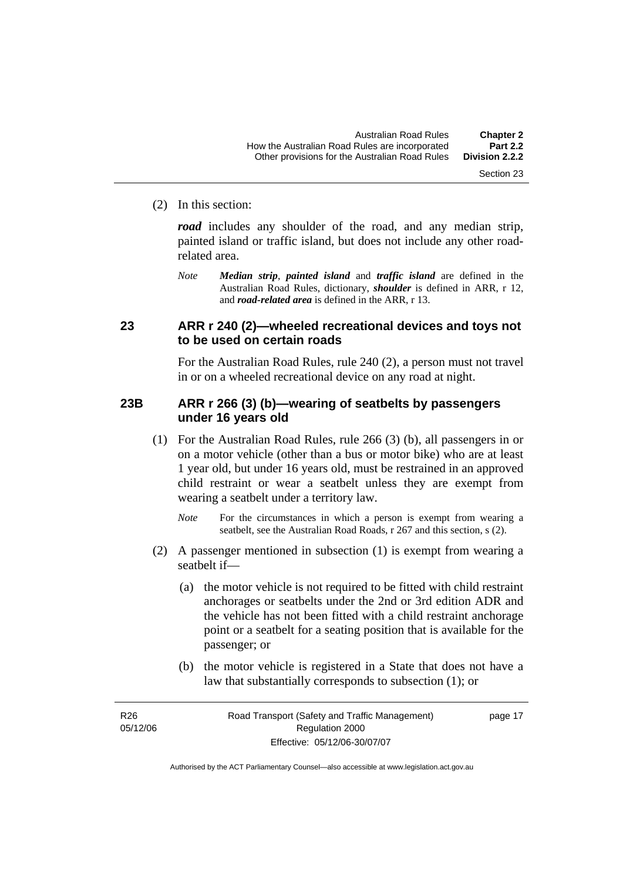#### (2) In this section:

*road* includes any shoulder of the road, and any median strip, painted island or traffic island, but does not include any other roadrelated area.

*Note Median strip*, *painted island* and *traffic island* are defined in the Australian Road Rules, dictionary, *shoulder* is defined in ARR, r 12, and *road-related area* is defined in the ARR, r 13.

#### **23 ARR r 240 (2)—wheeled recreational devices and toys not to be used on certain roads**

For the Australian Road Rules, rule 240 (2), a person must not travel in or on a wheeled recreational device on any road at night.

#### **23B ARR r 266 (3) (b)—wearing of seatbelts by passengers under 16 years old**

- (1) For the Australian Road Rules, rule 266 (3) (b), all passengers in or on a motor vehicle (other than a bus or motor bike) who are at least 1 year old, but under 16 years old, must be restrained in an approved child restraint or wear a seatbelt unless they are exempt from wearing a seatbelt under a territory law.
	- *Note* For the circumstances in which a person is exempt from wearing a seatbelt, see the Australian Road Roads, r 267 and this section, s (2).
- (2) A passenger mentioned in subsection (1) is exempt from wearing a seatbelt if—
	- (a) the motor vehicle is not required to be fitted with child restraint anchorages or seatbelts under the 2nd or 3rd edition ADR and the vehicle has not been fitted with a child restraint anchorage point or a seatbelt for a seating position that is available for the passenger; or
	- (b) the motor vehicle is registered in a State that does not have a law that substantially corresponds to subsection (1); or

R26 05/12/06

page 17

Section 23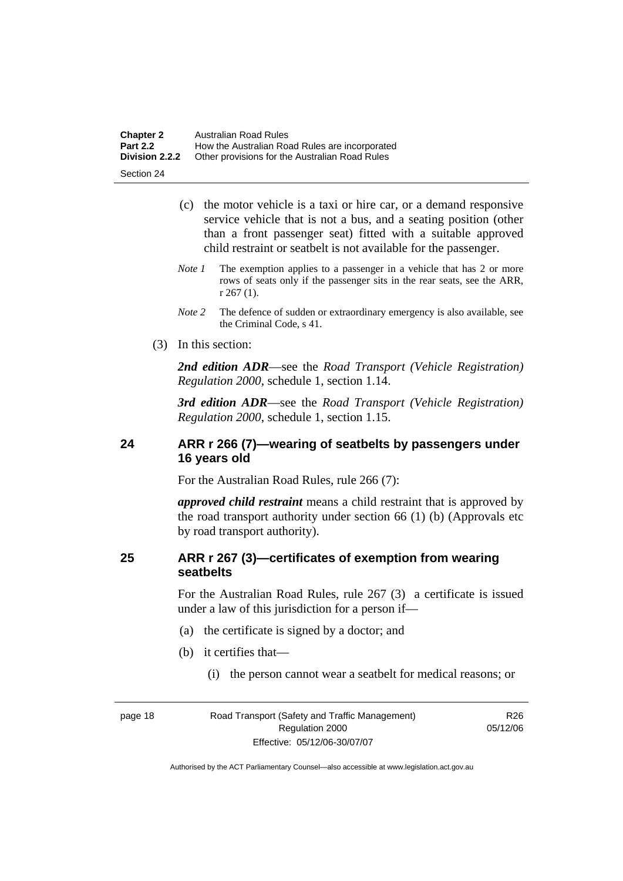| <b>Chapter 2</b> | Australian Road Rules                          |
|------------------|------------------------------------------------|
| <b>Part 2.2</b>  | How the Australian Road Rules are incorporated |
| Division 2.2.2   | Other provisions for the Australian Road Rules |

Section 24

- (c) the motor vehicle is a taxi or hire car, or a demand responsive service vehicle that is not a bus, and a seating position (other than a front passenger seat) fitted with a suitable approved child restraint or seatbelt is not available for the passenger.
- *Note 1* The exemption applies to a passenger in a vehicle that has 2 or more rows of seats only if the passenger sits in the rear seats, see the ARR, r 267 (1).
- *Note* 2 The defence of sudden or extraordinary emergency is also available, see the Criminal Code, s 41.
- (3) In this section:

*2nd edition ADR*—see the *Road Transport (Vehicle Registration) Regulation 2000*, schedule 1, section 1.14.

*3rd edition ADR*—see the *Road Transport (Vehicle Registration) Regulation 2000*, schedule 1, section 1.15.

# **24 ARR r 266 (7)—wearing of seatbelts by passengers under 16 years old**

For the Australian Road Rules, rule 266 (7):

*approved child restraint* means a child restraint that is approved by the road transport authority under section 66 (1) (b) (Approvals etc by road transport authority).

# **25 ARR r 267 (3)—certificates of exemption from wearing seatbelts**

For the Australian Road Rules, rule 267 (3) a certificate is issued under a law of this jurisdiction for a person if—

- (a) the certificate is signed by a doctor; and
- (b) it certifies that—
	- (i) the person cannot wear a seatbelt for medical reasons; or

page 18 Road Transport (Safety and Traffic Management) Regulation 2000 Effective: 05/12/06-30/07/07

R26 05/12/06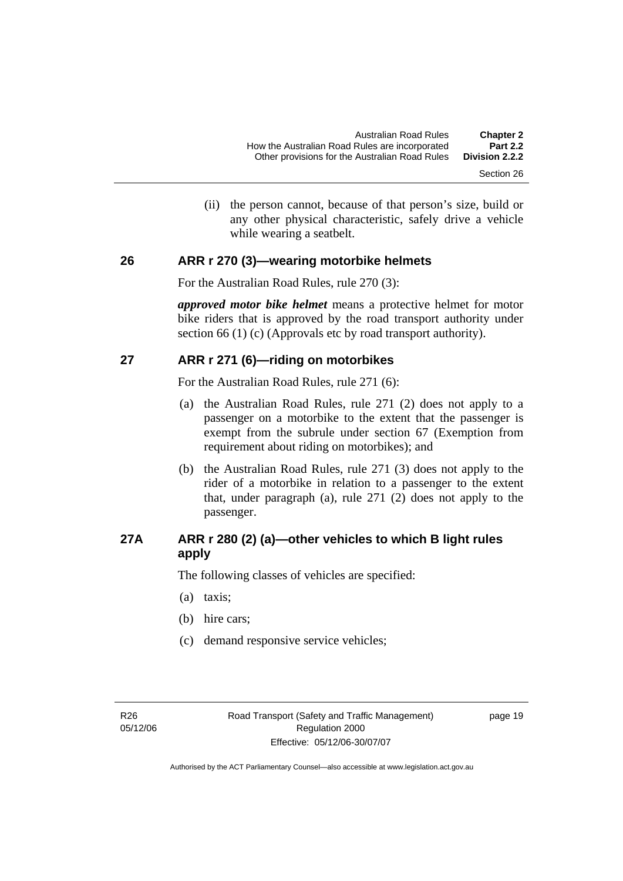(ii) the person cannot, because of that person's size, build or any other physical characteristic, safely drive a vehicle while wearing a seatbelt.

#### **26 ARR r 270 (3)—wearing motorbike helmets**

For the Australian Road Rules, rule 270 (3):

*approved motor bike helmet* means a protective helmet for motor bike riders that is approved by the road transport authority under section 66 (1) (c) (Approvals etc by road transport authority).

#### **27 ARR r 271 (6)—riding on motorbikes**

For the Australian Road Rules, rule 271 (6):

- (a) the Australian Road Rules, rule 271 (2) does not apply to a passenger on a motorbike to the extent that the passenger is exempt from the subrule under section 67 (Exemption from requirement about riding on motorbikes); and
- (b) the Australian Road Rules, rule 271 (3) does not apply to the rider of a motorbike in relation to a passenger to the extent that, under paragraph (a), rule 271 (2) does not apply to the passenger.

# **27A ARR r 280 (2) (a)—other vehicles to which B light rules apply**

The following classes of vehicles are specified:

- (a) taxis;
- (b) hire cars;
- (c) demand responsive service vehicles;

page 19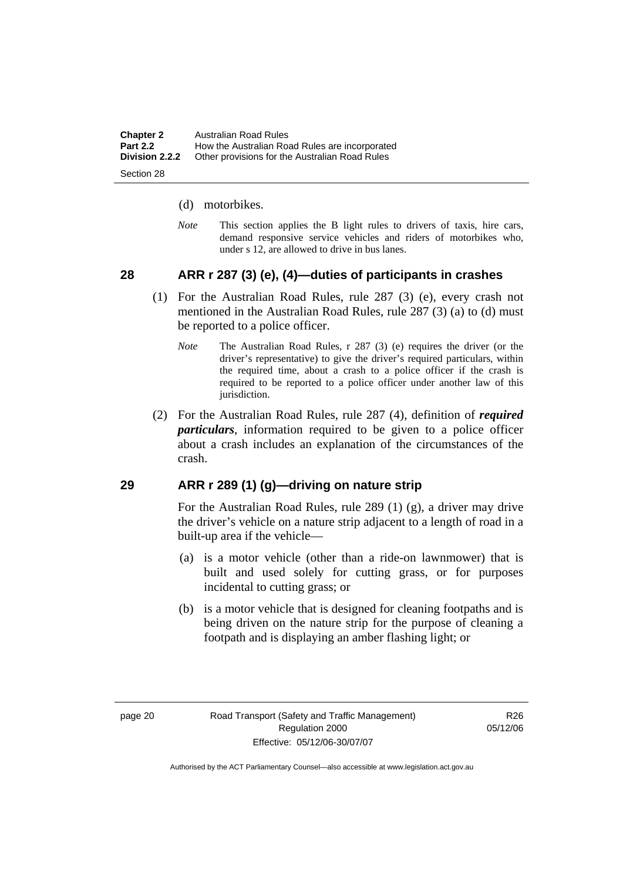| <b>Chapter 2</b> | Australian Road Rules                          |
|------------------|------------------------------------------------|
| <b>Part 2.2</b>  | How the Australian Road Rules are incorporated |
| Division 2.2.2   | Other provisions for the Australian Road Rules |
|                  |                                                |

Section 28

#### (d) motorbikes.

*Note* This section applies the B light rules to drivers of taxis, hire cars, demand responsive service vehicles and riders of motorbikes who, under s 12, are allowed to drive in bus lanes.

# **28 ARR r 287 (3) (e), (4)—duties of participants in crashes**

- (1) For the Australian Road Rules, rule 287 (3) (e), every crash not mentioned in the Australian Road Rules, rule 287 (3) (a) to (d) must be reported to a police officer.
	- *Note* The Australian Road Rules, r 287 (3) (e) requires the driver (or the driver's representative) to give the driver's required particulars, within the required time, about a crash to a police officer if the crash is required to be reported to a police officer under another law of this jurisdiction.
- (2) For the Australian Road Rules, rule 287 (4), definition of *required particulars*, information required to be given to a police officer about a crash includes an explanation of the circumstances of the crash.

#### **29 ARR r 289 (1) (g)—driving on nature strip**

For the Australian Road Rules, rule 289 (1) (g), a driver may drive the driver's vehicle on a nature strip adjacent to a length of road in a built-up area if the vehicle—

- (a) is a motor vehicle (other than a ride-on lawnmower) that is built and used solely for cutting grass, or for purposes incidental to cutting grass; or
- (b) is a motor vehicle that is designed for cleaning footpaths and is being driven on the nature strip for the purpose of cleaning a footpath and is displaying an amber flashing light; or

R<sub>26</sub> 05/12/06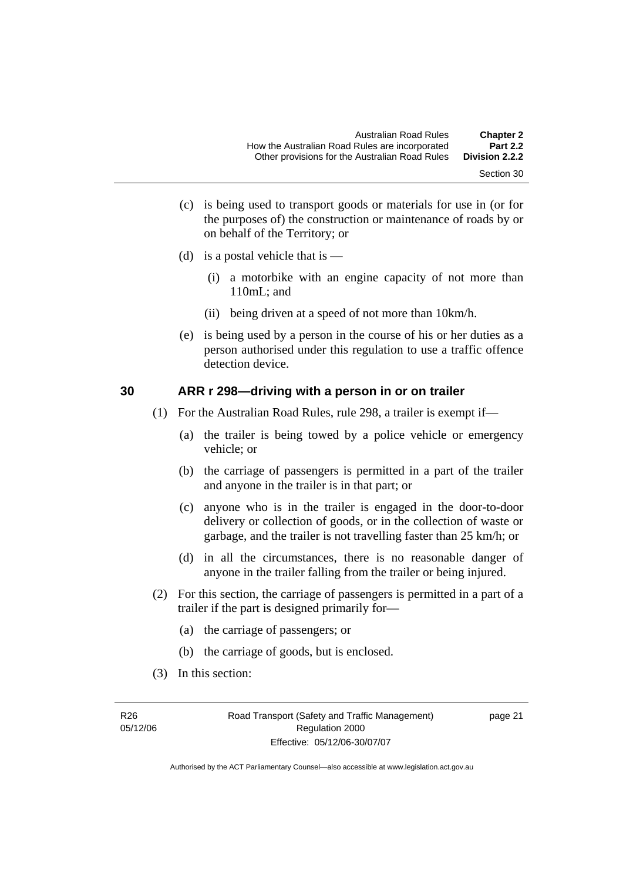- Section 30
- (c) is being used to transport goods or materials for use in (or for the purposes of) the construction or maintenance of roads by or on behalf of the Territory; or
- (d) is a postal vehicle that is  $-$ 
	- (i) a motorbike with an engine capacity of not more than 110mL; and
	- (ii) being driven at a speed of not more than 10km/h.
- (e) is being used by a person in the course of his or her duties as a person authorised under this regulation to use a traffic offence detection device.

#### **30 ARR r 298—driving with a person in or on trailer**

- (1) For the Australian Road Rules, rule 298, a trailer is exempt if—
	- (a) the trailer is being towed by a police vehicle or emergency vehicle; or
	- (b) the carriage of passengers is permitted in a part of the trailer and anyone in the trailer is in that part; or
	- (c) anyone who is in the trailer is engaged in the door-to-door delivery or collection of goods, or in the collection of waste or garbage, and the trailer is not travelling faster than 25 km/h; or
	- (d) in all the circumstances, there is no reasonable danger of anyone in the trailer falling from the trailer or being injured.
- (2) For this section, the carriage of passengers is permitted in a part of a trailer if the part is designed primarily for—
	- (a) the carriage of passengers; or
	- (b) the carriage of goods, but is enclosed.
- (3) In this section: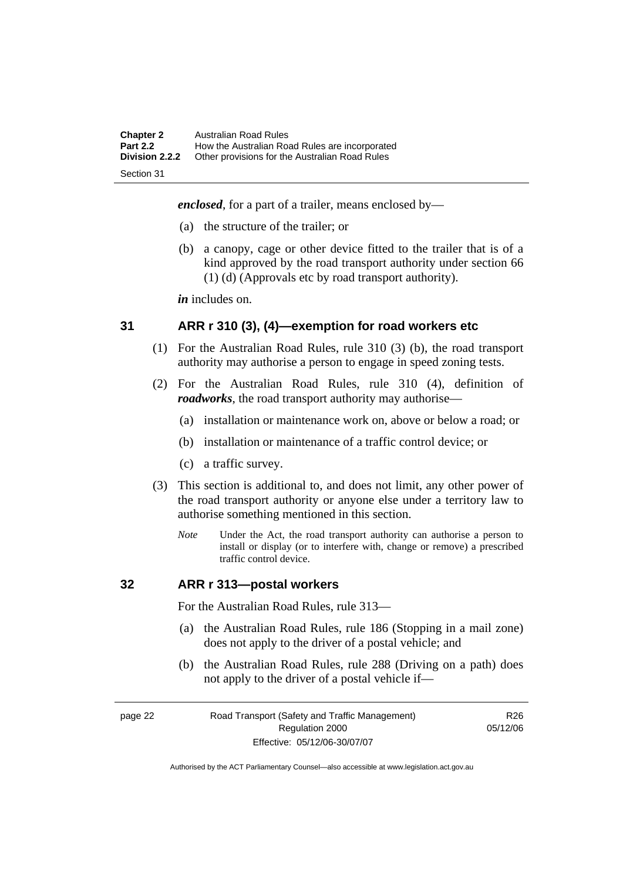| <b>Chapter 2</b><br><b>Part 2.2</b> | Australian Road Rules<br>How the Australian Road Rules are incorporated |
|-------------------------------------|-------------------------------------------------------------------------|
| <b>Division 2.2.2</b>               | Other provisions for the Australian Road Rules                          |
| Section 31                          |                                                                         |

*enclosed*, for a part of a trailer, means enclosed by—

- (a) the structure of the trailer; or
- (b) a canopy, cage or other device fitted to the trailer that is of a kind approved by the road transport authority under section 66 (1) (d) (Approvals etc by road transport authority).

*in* includes on.

#### **31 ARR r 310 (3), (4)—exemption for road workers etc**

- (1) For the Australian Road Rules, rule 310 (3) (b), the road transport authority may authorise a person to engage in speed zoning tests.
- (2) For the Australian Road Rules, rule 310 (4), definition of *roadworks*, the road transport authority may authorise—
	- (a) installation or maintenance work on, above or below a road; or
	- (b) installation or maintenance of a traffic control device; or
	- (c) a traffic survey.
- (3) This section is additional to, and does not limit, any other power of the road transport authority or anyone else under a territory law to authorise something mentioned in this section.
	- *Note* Under the Act, the road transport authority can authorise a person to install or display (or to interfere with, change or remove) a prescribed traffic control device.

#### **32 ARR r 313—postal workers**

For the Australian Road Rules, rule 313—

- (a) the Australian Road Rules, rule 186 (Stopping in a mail zone) does not apply to the driver of a postal vehicle; and
- (b) the Australian Road Rules, rule 288 (Driving on a path) does not apply to the driver of a postal vehicle if—

page 22 Road Transport (Safety and Traffic Management) Regulation 2000 Effective: 05/12/06-30/07/07

R<sub>26</sub> 05/12/06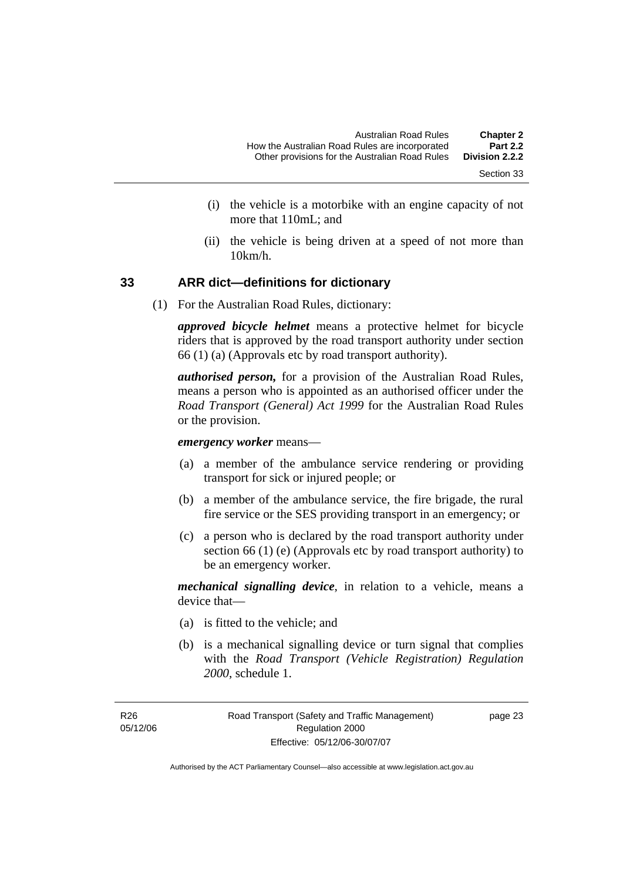- Section 33
- (i) the vehicle is a motorbike with an engine capacity of not more that 110mL; and
- (ii) the vehicle is being driven at a speed of not more than 10km/h.

#### **33 ARR dict—definitions for dictionary**

(1) For the Australian Road Rules, dictionary:

*approved bicycle helmet* means a protective helmet for bicycle riders that is approved by the road transport authority under section 66 (1) (a) (Approvals etc by road transport authority).

*authorised person,* for a provision of the Australian Road Rules, means a person who is appointed as an authorised officer under the *Road Transport (General) Act 1999* for the Australian Road Rules or the provision.

*emergency worker* means—

- (a) a member of the ambulance service rendering or providing transport for sick or injured people; or
- (b) a member of the ambulance service, the fire brigade, the rural fire service or the SES providing transport in an emergency; or
- (c) a person who is declared by the road transport authority under section 66 (1) (e) (Approvals etc by road transport authority) to be an emergency worker.

*mechanical signalling device*, in relation to a vehicle, means a device that—

- (a) is fitted to the vehicle; and
- (b) is a mechanical signalling device or turn signal that complies with the *Road Transport (Vehicle Registration) Regulation 2000*, schedule 1.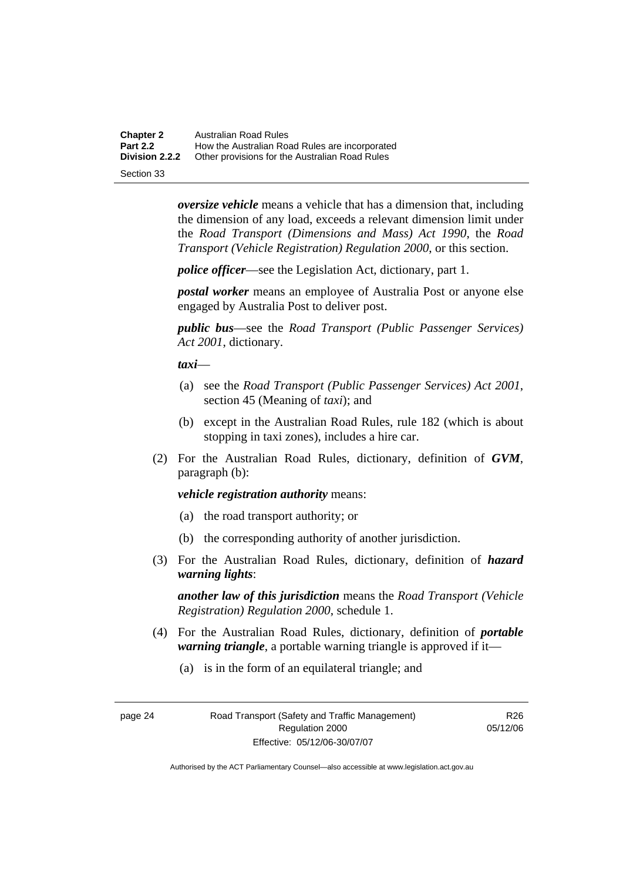**Chapter 2** Australian Road Rules<br>**Part 2.2** How the Australian Road **Part 2.2 How the Australian Road Rules are incorporated Division 2.2.2** Other provisions for the Australian Road Rules **Other provisions for the Australian Road Rules** 

Section 33

*oversize vehicle* means a vehicle that has a dimension that, including the dimension of any load, exceeds a relevant dimension limit under the *Road Transport (Dimensions and Mass) Act 1990*, the *Road Transport (Vehicle Registration) Regulation 2000*, or this section.

*police officer*—see the Legislation Act, dictionary, part 1.

*postal worker* means an employee of Australia Post or anyone else engaged by Australia Post to deliver post.

*public bus*—see the *Road Transport (Public Passenger Services) Act 2001*, dictionary.

*taxi*—

- (a) see the *Road Transport (Public Passenger Services) Act 2001*, section 45 (Meaning of *taxi*); and
- (b) except in the Australian Road Rules, rule 182 (which is about stopping in taxi zones), includes a hire car.
- (2) For the Australian Road Rules, dictionary, definition of *GVM*, paragraph (b):

#### *vehicle registration authority* means:

- (a) the road transport authority; or
- (b) the corresponding authority of another jurisdiction.
- (3) For the Australian Road Rules, dictionary, definition of *hazard warning lights*:

*another law of this jurisdiction* means the *Road Transport (Vehicle Registration) Regulation 2000*, schedule 1.

- (4) For the Australian Road Rules, dictionary, definition of *portable warning triangle*, a portable warning triangle is approved if it—
	- (a) is in the form of an equilateral triangle; and

R<sub>26</sub> 05/12/06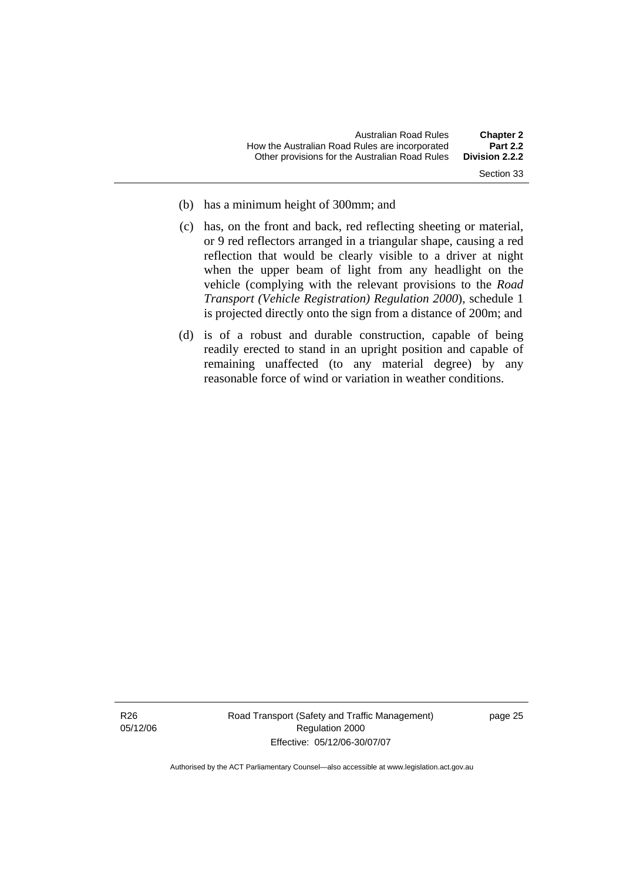- Section 33
- (b) has a minimum height of 300mm; and
- (c) has, on the front and back, red reflecting sheeting or material, or 9 red reflectors arranged in a triangular shape, causing a red reflection that would be clearly visible to a driver at night when the upper beam of light from any headlight on the vehicle (complying with the relevant provisions to the *Road Transport (Vehicle Registration) Regulation 2000*), schedule 1 is projected directly onto the sign from a distance of 200m; and
- (d) is of a robust and durable construction, capable of being readily erected to stand in an upright position and capable of remaining unaffected (to any material degree) by any reasonable force of wind or variation in weather conditions.

Road Transport (Safety and Traffic Management) Regulation 2000 Effective: 05/12/06-30/07/07

page 25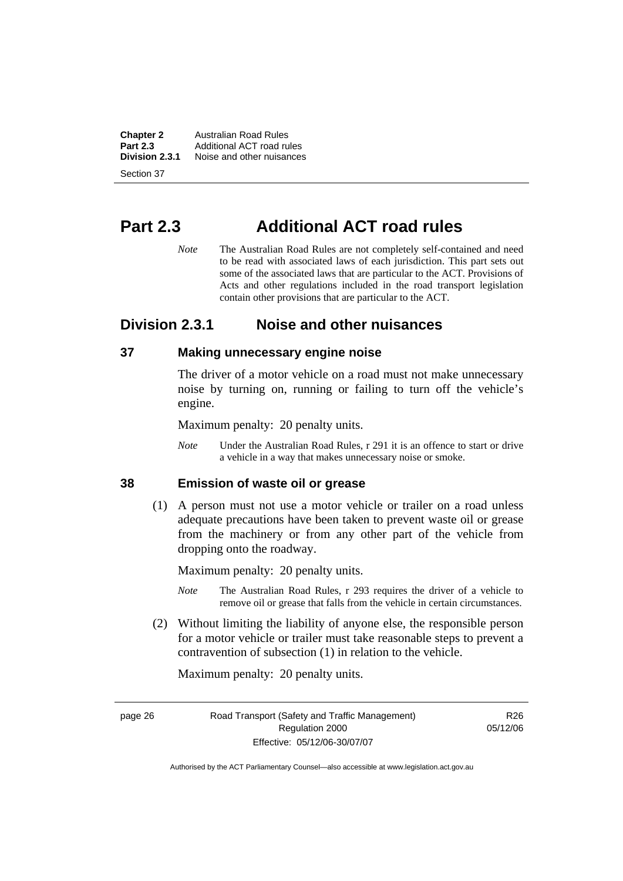**Chapter 2 Australian Road Rules**<br>**Part 2.3 Additional ACT road rules Part 2.3** Additional ACT road rules<br>**Division 2.3.1** Noise and other nuisances **Division 2.3.1** Noise and other nuisances

Section 37

# **Part 2.3 Additional ACT road rules**

*Note* The Australian Road Rules are not completely self-contained and need to be read with associated laws of each jurisdiction. This part sets out some of the associated laws that are particular to the ACT. Provisions of Acts and other regulations included in the road transport legislation contain other provisions that are particular to the ACT.

# **Division 2.3.1 Noise and other nuisances**

#### **37 Making unnecessary engine noise**

The driver of a motor vehicle on a road must not make unnecessary noise by turning on, running or failing to turn off the vehicle's engine.

Maximum penalty: 20 penalty units.

*Note* Under the Australian Road Rules, r 291 it is an offence to start or drive a vehicle in a way that makes unnecessary noise or smoke.

### **38 Emission of waste oil or grease**

 (1) A person must not use a motor vehicle or trailer on a road unless adequate precautions have been taken to prevent waste oil or grease from the machinery or from any other part of the vehicle from dropping onto the roadway.

Maximum penalty: 20 penalty units.

- *Note* The Australian Road Rules, r 293 requires the driver of a vehicle to remove oil or grease that falls from the vehicle in certain circumstances.
- (2) Without limiting the liability of anyone else, the responsible person for a motor vehicle or trailer must take reasonable steps to prevent a contravention of subsection (1) in relation to the vehicle.

Maximum penalty: 20 penalty units.

page 26 Road Transport (Safety and Traffic Management) Regulation 2000 Effective: 05/12/06-30/07/07

R<sub>26</sub> 05/12/06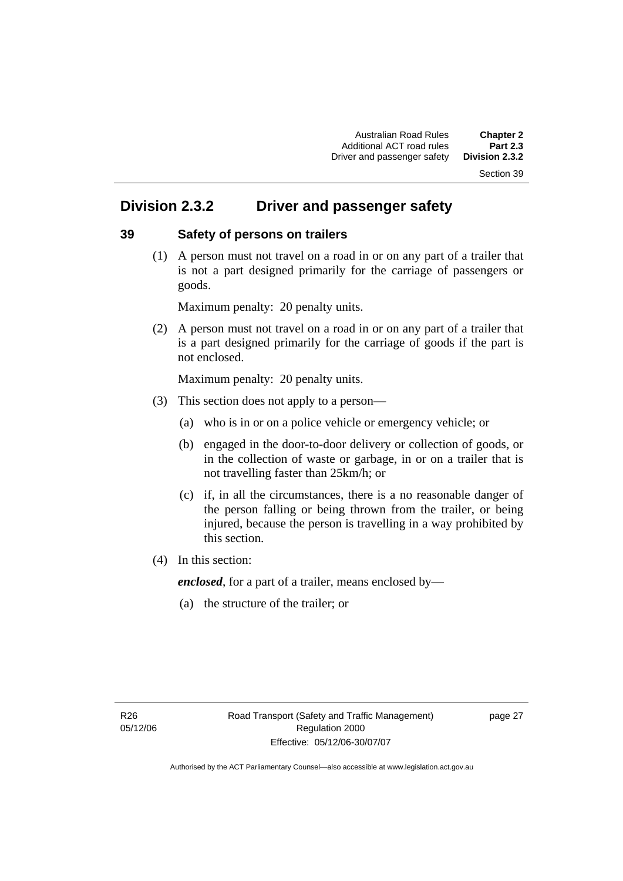#### Section 39

# **Division 2.3.2 Driver and passenger safety**

#### **39 Safety of persons on trailers**

 (1) A person must not travel on a road in or on any part of a trailer that is not a part designed primarily for the carriage of passengers or goods.

Maximum penalty: 20 penalty units.

 (2) A person must not travel on a road in or on any part of a trailer that is a part designed primarily for the carriage of goods if the part is not enclosed.

Maximum penalty: 20 penalty units.

- (3) This section does not apply to a person—
	- (a) who is in or on a police vehicle or emergency vehicle; or
	- (b) engaged in the door-to-door delivery or collection of goods, or in the collection of waste or garbage, in or on a trailer that is not travelling faster than 25km/h; or
	- (c) if, in all the circumstances, there is a no reasonable danger of the person falling or being thrown from the trailer, or being injured, because the person is travelling in a way prohibited by this section.
- (4) In this section:

*enclosed*, for a part of a trailer, means enclosed by—

(a) the structure of the trailer; or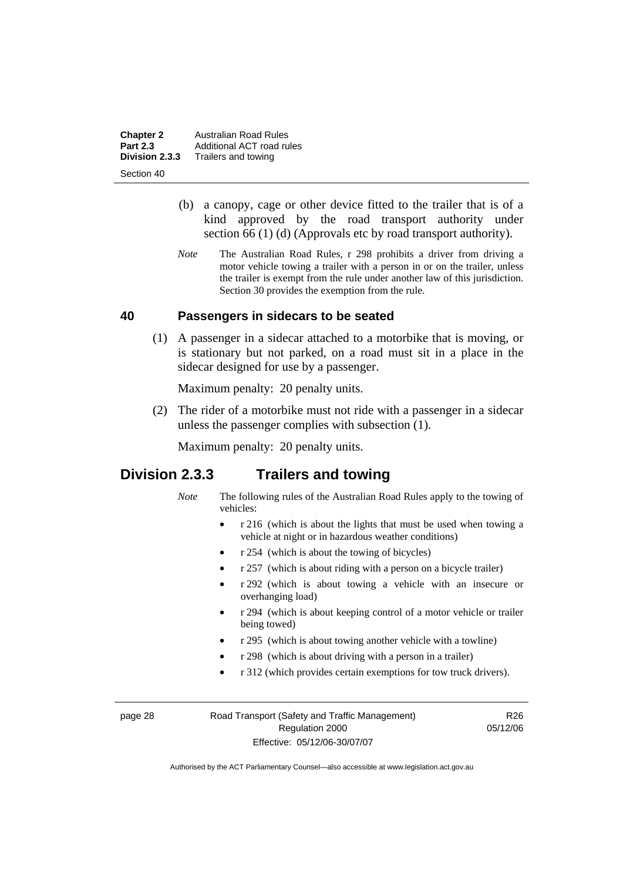**Chapter 2 Australian Road Rules**<br>**Part 2.3 Additional ACT road rules Part 2.3** Additional ACT road rules<br>**Division 2.3.3** Trailers and towing **Division 2.3.3** Trailers and towing

Section 40

- (b) a canopy, cage or other device fitted to the trailer that is of a kind approved by the road transport authority under section 66 (1) (d) (Approvals etc by road transport authority).
- *Note* The Australian Road Rules, r 298 prohibits a driver from driving a motor vehicle towing a trailer with a person in or on the trailer, unless the trailer is exempt from the rule under another law of this jurisdiction. Section 30 provides the exemption from the rule.

#### **40 Passengers in sidecars to be seated**

 (1) A passenger in a sidecar attached to a motorbike that is moving, or is stationary but not parked, on a road must sit in a place in the sidecar designed for use by a passenger.

Maximum penalty: 20 penalty units.

 (2) The rider of a motorbike must not ride with a passenger in a sidecar unless the passenger complies with subsection (1).

Maximum penalty: 20 penalty units.

# **Division 2.3.3 Trailers and towing**

- *Note* The following rules of the Australian Road Rules apply to the towing of vehicles:
	- r 216 (which is about the lights that must be used when towing a vehicle at night or in hazardous weather conditions)
	- r 254 (which is about the towing of bicycles)
	- r 257 (which is about riding with a person on a bicycle trailer)
	- r 292 (which is about towing a vehicle with an insecure or overhanging load)
	- r 294 (which is about keeping control of a motor vehicle or trailer being towed)
	- r 295 (which is about towing another vehicle with a towline)
	- r 298 (which is about driving with a person in a trailer)
	- r 312 (which provides certain exemptions for tow truck drivers).

page 28 Road Transport (Safety and Traffic Management) Regulation 2000 Effective: 05/12/06-30/07/07

R<sub>26</sub> 05/12/06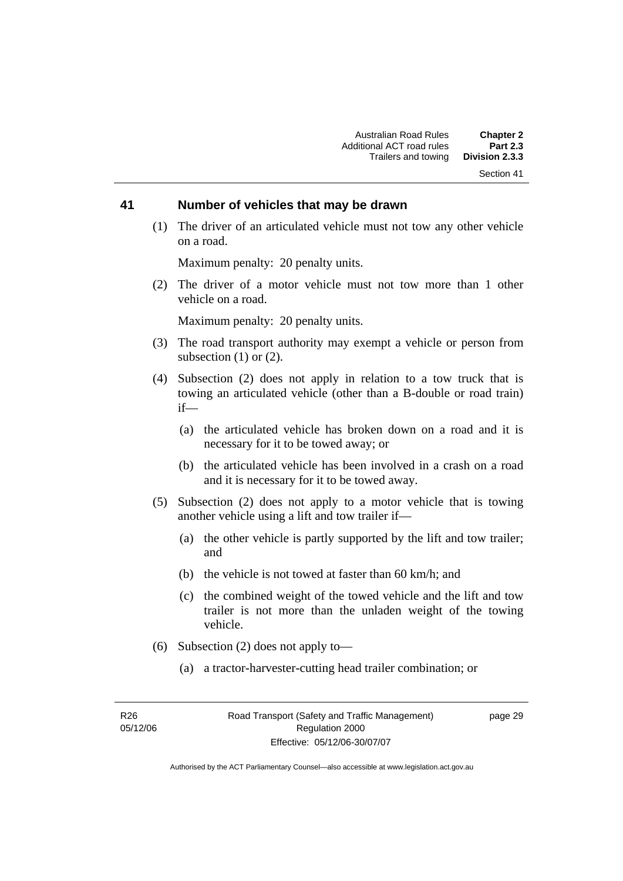#### Section 41

#### **41 Number of vehicles that may be drawn**

 (1) The driver of an articulated vehicle must not tow any other vehicle on a road.

Maximum penalty: 20 penalty units.

 (2) The driver of a motor vehicle must not tow more than 1 other vehicle on a road.

Maximum penalty: 20 penalty units.

- (3) The road transport authority may exempt a vehicle or person from subsection  $(1)$  or  $(2)$ .
- (4) Subsection (2) does not apply in relation to a tow truck that is towing an articulated vehicle (other than a B-double or road train) if—
	- (a) the articulated vehicle has broken down on a road and it is necessary for it to be towed away; or
	- (b) the articulated vehicle has been involved in a crash on a road and it is necessary for it to be towed away.
- (5) Subsection (2) does not apply to a motor vehicle that is towing another vehicle using a lift and tow trailer if—
	- (a) the other vehicle is partly supported by the lift and tow trailer; and
	- (b) the vehicle is not towed at faster than 60 km/h; and
	- (c) the combined weight of the towed vehicle and the lift and tow trailer is not more than the unladen weight of the towing vehicle.
- (6) Subsection (2) does not apply to—
	- (a) a tractor-harvester-cutting head trailer combination; or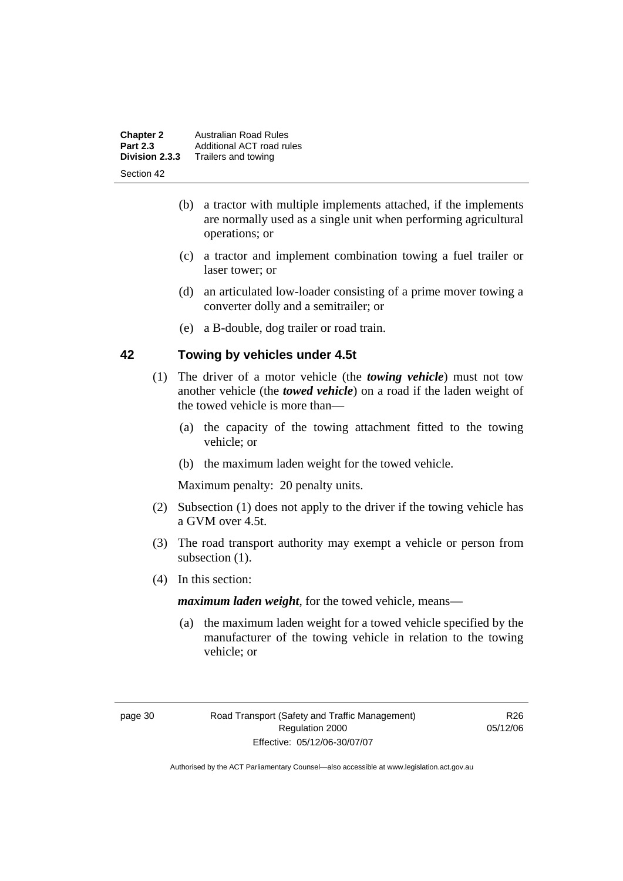| <b>Chapter 2</b><br><b>Part 2.3</b> | <b>Australian Road Rules</b><br>Additional ACT road rules |
|-------------------------------------|-----------------------------------------------------------|
| Division 2.3.3                      | Trailers and towing                                       |
| Section 42                          |                                                           |

- (b) a tractor with multiple implements attached, if the implements are normally used as a single unit when performing agricultural operations; or
- (c) a tractor and implement combination towing a fuel trailer or laser tower; or
- (d) an articulated low-loader consisting of a prime mover towing a converter dolly and a semitrailer; or
- (e) a B-double, dog trailer or road train.

#### **42 Towing by vehicles under 4.5t**

- (1) The driver of a motor vehicle (the *towing vehicle*) must not tow another vehicle (the *towed vehicle*) on a road if the laden weight of the towed vehicle is more than—
	- (a) the capacity of the towing attachment fitted to the towing vehicle; or
	- (b) the maximum laden weight for the towed vehicle.

Maximum penalty: 20 penalty units.

- (2) Subsection (1) does not apply to the driver if the towing vehicle has a GVM over 4.5t.
- (3) The road transport authority may exempt a vehicle or person from subsection  $(1)$ .
- (4) In this section:

*maximum laden weight*, for the towed vehicle, means—

 (a) the maximum laden weight for a towed vehicle specified by the manufacturer of the towing vehicle in relation to the towing vehicle; or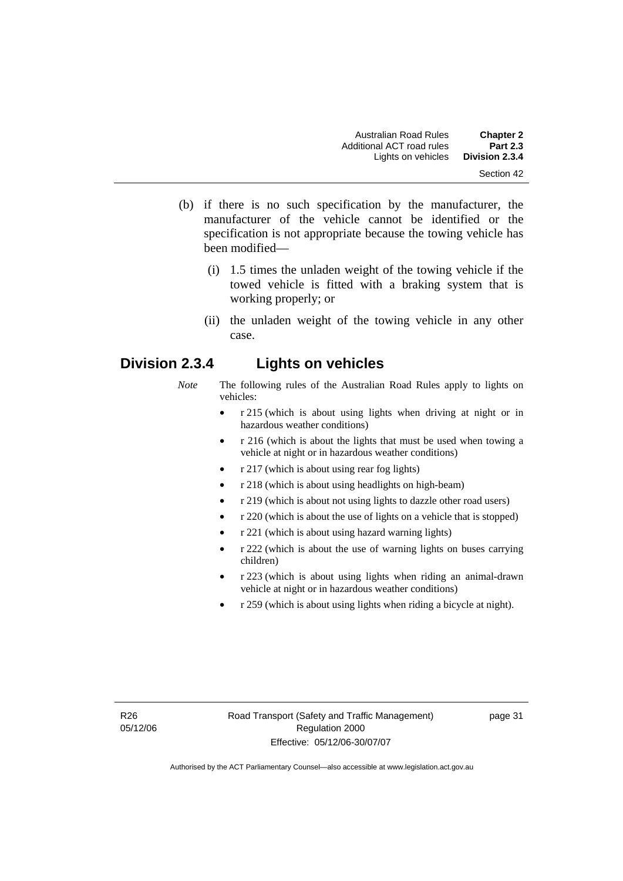- (b) if there is no such specification by the manufacturer, the manufacturer of the vehicle cannot be identified or the specification is not appropriate because the towing vehicle has been modified—
	- (i) 1.5 times the unladen weight of the towing vehicle if the towed vehicle is fitted with a braking system that is working properly; or
	- (ii) the unladen weight of the towing vehicle in any other case.

# **Division 2.3.4 Lights on vehicles**

- *Note* The following rules of the Australian Road Rules apply to lights on vehicles:
	- r 215 (which is about using lights when driving at night or in hazardous weather conditions)
	- r 216 (which is about the lights that must be used when towing a vehicle at night or in hazardous weather conditions)
	- r 217 (which is about using rear fog lights)
	- r 218 (which is about using headlights on high-beam)
	- r 219 (which is about not using lights to dazzle other road users)
	- r 220 (which is about the use of lights on a vehicle that is stopped)
	- r 221 (which is about using hazard warning lights)
	- r 222 (which is about the use of warning lights on buses carrying children)
	- r 223 (which is about using lights when riding an animal-drawn vehicle at night or in hazardous weather conditions)
	- r 259 (which is about using lights when riding a bicycle at night).

page 31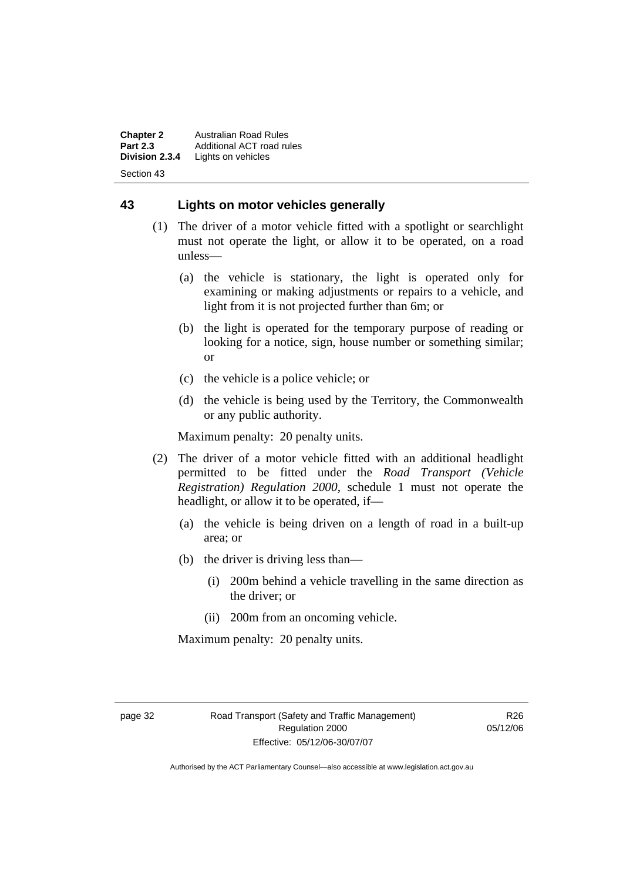**Chapter 2** Australian Road Rules<br>**Part 2.3** Additional ACT road ru **Part 2.3** Additional ACT road rules<br>**Division 2.3.4** Lights on vehicles Lights on vehicles Section 43

#### **43 Lights on motor vehicles generally**

- (1) The driver of a motor vehicle fitted with a spotlight or searchlight must not operate the light, or allow it to be operated, on a road unless—
	- (a) the vehicle is stationary, the light is operated only for examining or making adjustments or repairs to a vehicle, and light from it is not projected further than 6m; or
	- (b) the light is operated for the temporary purpose of reading or looking for a notice, sign, house number or something similar; or
	- (c) the vehicle is a police vehicle; or
	- (d) the vehicle is being used by the Territory, the Commonwealth or any public authority.

Maximum penalty: 20 penalty units.

- (2) The driver of a motor vehicle fitted with an additional headlight permitted to be fitted under the *Road Transport (Vehicle Registration) Regulation 2000*, schedule 1 must not operate the headlight, or allow it to be operated, if—
	- (a) the vehicle is being driven on a length of road in a built-up area; or
	- (b) the driver is driving less than—
		- (i) 200m behind a vehicle travelling in the same direction as the driver; or
		- (ii) 200m from an oncoming vehicle.

Maximum penalty: 20 penalty units.

R<sub>26</sub> 05/12/06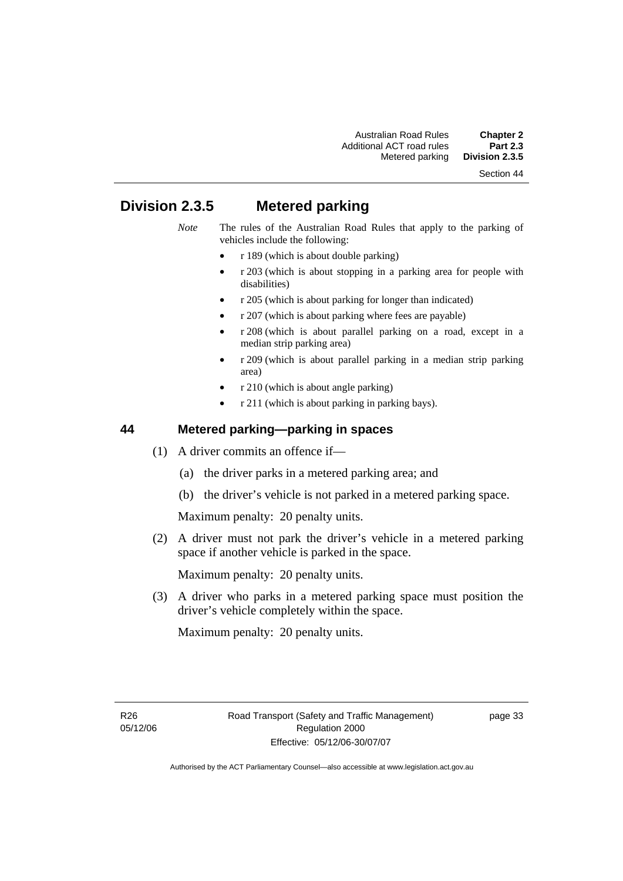#### Section 44

# **Division 2.3.5 Metered parking**

- *Note* The rules of the Australian Road Rules that apply to the parking of vehicles include the following:
	- r 189 (which is about double parking)
	- r 203 (which is about stopping in a parking area for people with disabilities)
	- r 205 (which is about parking for longer than indicated)
	- r 207 (which is about parking where fees are payable)
	- r 208 (which is about parallel parking on a road, except in a median strip parking area)
	- r 209 (which is about parallel parking in a median strip parking area)
	- r 210 (which is about angle parking)
	- r 211 (which is about parking in parking bays).

#### **44 Metered parking—parking in spaces**

- (1) A driver commits an offence if—
	- (a) the driver parks in a metered parking area; and
	- (b) the driver's vehicle is not parked in a metered parking space.

Maximum penalty: 20 penalty units.

 (2) A driver must not park the driver's vehicle in a metered parking space if another vehicle is parked in the space.

Maximum penalty: 20 penalty units.

 (3) A driver who parks in a metered parking space must position the driver's vehicle completely within the space.

Maximum penalty: 20 penalty units.

page 33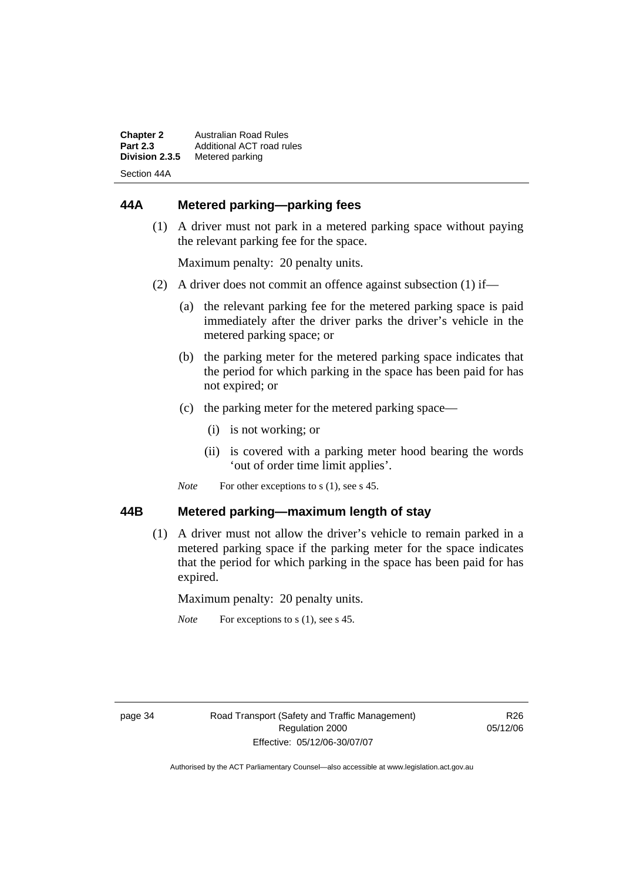| <b>Chapter 2</b> | Australian Road Rules     |
|------------------|---------------------------|
| <b>Part 2.3</b>  | Additional ACT road rules |
| Division 2.3.5   | Metered parking           |
| Section 44A      |                           |

# **44A Metered parking—parking fees**

 (1) A driver must not park in a metered parking space without paying the relevant parking fee for the space.

Maximum penalty: 20 penalty units.

- (2) A driver does not commit an offence against subsection (1) if—
	- (a) the relevant parking fee for the metered parking space is paid immediately after the driver parks the driver's vehicle in the metered parking space; or
	- (b) the parking meter for the metered parking space indicates that the period for which parking in the space has been paid for has not expired; or
	- (c) the parking meter for the metered parking space—
		- (i) is not working; or
		- (ii) is covered with a parking meter hood bearing the words 'out of order time limit applies'.
	- *Note* For other exceptions to s (1), see s 45.

#### **44B Metered parking—maximum length of stay**

 (1) A driver must not allow the driver's vehicle to remain parked in a metered parking space if the parking meter for the space indicates that the period for which parking in the space has been paid for has expired.

Maximum penalty: 20 penalty units.

*Note* For exceptions to s (1), see s 45.

R26 05/12/06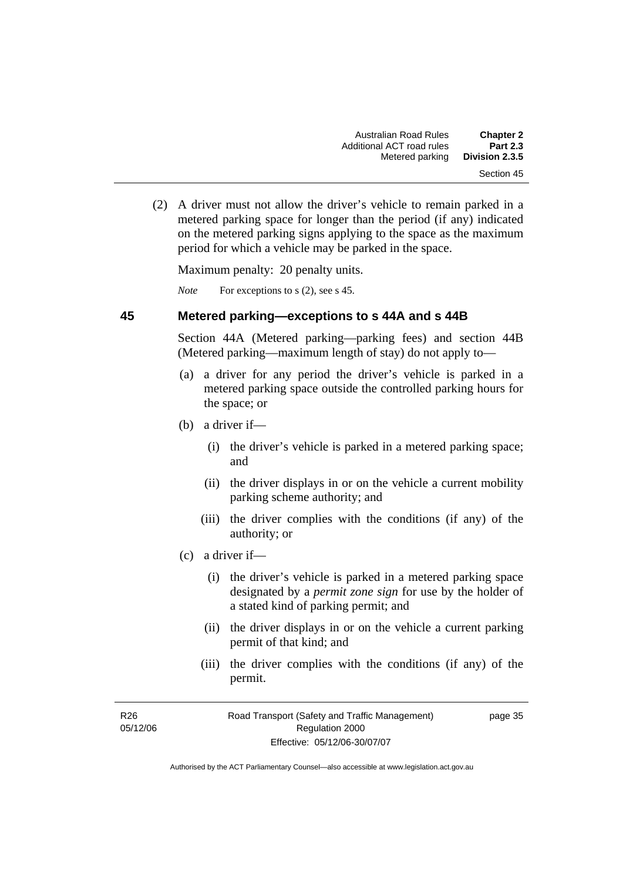(2) A driver must not allow the driver's vehicle to remain parked in a metered parking space for longer than the period (if any) indicated on the metered parking signs applying to the space as the maximum period for which a vehicle may be parked in the space.

Maximum penalty: 20 penalty units.

*Note* For exceptions to s (2), see s 45.

### **45 Metered parking—exceptions to s 44A and s 44B**

Section 44A (Metered parking—parking fees) and section 44B (Metered parking—maximum length of stay) do not apply to—

- (a) a driver for any period the driver's vehicle is parked in a metered parking space outside the controlled parking hours for the space; or
- (b) a driver if—
	- (i) the driver's vehicle is parked in a metered parking space; and
	- (ii) the driver displays in or on the vehicle a current mobility parking scheme authority; and
	- (iii) the driver complies with the conditions (if any) of the authority; or
- (c) a driver if—
	- (i) the driver's vehicle is parked in a metered parking space designated by a *permit zone sign* for use by the holder of a stated kind of parking permit; and
	- (ii) the driver displays in or on the vehicle a current parking permit of that kind; and
	- (iii) the driver complies with the conditions (if any) of the permit.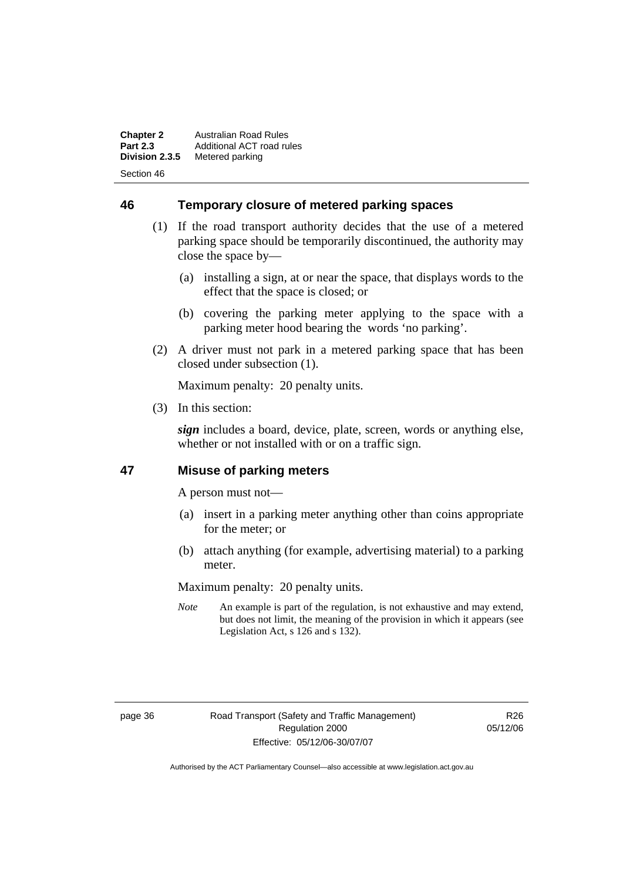**Chapter 2** Australian Road Rules<br>**Part 2.3** Additional ACT road ru **Part 2.3** Additional ACT road rules<br>**Division 2.3.5** Metered parking **Metered parking** Section 46

**46 Temporary closure of metered parking spaces**

- (1) If the road transport authority decides that the use of a metered parking space should be temporarily discontinued, the authority may close the space by—
	- (a) installing a sign, at or near the space, that displays words to the effect that the space is closed; or
	- (b) covering the parking meter applying to the space with a parking meter hood bearing the words 'no parking'.
- (2) A driver must not park in a metered parking space that has been closed under subsection (1).

Maximum penalty: 20 penalty units.

(3) In this section:

*sign* includes a board, device, plate, screen, words or anything else, whether or not installed with or on a traffic sign.

## **47 Misuse of parking meters**

A person must not—

- (a) insert in a parking meter anything other than coins appropriate for the meter; or
- (b) attach anything (for example, advertising material) to a parking meter.

Maximum penalty: 20 penalty units.

*Note* An example is part of the regulation, is not exhaustive and may extend, but does not limit, the meaning of the provision in which it appears (see Legislation Act, s 126 and s 132).

page 36 Road Transport (Safety and Traffic Management) Regulation 2000 Effective: 05/12/06-30/07/07

R26 05/12/06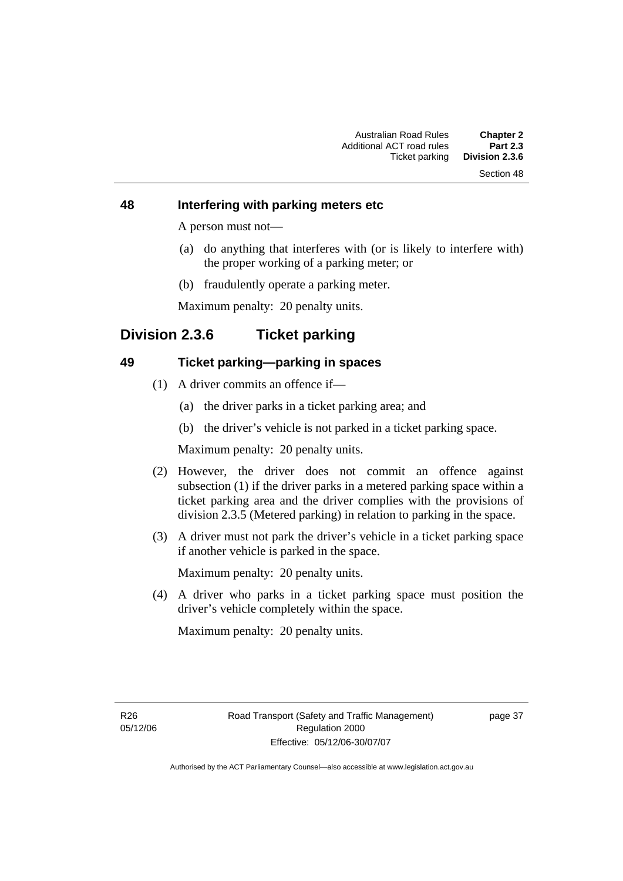# Section 48

#### **48 Interfering with parking meters etc**

A person must not—

- (a) do anything that interferes with (or is likely to interfere with) the proper working of a parking meter; or
- (b) fraudulently operate a parking meter.

Maximum penalty: 20 penalty units.

# **Division 2.3.6 Ticket parking**

#### **49 Ticket parking—parking in spaces**

- (1) A driver commits an offence if—
	- (a) the driver parks in a ticket parking area; and
	- (b) the driver's vehicle is not parked in a ticket parking space.

Maximum penalty: 20 penalty units.

- (2) However, the driver does not commit an offence against subsection (1) if the driver parks in a metered parking space within a ticket parking area and the driver complies with the provisions of division 2.3.5 (Metered parking) in relation to parking in the space.
- (3) A driver must not park the driver's vehicle in a ticket parking space if another vehicle is parked in the space.

Maximum penalty: 20 penalty units.

 (4) A driver who parks in a ticket parking space must position the driver's vehicle completely within the space.

Maximum penalty: 20 penalty units.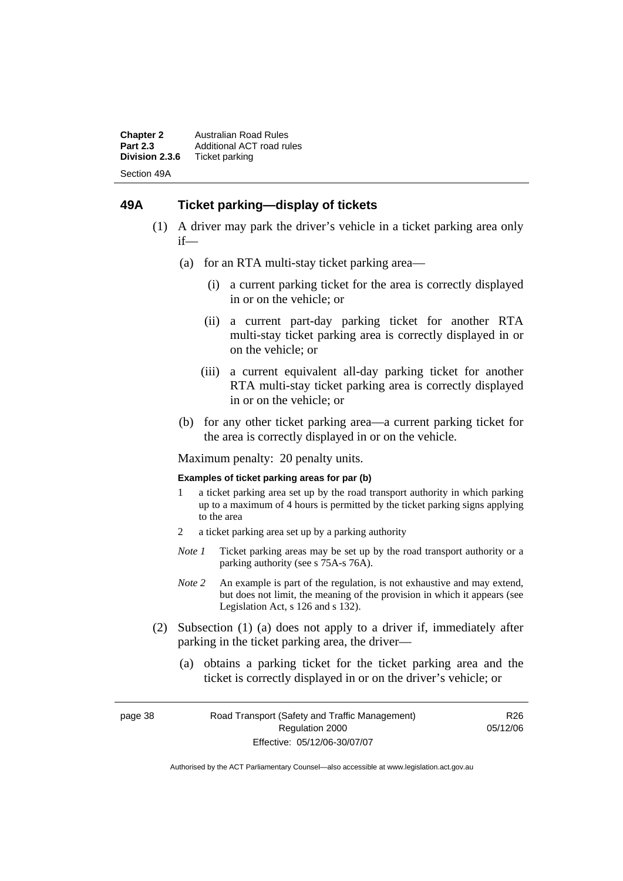**Chapter 2** Australian Road Rules<br>**Part 2.3** Additional ACT road ru **Part 2.3** Additional ACT road rules<br>**Division 2.3.6** Ticket parking **Ticket parking** Section 49A

#### **49A Ticket parking—display of tickets**

- (1) A driver may park the driver's vehicle in a ticket parking area only if—
	- (a) for an RTA multi-stay ticket parking area—
		- (i) a current parking ticket for the area is correctly displayed in or on the vehicle; or
		- (ii) a current part-day parking ticket for another RTA multi-stay ticket parking area is correctly displayed in or on the vehicle; or
		- (iii) a current equivalent all-day parking ticket for another RTA multi-stay ticket parking area is correctly displayed in or on the vehicle; or
	- (b) for any other ticket parking area—a current parking ticket for the area is correctly displayed in or on the vehicle.

Maximum penalty: 20 penalty units.

#### **Examples of ticket parking areas for par (b)**

- 1 a ticket parking area set up by the road transport authority in which parking up to a maximum of 4 hours is permitted by the ticket parking signs applying to the area
- 2 a ticket parking area set up by a parking authority
- *Note 1* Ticket parking areas may be set up by the road transport authority or a parking authority (see s 75A-s 76A).
- *Note 2* An example is part of the regulation, is not exhaustive and may extend, but does not limit, the meaning of the provision in which it appears (see Legislation Act, s 126 and s 132).
- (2) Subsection (1) (a) does not apply to a driver if, immediately after parking in the ticket parking area, the driver—
	- (a) obtains a parking ticket for the ticket parking area and the ticket is correctly displayed in or on the driver's vehicle; or

page 38 Road Transport (Safety and Traffic Management) Regulation 2000 Effective: 05/12/06-30/07/07

R<sub>26</sub> 05/12/06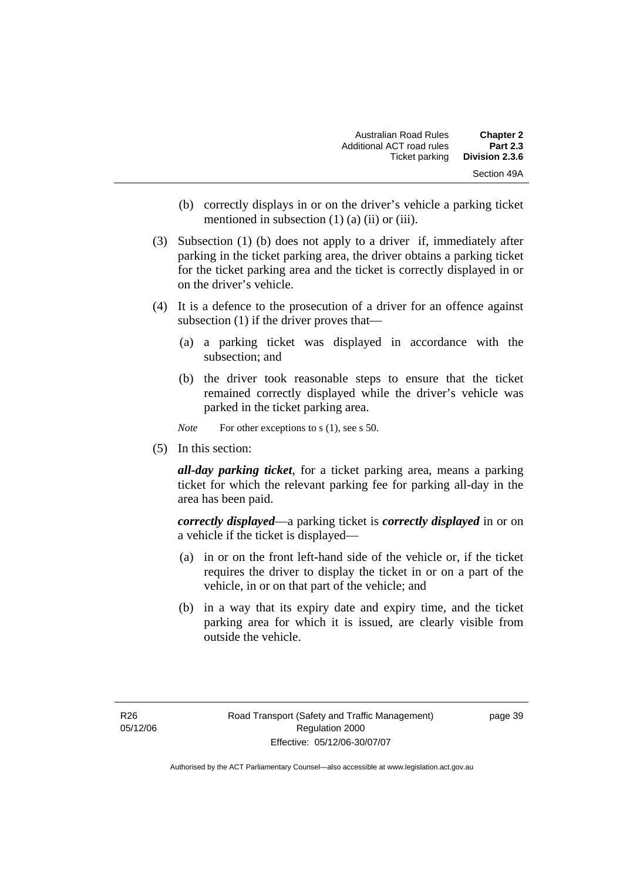| <b>Chapter 2</b> | Australian Road Rules     |
|------------------|---------------------------|
| <b>Part 2.3</b>  | Additional ACT road rules |
| Division 2.3.6   | Ticket parking            |
| Section 49A      |                           |

- (b) correctly displays in or on the driver's vehicle a parking ticket mentioned in subsection (1) (a) (ii) or (iii).
- (3) Subsection (1) (b) does not apply to a driver if, immediately after parking in the ticket parking area, the driver obtains a parking ticket for the ticket parking area and the ticket is correctly displayed in or on the driver's vehicle.
- (4) It is a defence to the prosecution of a driver for an offence against subsection (1) if the driver proves that—
	- (a) a parking ticket was displayed in accordance with the subsection; and
	- (b) the driver took reasonable steps to ensure that the ticket remained correctly displayed while the driver's vehicle was parked in the ticket parking area.

*Note* For other exceptions to s (1), see s 50.

(5) In this section:

*all-day parking ticket*, for a ticket parking area, means a parking ticket for which the relevant parking fee for parking all-day in the area has been paid.

*correctly displayed*—a parking ticket is *correctly displayed* in or on a vehicle if the ticket is displayed—

- (a) in or on the front left-hand side of the vehicle or, if the ticket requires the driver to display the ticket in or on a part of the vehicle, in or on that part of the vehicle; and
- (b) in a way that its expiry date and expiry time, and the ticket parking area for which it is issued, are clearly visible from outside the vehicle.

page 39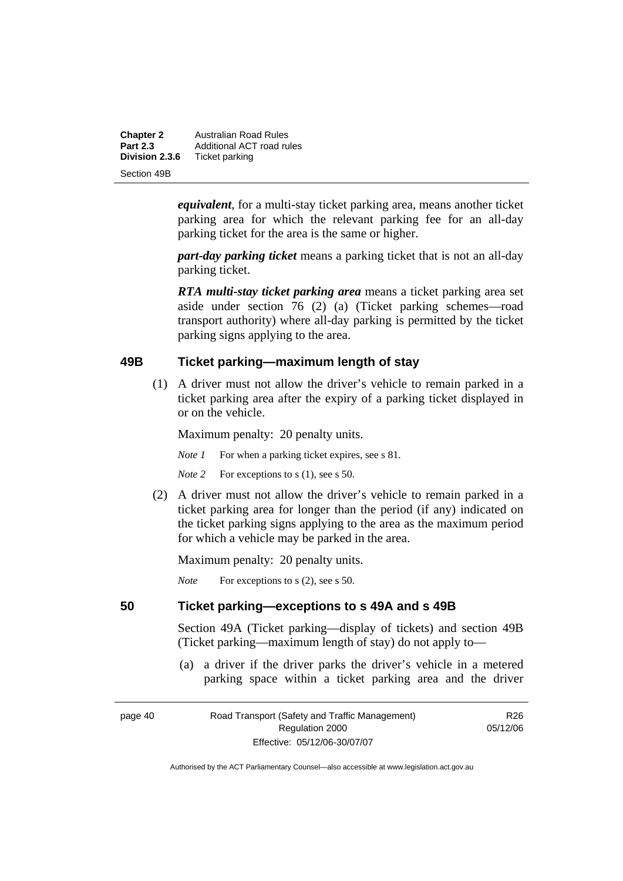| <b>Chapter 2</b> | <b>Australian Road Rules</b> |
|------------------|------------------------------|
| <b>Part 2.3</b>  | Additional ACT road rules    |
| Division 2.3.6   | Ticket parking               |
| Section 49B      |                              |

*equivalent*, for a multi-stay ticket parking area, means another ticket parking area for which the relevant parking fee for an all-day parking ticket for the area is the same or higher.

*part-day parking ticket* means a parking ticket that is not an all-day parking ticket.

*RTA multi-stay ticket parking area* means a ticket parking area set aside under section 76 (2) (a) (Ticket parking schemes—road transport authority) where all-day parking is permitted by the ticket parking signs applying to the area.

#### **49B Ticket parking—maximum length of stay**

 (1) A driver must not allow the driver's vehicle to remain parked in a ticket parking area after the expiry of a parking ticket displayed in or on the vehicle.

Maximum penalty: 20 penalty units.

*Note 1* For when a parking ticket expires, see s 81.

*Note* 2 For exceptions to s (1), see s 50.

 (2) A driver must not allow the driver's vehicle to remain parked in a ticket parking area for longer than the period (if any) indicated on the ticket parking signs applying to the area as the maximum period for which a vehicle may be parked in the area.

Maximum penalty: 20 penalty units.

*Note* For exceptions to s (2), see s 50.

#### **50 Ticket parking—exceptions to s 49A and s 49B**

Section 49A (Ticket parking—display of tickets) and section 49B (Ticket parking—maximum length of stay) do not apply to—

 (a) a driver if the driver parks the driver's vehicle in a metered parking space within a ticket parking area and the driver

| page 40 |  |
|---------|--|
|---------|--|

page 40 Road Transport (Safety and Traffic Management) Regulation 2000 Effective: 05/12/06-30/07/07

R26 05/12/06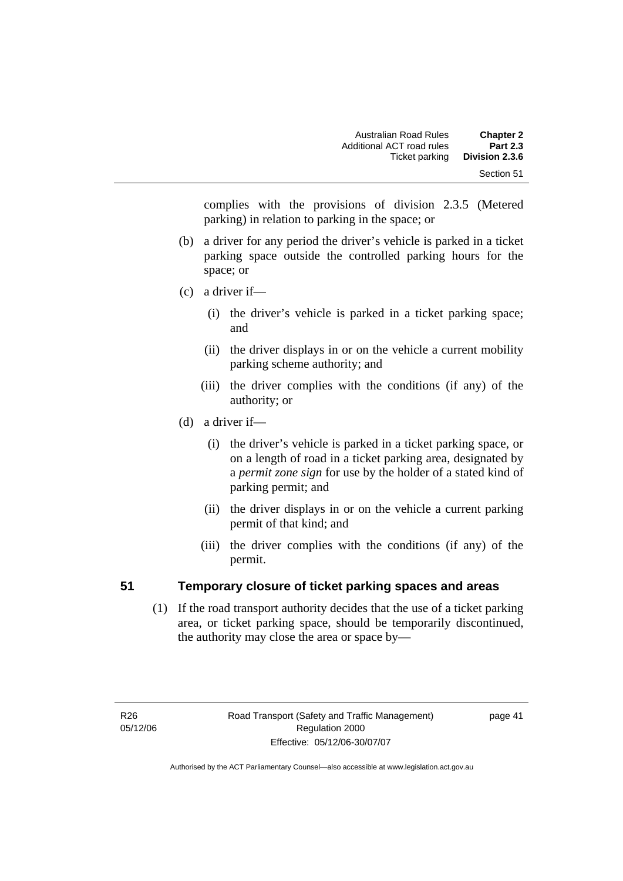complies with the provisions of division 2.3.5 (Metered parking) in relation to parking in the space; or

- (b) a driver for any period the driver's vehicle is parked in a ticket parking space outside the controlled parking hours for the space; or
- (c) a driver if—
	- (i) the driver's vehicle is parked in a ticket parking space; and
	- (ii) the driver displays in or on the vehicle a current mobility parking scheme authority; and
	- (iii) the driver complies with the conditions (if any) of the authority; or
- (d) a driver if—
	- (i) the driver's vehicle is parked in a ticket parking space, or on a length of road in a ticket parking area, designated by a *permit zone sign* for use by the holder of a stated kind of parking permit; and
	- (ii) the driver displays in or on the vehicle a current parking permit of that kind; and
	- (iii) the driver complies with the conditions (if any) of the permit.

# **51 Temporary closure of ticket parking spaces and areas**

 (1) If the road transport authority decides that the use of a ticket parking area, or ticket parking space, should be temporarily discontinued, the authority may close the area or space by—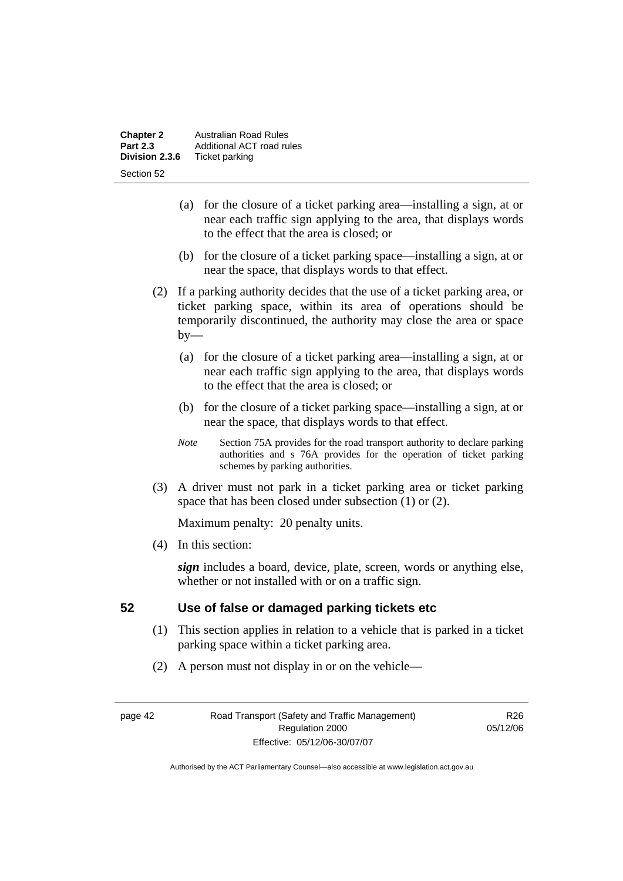| <b>Chapter 2</b> | Australian Road Rules     |  |
|------------------|---------------------------|--|
| <b>Part 2.3</b>  | Additional ACT road rules |  |
| Division 2.3.6   | Ticket parking            |  |
| Section 52       |                           |  |

- (a) for the closure of a ticket parking area—installing a sign, at or near each traffic sign applying to the area, that displays words to the effect that the area is closed; or
- (b) for the closure of a ticket parking space—installing a sign, at or near the space, that displays words to that effect.
- (2) If a parking authority decides that the use of a ticket parking area, or ticket parking space, within its area of operations should be temporarily discontinued, the authority may close the area or space  $by-$ 
	- (a) for the closure of a ticket parking area—installing a sign, at or near each traffic sign applying to the area, that displays words to the effect that the area is closed; or
	- (b) for the closure of a ticket parking space—installing a sign, at or near the space, that displays words to that effect.
	- *Note* Section 75A provides for the road transport authority to declare parking authorities and s 76A provides for the operation of ticket parking schemes by parking authorities.
- (3) A driver must not park in a ticket parking area or ticket parking space that has been closed under subsection (1) or (2).

(4) In this section:

*sign* includes a board, device, plate, screen, words or anything else, whether or not installed with or on a traffic sign.

## **52 Use of false or damaged parking tickets etc**

- (1) This section applies in relation to a vehicle that is parked in a ticket parking space within a ticket parking area.
- (2) A person must not display in or on the vehicle—

page 42 Road Transport (Safety and Traffic Management) Regulation 2000 Effective: 05/12/06-30/07/07

R26 05/12/06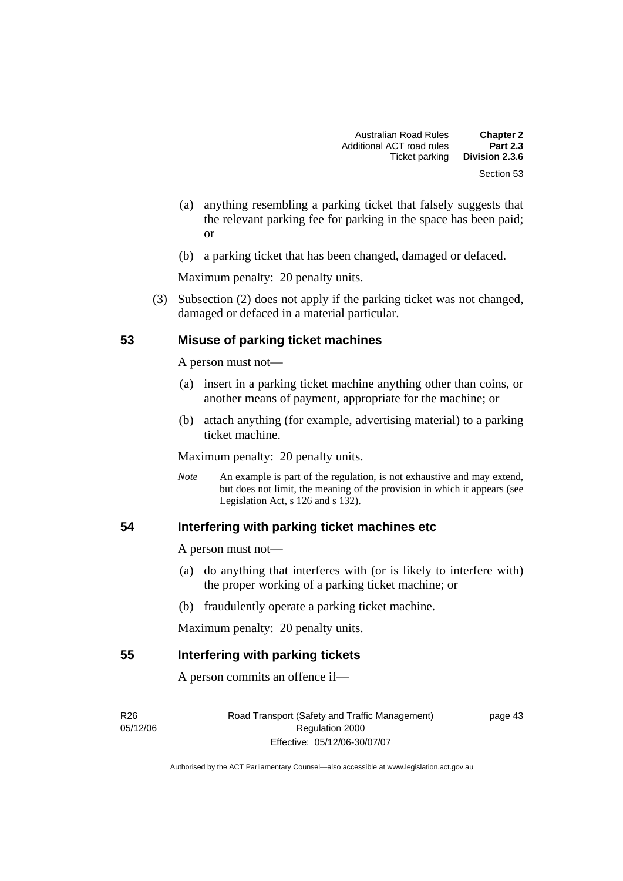- (a) anything resembling a parking ticket that falsely suggests that the relevant parking fee for parking in the space has been paid; or
- (b) a parking ticket that has been changed, damaged or defaced.

 (3) Subsection (2) does not apply if the parking ticket was not changed, damaged or defaced in a material particular.

#### **53 Misuse of parking ticket machines**

A person must not—

- (a) insert in a parking ticket machine anything other than coins, or another means of payment, appropriate for the machine; or
- (b) attach anything (for example, advertising material) to a parking ticket machine.

Maximum penalty: 20 penalty units.

*Note* An example is part of the regulation, is not exhaustive and may extend, but does not limit, the meaning of the provision in which it appears (see Legislation Act, s  $126$  and s  $132$ ).

#### **54 Interfering with parking ticket machines etc**

A person must not—

- (a) do anything that interferes with (or is likely to interfere with) the proper working of a parking ticket machine; or
- (b) fraudulently operate a parking ticket machine.

Maximum penalty: 20 penalty units.

#### **55 Interfering with parking tickets**

A person commits an offence if—

R26 05/12/06 Road Transport (Safety and Traffic Management) Regulation 2000 Effective: 05/12/06-30/07/07

page 43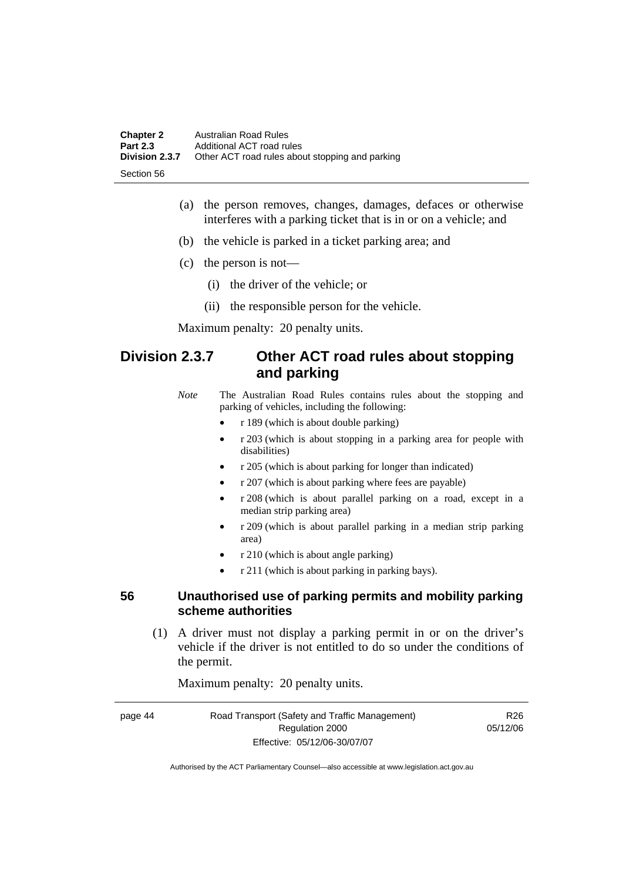| <b>Chapter 2</b> | Australian Road Rules                           |
|------------------|-------------------------------------------------|
| <b>Part 2.3</b>  | Additional ACT road rules                       |
| Division 2.3.7   | Other ACT road rules about stopping and parking |
| -Section 56      |                                                 |

- (a) the person removes, changes, damages, defaces or otherwise interferes with a parking ticket that is in or on a vehicle; and
- (b) the vehicle is parked in a ticket parking area; and
- (c) the person is not—
	- (i) the driver of the vehicle; or
	- (ii) the responsible person for the vehicle.

# **Division 2.3.7 Other ACT road rules about stopping and parking**

*Note* The Australian Road Rules contains rules about the stopping and parking of vehicles, including the following:

- r 189 (which is about double parking)
- r 203 (which is about stopping in a parking area for people with disabilities)
- r 205 (which is about parking for longer than indicated)
- r 207 (which is about parking where fees are payable)
- r 208 (which is about parallel parking on a road, except in a median strip parking area)
- r 209 (which is about parallel parking in a median strip parking area)
- r 210 (which is about angle parking)
- r 211 (which is about parking in parking bays).

#### **56 Unauthorised use of parking permits and mobility parking scheme authorities**

 (1) A driver must not display a parking permit in or on the driver's vehicle if the driver is not entitled to do so under the conditions of the permit.

Maximum penalty: 20 penalty units.

| page 44 | Road Transport (Safety and Traffic Management) | R <sub>26</sub> |
|---------|------------------------------------------------|-----------------|
|         | Regulation 2000                                | 05/12/06        |
|         | Effective: 05/12/06-30/07/07                   |                 |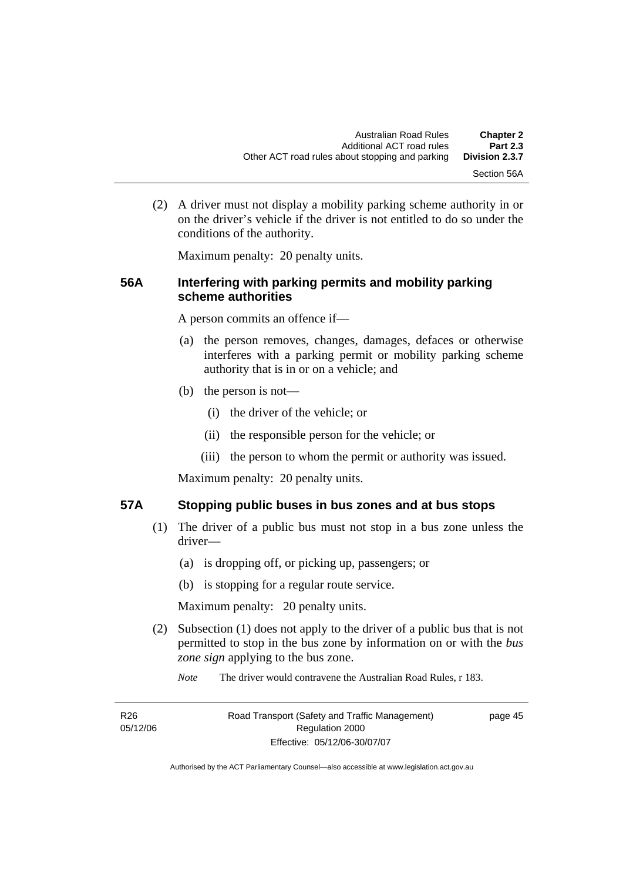(2) A driver must not display a mobility parking scheme authority in or on the driver's vehicle if the driver is not entitled to do so under the conditions of the authority.

Maximum penalty: 20 penalty units.

#### **56A Interfering with parking permits and mobility parking scheme authorities**

A person commits an offence if—

- (a) the person removes, changes, damages, defaces or otherwise interferes with a parking permit or mobility parking scheme authority that is in or on a vehicle; and
- (b) the person is not—
	- (i) the driver of the vehicle; or
	- (ii) the responsible person for the vehicle; or
	- (iii) the person to whom the permit or authority was issued.

Maximum penalty: 20 penalty units.

#### **57A Stopping public buses in bus zones and at bus stops**

- (1) The driver of a public bus must not stop in a bus zone unless the driver—
	- (a) is dropping off, or picking up, passengers; or
	- (b) is stopping for a regular route service.

Maximum penalty: 20 penalty units.

- (2) Subsection (1) does not apply to the driver of a public bus that is not permitted to stop in the bus zone by information on or with the *bus zone sign* applying to the bus zone.
	- *Note* The driver would contravene the Australian Road Rules, r 183.

| R <sub>26</sub> | Road Transport (Safety and Traffic Management) | page 45 |
|-----------------|------------------------------------------------|---------|
| 05/12/06        | Regulation 2000                                |         |
|                 | Effective: 05/12/06-30/07/07                   |         |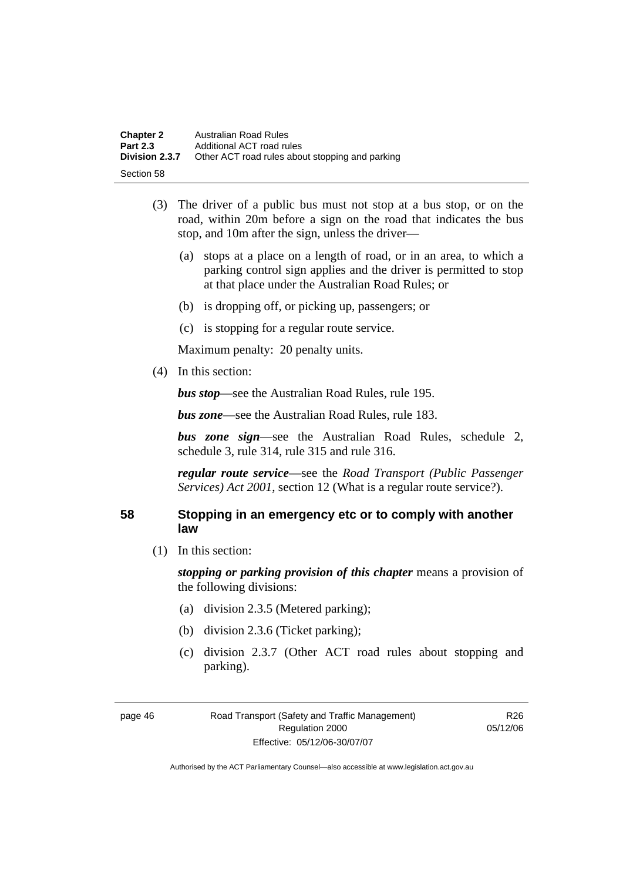| <b>Chapter 2</b> | Australian Road Rules                           |
|------------------|-------------------------------------------------|
| <b>Part 2.3</b>  | Additional ACT road rules                       |
| Division 2.3.7   | Other ACT road rules about stopping and parking |
| Section 58       |                                                 |

- (3) The driver of a public bus must not stop at a bus stop, or on the road, within 20m before a sign on the road that indicates the bus stop, and 10m after the sign, unless the driver—
	- (a) stops at a place on a length of road, or in an area, to which a parking control sign applies and the driver is permitted to stop at that place under the Australian Road Rules; or
	- (b) is dropping off, or picking up, passengers; or
	- (c) is stopping for a regular route service.

(4) In this section:

*bus stop*—see the Australian Road Rules, rule 195.

*bus zone*—see the Australian Road Rules, rule 183.

*bus zone sign*—see the Australian Road Rules, schedule 2, schedule 3, rule 314, rule 315 and rule 316.

*regular route service*—see the *Road Transport (Public Passenger Services) Act 2001*, section 12 (What is a regular route service?).

#### **58 Stopping in an emergency etc or to comply with another law**

(1) In this section:

*stopping or parking provision of this chapter* means a provision of the following divisions:

- (a) division 2.3.5 (Metered parking);
- (b) division 2.3.6 (Ticket parking);
- (c) division 2.3.7 (Other ACT road rules about stopping and parking).

R26 05/12/06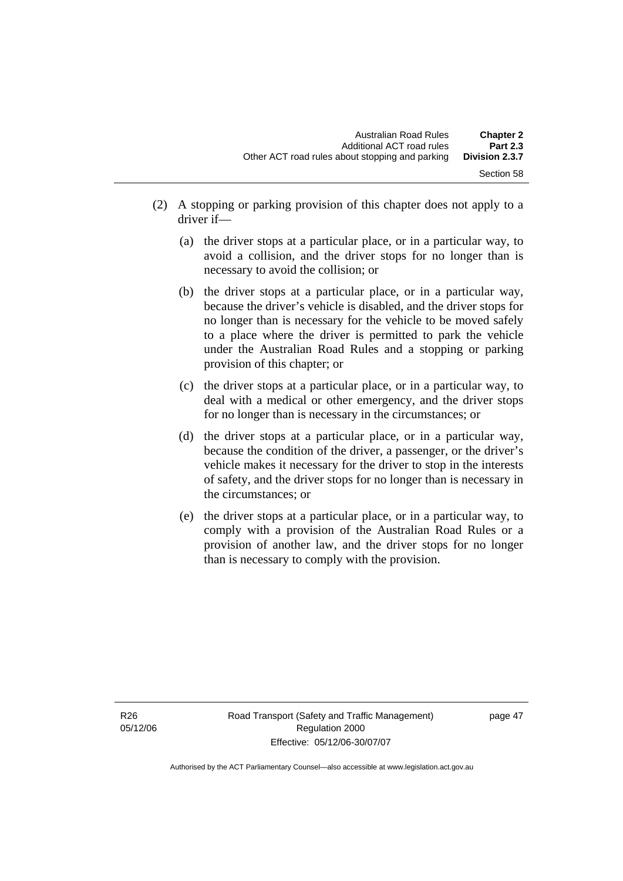- (2) A stopping or parking provision of this chapter does not apply to a driver if—
	- (a) the driver stops at a particular place, or in a particular way, to avoid a collision, and the driver stops for no longer than is necessary to avoid the collision; or
	- (b) the driver stops at a particular place, or in a particular way, because the driver's vehicle is disabled, and the driver stops for no longer than is necessary for the vehicle to be moved safely to a place where the driver is permitted to park the vehicle under the Australian Road Rules and a stopping or parking provision of this chapter; or
	- (c) the driver stops at a particular place, or in a particular way, to deal with a medical or other emergency, and the driver stops for no longer than is necessary in the circumstances; or
	- (d) the driver stops at a particular place, or in a particular way, because the condition of the driver, a passenger, or the driver's vehicle makes it necessary for the driver to stop in the interests of safety, and the driver stops for no longer than is necessary in the circumstances; or
	- (e) the driver stops at a particular place, or in a particular way, to comply with a provision of the Australian Road Rules or a provision of another law, and the driver stops for no longer than is necessary to comply with the provision.

page 47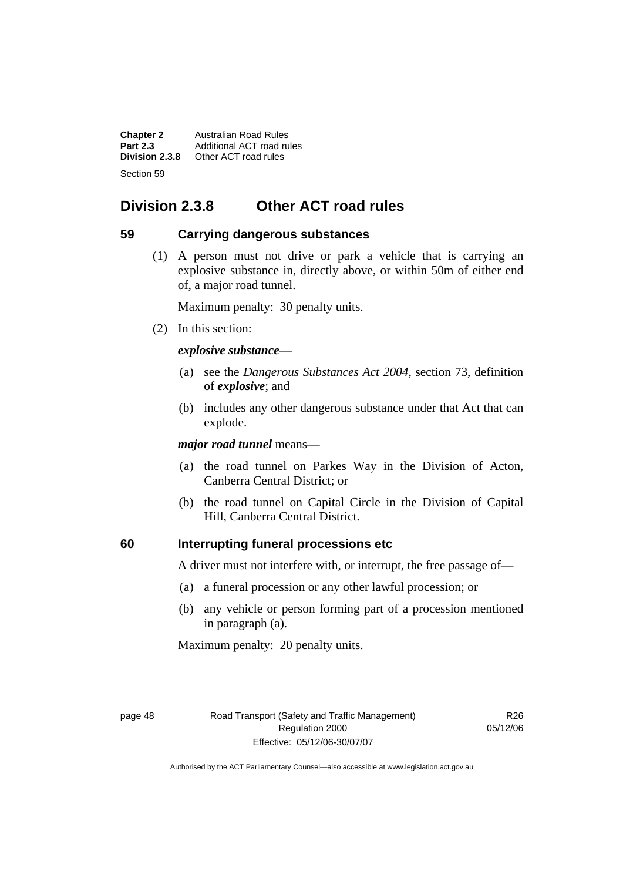**Chapter 2** Australian Road Rules<br>**Part 2.3** Additional ACT road ru **Part 2.3** Additional ACT road rules<br>**Division 2.3.8** Other ACT road rules **Division 2.3.8** Other ACT road rules Section 59

# **Division 2.3.8 Other ACT road rules**

#### **59 Carrying dangerous substances**

 (1) A person must not drive or park a vehicle that is carrying an explosive substance in, directly above, or within 50m of either end of, a major road tunnel.

Maximum penalty: 30 penalty units.

(2) In this section:

#### *explosive substance*—

- (a) see the *Dangerous Substances Act 2004*, section 73, definition of *explosive*; and
- (b) includes any other dangerous substance under that Act that can explode.

*major road tunnel* means—

- (a) the road tunnel on Parkes Way in the Division of Acton, Canberra Central District; or
- (b) the road tunnel on Capital Circle in the Division of Capital Hill, Canberra Central District.

## **60 Interrupting funeral processions etc**

A driver must not interfere with, or interrupt, the free passage of—

- (a) a funeral procession or any other lawful procession; or
- (b) any vehicle or person forming part of a procession mentioned in paragraph (a).

Maximum penalty: 20 penalty units.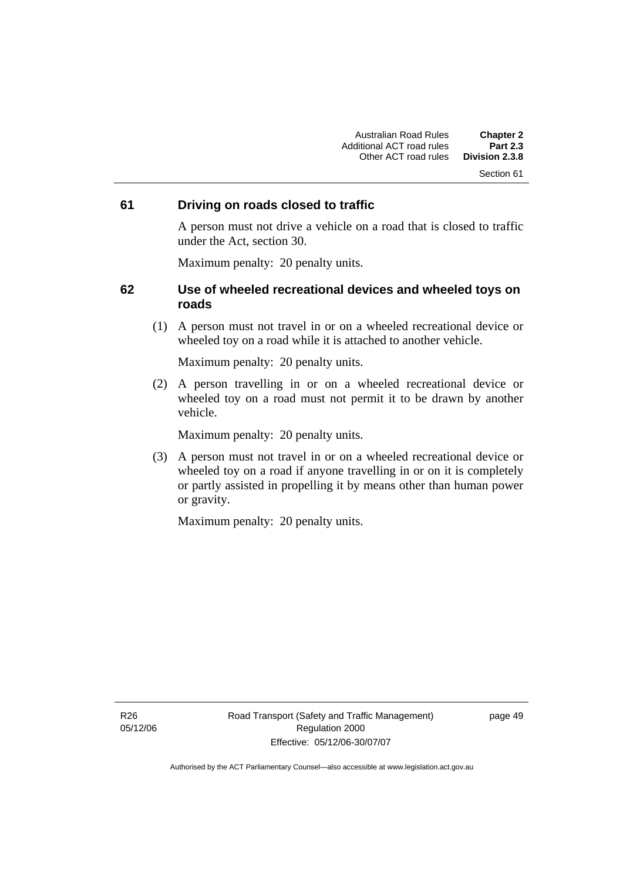#### Section 61

#### **61 Driving on roads closed to traffic**

A person must not drive a vehicle on a road that is closed to traffic under the Act, section 30.

Maximum penalty: 20 penalty units.

#### **62 Use of wheeled recreational devices and wheeled toys on roads**

 (1) A person must not travel in or on a wheeled recreational device or wheeled toy on a road while it is attached to another vehicle.

Maximum penalty: 20 penalty units.

 (2) A person travelling in or on a wheeled recreational device or wheeled toy on a road must not permit it to be drawn by another vehicle.

Maximum penalty: 20 penalty units.

 (3) A person must not travel in or on a wheeled recreational device or wheeled toy on a road if anyone travelling in or on it is completely or partly assisted in propelling it by means other than human power or gravity.

Maximum penalty: 20 penalty units.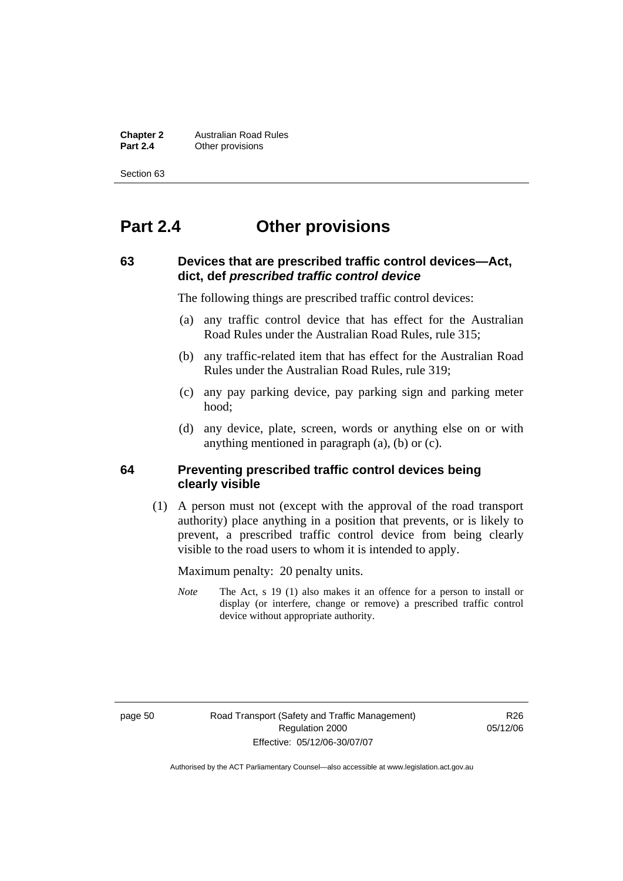**Chapter 2** Australian Road Rules<br>**Part 2.4** Other provisions **Other provisions** 

Section 63

# **Part 2.4 Other provisions**

### **63 Devices that are prescribed traffic control devices—Act, dict, def** *prescribed traffic control device*

The following things are prescribed traffic control devices:

- (a) any traffic control device that has effect for the Australian Road Rules under the Australian Road Rules, rule 315;
- (b) any traffic-related item that has effect for the Australian Road Rules under the Australian Road Rules, rule 319;
- (c) any pay parking device, pay parking sign and parking meter hood;
- (d) any device, plate, screen, words or anything else on or with anything mentioned in paragraph (a), (b) or (c).

#### **64 Preventing prescribed traffic control devices being clearly visible**

 (1) A person must not (except with the approval of the road transport authority) place anything in a position that prevents, or is likely to prevent, a prescribed traffic control device from being clearly visible to the road users to whom it is intended to apply.

Maximum penalty: 20 penalty units.

*Note* The Act, s 19 (1) also makes it an offence for a person to install or display (or interfere, change or remove) a prescribed traffic control device without appropriate authority.

page 50 Road Transport (Safety and Traffic Management) Regulation 2000 Effective: 05/12/06-30/07/07

R<sub>26</sub> 05/12/06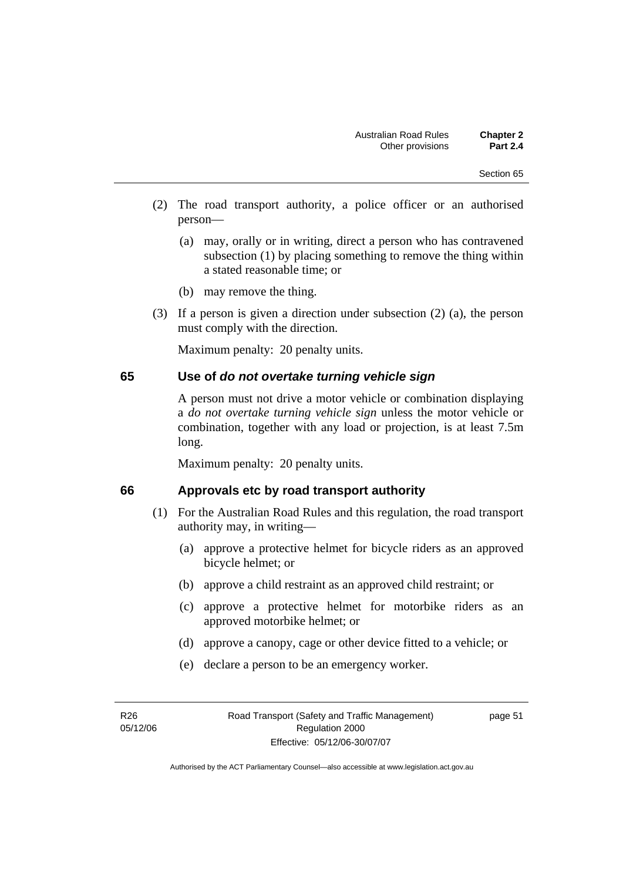- (2) The road transport authority, a police officer or an authorised person—
	- (a) may, orally or in writing, direct a person who has contravened subsection (1) by placing something to remove the thing within a stated reasonable time; or
	- (b) may remove the thing.
- (3) If a person is given a direction under subsection (2) (a), the person must comply with the direction.

#### **65 Use of** *do not overtake turning vehicle sign*

A person must not drive a motor vehicle or combination displaying a *do not overtake turning vehicle sign* unless the motor vehicle or combination, together with any load or projection, is at least 7.5m long.

Maximum penalty: 20 penalty units.

#### **66 Approvals etc by road transport authority**

- (1) For the Australian Road Rules and this regulation, the road transport authority may, in writing—
	- (a) approve a protective helmet for bicycle riders as an approved bicycle helmet; or
	- (b) approve a child restraint as an approved child restraint; or
	- (c) approve a protective helmet for motorbike riders as an approved motorbike helmet; or
	- (d) approve a canopy, cage or other device fitted to a vehicle; or
	- (e) declare a person to be an emergency worker.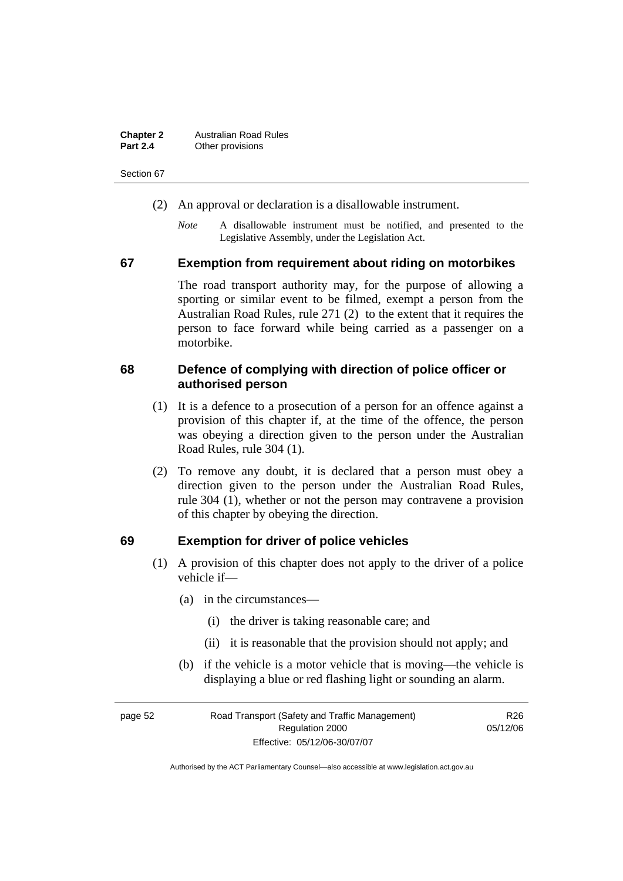| <b>Chapter 2</b> | <b>Australian Road Rules</b> |
|------------------|------------------------------|
| <b>Part 2.4</b>  | Other provisions             |

Section 67

- (2) An approval or declaration is a disallowable instrument.
	- *Note* A disallowable instrument must be notified, and presented to the Legislative Assembly, under the Legislation Act.

#### **67 Exemption from requirement about riding on motorbikes**

The road transport authority may, for the purpose of allowing a sporting or similar event to be filmed, exempt a person from the Australian Road Rules, rule 271 (2) to the extent that it requires the person to face forward while being carried as a passenger on a motorbike.

#### **68 Defence of complying with direction of police officer or authorised person**

- (1) It is a defence to a prosecution of a person for an offence against a provision of this chapter if, at the time of the offence, the person was obeying a direction given to the person under the Australian Road Rules, rule 304 (1).
- (2) To remove any doubt, it is declared that a person must obey a direction given to the person under the Australian Road Rules, rule 304 (1), whether or not the person may contravene a provision of this chapter by obeying the direction.

#### **69 Exemption for driver of police vehicles**

- (1) A provision of this chapter does not apply to the driver of a police vehicle if—
	- (a) in the circumstances—
		- (i) the driver is taking reasonable care; and
		- (ii) it is reasonable that the provision should not apply; and
	- (b) if the vehicle is a motor vehicle that is moving—the vehicle is displaying a blue or red flashing light or sounding an alarm.

| page 52 | Road Transport (Safety and Traffic Management) | R <sub>26</sub> |
|---------|------------------------------------------------|-----------------|
|         | Regulation 2000                                | 05/12/06        |
|         | Effective: 05/12/06-30/07/07                   |                 |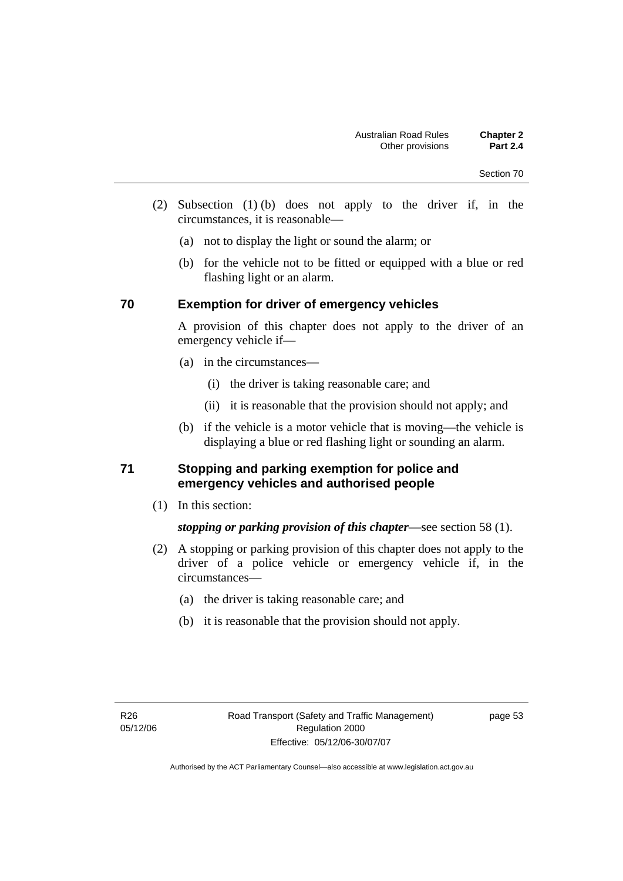- (2) Subsection (1) (b) does not apply to the driver if, in the circumstances, it is reasonable—
	- (a) not to display the light or sound the alarm; or
	- (b) for the vehicle not to be fitted or equipped with a blue or red flashing light or an alarm.

#### **70 Exemption for driver of emergency vehicles**

A provision of this chapter does not apply to the driver of an emergency vehicle if—

- (a) in the circumstances—
	- (i) the driver is taking reasonable care; and
	- (ii) it is reasonable that the provision should not apply; and
- (b) if the vehicle is a motor vehicle that is moving—the vehicle is displaying a blue or red flashing light or sounding an alarm.

#### **71 Stopping and parking exemption for police and emergency vehicles and authorised people**

(1) In this section:

*stopping or parking provision of this chapter*—see section 58 (1).

- (2) A stopping or parking provision of this chapter does not apply to the driver of a police vehicle or emergency vehicle if, in the circumstances—
	- (a) the driver is taking reasonable care; and
	- (b) it is reasonable that the provision should not apply.

page 53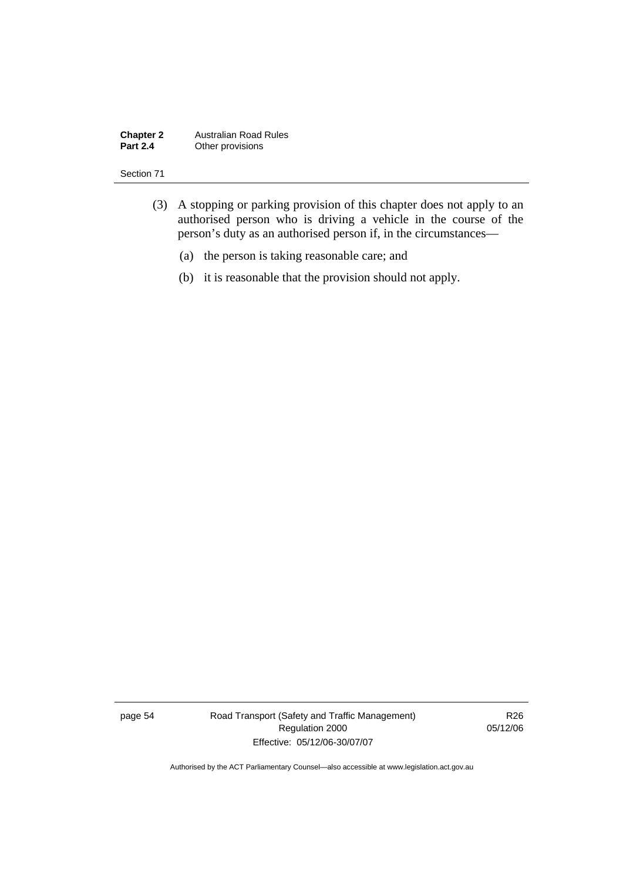#### **Chapter 2** Australian Road Rules<br>**Part 2.4** Other provisions **Other provisions**

#### Section 71

- (3) A stopping or parking provision of this chapter does not apply to an authorised person who is driving a vehicle in the course of the person's duty as an authorised person if, in the circumstances—
	- (a) the person is taking reasonable care; and
	- (b) it is reasonable that the provision should not apply.

page 54 Road Transport (Safety and Traffic Management) Regulation 2000 Effective: 05/12/06-30/07/07

R26 05/12/06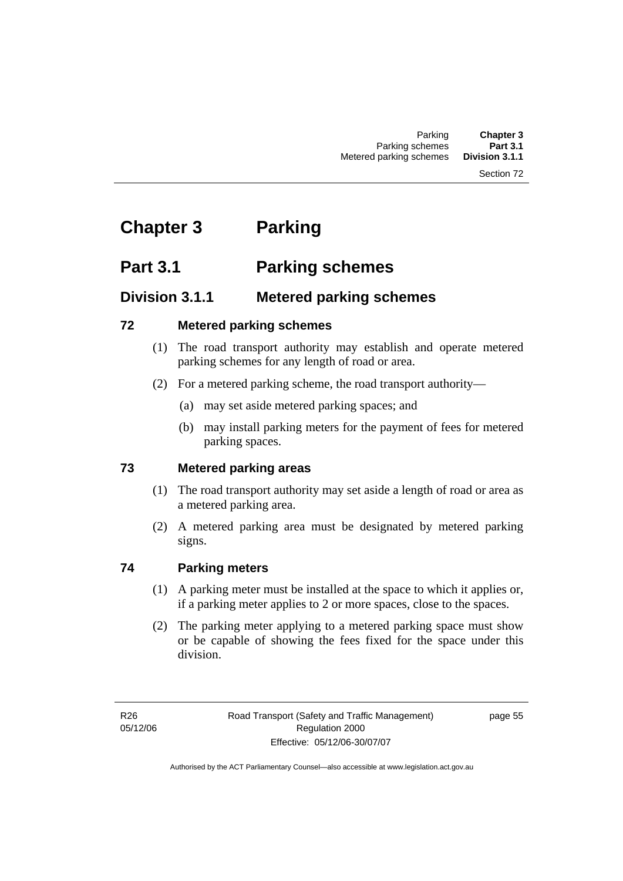#### Section 72

# **Chapter 3 Parking**

# **Part 3.1 Parking schemes**

# **Division 3.1.1 Metered parking schemes**

## **72 Metered parking schemes**

- (1) The road transport authority may establish and operate metered parking schemes for any length of road or area.
- (2) For a metered parking scheme, the road transport authority—
	- (a) may set aside metered parking spaces; and
	- (b) may install parking meters for the payment of fees for metered parking spaces.

# **73 Metered parking areas**

- (1) The road transport authority may set aside a length of road or area as a metered parking area.
- (2) A metered parking area must be designated by metered parking signs.

# **74 Parking meters**

- (1) A parking meter must be installed at the space to which it applies or, if a parking meter applies to 2 or more spaces, close to the spaces.
- (2) The parking meter applying to a metered parking space must show or be capable of showing the fees fixed for the space under this division.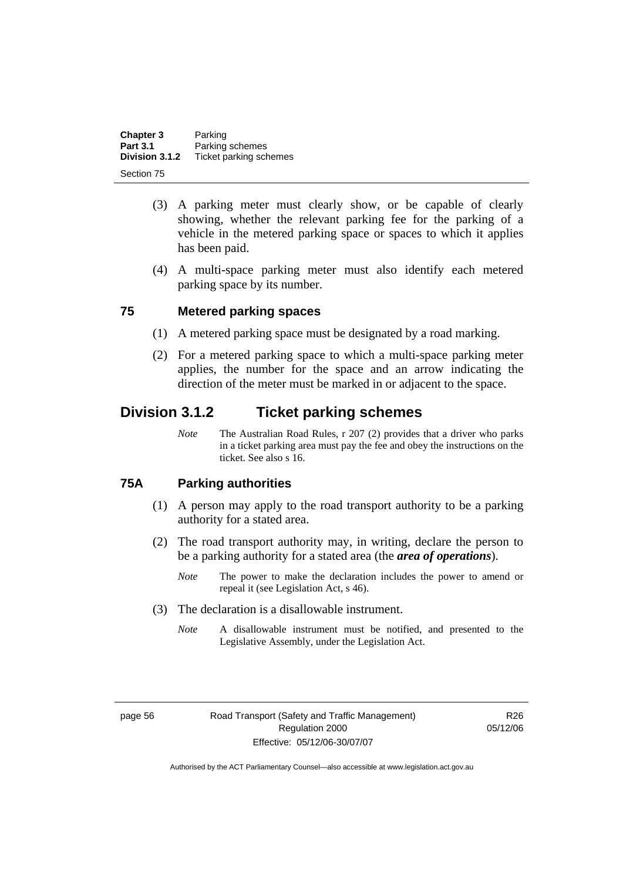| Chapter 3       | Parking                |
|-----------------|------------------------|
| <b>Part 3.1</b> | Parking schemes        |
| Division 3.1.2  | Ticket parking schemes |
| Section 75      |                        |

- (3) A parking meter must clearly show, or be capable of clearly showing, whether the relevant parking fee for the parking of a vehicle in the metered parking space or spaces to which it applies has been paid.
- (4) A multi-space parking meter must also identify each metered parking space by its number.

#### **75 Metered parking spaces**

- (1) A metered parking space must be designated by a road marking.
- (2) For a metered parking space to which a multi-space parking meter applies, the number for the space and an arrow indicating the direction of the meter must be marked in or adjacent to the space.

# **Division 3.1.2 Ticket parking schemes**

*Note* The Australian Road Rules, r 207 (2) provides that a driver who parks in a ticket parking area must pay the fee and obey the instructions on the ticket. See also s 16.

#### **75A Parking authorities**

- (1) A person may apply to the road transport authority to be a parking authority for a stated area.
- (2) The road transport authority may, in writing, declare the person to be a parking authority for a stated area (the *area of operations*).
	- *Note* The power to make the declaration includes the power to amend or repeal it (see Legislation Act, s 46).
- (3) The declaration is a disallowable instrument.
	- *Note* A disallowable instrument must be notified, and presented to the Legislative Assembly, under the Legislation Act.

R26 05/12/06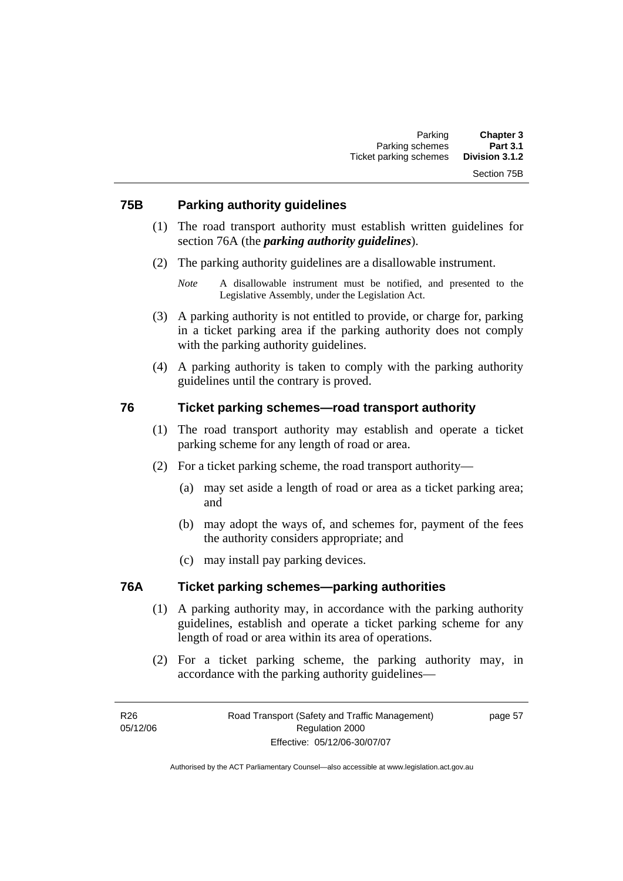#### **75B Parking authority guidelines**

- (1) The road transport authority must establish written guidelines for section 76A (the *parking authority guidelines*).
- (2) The parking authority guidelines are a disallowable instrument.

- (3) A parking authority is not entitled to provide, or charge for, parking in a ticket parking area if the parking authority does not comply with the parking authority guidelines.
- (4) A parking authority is taken to comply with the parking authority guidelines until the contrary is proved.

#### **76 Ticket parking schemes—road transport authority**

- (1) The road transport authority may establish and operate a ticket parking scheme for any length of road or area.
- (2) For a ticket parking scheme, the road transport authority—
	- (a) may set aside a length of road or area as a ticket parking area; and
	- (b) may adopt the ways of, and schemes for, payment of the fees the authority considers appropriate; and
	- (c) may install pay parking devices.

#### **76A Ticket parking schemes—parking authorities**

- (1) A parking authority may, in accordance with the parking authority guidelines, establish and operate a ticket parking scheme for any length of road or area within its area of operations.
- (2) For a ticket parking scheme, the parking authority may, in accordance with the parking authority guidelines—

*Note* A disallowable instrument must be notified, and presented to the Legislative Assembly, under the Legislation Act.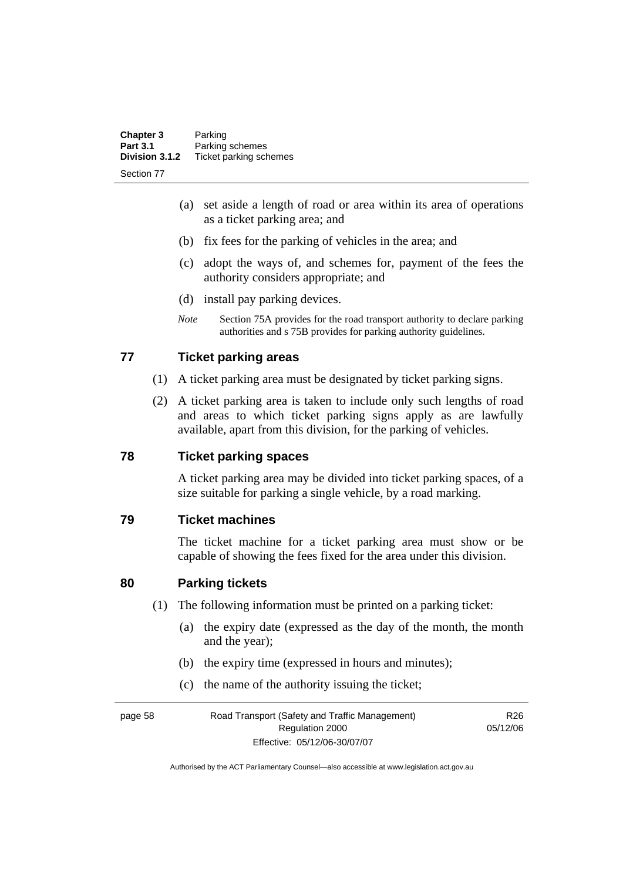| <b>Chapter 3</b> | Parking                |
|------------------|------------------------|
| <b>Part 3.1</b>  | Parking schemes        |
| Division 3.1.2   | Ticket parking schemes |
| Section 77       |                        |

- (a) set aside a length of road or area within its area of operations as a ticket parking area; and
- (b) fix fees for the parking of vehicles in the area; and
- (c) adopt the ways of, and schemes for, payment of the fees the authority considers appropriate; and
- (d) install pay parking devices.
- *Note* Section 75A provides for the road transport authority to declare parking authorities and s 75B provides for parking authority guidelines.

#### **77 Ticket parking areas**

- (1) A ticket parking area must be designated by ticket parking signs.
- (2) A ticket parking area is taken to include only such lengths of road and areas to which ticket parking signs apply as are lawfully available, apart from this division, for the parking of vehicles.

#### **78 Ticket parking spaces**

A ticket parking area may be divided into ticket parking spaces, of a size suitable for parking a single vehicle, by a road marking.

#### **79 Ticket machines**

The ticket machine for a ticket parking area must show or be capable of showing the fees fixed for the area under this division.

#### **80 Parking tickets**

- (1) The following information must be printed on a parking ticket:
	- (a) the expiry date (expressed as the day of the month, the month and the year);
	- (b) the expiry time (expressed in hours and minutes);
	- (c) the name of the authority issuing the ticket;

page 58 Road Transport (Safety and Traffic Management) Regulation 2000 Effective: 05/12/06-30/07/07 R<sub>26</sub> 05/12/06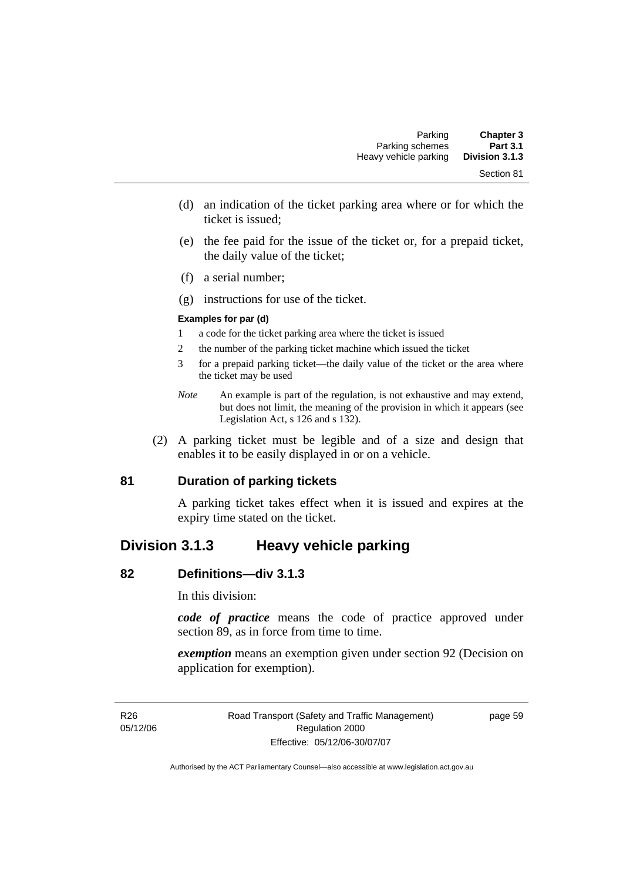- (d) an indication of the ticket parking area where or for which the ticket is issued;
- (e) the fee paid for the issue of the ticket or, for a prepaid ticket, the daily value of the ticket;
- (f) a serial number;
- (g) instructions for use of the ticket.

#### **Examples for par (d)**

- 1 a code for the ticket parking area where the ticket is issued
- 2 the number of the parking ticket machine which issued the ticket
- 3 for a prepaid parking ticket—the daily value of the ticket or the area where the ticket may be used
- *Note* An example is part of the regulation, is not exhaustive and may extend, but does not limit, the meaning of the provision in which it appears (see Legislation Act, s 126 and s 132).
- (2) A parking ticket must be legible and of a size and design that enables it to be easily displayed in or on a vehicle.

## **81 Duration of parking tickets**

A parking ticket takes effect when it is issued and expires at the expiry time stated on the ticket.

# **Division 3.1.3 Heavy vehicle parking**

#### **82 Definitions—div 3.1.3**

In this division:

*code of practice* means the code of practice approved under section 89, as in force from time to time.

*exemption* means an exemption given under section 92 (Decision on application for exemption).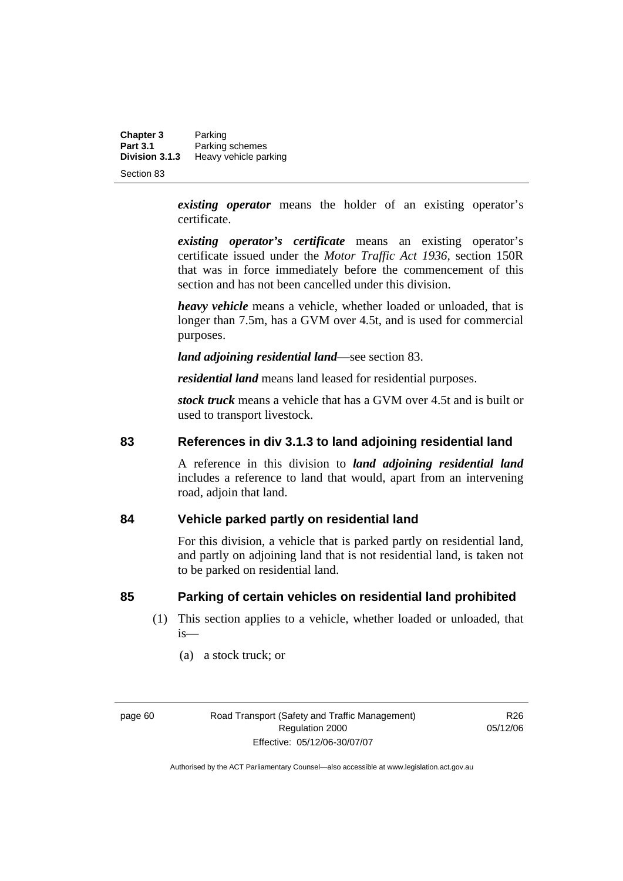**Chapter 3** Parking<br>**Part 3.1** Parking **Part 3.1 Parking schemes**<br>**Division 3.1.3 Heavy vehicle pay Division 3.1.3** Heavy vehicle parking

Section 83

*existing operator* means the holder of an existing operator's certificate.

*existing operator's certificate* means an existing operator's certificate issued under the *Motor Traffic Act 1936,* section 150R that was in force immediately before the commencement of this section and has not been cancelled under this division.

*heavy vehicle* means a vehicle, whether loaded or unloaded, that is longer than 7.5m, has a GVM over 4.5t, and is used for commercial purposes.

*land adjoining residential land*—see section 83.

*residential land* means land leased for residential purposes.

*stock truck* means a vehicle that has a GVM over 4.5t and is built or used to transport livestock.

#### **83 References in div 3.1.3 to land adjoining residential land**

A reference in this division to *land adjoining residential land* includes a reference to land that would, apart from an intervening road, adjoin that land.

#### **84 Vehicle parked partly on residential land**

For this division, a vehicle that is parked partly on residential land, and partly on adjoining land that is not residential land, is taken not to be parked on residential land.

#### **85 Parking of certain vehicles on residential land prohibited**

- (1) This section applies to a vehicle, whether loaded or unloaded, that is—
	- (a) a stock truck; or

R26 05/12/06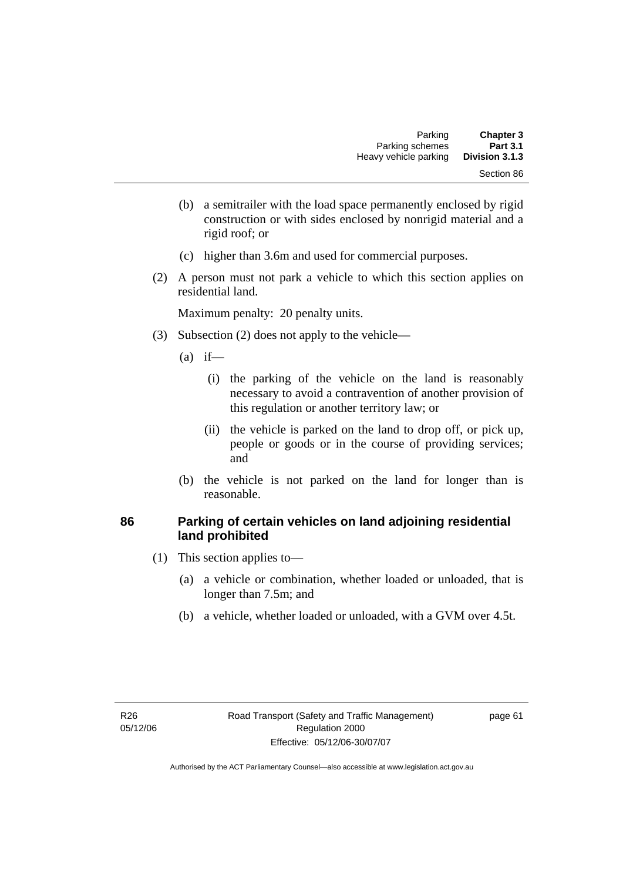- (b) a semitrailer with the load space permanently enclosed by rigid construction or with sides enclosed by nonrigid material and a rigid roof; or
- (c) higher than 3.6m and used for commercial purposes.
- (2) A person must not park a vehicle to which this section applies on residential land.

- (3) Subsection (2) does not apply to the vehicle—
	- $(a)$  if—
		- (i) the parking of the vehicle on the land is reasonably necessary to avoid a contravention of another provision of this regulation or another territory law; or
		- (ii) the vehicle is parked on the land to drop off, or pick up, people or goods or in the course of providing services; and
	- (b) the vehicle is not parked on the land for longer than is reasonable.

#### **86 Parking of certain vehicles on land adjoining residential land prohibited**

- (1) This section applies to—
	- (a) a vehicle or combination, whether loaded or unloaded, that is longer than 7.5m; and
	- (b) a vehicle, whether loaded or unloaded, with a GVM over 4.5t.

page 61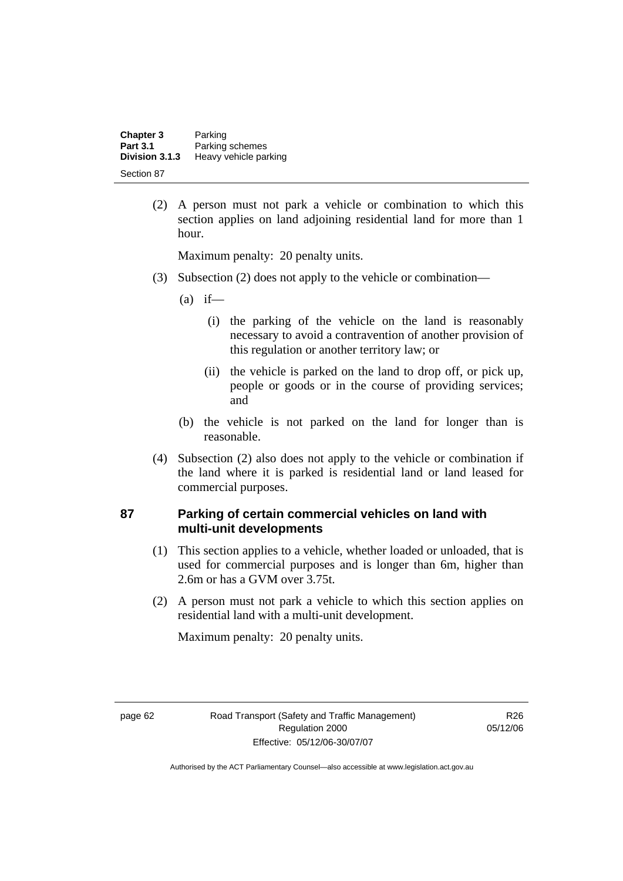| <b>Chapter 3</b><br><b>Part 3.1</b> | Parking<br>Parking schemes |
|-------------------------------------|----------------------------|
| Division 3.1.3                      | Heavy vehicle parking      |
| Section 87                          |                            |

 (2) A person must not park a vehicle or combination to which this section applies on land adjoining residential land for more than 1 hour.

Maximum penalty: 20 penalty units.

- (3) Subsection (2) does not apply to the vehicle or combination—
	- $(a)$  if—
		- (i) the parking of the vehicle on the land is reasonably necessary to avoid a contravention of another provision of this regulation or another territory law; or
		- (ii) the vehicle is parked on the land to drop off, or pick up, people or goods or in the course of providing services; and
	- (b) the vehicle is not parked on the land for longer than is reasonable.
- (4) Subsection (2) also does not apply to the vehicle or combination if the land where it is parked is residential land or land leased for commercial purposes.

#### **87 Parking of certain commercial vehicles on land with multi-unit developments**

- (1) This section applies to a vehicle, whether loaded or unloaded, that is used for commercial purposes and is longer than 6m, higher than 2.6m or has a GVM over 3.75t.
- (2) A person must not park a vehicle to which this section applies on residential land with a multi-unit development.

Maximum penalty: 20 penalty units.

R26 05/12/06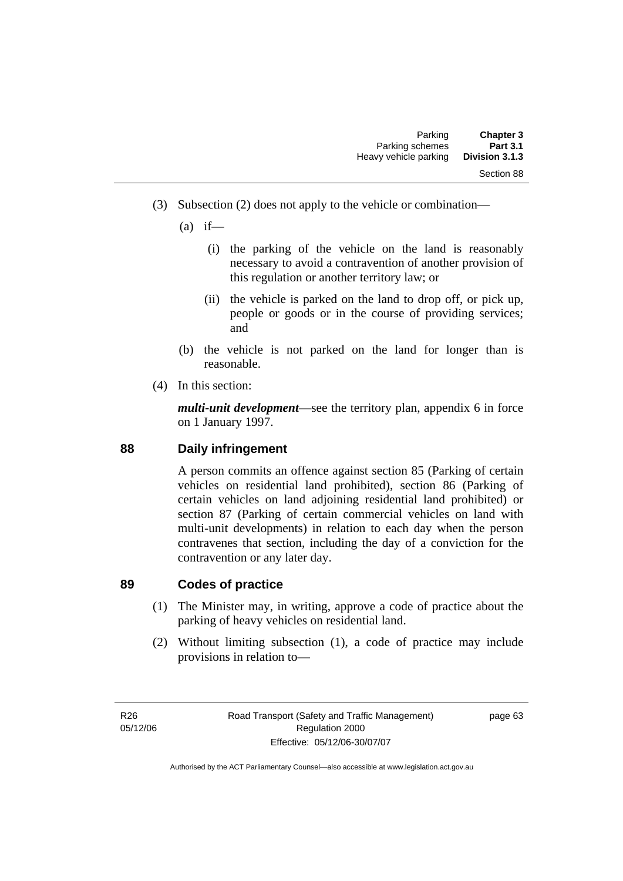(3) Subsection (2) does not apply to the vehicle or combination—

 $(a)$  if—

- (i) the parking of the vehicle on the land is reasonably necessary to avoid a contravention of another provision of this regulation or another territory law; or
- (ii) the vehicle is parked on the land to drop off, or pick up, people or goods or in the course of providing services; and
- (b) the vehicle is not parked on the land for longer than is reasonable.
- (4) In this section:

*multi-unit development*—see the territory plan, appendix 6 in force on 1 January 1997.

# **88 Daily infringement**

A person commits an offence against section 85 (Parking of certain vehicles on residential land prohibited), section 86 (Parking of certain vehicles on land adjoining residential land prohibited) or section 87 (Parking of certain commercial vehicles on land with multi-unit developments) in relation to each day when the person contravenes that section, including the day of a conviction for the contravention or any later day.

# **89 Codes of practice**

- (1) The Minister may, in writing, approve a code of practice about the parking of heavy vehicles on residential land.
- (2) Without limiting subsection (1), a code of practice may include provisions in relation to—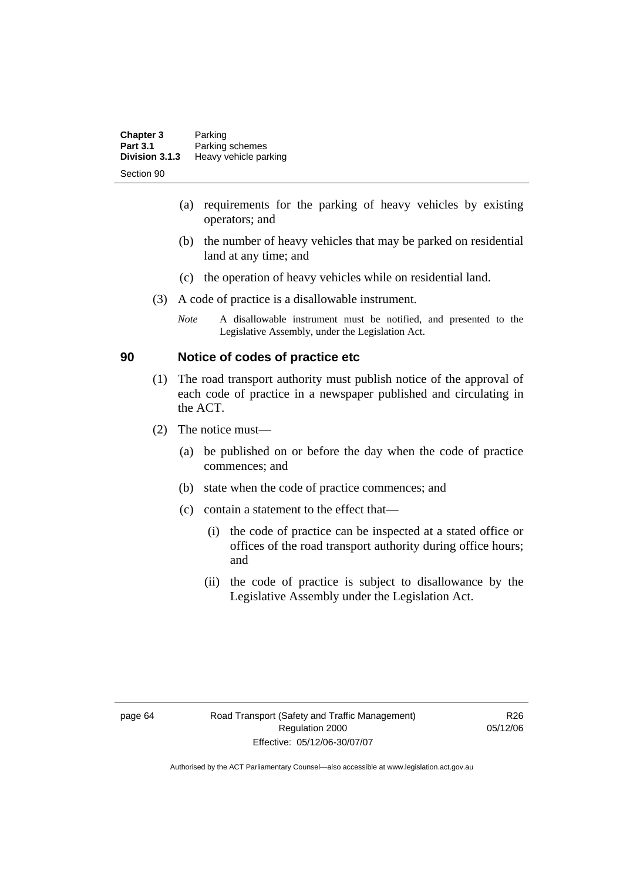| <b>Chapter 3</b> | Parking               |
|------------------|-----------------------|
| <b>Part 3.1</b>  | Parking schemes       |
| Division 3.1.3   | Heavy vehicle parking |
| Section 90       |                       |

- (a) requirements for the parking of heavy vehicles by existing operators; and
- (b) the number of heavy vehicles that may be parked on residential land at any time; and
- (c) the operation of heavy vehicles while on residential land.
- (3) A code of practice is a disallowable instrument.
	- *Note* A disallowable instrument must be notified, and presented to the Legislative Assembly, under the Legislation Act.

## **90 Notice of codes of practice etc**

- (1) The road transport authority must publish notice of the approval of each code of practice in a newspaper published and circulating in the ACT.
- (2) The notice must—
	- (a) be published on or before the day when the code of practice commences; and
	- (b) state when the code of practice commences; and
	- (c) contain a statement to the effect that—
		- (i) the code of practice can be inspected at a stated office or offices of the road transport authority during office hours; and
		- (ii) the code of practice is subject to disallowance by the Legislative Assembly under the Legislation Act.

R26 05/12/06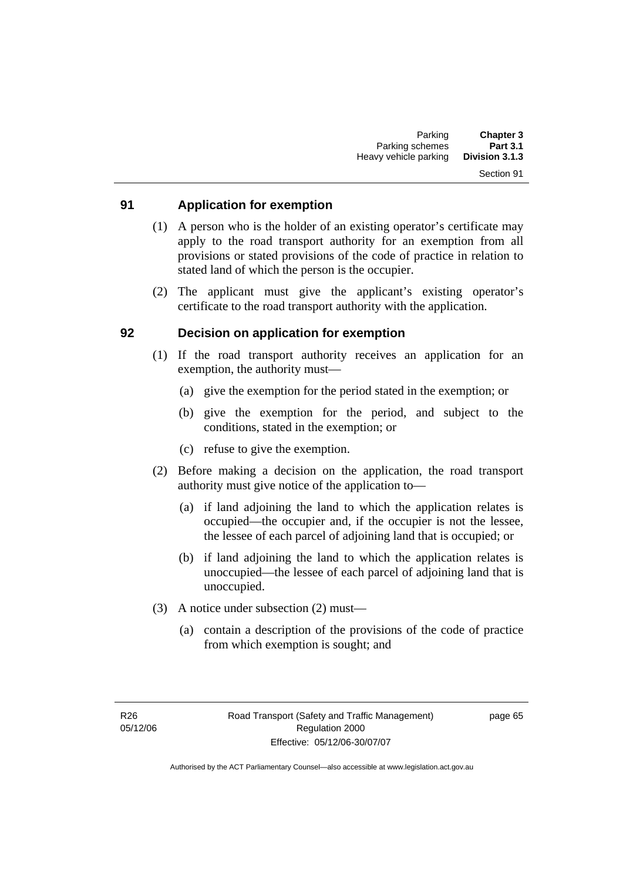# Section 91

## **91 Application for exemption**

- (1) A person who is the holder of an existing operator's certificate may apply to the road transport authority for an exemption from all provisions or stated provisions of the code of practice in relation to stated land of which the person is the occupier.
- (2) The applicant must give the applicant's existing operator's certificate to the road transport authority with the application.

### **92 Decision on application for exemption**

- (1) If the road transport authority receives an application for an exemption, the authority must—
	- (a) give the exemption for the period stated in the exemption; or
	- (b) give the exemption for the period, and subject to the conditions, stated in the exemption; or
	- (c) refuse to give the exemption.
- (2) Before making a decision on the application, the road transport authority must give notice of the application to—
	- (a) if land adjoining the land to which the application relates is occupied—the occupier and, if the occupier is not the lessee, the lessee of each parcel of adjoining land that is occupied; or
	- (b) if land adjoining the land to which the application relates is unoccupied—the lessee of each parcel of adjoining land that is unoccupied.
- (3) A notice under subsection (2) must—
	- (a) contain a description of the provisions of the code of practice from which exemption is sought; and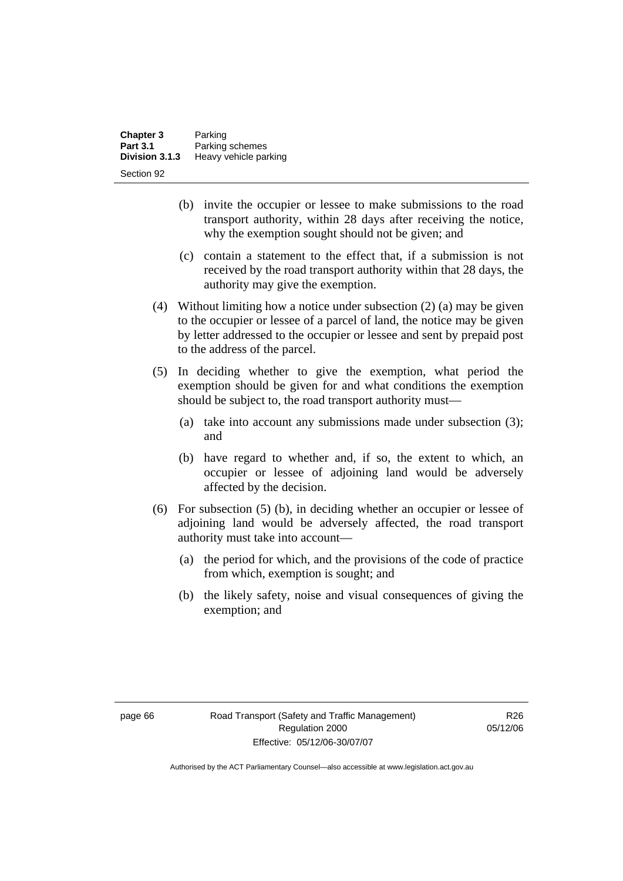| <b>Chapter 3</b> | Parking               |
|------------------|-----------------------|
| <b>Part 3.1</b>  | Parking schemes       |
| Division 3.1.3   | Heavy vehicle parking |
| Section 92       |                       |

- (b) invite the occupier or lessee to make submissions to the road transport authority, within 28 days after receiving the notice, why the exemption sought should not be given; and
- (c) contain a statement to the effect that, if a submission is not received by the road transport authority within that 28 days, the authority may give the exemption.
- (4) Without limiting how a notice under subsection (2) (a) may be given to the occupier or lessee of a parcel of land, the notice may be given by letter addressed to the occupier or lessee and sent by prepaid post to the address of the parcel.
- (5) In deciding whether to give the exemption, what period the exemption should be given for and what conditions the exemption should be subject to, the road transport authority must—
	- (a) take into account any submissions made under subsection (3); and
	- (b) have regard to whether and, if so, the extent to which, an occupier or lessee of adjoining land would be adversely affected by the decision.
- (6) For subsection (5) (b), in deciding whether an occupier or lessee of adjoining land would be adversely affected, the road transport authority must take into account—
	- (a) the period for which, and the provisions of the code of practice from which, exemption is sought; and
	- (b) the likely safety, noise and visual consequences of giving the exemption; and

R<sub>26</sub> 05/12/06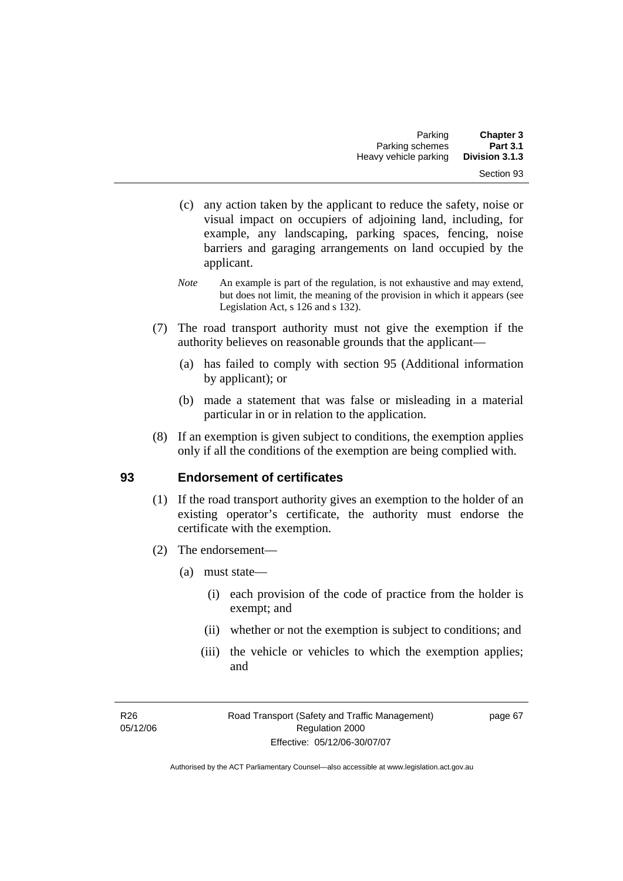- (c) any action taken by the applicant to reduce the safety, noise or visual impact on occupiers of adjoining land, including, for example, any landscaping, parking spaces, fencing, noise barriers and garaging arrangements on land occupied by the applicant.
- *Note* An example is part of the regulation, is not exhaustive and may extend, but does not limit, the meaning of the provision in which it appears (see Legislation Act, s 126 and s 132).
- (7) The road transport authority must not give the exemption if the authority believes on reasonable grounds that the applicant—
	- (a) has failed to comply with section 95 (Additional information by applicant); or
	- (b) made a statement that was false or misleading in a material particular in or in relation to the application.
- (8) If an exemption is given subject to conditions, the exemption applies only if all the conditions of the exemption are being complied with.

# **93 Endorsement of certificates**

- (1) If the road transport authority gives an exemption to the holder of an existing operator's certificate, the authority must endorse the certificate with the exemption.
- (2) The endorsement—
	- (a) must state—
		- (i) each provision of the code of practice from the holder is exempt; and
		- (ii) whether or not the exemption is subject to conditions; and
		- (iii) the vehicle or vehicles to which the exemption applies; and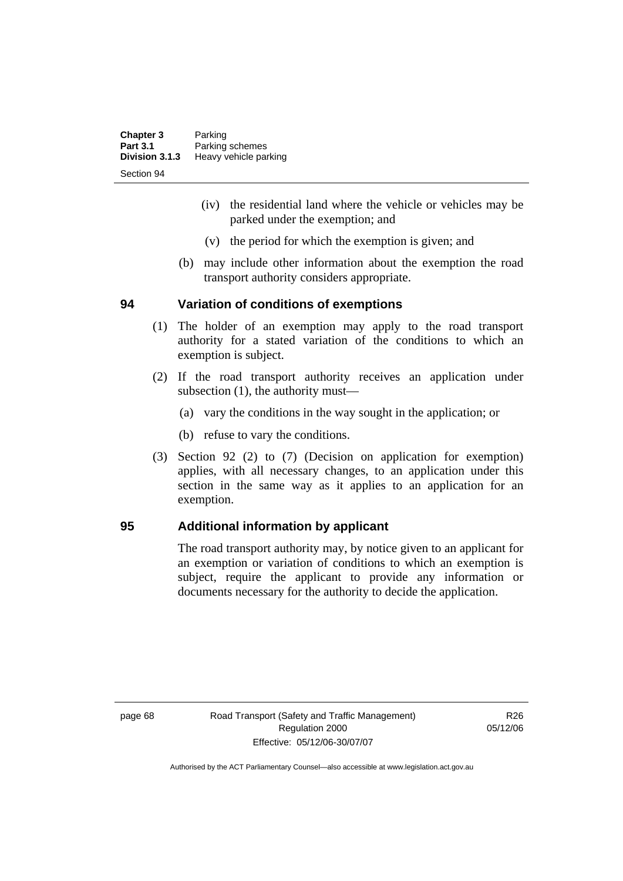| <b>Chapter 3</b> | Parking               |
|------------------|-----------------------|
| <b>Part 3.1</b>  | Parking schemes       |
| Division 3.1.3   | Heavy vehicle parking |
| Section 94       |                       |

- (iv) the residential land where the vehicle or vehicles may be parked under the exemption; and
- (v) the period for which the exemption is given; and
- (b) may include other information about the exemption the road transport authority considers appropriate.

### **94 Variation of conditions of exemptions**

- (1) The holder of an exemption may apply to the road transport authority for a stated variation of the conditions to which an exemption is subject.
- (2) If the road transport authority receives an application under subsection (1), the authority must—
	- (a) vary the conditions in the way sought in the application; or
	- (b) refuse to vary the conditions.
- (3) Section 92 (2) to (7) (Decision on application for exemption) applies, with all necessary changes, to an application under this section in the same way as it applies to an application for an exemption.

## **95 Additional information by applicant**

The road transport authority may, by notice given to an applicant for an exemption or variation of conditions to which an exemption is subject, require the applicant to provide any information or documents necessary for the authority to decide the application.

page 68 Road Transport (Safety and Traffic Management) Regulation 2000 Effective: 05/12/06-30/07/07

R26 05/12/06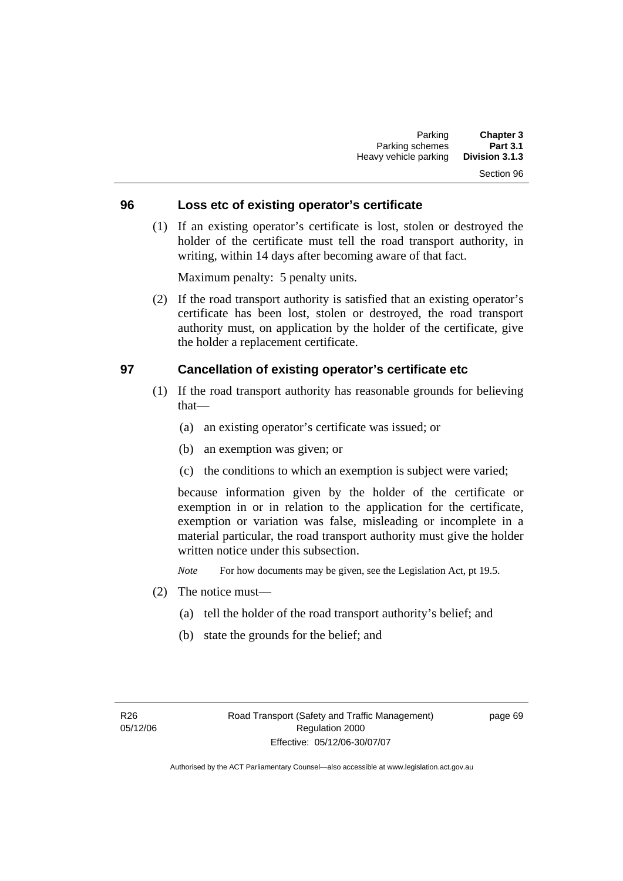# Section 96

### **96 Loss etc of existing operator's certificate**

 (1) If an existing operator's certificate is lost, stolen or destroyed the holder of the certificate must tell the road transport authority, in writing, within 14 days after becoming aware of that fact.

Maximum penalty: 5 penalty units.

 (2) If the road transport authority is satisfied that an existing operator's certificate has been lost, stolen or destroyed, the road transport authority must, on application by the holder of the certificate, give the holder a replacement certificate.

### **97 Cancellation of existing operator's certificate etc**

- (1) If the road transport authority has reasonable grounds for believing that—
	- (a) an existing operator's certificate was issued; or
	- (b) an exemption was given; or
	- (c) the conditions to which an exemption is subject were varied;

because information given by the holder of the certificate or exemption in or in relation to the application for the certificate, exemption or variation was false, misleading or incomplete in a material particular, the road transport authority must give the holder written notice under this subsection.

*Note* For how documents may be given, see the Legislation Act, pt 19.5.

- (2) The notice must—
	- (a) tell the holder of the road transport authority's belief; and
	- (b) state the grounds for the belief; and

page 69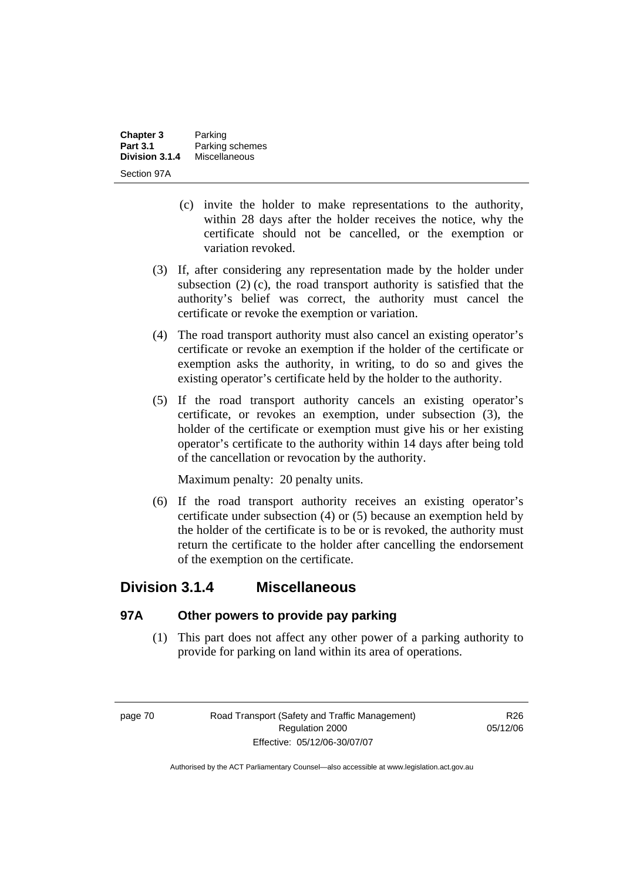| <b>Chapter 3</b> | Parking         |
|------------------|-----------------|
| <b>Part 3.1</b>  | Parking schemes |
| Division 3.1.4   | Miscellaneous   |
| Section 97A      |                 |

- (c) invite the holder to make representations to the authority, within 28 days after the holder receives the notice, why the certificate should not be cancelled, or the exemption or variation revoked.
- (3) If, after considering any representation made by the holder under subsection (2) (c), the road transport authority is satisfied that the authority's belief was correct, the authority must cancel the certificate or revoke the exemption or variation.
- (4) The road transport authority must also cancel an existing operator's certificate or revoke an exemption if the holder of the certificate or exemption asks the authority, in writing, to do so and gives the existing operator's certificate held by the holder to the authority.
- (5) If the road transport authority cancels an existing operator's certificate, or revokes an exemption, under subsection (3), the holder of the certificate or exemption must give his or her existing operator's certificate to the authority within 14 days after being told of the cancellation or revocation by the authority.

Maximum penalty: 20 penalty units.

 (6) If the road transport authority receives an existing operator's certificate under subsection (4) or (5) because an exemption held by the holder of the certificate is to be or is revoked, the authority must return the certificate to the holder after cancelling the endorsement of the exemption on the certificate.

# **Division 3.1.4 Miscellaneous**

## **97A Other powers to provide pay parking**

 (1) This part does not affect any other power of a parking authority to provide for parking on land within its area of operations.

R<sub>26</sub> 05/12/06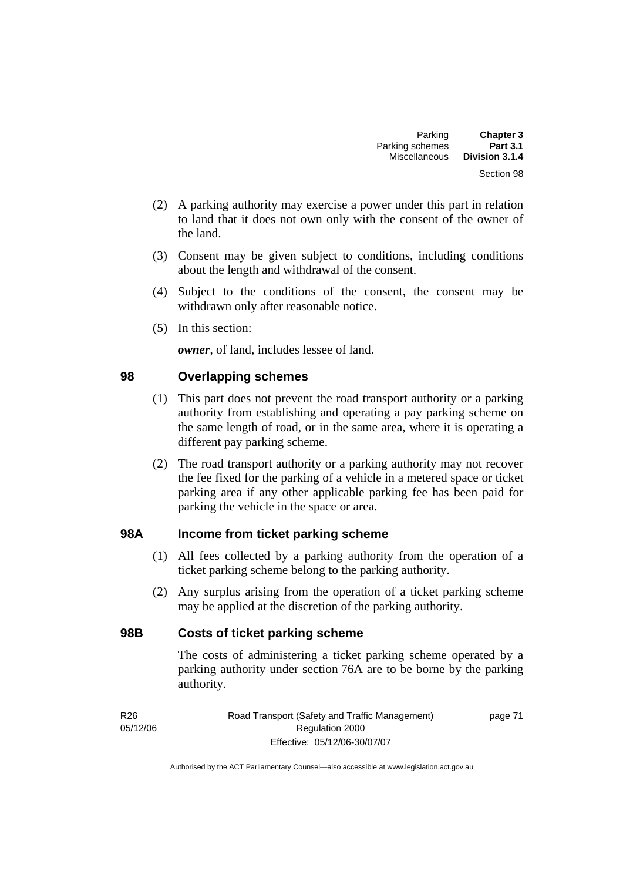- (2) A parking authority may exercise a power under this part in relation to land that it does not own only with the consent of the owner of the land.
- (3) Consent may be given subject to conditions, including conditions about the length and withdrawal of the consent.
- (4) Subject to the conditions of the consent, the consent may be withdrawn only after reasonable notice.
- (5) In this section:

*owner*, of land, includes lessee of land.

# **98 Overlapping schemes**

- (1) This part does not prevent the road transport authority or a parking authority from establishing and operating a pay parking scheme on the same length of road, or in the same area, where it is operating a different pay parking scheme.
- (2) The road transport authority or a parking authority may not recover the fee fixed for the parking of a vehicle in a metered space or ticket parking area if any other applicable parking fee has been paid for parking the vehicle in the space or area.

# **98A Income from ticket parking scheme**

- (1) All fees collected by a parking authority from the operation of a ticket parking scheme belong to the parking authority.
- (2) Any surplus arising from the operation of a ticket parking scheme may be applied at the discretion of the parking authority.

# **98B Costs of ticket parking scheme**

The costs of administering a ticket parking scheme operated by a parking authority under section 76A are to be borne by the parking authority.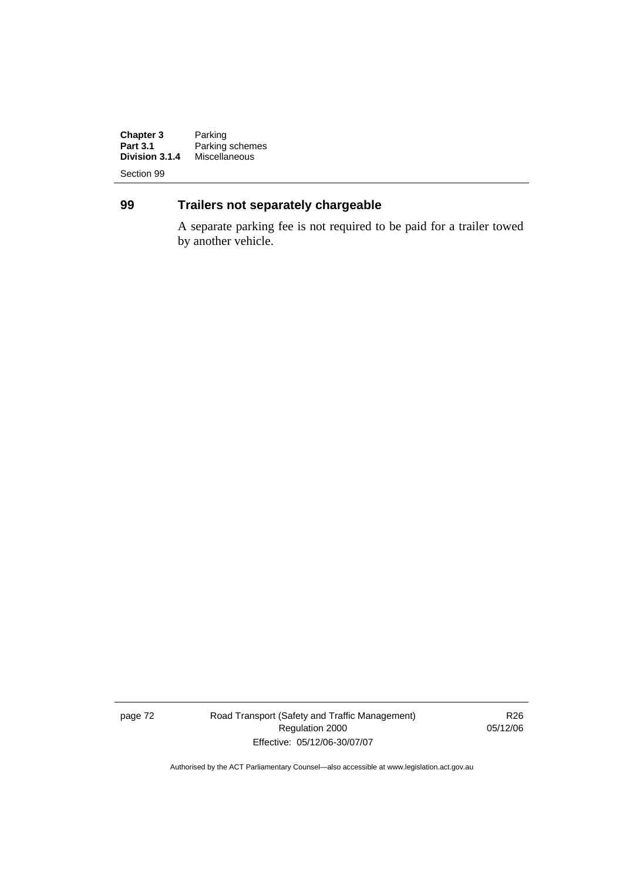**Chapter 3**<br>Part 3.1 **Chapter 3** Parking<br> **Part 3.1** Parking schemes<br> **Division 3.1.4** Miscellaneous **Division 3.1.4** Miscellaneous

Section 99

# **99 Trailers not separately chargeable**

A separate parking fee is not required to be paid for a trailer towed by another vehicle.

page 72 Road Transport (Safety and Traffic Management) Regulation 2000 Effective: 05/12/06-30/07/07

R26 05/12/06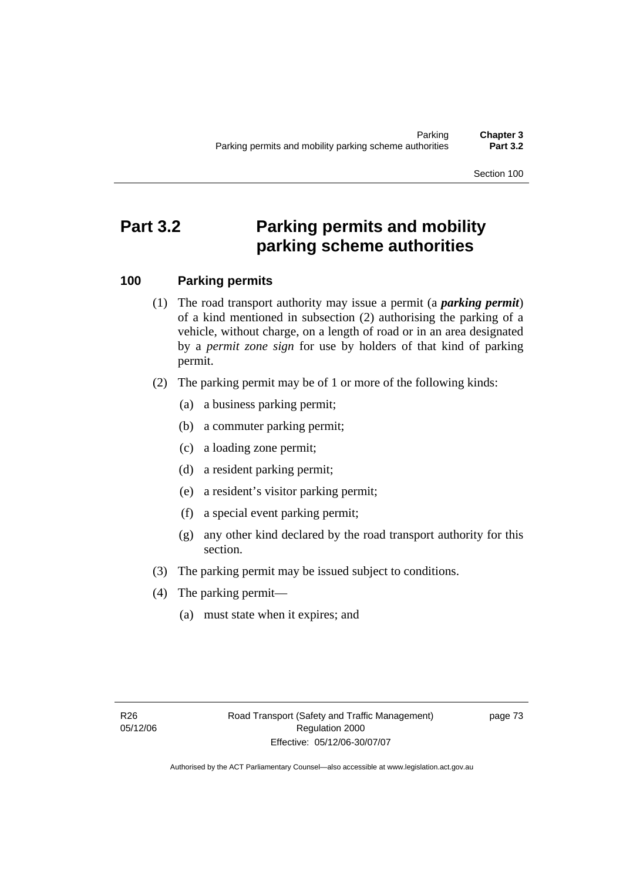Section 100

# **Part 3.2 Parking permits and mobility parking scheme authorities**

# **100 Parking permits**

- (1) The road transport authority may issue a permit (a *parking permit*) of a kind mentioned in subsection (2) authorising the parking of a vehicle, without charge, on a length of road or in an area designated by a *permit zone sign* for use by holders of that kind of parking permit.
- (2) The parking permit may be of 1 or more of the following kinds:
	- (a) a business parking permit;
	- (b) a commuter parking permit;
	- (c) a loading zone permit;
	- (d) a resident parking permit;
	- (e) a resident's visitor parking permit;
	- (f) a special event parking permit;
	- (g) any other kind declared by the road transport authority for this section.
- (3) The parking permit may be issued subject to conditions.
- (4) The parking permit—
	- (a) must state when it expires; and

page 73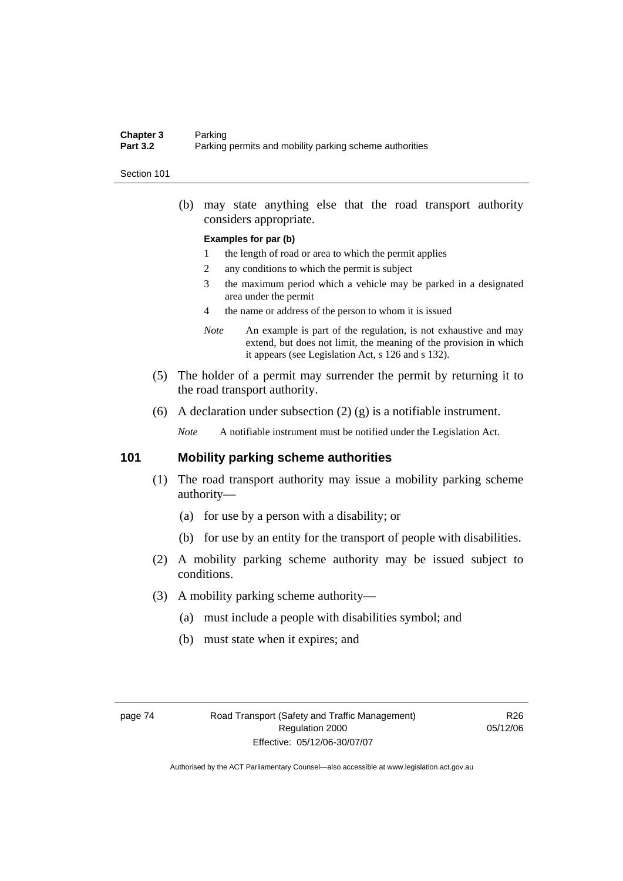### **Chapter 3** Parking<br>**Part 3.2** Parking Parking permits and mobility parking scheme authorities

#### Section 101

 (b) may state anything else that the road transport authority considers appropriate.

#### **Examples for par (b)**

- 1 the length of road or area to which the permit applies
- 2 any conditions to which the permit is subject
- 3 the maximum period which a vehicle may be parked in a designated area under the permit
- 4 the name or address of the person to whom it is issued
- *Note* An example is part of the regulation, is not exhaustive and may extend, but does not limit, the meaning of the provision in which it appears (see Legislation Act, s 126 and s 132).
- (5) The holder of a permit may surrender the permit by returning it to the road transport authority.
- (6) A declaration under subsection (2) (g) is a notifiable instrument.

*Note* A notifiable instrument must be notified under the Legislation Act.

### **101 Mobility parking scheme authorities**

- (1) The road transport authority may issue a mobility parking scheme authority—
	- (a) for use by a person with a disability; or
	- (b) for use by an entity for the transport of people with disabilities.
- (2) A mobility parking scheme authority may be issued subject to conditions.
- (3) A mobility parking scheme authority—
	- (a) must include a people with disabilities symbol; and
	- (b) must state when it expires; and

R26 05/12/06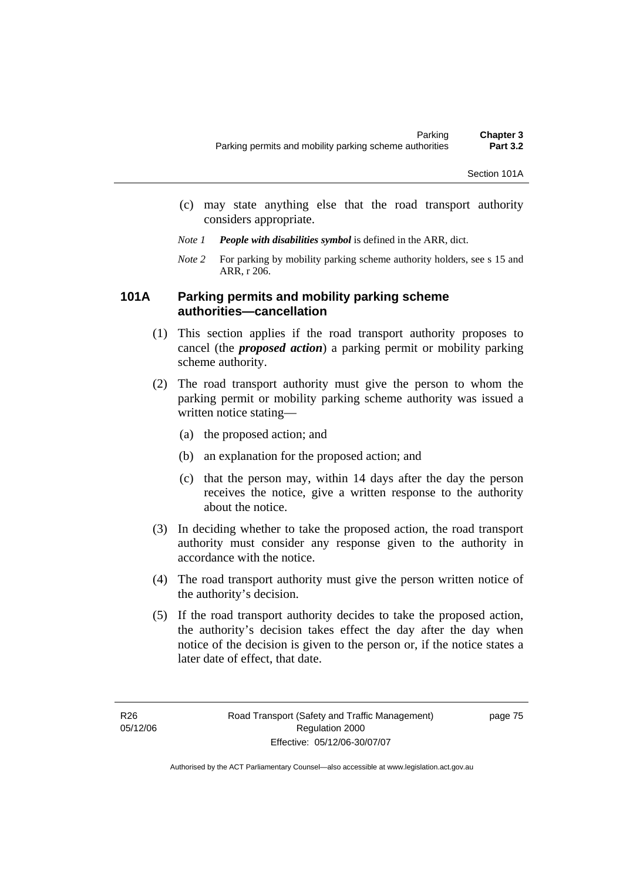- (c) may state anything else that the road transport authority considers appropriate.
- *Note 1 People with disabilities symbol* is defined in the ARR, dict.
- *Note 2* For parking by mobility parking scheme authority holders, see s 15 and ARR, r 206.

# **101A Parking permits and mobility parking scheme authorities—cancellation**

- (1) This section applies if the road transport authority proposes to cancel (the *proposed action*) a parking permit or mobility parking scheme authority.
- (2) The road transport authority must give the person to whom the parking permit or mobility parking scheme authority was issued a written notice stating—
	- (a) the proposed action; and
	- (b) an explanation for the proposed action; and
	- (c) that the person may, within 14 days after the day the person receives the notice, give a written response to the authority about the notice.
- (3) In deciding whether to take the proposed action, the road transport authority must consider any response given to the authority in accordance with the notice.
- (4) The road transport authority must give the person written notice of the authority's decision.
- (5) If the road transport authority decides to take the proposed action, the authority's decision takes effect the day after the day when notice of the decision is given to the person or, if the notice states a later date of effect, that date.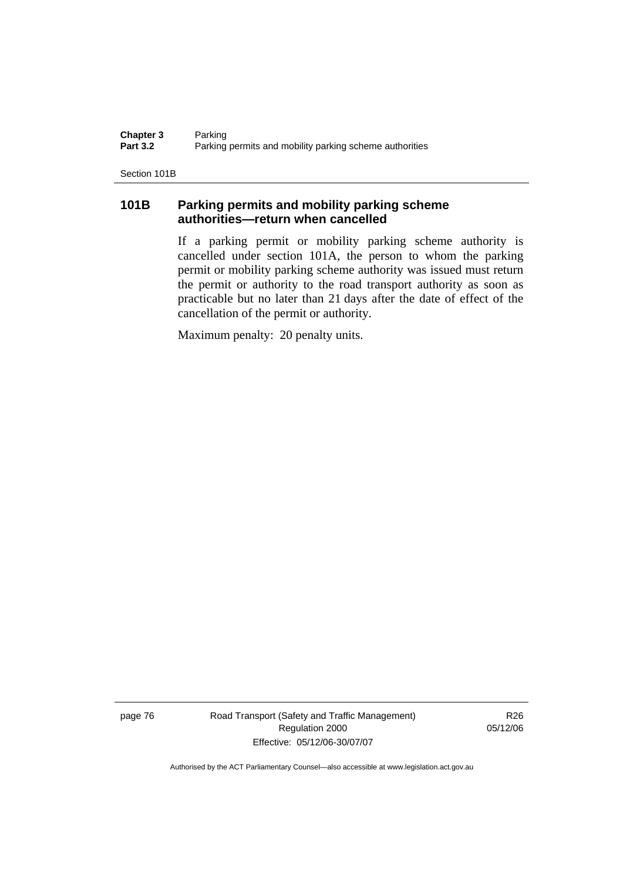**Chapter 3** Parking<br>**Part 3.2** Parking Parking permits and mobility parking scheme authorities

Section 101B

# **101B Parking permits and mobility parking scheme authorities—return when cancelled**

If a parking permit or mobility parking scheme authority is cancelled under section 101A, the person to whom the parking permit or mobility parking scheme authority was issued must return the permit or authority to the road transport authority as soon as practicable but no later than 21 days after the date of effect of the cancellation of the permit or authority.

Maximum penalty: 20 penalty units.

page 76 Road Transport (Safety and Traffic Management) Regulation 2000 Effective: 05/12/06-30/07/07

R26 05/12/06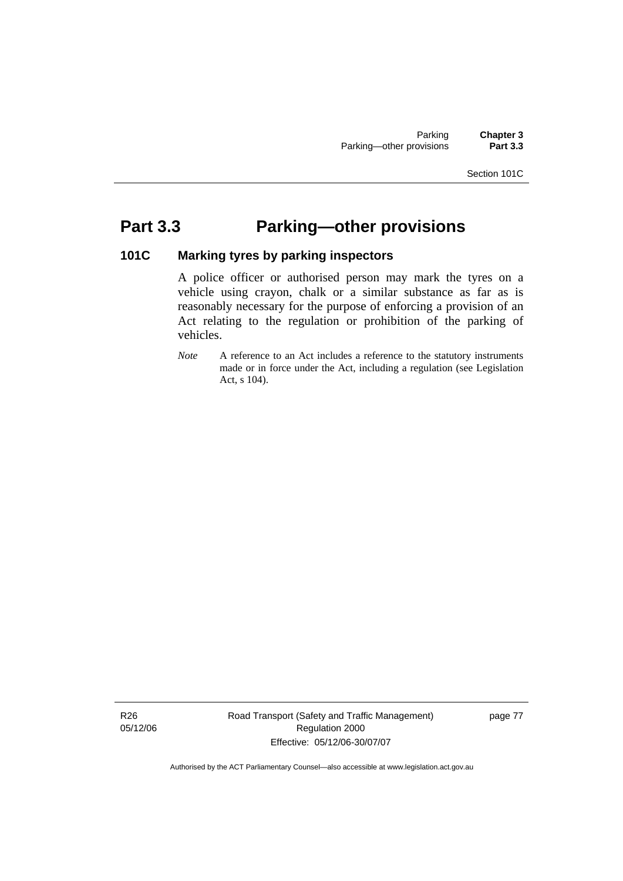### Section 101C

# **Part 3.3 Parking—other provisions**

### **101C Marking tyres by parking inspectors**

A police officer or authorised person may mark the tyres on a vehicle using crayon, chalk or a similar substance as far as is reasonably necessary for the purpose of enforcing a provision of an Act relating to the regulation or prohibition of the parking of vehicles.

*Note* A reference to an Act includes a reference to the statutory instruments made or in force under the Act, including a regulation (see Legislation Act, s 104).

Road Transport (Safety and Traffic Management) Regulation 2000 Effective: 05/12/06-30/07/07

page 77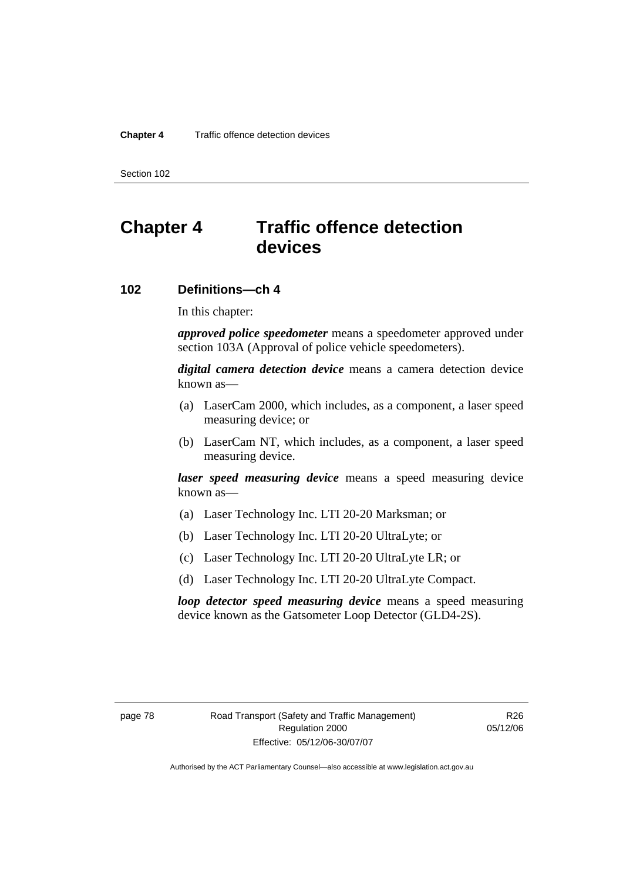Section 102

# **Chapter 4 Traffic offence detection devices**

## **102 Definitions—ch 4**

In this chapter:

*approved police speedometer* means a speedometer approved under section 103A (Approval of police vehicle speedometers).

*digital camera detection device* means a camera detection device known as—

- (a) LaserCam 2000, which includes, as a component, a laser speed measuring device; or
- (b) LaserCam NT, which includes, as a component, a laser speed measuring device.

*laser speed measuring device* means a speed measuring device known as—

- (a) Laser Technology Inc. LTI 20-20 Marksman; or
- (b) Laser Technology Inc. LTI 20-20 UltraLyte; or
- (c) Laser Technology Inc. LTI 20-20 UltraLyte LR; or
- (d) Laser Technology Inc. LTI 20-20 UltraLyte Compact.

*loop detector speed measuring device* means a speed measuring device known as the Gatsometer Loop Detector (GLD4-2S).

R26 05/12/06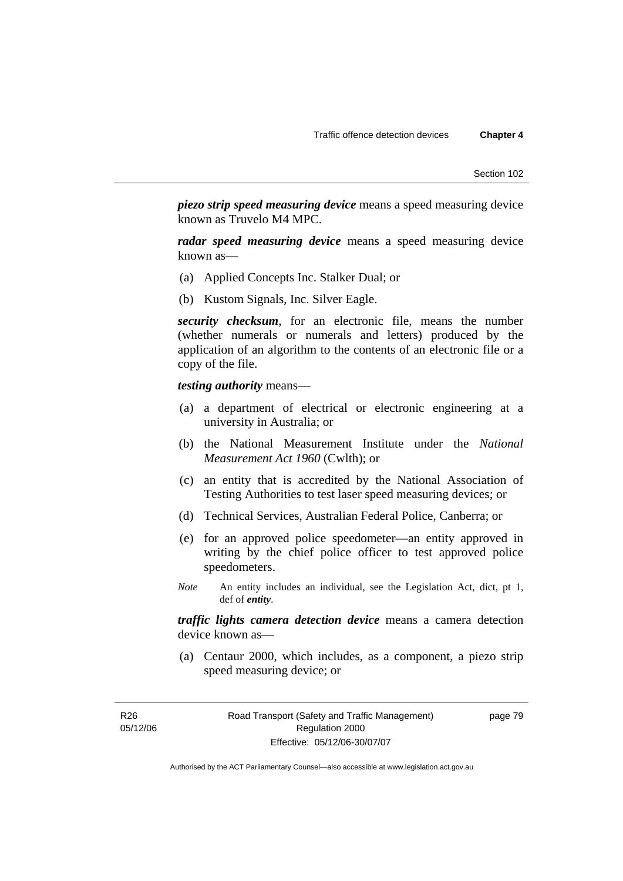*piezo strip speed measuring device* means a speed measuring device known as Truvelo M4 MPC.

*radar speed measuring device* means a speed measuring device known as—

- (a) Applied Concepts Inc. Stalker Dual; or
- (b) Kustom Signals, Inc. Silver Eagle.

*security checksum*, for an electronic file, means the number (whether numerals or numerals and letters) produced by the application of an algorithm to the contents of an electronic file or a copy of the file.

### *testing authority* means—

- (a) a department of electrical or electronic engineering at a university in Australia; or
- (b) the National Measurement Institute under the *National Measurement Act 1960* (Cwlth); or
- (c) an entity that is accredited by the National Association of Testing Authorities to test laser speed measuring devices; or
- (d) Technical Services, Australian Federal Police, Canberra; or
- (e) for an approved police speedometer—an entity approved in writing by the chief police officer to test approved police speedometers.
- *Note* An entity includes an individual, see the Legislation Act, dict, pt 1, def of *entity*.

*traffic lights camera detection device* means a camera detection device known as—

 (a) Centaur 2000, which includes, as a component, a piezo strip speed measuring device; or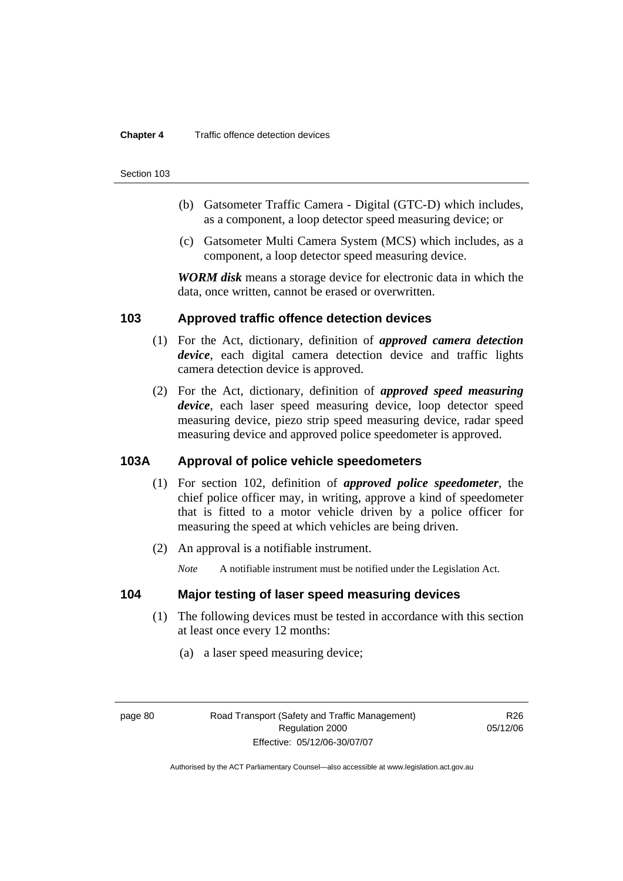### **Chapter 4** Traffic offence detection devices

#### Section 103

- (b) Gatsometer Traffic Camera Digital (GTC-D) which includes, as a component, a loop detector speed measuring device; or
- (c) Gatsometer Multi Camera System (MCS) which includes, as a component, a loop detector speed measuring device.

*WORM disk* means a storage device for electronic data in which the data, once written, cannot be erased or overwritten.

### **103 Approved traffic offence detection devices**

- (1) For the Act, dictionary, definition of *approved camera detection device*, each digital camera detection device and traffic lights camera detection device is approved.
- (2) For the Act, dictionary, definition of *approved speed measuring device*, each laser speed measuring device, loop detector speed measuring device, piezo strip speed measuring device, radar speed measuring device and approved police speedometer is approved.

### **103A Approval of police vehicle speedometers**

- (1) For section 102, definition of *approved police speedometer*, the chief police officer may, in writing, approve a kind of speedometer that is fitted to a motor vehicle driven by a police officer for measuring the speed at which vehicles are being driven.
- (2) An approval is a notifiable instrument.

*Note* A notifiable instrument must be notified under the Legislation Act.

# **104 Major testing of laser speed measuring devices**

- (1) The following devices must be tested in accordance with this section at least once every 12 months:
	- (a) a laser speed measuring device;

page 80 Road Transport (Safety and Traffic Management) Regulation 2000 Effective: 05/12/06-30/07/07

R<sub>26</sub> 05/12/06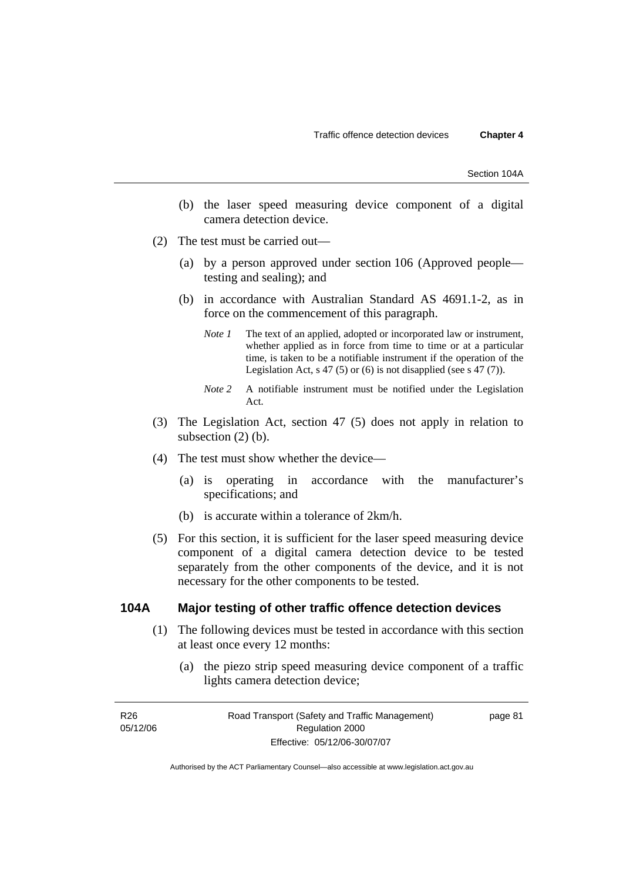- (b) the laser speed measuring device component of a digital camera detection device.
- (2) The test must be carried out—
	- (a) by a person approved under section 106 (Approved people testing and sealing); and
	- (b) in accordance with Australian Standard AS 4691.1-2, as in force on the commencement of this paragraph.
		- *Note 1* The text of an applied, adopted or incorporated law or instrument, whether applied as in force from time to time or at a particular time, is taken to be a notifiable instrument if the operation of the Legislation Act, s 47 (5) or (6) is not disapplied (see s 47 (7)).
		- *Note 2* A notifiable instrument must be notified under the Legislation Act.
- (3) The Legislation Act, section 47 (5) does not apply in relation to subsection  $(2)$  (b).
- (4) The test must show whether the device—
	- (a) is operating in accordance with the manufacturer's specifications; and
	- (b) is accurate within a tolerance of 2km/h.
- (5) For this section, it is sufficient for the laser speed measuring device component of a digital camera detection device to be tested separately from the other components of the device, and it is not necessary for the other components to be tested.

### **104A Major testing of other traffic offence detection devices**

- (1) The following devices must be tested in accordance with this section at least once every 12 months:
	- (a) the piezo strip speed measuring device component of a traffic lights camera detection device;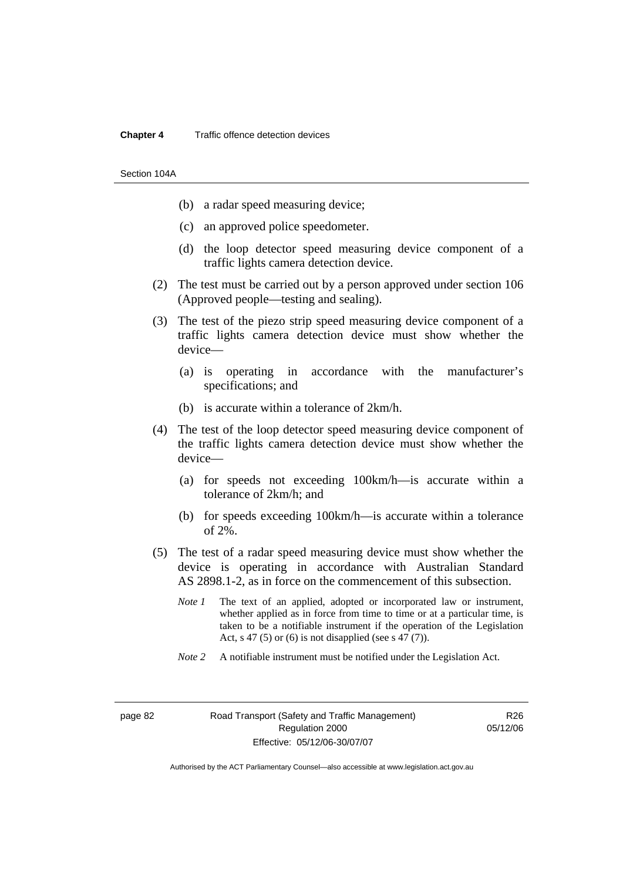#### **Chapter 4** Traffic offence detection devices

Section 104A

- (b) a radar speed measuring device;
- (c) an approved police speedometer.
- (d) the loop detector speed measuring device component of a traffic lights camera detection device.
- (2) The test must be carried out by a person approved under section 106 (Approved people—testing and sealing).
- (3) The test of the piezo strip speed measuring device component of a traffic lights camera detection device must show whether the device—
	- (a) is operating in accordance with the manufacturer's specifications; and
	- (b) is accurate within a tolerance of 2km/h.
- (4) The test of the loop detector speed measuring device component of the traffic lights camera detection device must show whether the device—
	- (a) for speeds not exceeding 100km/h—is accurate within a tolerance of 2km/h; and
	- (b) for speeds exceeding 100km/h—is accurate within a tolerance of 2%.
- (5) The test of a radar speed measuring device must show whether the device is operating in accordance with Australian Standard AS 2898.1-2, as in force on the commencement of this subsection.
	- *Note 1* The text of an applied, adopted or incorporated law or instrument, whether applied as in force from time to time or at a particular time, is taken to be a notifiable instrument if the operation of the Legislation Act, s 47 (5) or (6) is not disapplied (see s 47 (7)).
	- *Note 2* A notifiable instrument must be notified under the Legislation Act.

R26 05/12/06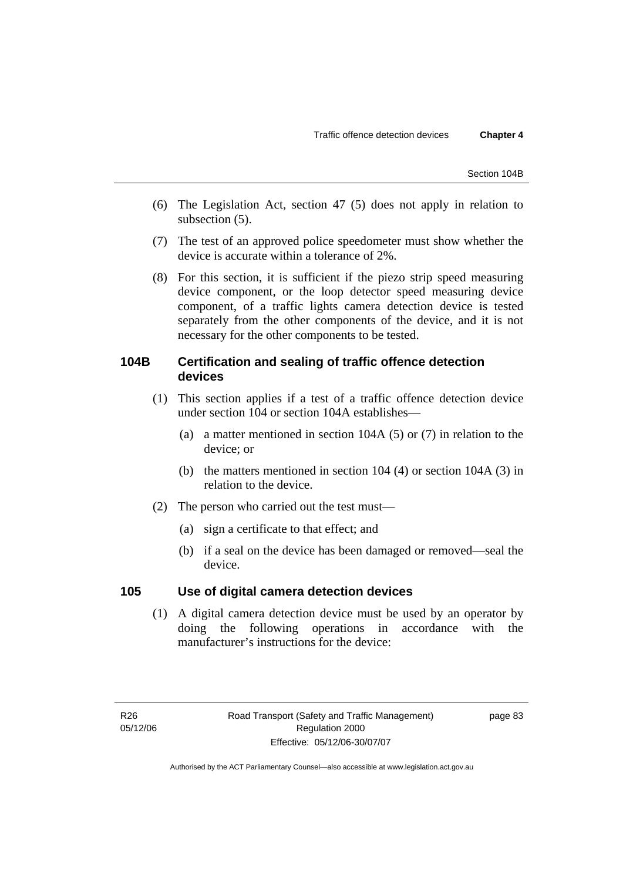- (6) The Legislation Act, section 47 (5) does not apply in relation to subsection (5).
- (7) The test of an approved police speedometer must show whether the device is accurate within a tolerance of 2%.
- (8) For this section, it is sufficient if the piezo strip speed measuring device component, or the loop detector speed measuring device component, of a traffic lights camera detection device is tested separately from the other components of the device, and it is not necessary for the other components to be tested.

# **104B Certification and sealing of traffic offence detection devices**

- (1) This section applies if a test of a traffic offence detection device under section 104 or section 104A establishes—
	- (a) a matter mentioned in section 104A (5) or (7) in relation to the device; or
	- (b) the matters mentioned in section 104 (4) or section 104A (3) in relation to the device.
- (2) The person who carried out the test must—
	- (a) sign a certificate to that effect; and
	- (b) if a seal on the device has been damaged or removed—seal the device.

# **105 Use of digital camera detection devices**

 (1) A digital camera detection device must be used by an operator by doing the following operations in accordance with the manufacturer's instructions for the device: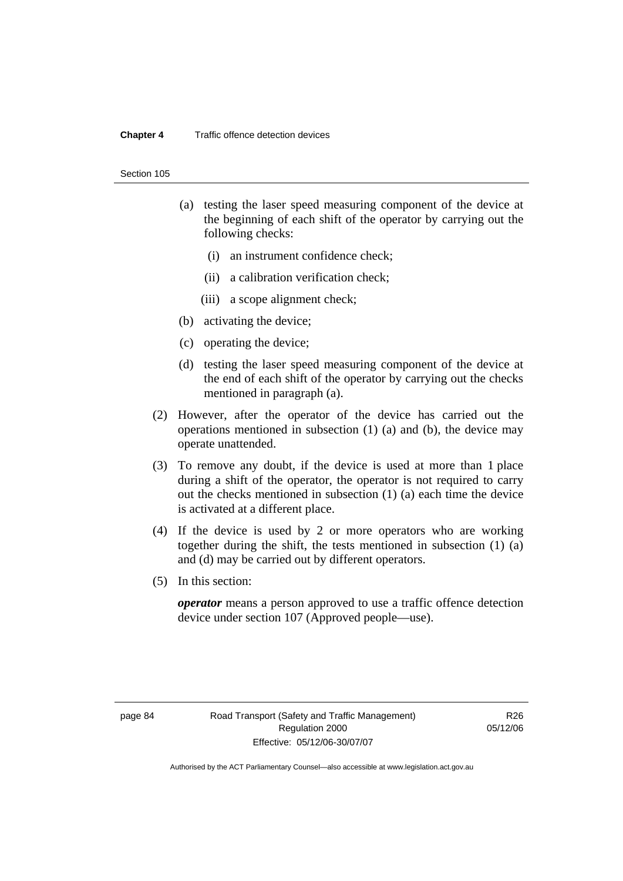### **Chapter 4** Traffic offence detection devices

#### Section 105

- (a) testing the laser speed measuring component of the device at the beginning of each shift of the operator by carrying out the following checks:
	- (i) an instrument confidence check;
	- (ii) a calibration verification check;
	- (iii) a scope alignment check;
- (b) activating the device;
- (c) operating the device;
- (d) testing the laser speed measuring component of the device at the end of each shift of the operator by carrying out the checks mentioned in paragraph (a).
- (2) However, after the operator of the device has carried out the operations mentioned in subsection (1) (a) and (b), the device may operate unattended.
- (3) To remove any doubt, if the device is used at more than 1 place during a shift of the operator, the operator is not required to carry out the checks mentioned in subsection (1) (a) each time the device is activated at a different place.
- (4) If the device is used by 2 or more operators who are working together during the shift, the tests mentioned in subsection (1) (a) and (d) may be carried out by different operators.
- (5) In this section:

*operator* means a person approved to use a traffic offence detection device under section 107 (Approved people—use).

R26 05/12/06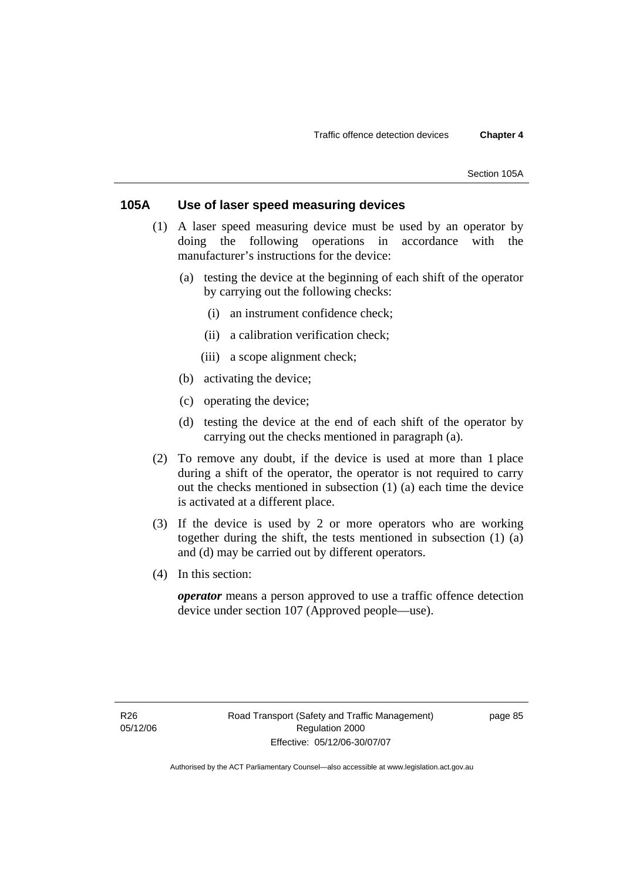# **105A Use of laser speed measuring devices**

- (1) A laser speed measuring device must be used by an operator by doing the following operations in accordance with the manufacturer's instructions for the device:
	- (a) testing the device at the beginning of each shift of the operator by carrying out the following checks:
		- (i) an instrument confidence check;
		- (ii) a calibration verification check;
		- (iii) a scope alignment check;
	- (b) activating the device;
	- (c) operating the device;
	- (d) testing the device at the end of each shift of the operator by carrying out the checks mentioned in paragraph (a).
- (2) To remove any doubt, if the device is used at more than 1 place during a shift of the operator, the operator is not required to carry out the checks mentioned in subsection (1) (a) each time the device is activated at a different place.
- (3) If the device is used by 2 or more operators who are working together during the shift, the tests mentioned in subsection (1) (a) and (d) may be carried out by different operators.
- (4) In this section:

*operator* means a person approved to use a traffic offence detection device under section 107 (Approved people—use).

page 85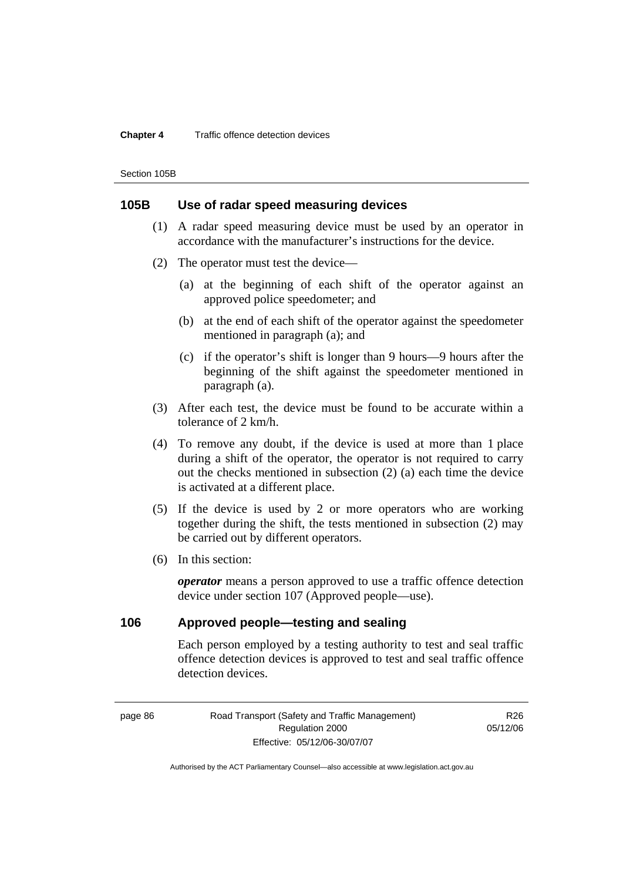#### **Chapter 4** Traffic offence detection devices

Section 105B

### **105B Use of radar speed measuring devices**

- (1) A radar speed measuring device must be used by an operator in accordance with the manufacturer's instructions for the device.
- (2) The operator must test the device—
	- (a) at the beginning of each shift of the operator against an approved police speedometer; and
	- (b) at the end of each shift of the operator against the speedometer mentioned in paragraph (a); and
	- (c) if the operator's shift is longer than 9 hours—9 hours after the beginning of the shift against the speedometer mentioned in paragraph (a).
- (3) After each test, the device must be found to be accurate within a tolerance of 2 km/h.
- (4) To remove any doubt, if the device is used at more than 1 place during a shift of the operator, the operator is not required to carry out the checks mentioned in subsection (2) (a) each time the device is activated at a different place.
- (5) If the device is used by 2 or more operators who are working together during the shift, the tests mentioned in subsection (2) may be carried out by different operators.
- (6) In this section:

*operator* means a person approved to use a traffic offence detection device under section 107 (Approved people—use).

### **106 Approved people—testing and sealing**

Each person employed by a testing authority to test and seal traffic offence detection devices is approved to test and seal traffic offence detection devices.

page 86 Road Transport (Safety and Traffic Management) Regulation 2000 Effective: 05/12/06-30/07/07

R26 05/12/06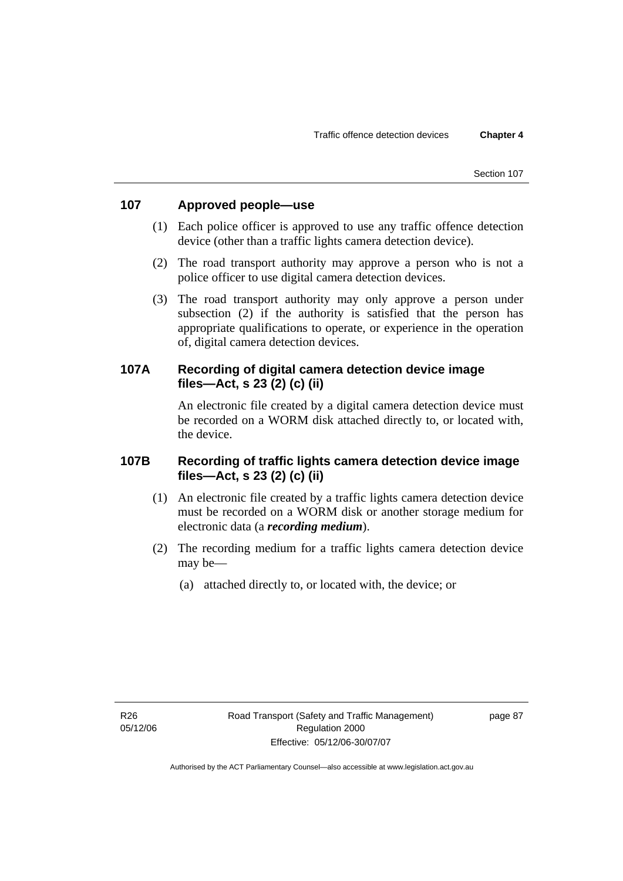# **107 Approved people—use**

- (1) Each police officer is approved to use any traffic offence detection device (other than a traffic lights camera detection device).
- (2) The road transport authority may approve a person who is not a police officer to use digital camera detection devices.
- (3) The road transport authority may only approve a person under subsection (2) if the authority is satisfied that the person has appropriate qualifications to operate, or experience in the operation of, digital camera detection devices.

# **107A Recording of digital camera detection device image files—Act, s 23 (2) (c) (ii)**

An electronic file created by a digital camera detection device must be recorded on a WORM disk attached directly to, or located with, the device.

# **107B Recording of traffic lights camera detection device image files—Act, s 23 (2) (c) (ii)**

- (1) An electronic file created by a traffic lights camera detection device must be recorded on a WORM disk or another storage medium for electronic data (a *recording medium*).
- (2) The recording medium for a traffic lights camera detection device may be—
	- (a) attached directly to, or located with, the device; or

page 87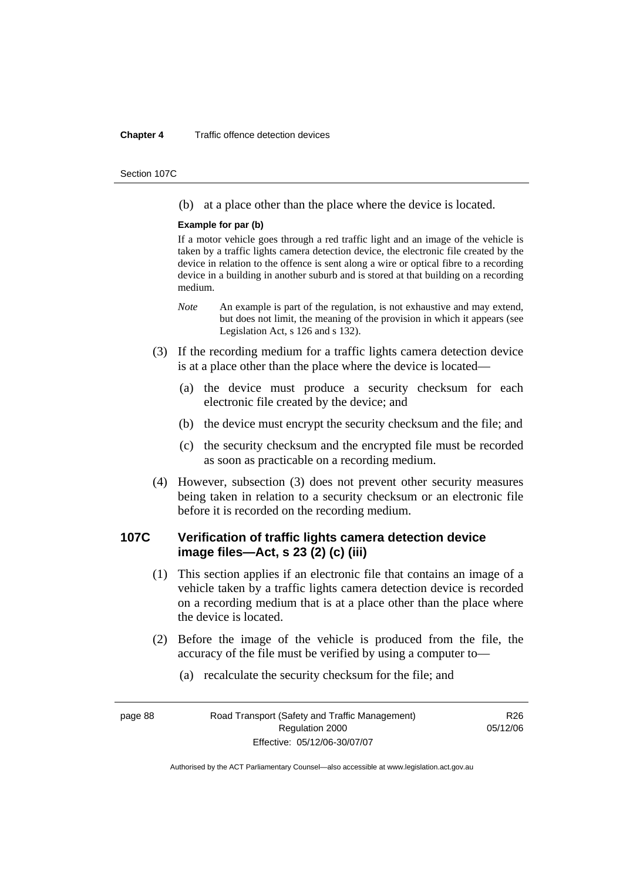#### **Chapter 4** Traffic offence detection devices

Section 107C

(b) at a place other than the place where the device is located.

### **Example for par (b)**

If a motor vehicle goes through a red traffic light and an image of the vehicle is taken by a traffic lights camera detection device, the electronic file created by the device in relation to the offence is sent along a wire or optical fibre to a recording device in a building in another suburb and is stored at that building on a recording medium.

- *Note* An example is part of the regulation, is not exhaustive and may extend, but does not limit, the meaning of the provision in which it appears (see Legislation Act, s 126 and s 132).
- (3) If the recording medium for a traffic lights camera detection device is at a place other than the place where the device is located—
	- (a) the device must produce a security checksum for each electronic file created by the device; and
	- (b) the device must encrypt the security checksum and the file; and
	- (c) the security checksum and the encrypted file must be recorded as soon as practicable on a recording medium.
- (4) However, subsection (3) does not prevent other security measures being taken in relation to a security checksum or an electronic file before it is recorded on the recording medium.

# **107C Verification of traffic lights camera detection device image files—Act, s 23 (2) (c) (iii)**

- (1) This section applies if an electronic file that contains an image of a vehicle taken by a traffic lights camera detection device is recorded on a recording medium that is at a place other than the place where the device is located.
- (2) Before the image of the vehicle is produced from the file, the accuracy of the file must be verified by using a computer to—
	- (a) recalculate the security checksum for the file; and

page 88 Road Transport (Safety and Traffic Management) Regulation 2000 Effective: 05/12/06-30/07/07

R<sub>26</sub> 05/12/06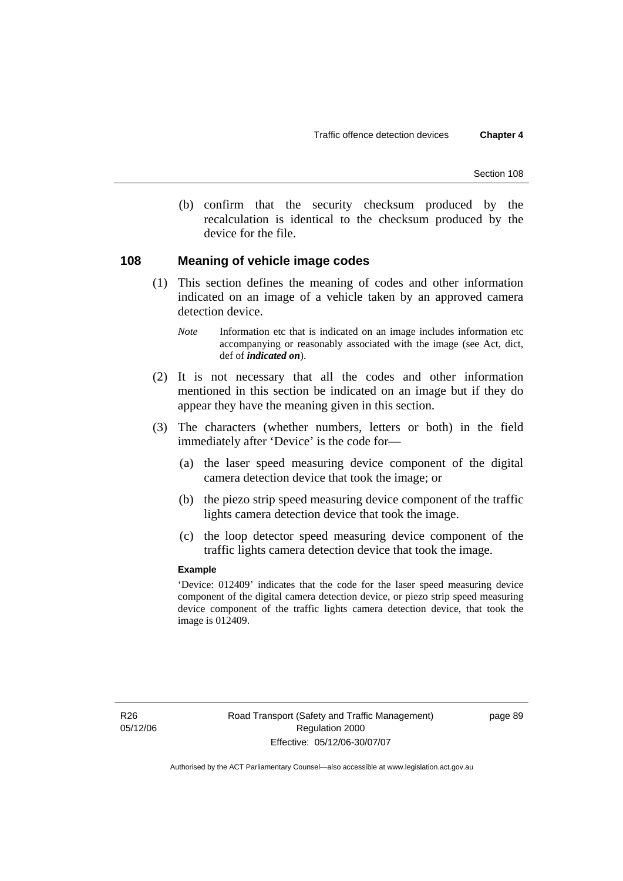(b) confirm that the security checksum produced by the recalculation is identical to the checksum produced by the device for the file.

### **108 Meaning of vehicle image codes**

- (1) This section defines the meaning of codes and other information indicated on an image of a vehicle taken by an approved camera detection device.
	- *Note* Information etc that is indicated on an image includes information etc accompanying or reasonably associated with the image (see Act, dict, def of *indicated on*).
- (2) It is not necessary that all the codes and other information mentioned in this section be indicated on an image but if they do appear they have the meaning given in this section.
- (3) The characters (whether numbers, letters or both) in the field immediately after 'Device' is the code for—
	- (a) the laser speed measuring device component of the digital camera detection device that took the image; or
	- (b) the piezo strip speed measuring device component of the traffic lights camera detection device that took the image.
	- (c) the loop detector speed measuring device component of the traffic lights camera detection device that took the image.

### **Example**

'Device: 012409' indicates that the code for the laser speed measuring device component of the digital camera detection device, or piezo strip speed measuring device component of the traffic lights camera detection device, that took the image is 012409.

page 89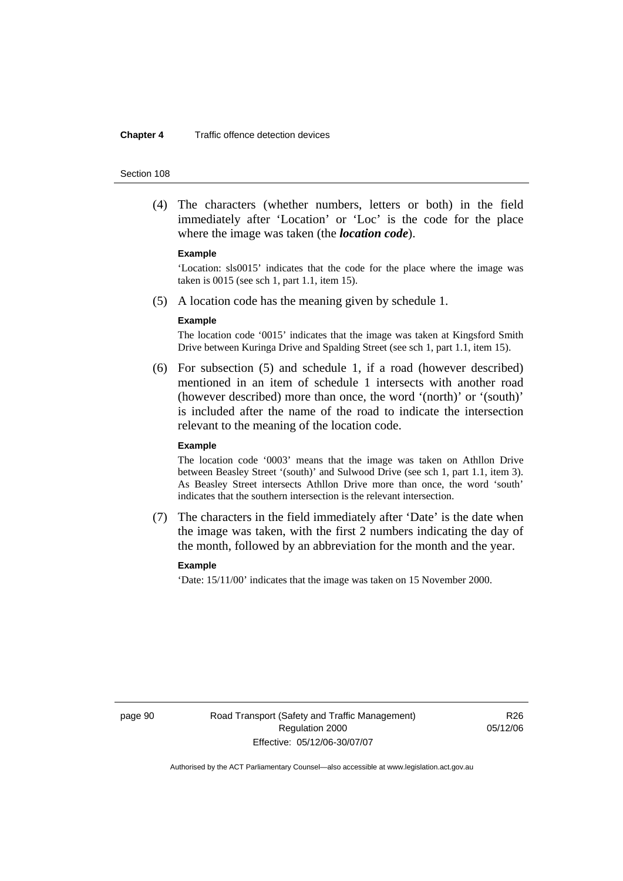#### **Chapter 4** Traffic offence detection devices

#### Section 108

 (4) The characters (whether numbers, letters or both) in the field immediately after 'Location' or 'Loc' is the code for the place where the image was taken (the *location code*).

#### **Example**

'Location: sls0015' indicates that the code for the place where the image was taken is 0015 (see sch 1, part 1.1, item 15).

(5) A location code has the meaning given by schedule 1.

#### **Example**

The location code '0015' indicates that the image was taken at Kingsford Smith Drive between Kuringa Drive and Spalding Street (see sch 1, part 1.1, item 15).

 (6) For subsection (5) and schedule 1, if a road (however described) mentioned in an item of schedule 1 intersects with another road (however described) more than once, the word '(north)' or '(south)' is included after the name of the road to indicate the intersection relevant to the meaning of the location code.

#### **Example**

The location code '0003' means that the image was taken on Athllon Drive between Beasley Street '(south)' and Sulwood Drive (see sch 1, part 1.1, item 3). As Beasley Street intersects Athllon Drive more than once, the word 'south' indicates that the southern intersection is the relevant intersection.

 (7) The characters in the field immediately after 'Date' is the date when the image was taken, with the first 2 numbers indicating the day of the month, followed by an abbreviation for the month and the year.

### **Example**

'Date: 15/11/00' indicates that the image was taken on 15 November 2000.

page 90 Road Transport (Safety and Traffic Management) Regulation 2000 Effective: 05/12/06-30/07/07

R<sub>26</sub> 05/12/06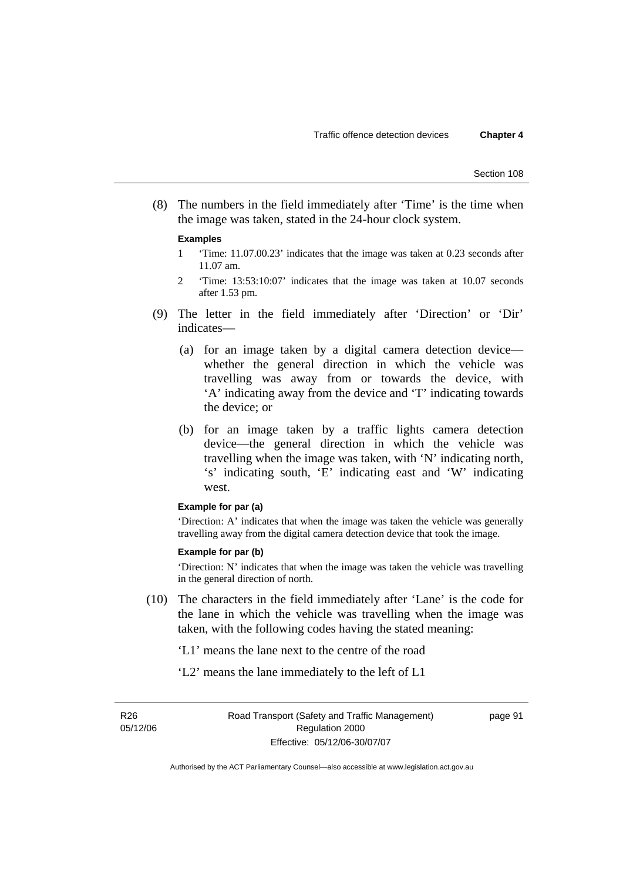(8) The numbers in the field immediately after 'Time' is the time when the image was taken, stated in the 24-hour clock system.

#### **Examples**

- 1 'Time: 11.07.00.23' indicates that the image was taken at 0.23 seconds after 11.07 am.
- 2 'Time: 13:53:10:07' indicates that the image was taken at 10.07 seconds after 1.53 pm.
- (9) The letter in the field immediately after 'Direction' or 'Dir' indicates—
	- (a) for an image taken by a digital camera detection device whether the general direction in which the vehicle was travelling was away from or towards the device, with 'A' indicating away from the device and 'T' indicating towards the device; or
	- (b) for an image taken by a traffic lights camera detection device—the general direction in which the vehicle was travelling when the image was taken, with 'N' indicating north, 's' indicating south, 'E' indicating east and 'W' indicating west.

### **Example for par (a)**

'Direction: A' indicates that when the image was taken the vehicle was generally travelling away from the digital camera detection device that took the image.

### **Example for par (b)**

'Direction: N' indicates that when the image was taken the vehicle was travelling in the general direction of north.

- (10) The characters in the field immediately after 'Lane' is the code for the lane in which the vehicle was travelling when the image was taken, with the following codes having the stated meaning:
	- 'L1' means the lane next to the centre of the road
	- 'L2' means the lane immediately to the left of L1

R26 05/12/06

page 91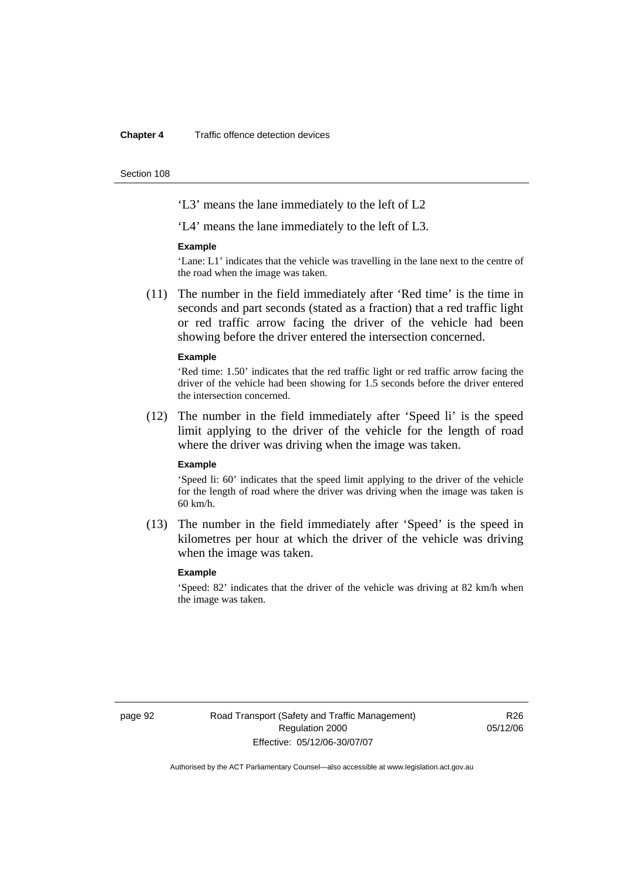#### **Chapter 4** Traffic offence detection devices

Section 108

'L3' means the lane immediately to the left of L2

'L4' means the lane immediately to the left of L3.

#### **Example**

'Lane: L1' indicates that the vehicle was travelling in the lane next to the centre of the road when the image was taken.

 (11) The number in the field immediately after 'Red time' is the time in seconds and part seconds (stated as a fraction) that a red traffic light or red traffic arrow facing the driver of the vehicle had been showing before the driver entered the intersection concerned.

### **Example**

'Red time: 1.50' indicates that the red traffic light or red traffic arrow facing the driver of the vehicle had been showing for 1.5 seconds before the driver entered the intersection concerned.

 (12) The number in the field immediately after 'Speed li' is the speed limit applying to the driver of the vehicle for the length of road where the driver was driving when the image was taken.

### **Example**

'Speed li: 60' indicates that the speed limit applying to the driver of the vehicle for the length of road where the driver was driving when the image was taken is 60 km/h.

 (13) The number in the field immediately after 'Speed' is the speed in kilometres per hour at which the driver of the vehicle was driving when the image was taken.

### **Example**

'Speed: 82' indicates that the driver of the vehicle was driving at 82 km/h when the image was taken.

page 92 Road Transport (Safety and Traffic Management) Regulation 2000 Effective: 05/12/06-30/07/07

R<sub>26</sub> 05/12/06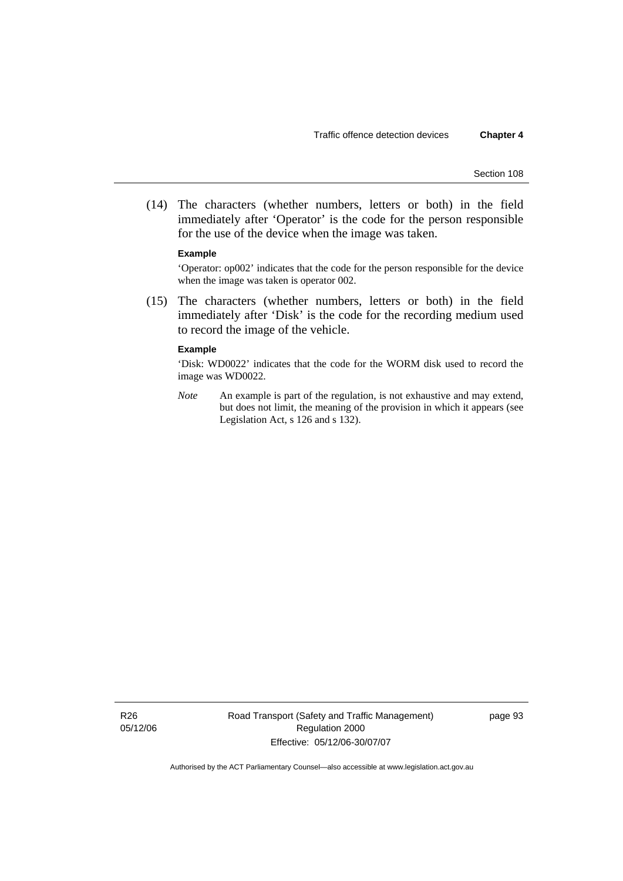(14) The characters (whether numbers, letters or both) in the field immediately after 'Operator' is the code for the person responsible for the use of the device when the image was taken.

#### **Example**

'Operator: op002' indicates that the code for the person responsible for the device when the image was taken is operator 002.

 (15) The characters (whether numbers, letters or both) in the field immediately after 'Disk' is the code for the recording medium used to record the image of the vehicle.

### **Example**

'Disk: WD0022' indicates that the code for the WORM disk used to record the image was WD0022.

*Note* An example is part of the regulation, is not exhaustive and may extend, but does not limit, the meaning of the provision in which it appears (see Legislation Act, s 126 and s 132).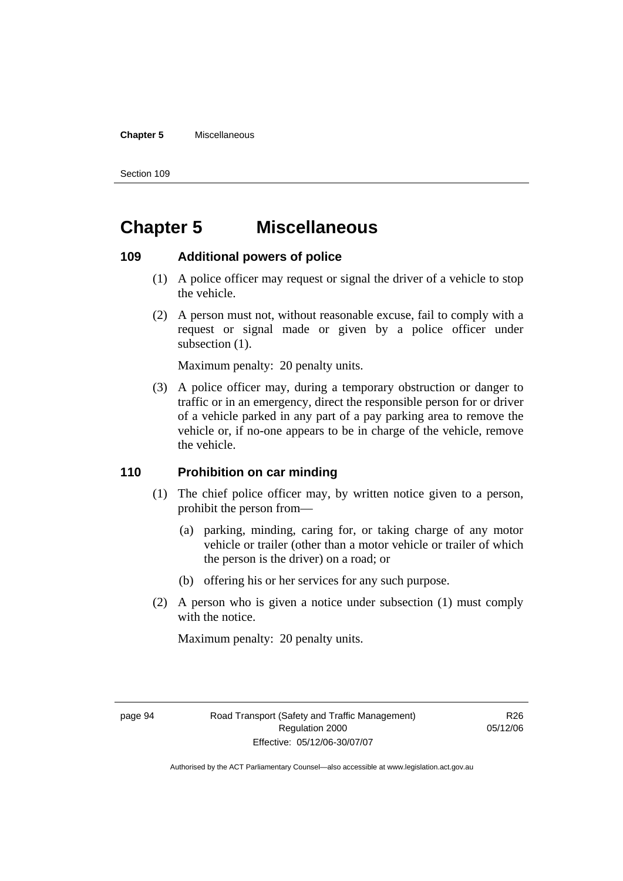### **Chapter 5** Miscellaneous

Section 109

# **Chapter 5 Miscellaneous**

### **109 Additional powers of police**

- (1) A police officer may request or signal the driver of a vehicle to stop the vehicle.
- (2) A person must not, without reasonable excuse, fail to comply with a request or signal made or given by a police officer under subsection  $(1)$ .

Maximum penalty: 20 penalty units.

 (3) A police officer may, during a temporary obstruction or danger to traffic or in an emergency, direct the responsible person for or driver of a vehicle parked in any part of a pay parking area to remove the vehicle or, if no-one appears to be in charge of the vehicle, remove the vehicle.

## **110 Prohibition on car minding**

- (1) The chief police officer may, by written notice given to a person, prohibit the person from—
	- (a) parking, minding, caring for, or taking charge of any motor vehicle or trailer (other than a motor vehicle or trailer of which the person is the driver) on a road; or
	- (b) offering his or her services for any such purpose.
- (2) A person who is given a notice under subsection (1) must comply with the notice.

Maximum penalty: 20 penalty units.

R26 05/12/06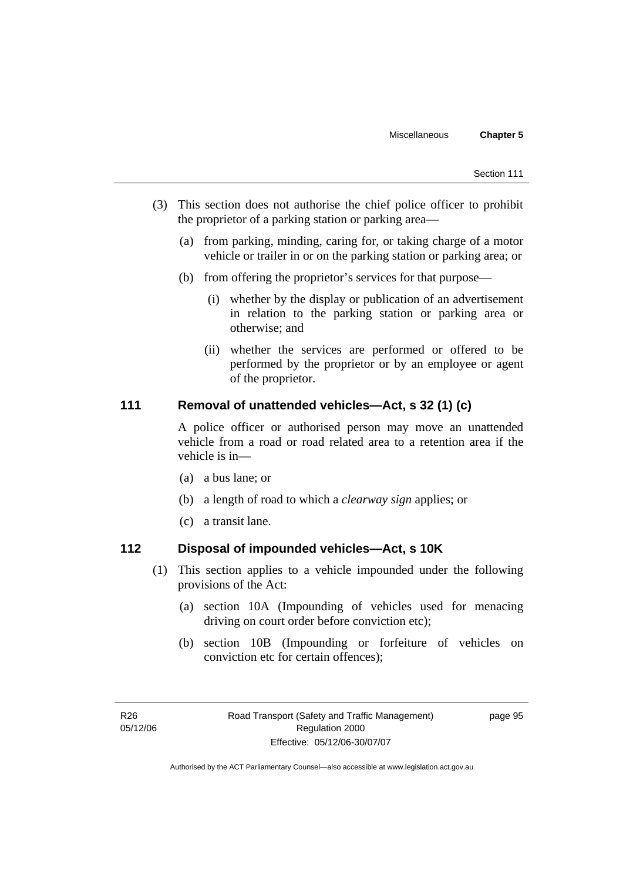- (3) This section does not authorise the chief police officer to prohibit the proprietor of a parking station or parking area—
	- (a) from parking, minding, caring for, or taking charge of a motor vehicle or trailer in or on the parking station or parking area; or
	- (b) from offering the proprietor's services for that purpose—
		- (i) whether by the display or publication of an advertisement in relation to the parking station or parking area or otherwise; and
		- (ii) whether the services are performed or offered to be performed by the proprietor or by an employee or agent of the proprietor.

### **111 Removal of unattended vehicles—Act, s 32 (1) (c)**

A police officer or authorised person may move an unattended vehicle from a road or road related area to a retention area if the vehicle is in—

- (a) a bus lane; or
- (b) a length of road to which a *clearway sign* applies; or
- (c) a transit lane.

# **112 Disposal of impounded vehicles—Act, s 10K**

- (1) This section applies to a vehicle impounded under the following provisions of the Act:
	- (a) section 10A (Impounding of vehicles used for menacing driving on court order before conviction etc);
	- (b) section 10B (Impounding or forfeiture of vehicles on conviction etc for certain offences);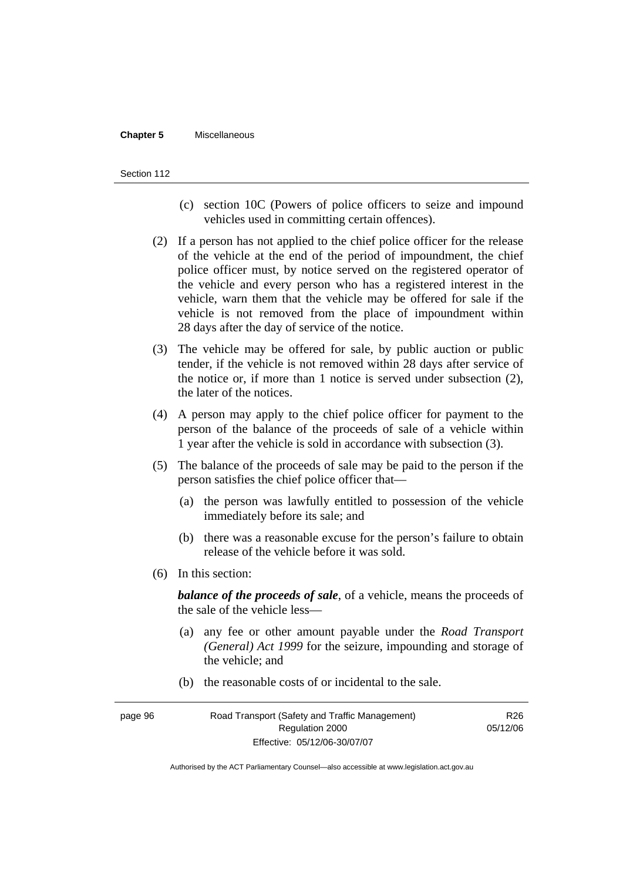#### **Chapter 5** Miscellaneous

#### Section 112

- (c) section 10C (Powers of police officers to seize and impound vehicles used in committing certain offences).
- (2) If a person has not applied to the chief police officer for the release of the vehicle at the end of the period of impoundment, the chief police officer must, by notice served on the registered operator of the vehicle and every person who has a registered interest in the vehicle, warn them that the vehicle may be offered for sale if the vehicle is not removed from the place of impoundment within 28 days after the day of service of the notice.
- (3) The vehicle may be offered for sale, by public auction or public tender, if the vehicle is not removed within 28 days after service of the notice or, if more than 1 notice is served under subsection (2), the later of the notices.
- (4) A person may apply to the chief police officer for payment to the person of the balance of the proceeds of sale of a vehicle within 1 year after the vehicle is sold in accordance with subsection (3).
- (5) The balance of the proceeds of sale may be paid to the person if the person satisfies the chief police officer that—
	- (a) the person was lawfully entitled to possession of the vehicle immediately before its sale; and
	- (b) there was a reasonable excuse for the person's failure to obtain release of the vehicle before it was sold.
- (6) In this section:

*balance of the proceeds of sale*, of a vehicle, means the proceeds of the sale of the vehicle less—

- (a) any fee or other amount payable under the *Road Transport (General) Act 1999* for the seizure, impounding and storage of the vehicle; and
- (b) the reasonable costs of or incidental to the sale.

page 96 Road Transport (Safety and Traffic Management) Regulation 2000 Effective: 05/12/06-30/07/07 R<sub>26</sub> 05/12/06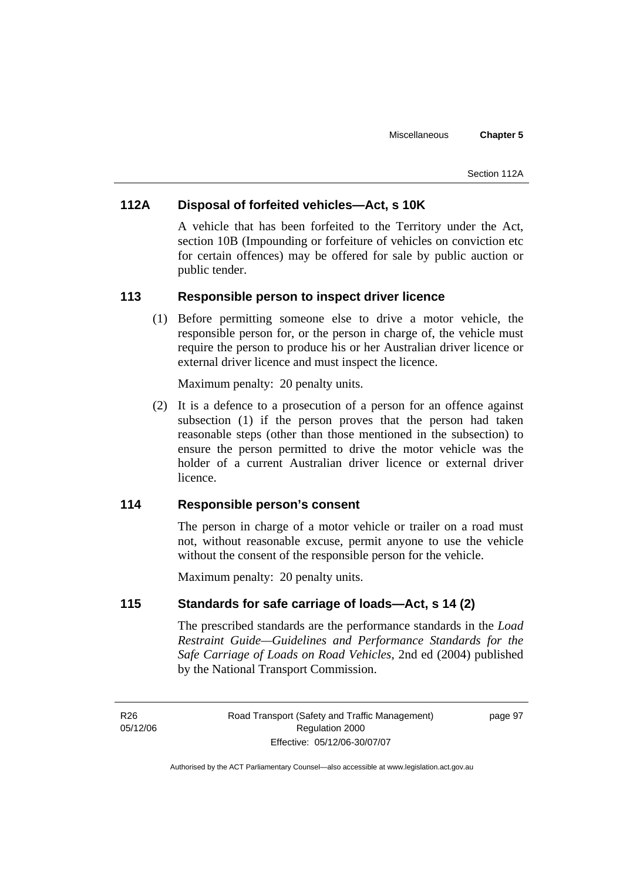#### Section 112A

# **112A Disposal of forfeited vehicles—Act, s 10K**

A vehicle that has been forfeited to the Territory under the Act, section 10B (Impounding or forfeiture of vehicles on conviction etc for certain offences) may be offered for sale by public auction or public tender.

### **113 Responsible person to inspect driver licence**

 (1) Before permitting someone else to drive a motor vehicle, the responsible person for, or the person in charge of, the vehicle must require the person to produce his or her Australian driver licence or external driver licence and must inspect the licence.

Maximum penalty: 20 penalty units.

 (2) It is a defence to a prosecution of a person for an offence against subsection (1) if the person proves that the person had taken reasonable steps (other than those mentioned in the subsection) to ensure the person permitted to drive the motor vehicle was the holder of a current Australian driver licence or external driver licence.

## **114 Responsible person's consent**

The person in charge of a motor vehicle or trailer on a road must not, without reasonable excuse, permit anyone to use the vehicle without the consent of the responsible person for the vehicle.

Maximum penalty: 20 penalty units.

# **115 Standards for safe carriage of loads—Act, s 14 (2)**

The prescribed standards are the performance standards in the *Load Restraint Guide—Guidelines and Performance Standards for the Safe Carriage of Loads on Road Vehicles*, 2nd ed (2004) published by the National Transport Commission.

R26 05/12/06 page 97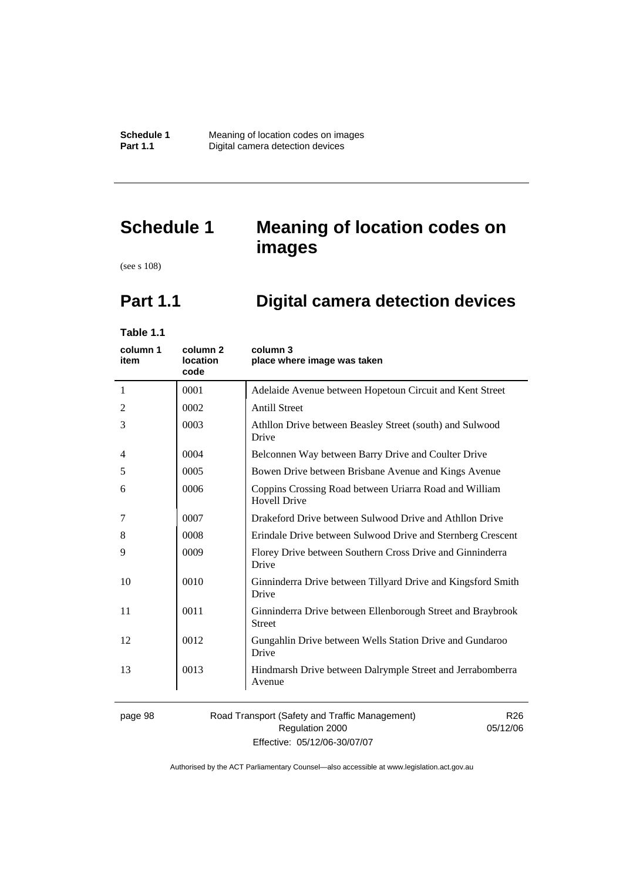# **Schedule 1 Meaning of location codes on images**

(see s 108)

# **Part 1.1 Digital camera detection devices**

**Table 1.1** 

| column 1<br>item | column <sub>2</sub><br>location<br>code | column 3<br>place where image was taken                                       |
|------------------|-----------------------------------------|-------------------------------------------------------------------------------|
| 1                | 0001                                    | Adelaide Avenue between Hopetoun Circuit and Kent Street                      |
| 2                | 0002                                    | <b>Antill Street</b>                                                          |
| 3                | 0003                                    | Athllon Drive between Beasley Street (south) and Sulwood<br>Drive             |
| 4                | 0004                                    | Belconnen Way between Barry Drive and Coulter Drive                           |
| 5                | 0005                                    | Bowen Drive between Brisbane Avenue and Kings Avenue                          |
| 6                | 0006                                    | Coppins Crossing Road between Uriarra Road and William<br><b>Hovell Drive</b> |
| 7                | 0007                                    | Drakeford Drive between Sulwood Drive and Athllon Drive                       |
| 8                | 0008                                    | Erindale Drive between Sulwood Drive and Sternberg Crescent                   |
| 9                | 0009                                    | Florey Drive between Southern Cross Drive and Ginninderra<br>Drive            |
| 10               | 0010                                    | Ginninderra Drive between Tillyard Drive and Kingsford Smith<br>Drive         |
| 11               | 0011                                    | Ginninderra Drive between Ellenborough Street and Braybrook<br><b>Street</b>  |
| 12               | 0012                                    | Gungahlin Drive between Wells Station Drive and Gundaroo<br>Drive             |
| 13               | 0013                                    | Hindmarsh Drive between Dalrymple Street and Jerrabomberra<br>Avenue          |
|                  |                                         |                                                                               |

page 98 Road Transport (Safety and Traffic Management) Regulation 2000 Effective: 05/12/06-30/07/07

R26 05/12/06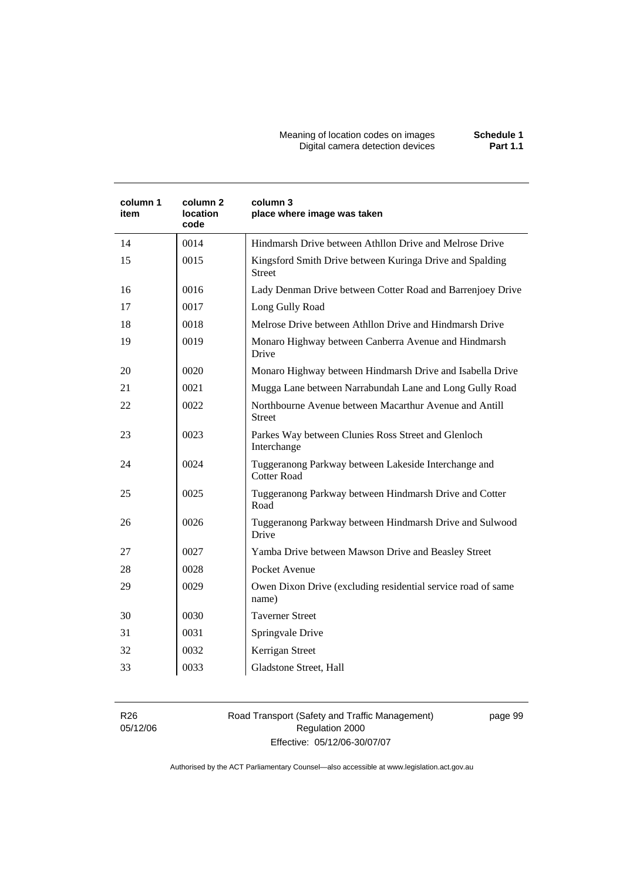#### Meaning of location codes on images **Schedule 1**  Digital camera detection devices **Part 1.1**

| column 1<br>item | column 2<br>location<br>code | column 3<br>place where image was taken                                    |
|------------------|------------------------------|----------------------------------------------------------------------------|
| 14               | 0014                         | Hindmarsh Drive between Athllon Drive and Melrose Drive                    |
| 15               | 0015                         | Kingsford Smith Drive between Kuringa Drive and Spalding<br><b>Street</b>  |
| 16               | 0016                         | Lady Denman Drive between Cotter Road and Barrenjoey Drive                 |
| 17               | 0017                         | Long Gully Road                                                            |
| 18               | 0018                         | Melrose Drive between Athllon Drive and Hindmarsh Drive                    |
| 19               | 0019                         | Monaro Highway between Canberra Avenue and Hindmarsh<br>Drive              |
| 20               | 0020                         | Monaro Highway between Hindmarsh Drive and Isabella Drive                  |
| 21               | 0021                         | Mugga Lane between Narrabundah Lane and Long Gully Road                    |
| 22               | 0022                         | Northbourne Avenue between Macarthur Avenue and Antill<br><b>Street</b>    |
| 23               | 0023                         | Parkes Way between Clunies Ross Street and Glenloch<br>Interchange         |
| 24               | 0024                         | Tuggeranong Parkway between Lakeside Interchange and<br><b>Cotter Road</b> |
| 25               | 0025                         | Tuggeranong Parkway between Hindmarsh Drive and Cotter<br>Road             |
| 26               | 0026                         | Tuggeranong Parkway between Hindmarsh Drive and Sulwood<br>Drive           |
| 27               | 0027                         | Yamba Drive between Mawson Drive and Beasley Street                        |
| 28               | 0028                         | Pocket Avenue                                                              |
| 29               | 0029                         | Owen Dixon Drive (excluding residential service road of same<br>name)      |
| 30               | 0030                         | <b>Taverner Street</b>                                                     |
| 31               | 0031                         | Springvale Drive                                                           |
| 32               | 0032                         | Kerrigan Street                                                            |
| 33               | 0033                         | Gladstone Street, Hall                                                     |

R26 05/12/06 Road Transport (Safety and Traffic Management) Regulation 2000 Effective: 05/12/06-30/07/07

page 99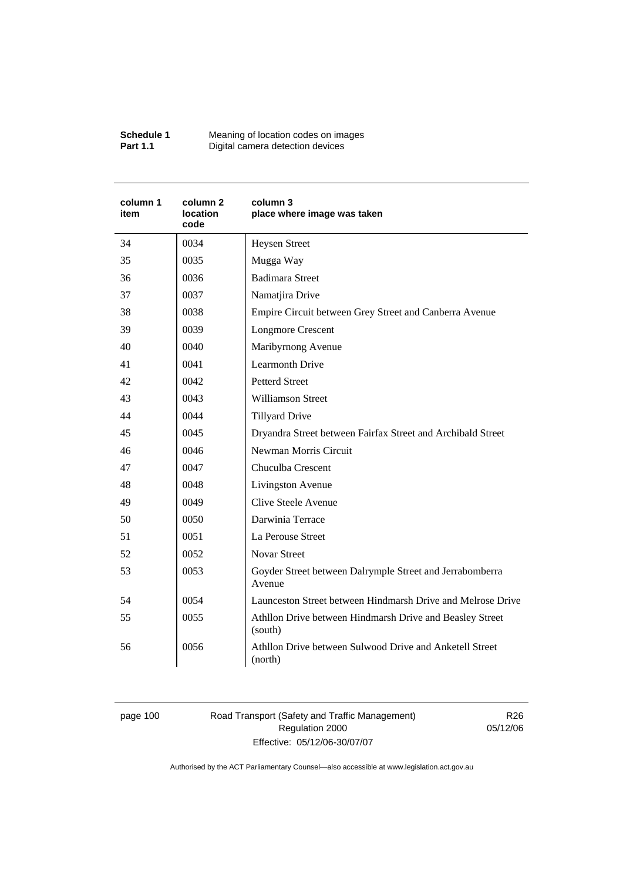| Schedule 1      | Meaning of location codes on images |
|-----------------|-------------------------------------|
| <b>Part 1.1</b> | Digital camera detection devices    |

| column 1<br>item | column 2<br>location<br>code | column 3<br>place where image was taken                             |  |
|------------------|------------------------------|---------------------------------------------------------------------|--|
| 34               | 0034                         | <b>Heysen Street</b>                                                |  |
| 35               | 0035                         | Mugga Way                                                           |  |
| 36               | 0036                         | <b>Badimara Street</b>                                              |  |
| 37               | 0037                         | Namatjira Drive                                                     |  |
| 38               | 0038                         | Empire Circuit between Grey Street and Canberra Avenue              |  |
| 39               | 0039                         | <b>Longmore Crescent</b>                                            |  |
| 40               | 0040                         | Maribyrnong Avenue                                                  |  |
| 41               | 0041                         | <b>Learmonth Drive</b>                                              |  |
| 42               | 0042                         | <b>Petterd Street</b>                                               |  |
| 43               | 0043                         | <b>Williamson Street</b>                                            |  |
| 44               | 0044                         | <b>Tillyard Drive</b>                                               |  |
| 45               | 0045                         | Dryandra Street between Fairfax Street and Archibald Street         |  |
| 46               | 0046                         | Newman Morris Circuit                                               |  |
| 47               | 0047                         | Chuculba Crescent                                                   |  |
| 48               | 0048                         | Livingston Avenue                                                   |  |
| 49               | 0049                         | Clive Steele Avenue                                                 |  |
| 50               | 0050                         | Darwinia Terrace                                                    |  |
| 51               | 0051                         | La Perouse Street                                                   |  |
| 52               | 0052                         | <b>Novar Street</b>                                                 |  |
| 53               | 0053                         | Goyder Street between Dalrymple Street and Jerrabomberra<br>Avenue  |  |
| 54               | 0054                         | Launceston Street between Hindmarsh Drive and Melrose Drive         |  |
| 55               | 0055                         | Athllon Drive between Hindmarsh Drive and Beasley Street<br>(south) |  |
| 56               | 0056                         | Athllon Drive between Sulwood Drive and Anketell Street<br>(north)  |  |

page 100 Road Transport (Safety and Traffic Management) Regulation 2000 Effective: 05/12/06-30/07/07

R26 05/12/06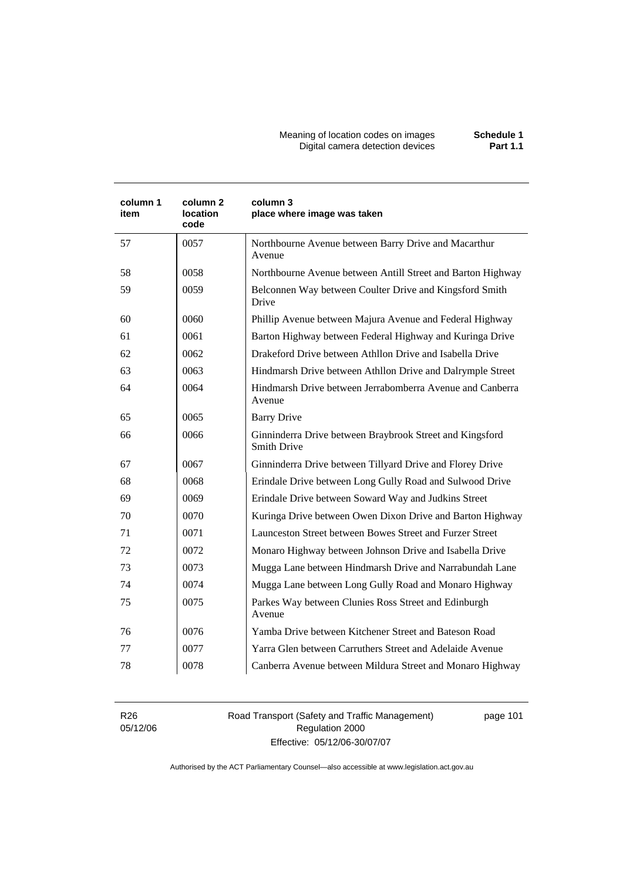Meaning of location codes on images **Schedule 1**  Digital camera detection devices **Part 1.1** 

| column 1<br>item | column <sub>2</sub><br><b>location</b><br>code | column 3<br>place where image was taken                                        |  |
|------------------|------------------------------------------------|--------------------------------------------------------------------------------|--|
| 57               | 0057                                           | Northbourne Avenue between Barry Drive and Macarthur<br>Avenue                 |  |
| 58               | 0058                                           | Northbourne Avenue between Antill Street and Barton Highway                    |  |
| 59               | 0059                                           | Belconnen Way between Coulter Drive and Kingsford Smith<br>Drive               |  |
| 60               | 0060                                           | Phillip Avenue between Majura Avenue and Federal Highway                       |  |
| 61               | 0061                                           | Barton Highway between Federal Highway and Kuringa Drive                       |  |
| 62               | 0062                                           | Drakeford Drive between Athllon Drive and Isabella Drive                       |  |
| 63               | 0063                                           | Hindmarsh Drive between Athllon Drive and Dalrymple Street                     |  |
| 64               | 0064                                           | Hindmarsh Drive between Jerrabomberra Avenue and Canberra<br>Avenue            |  |
| 65               | 0065                                           | <b>Barry Drive</b>                                                             |  |
| 66               | 0066                                           | Ginninderra Drive between Braybrook Street and Kingsford<br><b>Smith Drive</b> |  |
| 67               | 0067                                           | Ginninderra Drive between Tillyard Drive and Florey Drive                      |  |
| 68               | 0068                                           | Erindale Drive between Long Gully Road and Sulwood Drive                       |  |
| 69               | 0069                                           | Erindale Drive between Soward Way and Judkins Street                           |  |
| 70               | 0070                                           | Kuringa Drive between Owen Dixon Drive and Barton Highway                      |  |
| 71               | 0071                                           | Launceston Street between Bowes Street and Furzer Street                       |  |
| 72               | 0072                                           | Monaro Highway between Johnson Drive and Isabella Drive                        |  |
| 73               | 0073                                           | Mugga Lane between Hindmarsh Drive and Narrabundah Lane                        |  |
| 74               | 0074                                           | Mugga Lane between Long Gully Road and Monaro Highway                          |  |
| 75               | 0075                                           | Parkes Way between Clunies Ross Street and Edinburgh<br>Avenue                 |  |
| 76               | 0076                                           | Yamba Drive between Kitchener Street and Bateson Road                          |  |
| 77               | 0077                                           | Yarra Glen between Carruthers Street and Adelaide Avenue                       |  |
| 78               | 0078                                           | Canberra Avenue between Mildura Street and Monaro Highway                      |  |

R26 05/12/06 Road Transport (Safety and Traffic Management) Regulation 2000 Effective: 05/12/06-30/07/07

page 101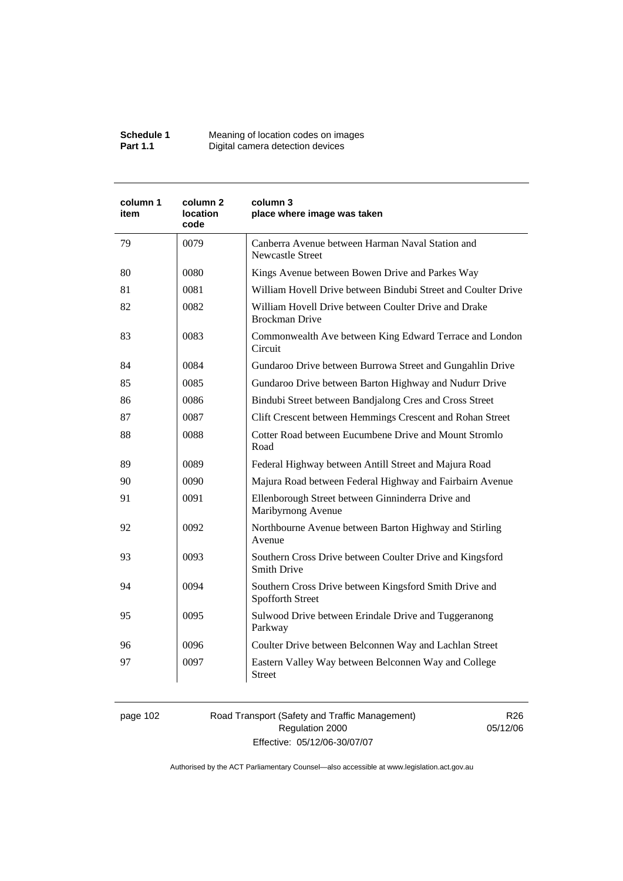| Schedule 1      | Meaning of location codes on images |
|-----------------|-------------------------------------|
| <b>Part 1.1</b> | Digital camera detection devices    |

| column 1<br>item | column 2<br>location<br>code | column 3<br>place where image was taken                                        |  |
|------------------|------------------------------|--------------------------------------------------------------------------------|--|
| 79               | 0079                         | Canberra Avenue between Harman Naval Station and<br><b>Newcastle Street</b>    |  |
| 80               | 0080                         | Kings Avenue between Bowen Drive and Parkes Way                                |  |
| 81               | 0081                         | William Hovell Drive between Bindubi Street and Coulter Drive                  |  |
| 82               | 0082                         | William Hovell Drive between Coulter Drive and Drake<br><b>Brockman Drive</b>  |  |
| 83               | 0083                         | Commonwealth Ave between King Edward Terrace and London<br>Circuit             |  |
| 84               | 0084                         | Gundaroo Drive between Burrowa Street and Gungahlin Drive                      |  |
| 85               | 0085                         | Gundaroo Drive between Barton Highway and Nudurr Drive                         |  |
| 86               | 0086                         | Bindubi Street between Bandjalong Cres and Cross Street                        |  |
| 87               | 0087                         | Clift Crescent between Hemmings Crescent and Rohan Street                      |  |
| 88               | 0088                         | Cotter Road between Eucumbene Drive and Mount Stromlo<br>Road                  |  |
| 89               | 0089                         | Federal Highway between Antill Street and Majura Road                          |  |
| 90               | 0090                         | Majura Road between Federal Highway and Fairbairn Avenue                       |  |
| 91               | 0091                         | Ellenborough Street between Ginninderra Drive and<br>Maribyrnong Avenue        |  |
| 92               | 0092                         | Northbourne Avenue between Barton Highway and Stirling<br>Avenue               |  |
| 93               | 0093                         | Southern Cross Drive between Coulter Drive and Kingsford<br><b>Smith Drive</b> |  |
| 94               | 0094                         | Southern Cross Drive between Kingsford Smith Drive and<br>Spofforth Street     |  |
| 95               | 0095                         | Sulwood Drive between Erindale Drive and Tuggeranong<br>Parkway                |  |
| 96               | 0096                         | Coulter Drive between Belconnen Way and Lachlan Street                         |  |
| 97               | 0097                         | Eastern Valley Way between Belconnen Way and College<br><b>Street</b>          |  |

page 102 Road Transport (Safety and Traffic Management) Regulation 2000 Effective: 05/12/06-30/07/07

R26 05/12/06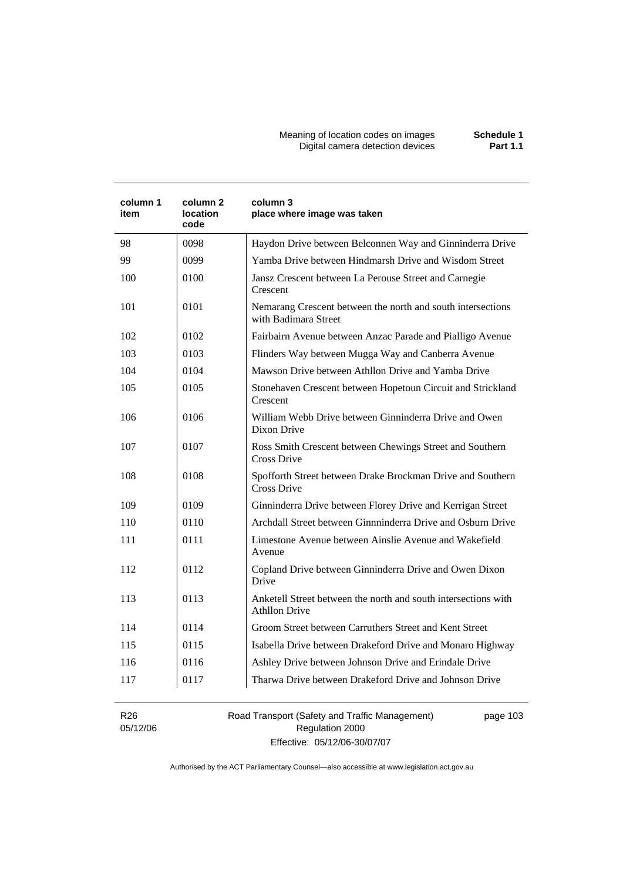| column 1<br>item | column 2<br>location<br>code | column 3<br>place where image was taken                                                |
|------------------|------------------------------|----------------------------------------------------------------------------------------|
| 98               | 0098                         | Haydon Drive between Belconnen Way and Ginninderra Drive                               |
| 99               | 0099                         | Yamba Drive between Hindmarsh Drive and Wisdom Street                                  |
| 100              | 0100                         | Jansz Crescent between La Perouse Street and Carnegie<br>Crescent                      |
| 101              | 0101                         | Nemarang Crescent between the north and south intersections<br>with Badimara Street    |
| 102              | 0102                         | Fairbairn Avenue between Anzac Parade and Pialligo Avenue                              |
| 103              | 0103                         | Flinders Way between Mugga Way and Canberra Avenue                                     |
| 104              | 0104                         | Mawson Drive between Athllon Drive and Yamba Drive                                     |
| 105              | 0105                         | Stonehaven Crescent between Hopetoun Circuit and Strickland<br>Crescent                |
| 106              | 0106                         | William Webb Drive between Ginninderra Drive and Owen<br>Dixon Drive                   |
| 107              | 0107                         | Ross Smith Crescent between Chewings Street and Southern<br>Cross Drive                |
| 108              | 0108                         | Spofforth Street between Drake Brockman Drive and Southern<br><b>Cross Drive</b>       |
| 109              | 0109                         | Ginninderra Drive between Florey Drive and Kerrigan Street                             |
| 110              | 0110                         | Archdall Street between Ginnninderra Drive and Osburn Drive                            |
| 111              | 0111                         | Limestone Avenue between Ainslie Avenue and Wakefield<br>Avenue                        |
| 112              | 0112                         | Copland Drive between Ginninderra Drive and Owen Dixon<br>Drive                        |
| 113              | 0113                         | Anketell Street between the north and south intersections with<br><b>Athllon Drive</b> |
| 114              | 0114                         | Groom Street between Carruthers Street and Kent Street                                 |
| 115              | 0115                         | Isabella Drive between Drakeford Drive and Monaro Highway                              |
| 116              | 0116                         | Ashley Drive between Johnson Drive and Erindale Drive                                  |
| 117              | 0117                         | Tharwa Drive between Drakeford Drive and Johnson Drive                                 |
| R <sub>26</sub>  |                              | Road Transport (Safety and Traffic Management)<br>page 103                             |

05/12/06

Regulation 2000 Effective: 05/12/06-30/07/07 pag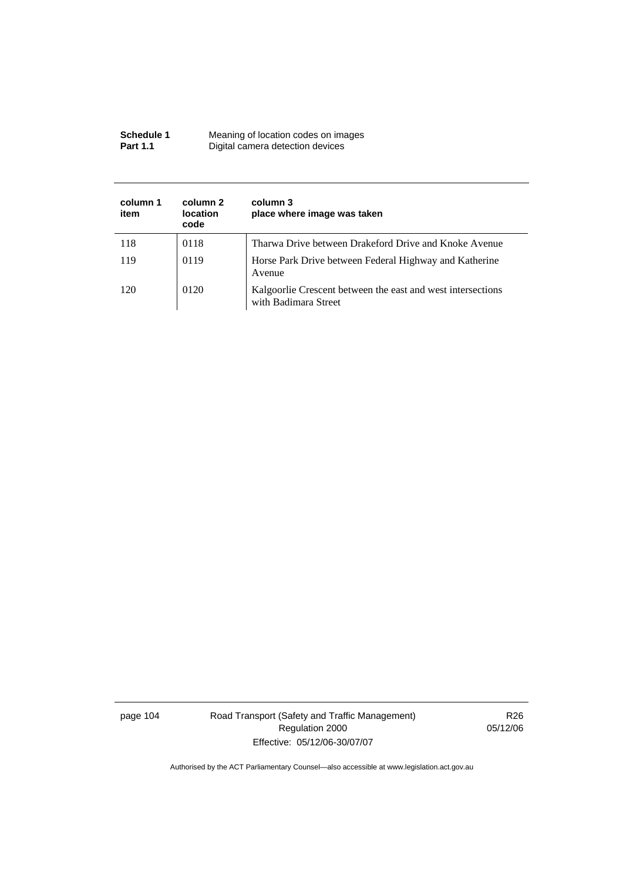| Schedule 1      | Meaning of location codes on images |
|-----------------|-------------------------------------|
| <b>Part 1.1</b> | Digital camera detection devices    |

| column 1<br>item | column 2<br><b>location</b><br>code | column 3<br>place where image was taken                                             |
|------------------|-------------------------------------|-------------------------------------------------------------------------------------|
| 118              | 0118                                | Tharwa Drive between Drakeford Drive and Knoke Avenue                               |
| 119              | 0119                                | Horse Park Drive between Federal Highway and Katherine<br>Avenue                    |
| 120              | 0120                                | Kalgoorlie Crescent between the east and west intersections<br>with Badimara Street |

page 104 Road Transport (Safety and Traffic Management) Regulation 2000 Effective: 05/12/06-30/07/07

R26 05/12/06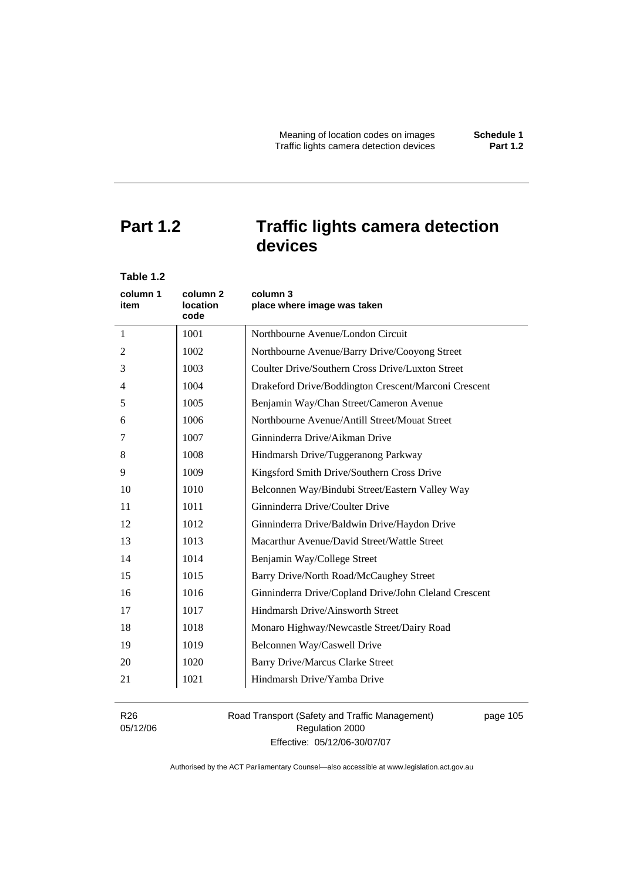# **Part 1.2 Traffic lights camera detection devices**

| Table 1.2        |                              |                                                       |
|------------------|------------------------------|-------------------------------------------------------|
| column 1<br>item | column 2<br>location<br>code | column 3<br>place where image was taken               |
| $\mathbf{1}$     | 1001                         | Northbourne Avenue/London Circuit                     |
| 2                | 1002                         | Northbourne Avenue/Barry Drive/Cooyong Street         |
| 3                | 1003                         | Coulter Drive/Southern Cross Drive/Luxton Street      |
| 4                | 1004                         | Drakeford Drive/Boddington Crescent/Marconi Crescent  |
| 5                | 1005                         | Benjamin Way/Chan Street/Cameron Avenue               |
| 6                | 1006                         | Northbourne Avenue/Antill Street/Mouat Street         |
| 7                | 1007                         | Ginninderra Drive/Aikman Drive                        |
| 8                | 1008                         | Hindmarsh Drive/Tuggeranong Parkway                   |
| 9                | 1009                         | Kingsford Smith Drive/Southern Cross Drive            |
| 10               | 1010                         | Belconnen Way/Bindubi Street/Eastern Valley Way       |
| 11               | 1011                         | Ginninderra Drive/Coulter Drive                       |
| 12               | 1012                         | Ginninderra Drive/Baldwin Drive/Haydon Drive          |
| 13               | 1013                         | Macarthur Avenue/David Street/Wattle Street           |
| 14               | 1014                         | Benjamin Way/College Street                           |
| 15               | 1015                         | Barry Drive/North Road/McCaughey Street               |
| 16               | 1016                         | Ginninderra Drive/Copland Drive/John Cleland Crescent |
| 17               | 1017                         | Hindmarsh Drive/Ainsworth Street                      |
| 18               | 1018                         | Monaro Highway/Newcastle Street/Dairy Road            |
| 19               | 1019                         | Belconnen Way/Caswell Drive                           |
| 20               | 1020                         | <b>Barry Drive/Marcus Clarke Street</b>               |
| 21               | 1021                         | Hindmarsh Drive/Yamba Drive                           |
|                  |                              |                                                       |

R26 05/12/06 Road Transport (Safety and Traffic Management) Regulation 2000 Effective: 05/12/06-30/07/07

page 105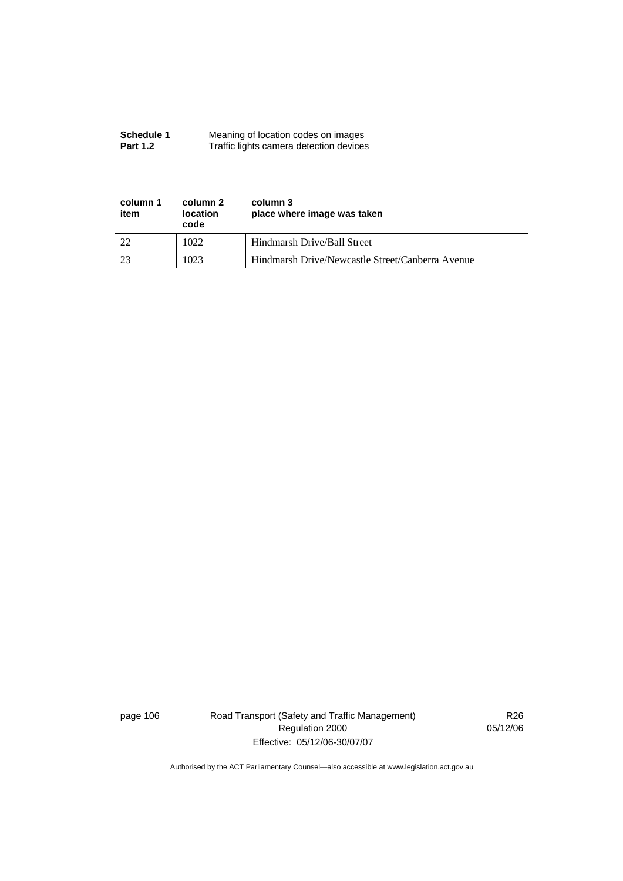#### **Schedule 1** Meaning of location codes on images **Part 1.2 Traffic lights camera detection devices**

| column 1<br>item | column 2<br><b>location</b><br>code | column 3<br>place where image was taken          |
|------------------|-------------------------------------|--------------------------------------------------|
| 22               | 1022                                | Hindmarsh Drive/Ball Street                      |
| 23               | 1023                                | Hindmarsh Drive/Newcastle Street/Canberra Avenue |

page 106 Road Transport (Safety and Traffic Management) Regulation 2000 Effective: 05/12/06-30/07/07

R26 05/12/06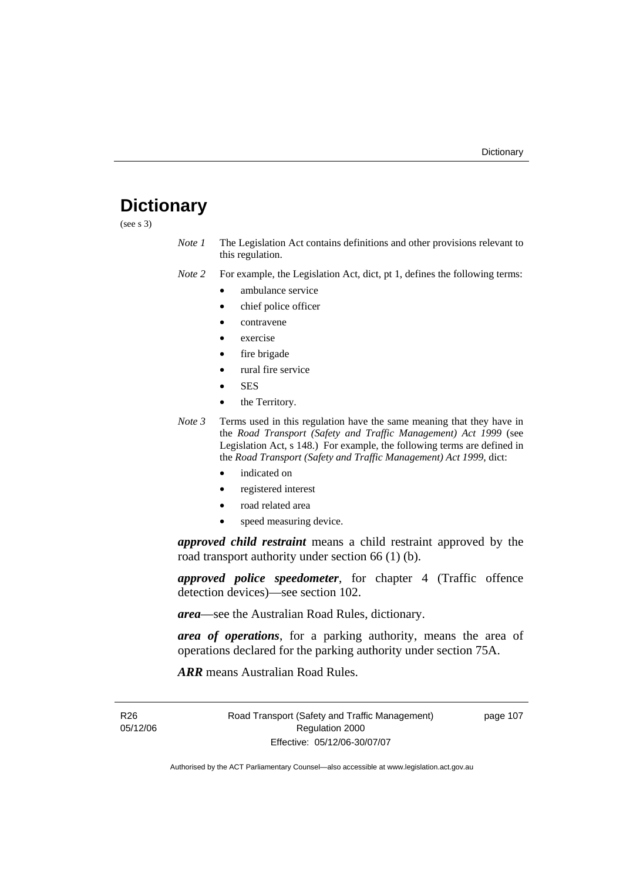# **Dictionary**

(see s 3)

*Note 1* The Legislation Act contains definitions and other provisions relevant to this regulation.

*Note 2* For example, the Legislation Act, dict, pt 1, defines the following terms:

- ambulance service
- chief police officer
- contravene
- exercise
- fire brigade
- rural fire service
- SES
- the Territory.
- *Note 3* Terms used in this regulation have the same meaning that they have in the *Road Transport (Safety and Traffic Management) Act 1999* (see Legislation Act, s 148.) For example, the following terms are defined in the *Road Transport (Safety and Traffic Management) Act 1999*, dict:
	- indicated on
	- registered interest
	- road related area
	- speed measuring device.

*approved child restraint* means a child restraint approved by the road transport authority under section 66 (1) (b).

*approved police speedometer*, for chapter 4 (Traffic offence detection devices)—see section 102.

*area*—see the Australian Road Rules, dictionary.

*area of operations*, for a parking authority, means the area of operations declared for the parking authority under section 75A.

*ARR* means Australian Road Rules.

R26 05/12/06 Road Transport (Safety and Traffic Management) Regulation 2000 Effective: 05/12/06-30/07/07

page 107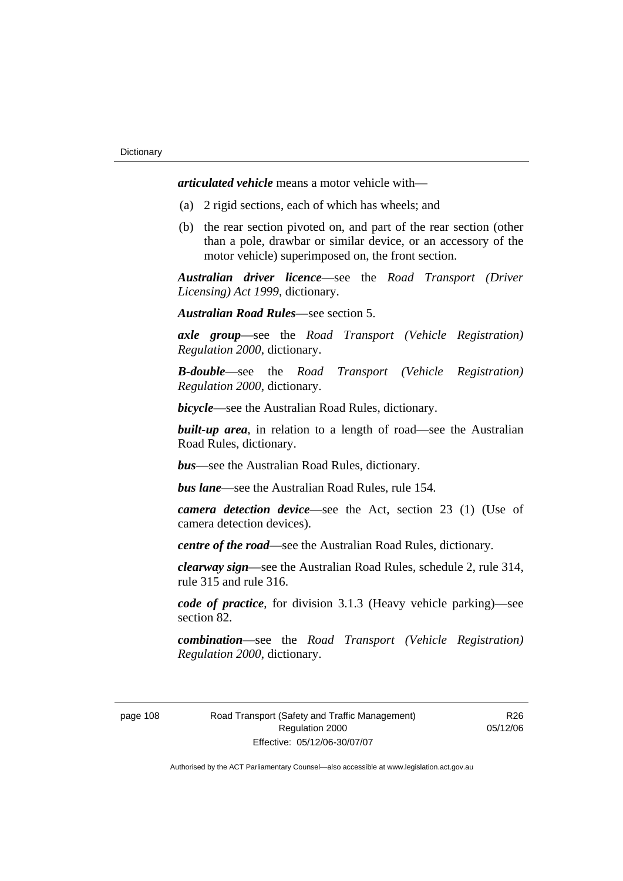*articulated vehicle* means a motor vehicle with—

- (a) 2 rigid sections, each of which has wheels; and
- (b) the rear section pivoted on, and part of the rear section (other than a pole, drawbar or similar device, or an accessory of the motor vehicle) superimposed on, the front section.

*Australian driver licence*—see the *Road Transport (Driver Licensing) Act 1999*, dictionary.

*Australian Road Rules*—see section 5.

*axle group*—see the *Road Transport (Vehicle Registration) Regulation 2000*, dictionary.

*B-double*—see the *Road Transport (Vehicle Registration) Regulation 2000*, dictionary.

*bicycle*—see the Australian Road Rules, dictionary.

**built-up area**, in relation to a length of road—see the Australian Road Rules, dictionary.

*bus*—see the Australian Road Rules, dictionary.

*bus lane*—see the Australian Road Rules, rule 154.

*camera detection device*—see the Act, section 23 (1) (Use of camera detection devices).

*centre of the road*—see the Australian Road Rules, dictionary.

*clearway sign*—see the Australian Road Rules, schedule 2, rule 314, rule 315 and rule 316.

*code of practice*, for division 3.1.3 (Heavy vehicle parking)—see section 82.

*combination*—see the *Road Transport (Vehicle Registration) Regulation 2000*, dictionary.

page 108 Road Transport (Safety and Traffic Management) Regulation 2000 Effective: 05/12/06-30/07/07

R26 05/12/06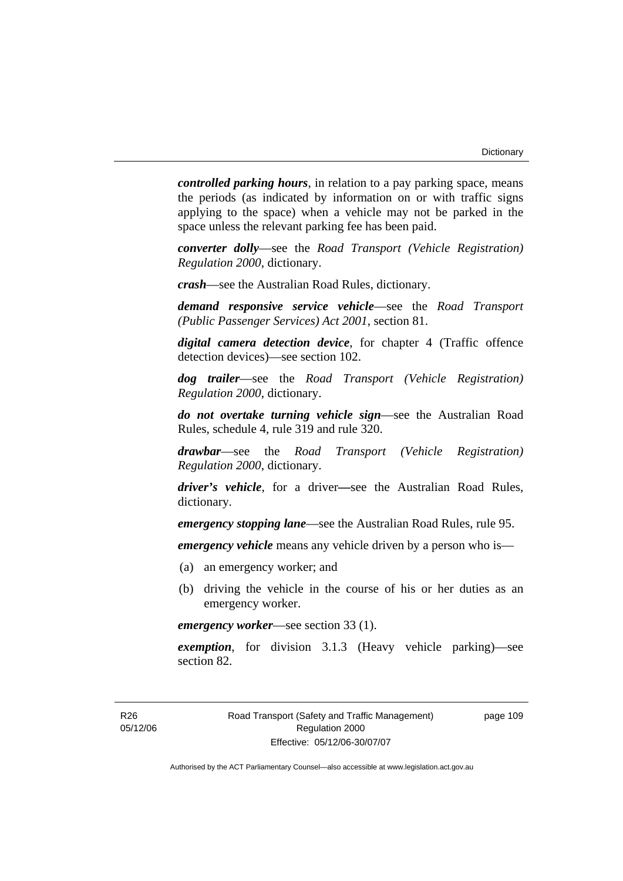*controlled parking hours*, in relation to a pay parking space, means the periods (as indicated by information on or with traffic signs applying to the space) when a vehicle may not be parked in the space unless the relevant parking fee has been paid.

*converter dolly*—see the *Road Transport (Vehicle Registration) Regulation 2000*, dictionary.

*crash*—see the Australian Road Rules, dictionary.

*demand responsive service vehicle*—see the *Road Transport (Public Passenger Services) Act 2001*, section 81.

*digital camera detection device*, for chapter 4 (Traffic offence detection devices)—see section 102.

*dog trailer*—see the *Road Transport (Vehicle Registration) Regulation 2000*, dictionary.

*do not overtake turning vehicle sign*—see the Australian Road Rules, schedule 4, rule 319 and rule 320.

*drawbar*—see the *Road Transport (Vehicle Registration) Regulation 2000*, dictionary.

*driver's vehicle*, for a driver*—*see the Australian Road Rules, dictionary.

*emergency stopping lane*—see the Australian Road Rules, rule 95.

*emergency vehicle* means any vehicle driven by a person who is—

- (a) an emergency worker; and
- (b) driving the vehicle in the course of his or her duties as an emergency worker.

*emergency worker*—see section 33 (1).

*exemption*, for division 3.1.3 (Heavy vehicle parking)—see section 82.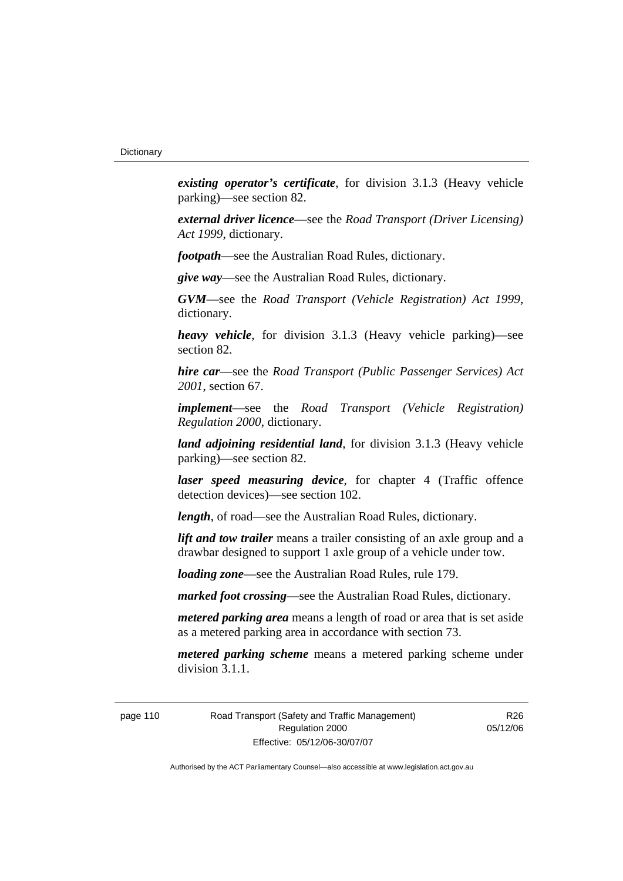*existing operator's certificate*, for division 3.1.3 (Heavy vehicle parking)—see section 82.

*external driver licence*—see the *Road Transport (Driver Licensing) Act 1999*, dictionary.

*footpath*—see the Australian Road Rules, dictionary.

*give way*—see the Australian Road Rules, dictionary.

*GVM*—see the *Road Transport (Vehicle Registration) Act 1999*, dictionary.

*heavy vehicle*, for division 3.1.3 (Heavy vehicle parking)—see section 82.

*hire car*—see the *Road Transport (Public Passenger Services) Act 2001*, section 67.

*implement*—see the *Road Transport (Vehicle Registration) Regulation 2000*, dictionary.

*land adjoining residential land*, for division 3.1.3 (Heavy vehicle parking)—see section 82.

*laser speed measuring device*, for chapter 4 (Traffic offence detection devices)—see section 102.

*length*, of road—see the Australian Road Rules, dictionary.

*lift and tow trailer* means a trailer consisting of an axle group and a drawbar designed to support 1 axle group of a vehicle under tow.

*loading zone*—see the Australian Road Rules, rule 179.

*marked foot crossing*—see the Australian Road Rules, dictionary.

*metered parking area* means a length of road or area that is set aside as a metered parking area in accordance with section 73.

*metered parking scheme* means a metered parking scheme under division 3.1.1.

page 110 Road Transport (Safety and Traffic Management) Regulation 2000 Effective: 05/12/06-30/07/07

R<sub>26</sub> 05/12/06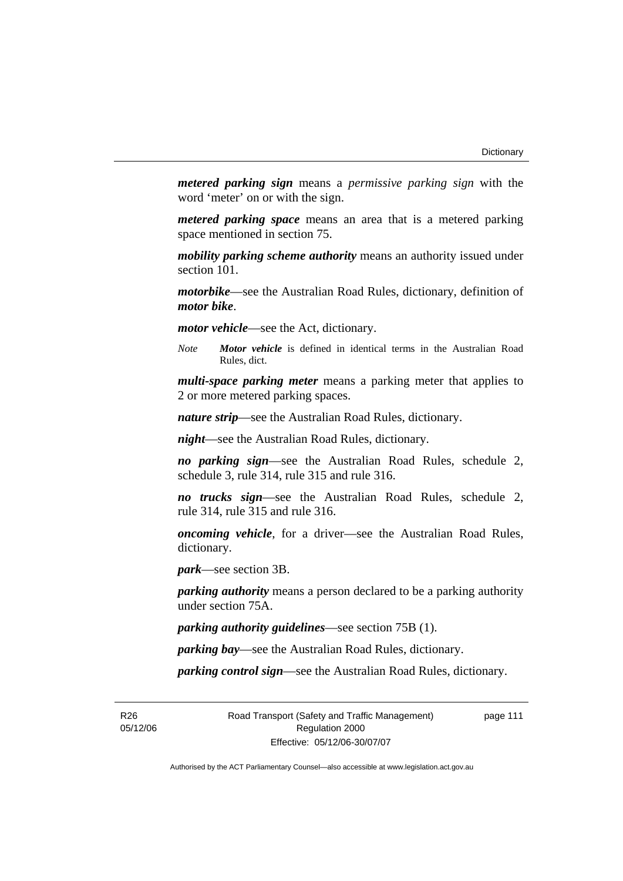*metered parking sign* means a *permissive parking sign* with the word 'meter' on or with the sign.

*metered parking space* means an area that is a metered parking space mentioned in section 75.

*mobility parking scheme authority* means an authority issued under section 101.

*motorbike*—see the Australian Road Rules, dictionary, definition of *motor bike*.

*motor vehicle*—see the Act, dictionary.

*Note Motor vehicle* is defined in identical terms in the Australian Road Rules, dict.

*multi-space parking meter* means a parking meter that applies to 2 or more metered parking spaces.

*nature strip*—see the Australian Road Rules, dictionary.

*night*—see the Australian Road Rules, dictionary.

*no parking sign*—see the Australian Road Rules, schedule 2, schedule 3, rule 314, rule 315 and rule 316.

*no trucks sign*—see the Australian Road Rules, schedule 2, rule 314, rule 315 and rule 316.

*oncoming vehicle*, for a driver—see the Australian Road Rules, dictionary.

*park*—see section 3B.

*parking authority* means a person declared to be a parking authority under section 75A.

*parking authority guidelines*—see section 75B (1).

*parking bay*—see the Australian Road Rules, dictionary.

*parking control sign*—see the Australian Road Rules, dictionary.

R26 05/12/06 Road Transport (Safety and Traffic Management) Regulation 2000 Effective: 05/12/06-30/07/07

page 111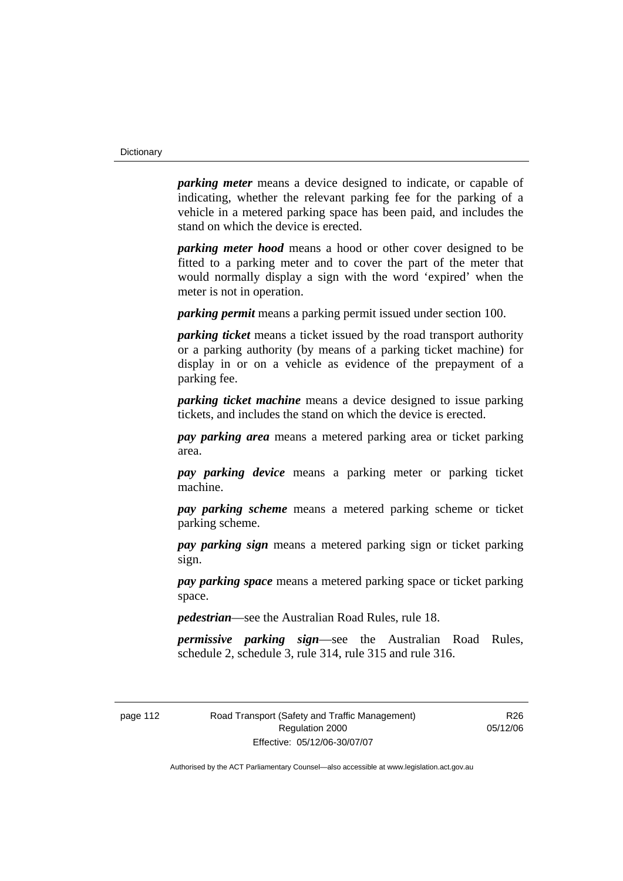*parking meter* means a device designed to indicate, or capable of indicating, whether the relevant parking fee for the parking of a vehicle in a metered parking space has been paid, and includes the stand on which the device is erected.

*parking meter hood* means a hood or other cover designed to be fitted to a parking meter and to cover the part of the meter that would normally display a sign with the word 'expired' when the meter is not in operation.

*parking permit* means a parking permit issued under section 100.

*parking ticket* means a ticket issued by the road transport authority or a parking authority (by means of a parking ticket machine) for display in or on a vehicle as evidence of the prepayment of a parking fee.

*parking ticket machine* means a device designed to issue parking tickets, and includes the stand on which the device is erected.

*pay parking area* means a metered parking area or ticket parking area.

*pay parking device* means a parking meter or parking ticket machine.

*pay parking scheme* means a metered parking scheme or ticket parking scheme.

*pay parking sign* means a metered parking sign or ticket parking sign.

*pay parking space* means a metered parking space or ticket parking space.

*pedestrian*—see the Australian Road Rules, rule 18.

*permissive parking sign*—see the Australian Road Rules, schedule 2, schedule 3, rule 314, rule 315 and rule 316.

R<sub>26</sub> 05/12/06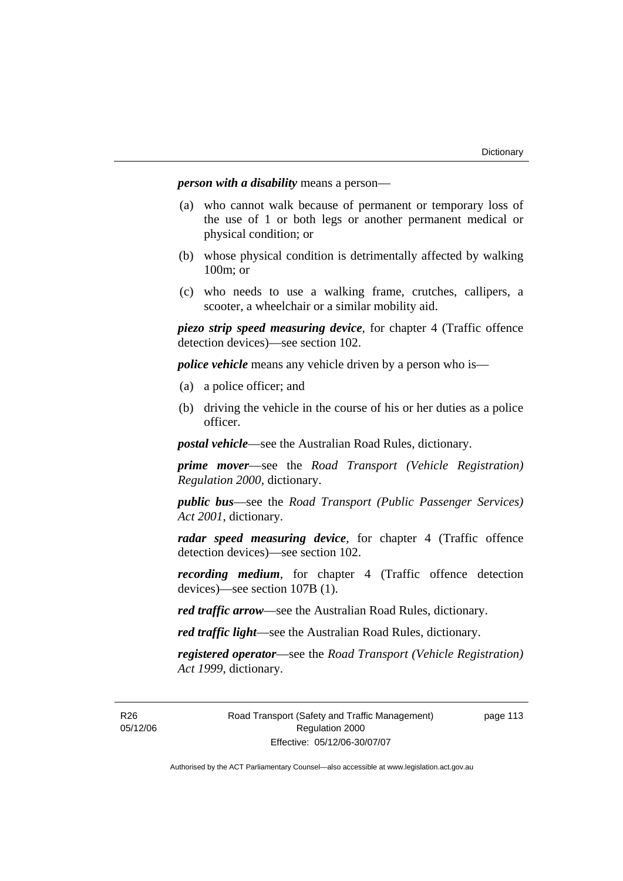*person with a disability* means a person—

- (a) who cannot walk because of permanent or temporary loss of the use of 1 or both legs or another permanent medical or physical condition; or
- (b) whose physical condition is detrimentally affected by walking 100m; or
- (c) who needs to use a walking frame, crutches, callipers, a scooter, a wheelchair or a similar mobility aid.

*piezo strip speed measuring device*, for chapter 4 (Traffic offence detection devices)—see section 102.

*police vehicle* means any vehicle driven by a person who is—

- (a) a police officer; and
- (b) driving the vehicle in the course of his or her duties as a police officer.

*postal vehicle*—see the Australian Road Rules, dictionary.

*prime mover*—see the *Road Transport (Vehicle Registration) Regulation 2000*, dictionary.

*public bus*—see the *Road Transport (Public Passenger Services) Act 2001*, dictionary.

*radar speed measuring device*, for chapter 4 (Traffic offence detection devices)—see section 102.

*recording medium*, for chapter 4 (Traffic offence detection devices)—see section 107B (1).

*red traffic arrow*—see the Australian Road Rules, dictionary.

*red traffic light*—see the Australian Road Rules, dictionary.

*registered operator*—see the *Road Transport (Vehicle Registration) Act 1999*, dictionary.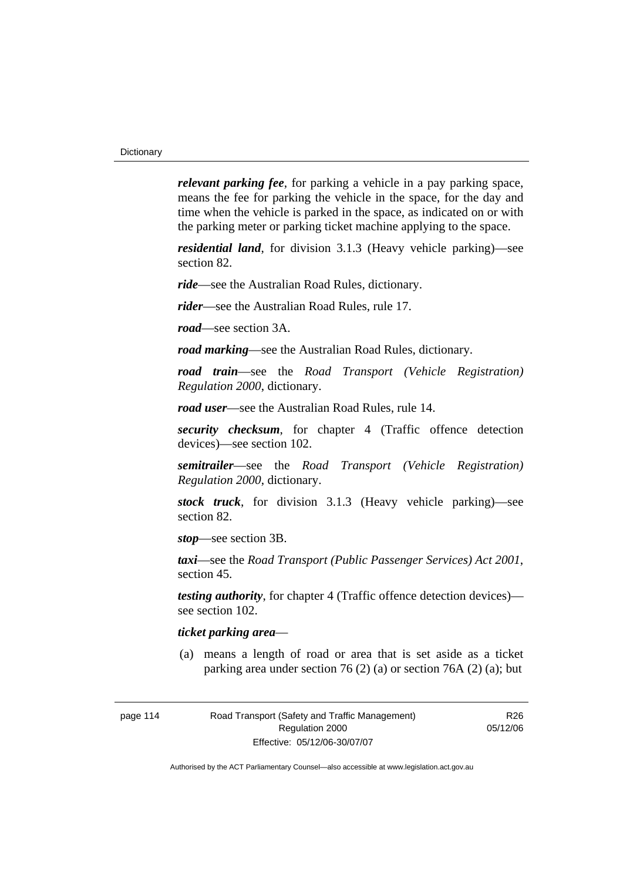*relevant parking fee*, for parking a vehicle in a pay parking space, means the fee for parking the vehicle in the space, for the day and time when the vehicle is parked in the space, as indicated on or with the parking meter or parking ticket machine applying to the space.

*residential land*, for division 3.1.3 (Heavy vehicle parking)—see section 82.

*ride*—see the Australian Road Rules, dictionary.

*rider*—see the Australian Road Rules, rule 17.

*road*—see section 3A.

*road marking*—see the Australian Road Rules, dictionary.

*road train*—see the *Road Transport (Vehicle Registration) Regulation 2000*, dictionary.

*road user*—see the Australian Road Rules, rule 14.

*security checksum*, for chapter 4 (Traffic offence detection devices)—see section 102.

*semitrailer*—see the *Road Transport (Vehicle Registration) Regulation 2000*, dictionary.

*stock truck*, for division 3.1.3 (Heavy vehicle parking)—see section 82.

*stop*—see section 3B.

*taxi*—see the *Road Transport (Public Passenger Services) Act 2001*, section 45.

*testing authority*, for chapter 4 (Traffic offence detection devices) see section 102.

#### *ticket parking area*—

 (a) means a length of road or area that is set aside as a ticket parking area under section 76 (2) (a) or section 76A (2) (a); but

R26 05/12/06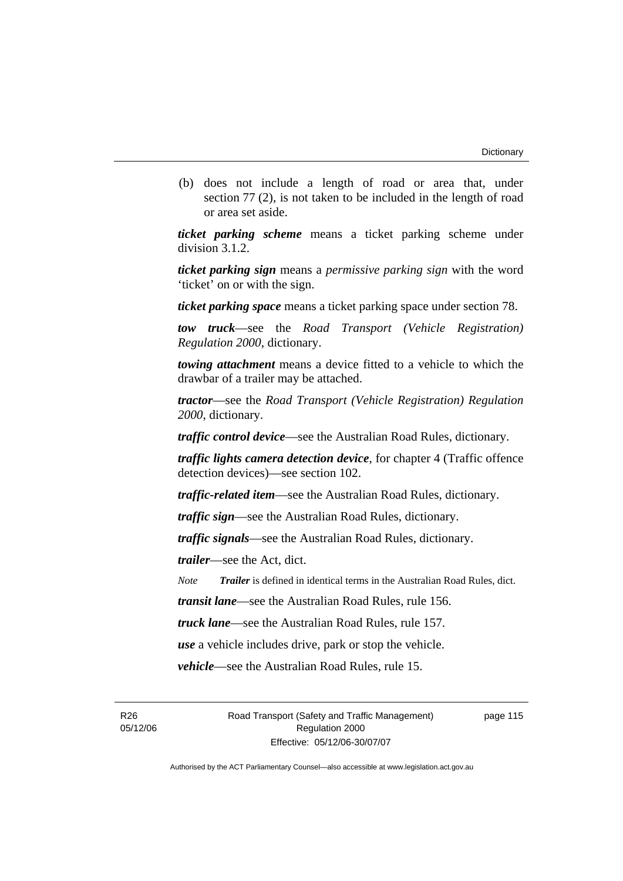(b) does not include a length of road or area that, under section 77 (2), is not taken to be included in the length of road or area set aside.

*ticket parking scheme* means a ticket parking scheme under division 3.1.2.

*ticket parking sign* means a *permissive parking sign* with the word 'ticket' on or with the sign.

*ticket parking space* means a ticket parking space under section 78.

*tow truck*—see the *Road Transport (Vehicle Registration) Regulation 2000*, dictionary.

*towing attachment* means a device fitted to a vehicle to which the drawbar of a trailer may be attached.

*tractor*—see the *Road Transport (Vehicle Registration) Regulation 2000*, dictionary.

*traffic control device*—see the Australian Road Rules, dictionary.

*traffic lights camera detection device*, for chapter 4 (Traffic offence detection devices)—see section 102.

*traffic-related item*—see the Australian Road Rules, dictionary.

*traffic sign*—see the Australian Road Rules, dictionary.

*traffic signals*—see the Australian Road Rules, dictionary.

*trailer*—see the Act, dict.

*Note Trailer* is defined in identical terms in the Australian Road Rules, dict.

*transit lane*—see the Australian Road Rules, rule 156.

*truck lane*—see the Australian Road Rules, rule 157.

*use* a vehicle includes drive, park or stop the vehicle.

*vehicle*—see the Australian Road Rules, rule 15.

R26 05/12/06 Road Transport (Safety and Traffic Management) Regulation 2000 Effective: 05/12/06-30/07/07

page 115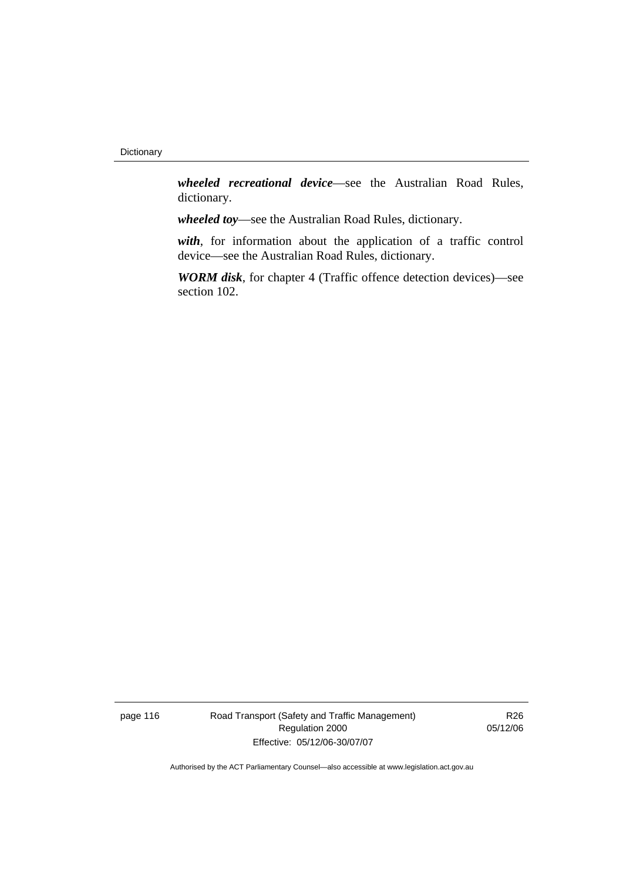*wheeled recreational device*—see the Australian Road Rules, dictionary.

*wheeled toy*—see the Australian Road Rules, dictionary.

*with*, for information about the application of a traffic control device—see the Australian Road Rules, dictionary.

*WORM disk*, for chapter 4 (Traffic offence detection devices)—see section 102.

page 116 Road Transport (Safety and Traffic Management) Regulation 2000 Effective: 05/12/06-30/07/07

R26 05/12/06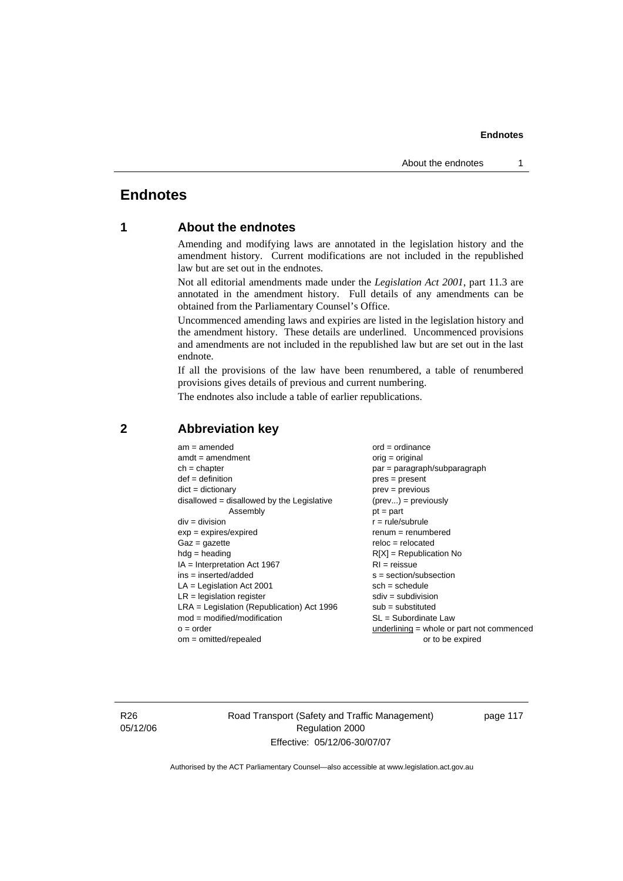# **Endnotes**

# **1 About the endnotes**

Amending and modifying laws are annotated in the legislation history and the amendment history. Current modifications are not included in the republished law but are set out in the endnotes.

Not all editorial amendments made under the *Legislation Act 2001*, part 11.3 are annotated in the amendment history. Full details of any amendments can be obtained from the Parliamentary Counsel's Office.

Uncommenced amending laws and expiries are listed in the legislation history and the amendment history. These details are underlined. Uncommenced provisions and amendments are not included in the republished law but are set out in the last endnote.

If all the provisions of the law have been renumbered, a table of renumbered provisions gives details of previous and current numbering.

The endnotes also include a table of earlier republications.

| $am = amended$                               | $ord = ordinance$                         |
|----------------------------------------------|-------------------------------------------|
| $amdt = amendment$                           | $orig = original$                         |
| $ch = chapter$                               | par = paragraph/subparagraph              |
| $def = definition$                           | $pres = present$                          |
| $dict = dictionary$                          | $prev = previous$                         |
| $disallowed = disallowed by the Legislative$ | $(\text{prev}) = \text{previously}$       |
| Assembly                                     | $pt = part$                               |
| $div = division$                             | $r = rule/subrule$                        |
| $exp = expires/expired$                      | $remum = renumbered$                      |
| $Gaz = gazette$                              | $reloc = relocated$                       |
| $hdg =$ heading                              | $R[X]$ = Republication No                 |
| $IA = Interpretation Act 1967$               | $RI = reissue$                            |
| $ins = inserted/added$                       | $s = section/subsection$                  |
| $LA =$ Legislation Act 2001                  | $sch = schedule$                          |
| $LR =$ legislation register                  | $sdiv = subdivision$                      |
| $LRA =$ Legislation (Republication) Act 1996 | $sub = substituted$                       |
| $mod = modified/modification$                | $SL = Subordinate$ Law                    |
| $o = order$                                  | underlining = whole or part not commenced |
| $om = omitted/repealed$                      | or to be expired                          |
|                                              |                                           |

#### **2 Abbreviation key**

R26 05/12/06 Road Transport (Safety and Traffic Management) Regulation 2000 Effective: 05/12/06-30/07/07

page 117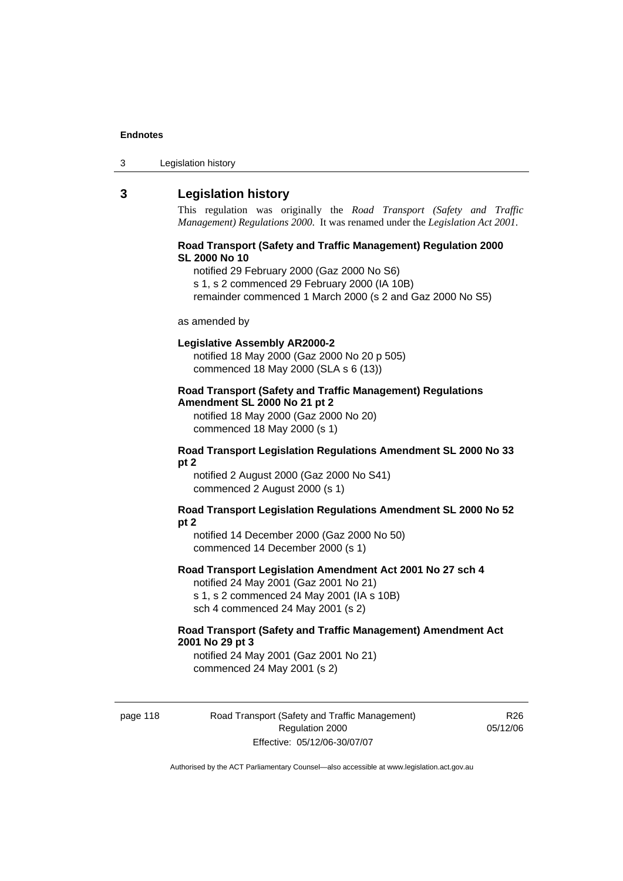| Legislation history<br>3 |
|--------------------------|
|--------------------------|

## **3 Legislation history**

This regulation was originally the *Road Transport (Safety and Traffic Management) Regulations 2000*. It was renamed under the *Legislation Act 2001*.

#### **Road Transport (Safety and Traffic Management) Regulation 2000 SL 2000 No 10**

notified 29 February 2000 (Gaz 2000 No S6)

s 1, s 2 commenced 29 February 2000 (IA 10B)

remainder commenced 1 March 2000 (s 2 and Gaz 2000 No S5)

#### as amended by

#### **Legislative Assembly AR2000-2**

notified 18 May 2000 (Gaz 2000 No 20 p 505) commenced 18 May 2000 (SLA s 6 (13))

#### **Road Transport (Safety and Traffic Management) Regulations Amendment SL 2000 No 21 pt 2**

notified 18 May 2000 (Gaz 2000 No 20) commenced 18 May 2000 (s 1)

#### **Road Transport Legislation Regulations Amendment SL 2000 No 33 pt 2**

notified 2 August 2000 (Gaz 2000 No S41) commenced 2 August 2000 (s 1)

#### **Road Transport Legislation Regulations Amendment SL 2000 No 52 pt 2**

notified 14 December 2000 (Gaz 2000 No 50) commenced 14 December 2000 (s 1)

#### **Road Transport Legislation Amendment Act 2001 No 27 sch 4**

notified 24 May 2001 (Gaz 2001 No 21) s 1, s 2 commenced 24 May 2001 (IA s 10B) sch 4 commenced 24 May 2001 (s 2)

#### **Road Transport (Safety and Traffic Management) Amendment Act 2001 No 29 pt 3**

notified 24 May 2001 (Gaz 2001 No 21) commenced 24 May 2001 (s 2)

page 118 Road Transport (Safety and Traffic Management) Regulation 2000 Effective: 05/12/06-30/07/07

R26 05/12/06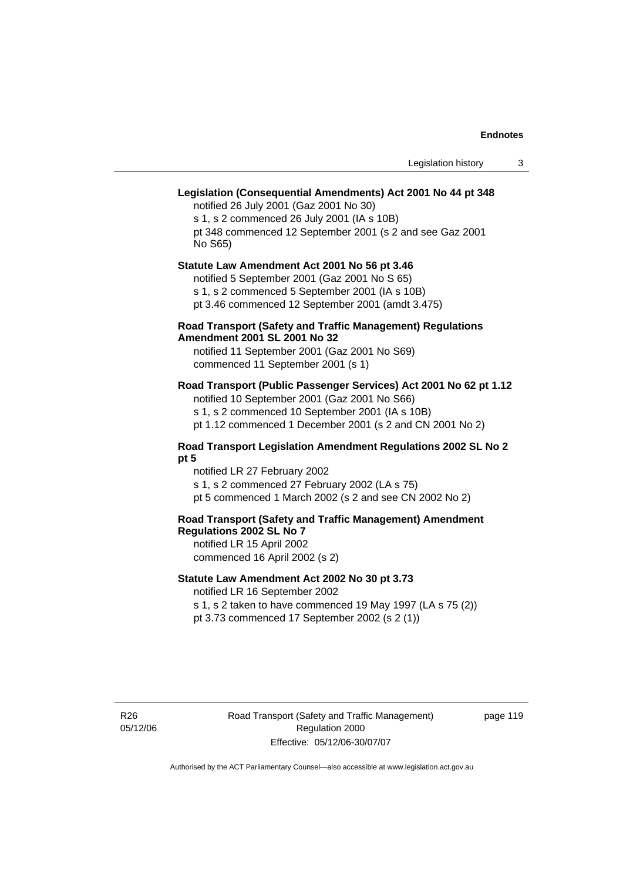# **Legislation (Consequential Amendments) Act 2001 No 44 pt 348**

notified 26 July 2001 (Gaz 2001 No 30) s 1, s 2 commenced 26 July 2001 (IA s 10B) pt 348 commenced 12 September 2001 (s 2 and see Gaz 2001 No S65)

# **Statute Law Amendment Act 2001 No 56 pt 3.46**

notified 5 September 2001 (Gaz 2001 No S 65) s 1, s 2 commenced 5 September 2001 (IA s 10B)

pt 3.46 commenced 12 September 2001 (amdt 3.475)

#### **Road Transport (Safety and Traffic Management) Regulations Amendment 2001 SL 2001 No 32**

notified 11 September 2001 (Gaz 2001 No S69) commenced 11 September 2001 (s 1)

### **Road Transport (Public Passenger Services) Act 2001 No 62 pt 1.12**

notified 10 September 2001 (Gaz 2001 No S66) s 1, s 2 commenced 10 September 2001 (IA s 10B) pt 1.12 commenced 1 December 2001 (s 2 and CN 2001 No 2)

# **Road Transport Legislation Amendment Regulations 2002 SL No 2**

**pt 5** 

notified LR 27 February 2002 s 1, s 2 commenced 27 February 2002 (LA s 75) pt 5 commenced 1 March 2002 (s 2 and see CN 2002 No 2)

# **Road Transport (Safety and Traffic Management) Amendment Regulations 2002 SL No 7**

notified LR 15 April 2002 commenced 16 April 2002 (s 2)

#### **Statute Law Amendment Act 2002 No 30 pt 3.73**

notified LR 16 September 2002

s 1, s 2 taken to have commenced 19 May 1997 (LA s 75 (2)) pt 3.73 commenced 17 September 2002 (s 2 (1))

R26 05/12/06 page 119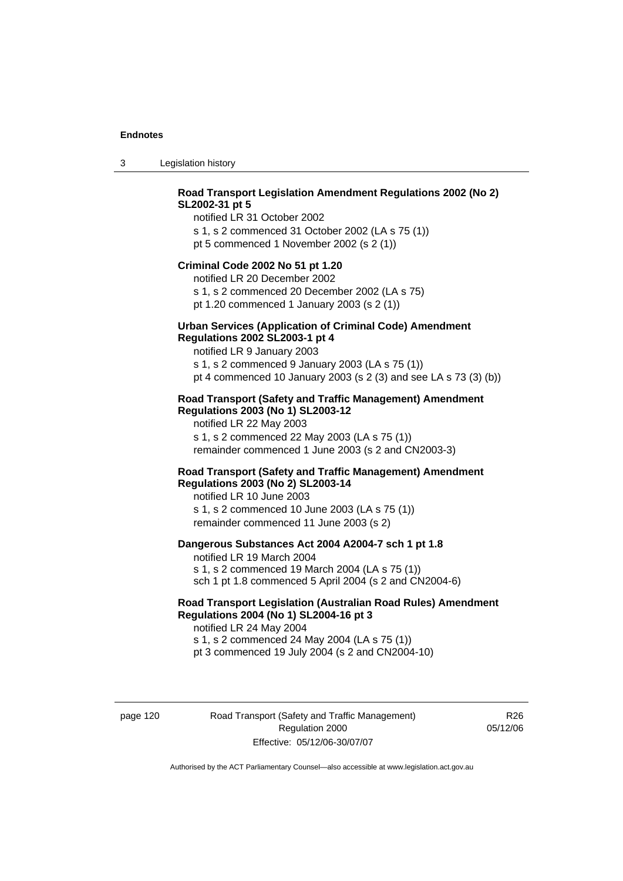3 Legislation history

## **Road Transport Legislation Amendment Regulations 2002 (No 2) SL2002-31 pt 5**

notified LR 31 October 2002 s 1, s 2 commenced 31 October 2002 (LA s 75 (1)) pt 5 commenced 1 November 2002 (s 2 (1))

#### **Criminal Code 2002 No 51 pt 1.20**

notified LR 20 December 2002 s 1, s 2 commenced 20 December 2002 (LA s 75)

pt 1.20 commenced 1 January 2003 (s 2 (1))

#### **Urban Services (Application of Criminal Code) Amendment Regulations 2002 SL2003-1 pt 4**

notified LR 9 January 2003 s 1, s 2 commenced 9 January 2003 (LA s 75 (1)) pt 4 commenced 10 January 2003 (s 2 (3) and see LA s 73 (3) (b))

#### **Road Transport (Safety and Traffic Management) Amendment Regulations 2003 (No 1) SL2003-12**

notified LR 22 May 2003 s 1, s 2 commenced 22 May 2003 (LA s 75 (1)) remainder commenced 1 June 2003 (s 2 and CN2003-3)

#### **Road Transport (Safety and Traffic Management) Amendment Regulations 2003 (No 2) SL2003-14**

notified LR 10 June 2003 s 1, s 2 commenced 10 June 2003 (LA s 75 (1)) remainder commenced 11 June 2003 (s 2)

#### **Dangerous Substances Act 2004 A2004-7 sch 1 pt 1.8**

notified LR 19 March 2004 s 1, s 2 commenced 19 March 2004 (LA s 75 (1)) sch 1 pt 1.8 commenced 5 April 2004 (s 2 and CN2004-6)

#### **Road Transport Legislation (Australian Road Rules) Amendment Regulations 2004 (No 1) SL2004-16 pt 3**

notified LR 24 May 2004 s 1, s 2 commenced 24 May 2004 (LA s 75 (1)) pt 3 commenced 19 July 2004 (s 2 and CN2004-10)

page 120 Road Transport (Safety and Traffic Management) Regulation 2000 Effective: 05/12/06-30/07/07

R<sub>26</sub> 05/12/06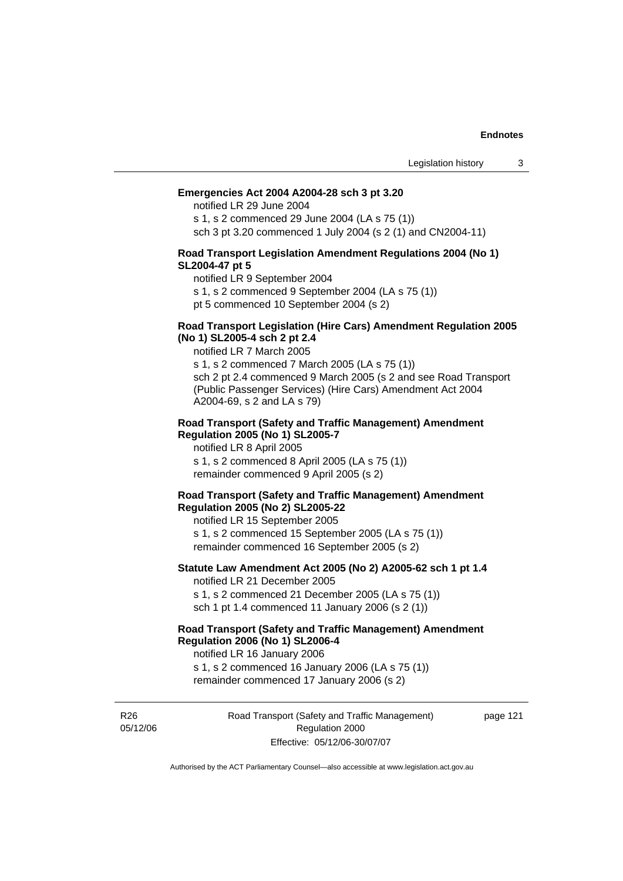#### **Emergencies Act 2004 A2004-28 sch 3 pt 3.20**

notified LR 29 June 2004

s 1, s 2 commenced 29 June 2004 (LA s 75 (1)) sch 3 pt 3.20 commenced 1 July 2004 (s 2 (1) and CN2004-11)

#### **Road Transport Legislation Amendment Regulations 2004 (No 1) SL2004-47 pt 5**

notified LR 9 September 2004

s 1, s 2 commenced 9 September 2004 (LA s 75 (1))

pt 5 commenced 10 September 2004 (s 2)

#### **Road Transport Legislation (Hire Cars) Amendment Regulation 2005 (No 1) SL2005-4 sch 2 pt 2.4**

notified LR 7 March 2005

s 1, s 2 commenced 7 March 2005 (LA s 75 (1)) sch 2 pt 2.4 commenced 9 March 2005 (s 2 and see Road Transport (Public Passenger Services) (Hire Cars) Amendment Act 2004 A2004-69, s 2 and LA s 79)

#### **Road Transport (Safety and Traffic Management) Amendment Regulation 2005 (No 1) SL2005-7**

notified LR 8 April 2005 s 1, s 2 commenced 8 April 2005 (LA s 75 (1)) remainder commenced 9 April 2005 (s 2)

#### **Road Transport (Safety and Traffic Management) Amendment Regulation 2005 (No 2) SL2005-22**

notified LR 15 September 2005 s 1, s 2 commenced 15 September 2005 (LA s 75 (1)) remainder commenced 16 September 2005 (s 2)

#### **Statute Law Amendment Act 2005 (No 2) A2005-62 sch 1 pt 1.4**  notified LR 21 December 2005

s 1, s 2 commenced 21 December 2005 (LA s 75 (1)) sch 1 pt 1.4 commenced 11 January 2006 (s 2 (1))

# **Road Transport (Safety and Traffic Management) Amendment Regulation 2006 (No 1) SL2006-4**

notified LR 16 January 2006

s 1, s 2 commenced 16 January 2006 (LA s 75 (1)) remainder commenced 17 January 2006 (s 2)

R26 05/12/06 Road Transport (Safety and Traffic Management) Regulation 2000 Effective: 05/12/06-30/07/07

page 121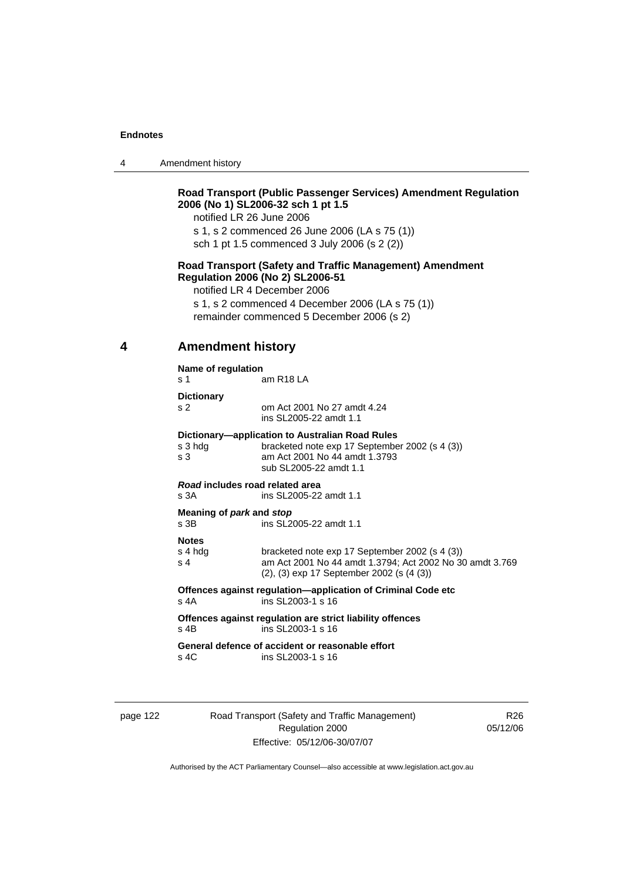| Amendment history<br>4 |  |
|------------------------|--|
|------------------------|--|

## **Road Transport (Public Passenger Services) Amendment Regulation 2006 (No 1) SL2006-32 sch 1 pt 1.5**

notified LR 26 June 2006

s 1, s 2 commenced 26 June 2006 (LA s 75 (1))

sch 1 pt 1.5 commenced 3 July 2006 (s 2 (2))

### **Road Transport (Safety and Traffic Management) Amendment Regulation 2006 (No 2) SL2006-51**

notified LR 4 December 2006

s 1, s 2 commenced 4 December 2006 (LA s 75 (1)) remainder commenced 5 December 2006 (s 2)

#### **4 Amendment history**

#### **Name of regulation**

s 1 am R18 LA

**Dictionary** 

s 2 om Act 2001 No 27 amdt 4.24

 ins SL2005-22 amdt 1.1 **Dictionary—application to Australian Road Rules** 

| s 3 hdg<br>s 3                                 | bracketed note exp 17 September 2002 (s 4 (3))<br>am Act 2001 No 44 amdt 1.3793<br>sub SL2005-22 amdt 1.1                                               |
|------------------------------------------------|---------------------------------------------------------------------------------------------------------------------------------------------------------|
| Road includes road related area<br>s 3A        | ins SL2005-22 amdt 1.1                                                                                                                                  |
| Meaning of <i>park</i> and <i>stop</i><br>s 3B | ins SL2005-22 amdt 1.1                                                                                                                                  |
| <b>Notes</b><br>s 4 hdg<br>s 4                 | bracketed note exp 17 September 2002 (s 4 (3))<br>am Act 2001 No 44 amdt 1.3794; Act 2002 No 30 amdt 3.769<br>(2), (3) exp 17 September 2002 (s (4 (3)) |
| s 4A                                           | Offences against regulation—application of Criminal Code etc<br>ins SL2003-1 s 16                                                                       |
| s 4B                                           | Offences against regulation are strict liability offences<br>ins SL2003-1 s 16                                                                          |
|                                                | General defence of accident or reasonable effort                                                                                                        |

s 4C ins SL2003-1 s 16

page 122 Road Transport (Safety and Traffic Management) Regulation 2000 Effective: 05/12/06-30/07/07

R26 05/12/06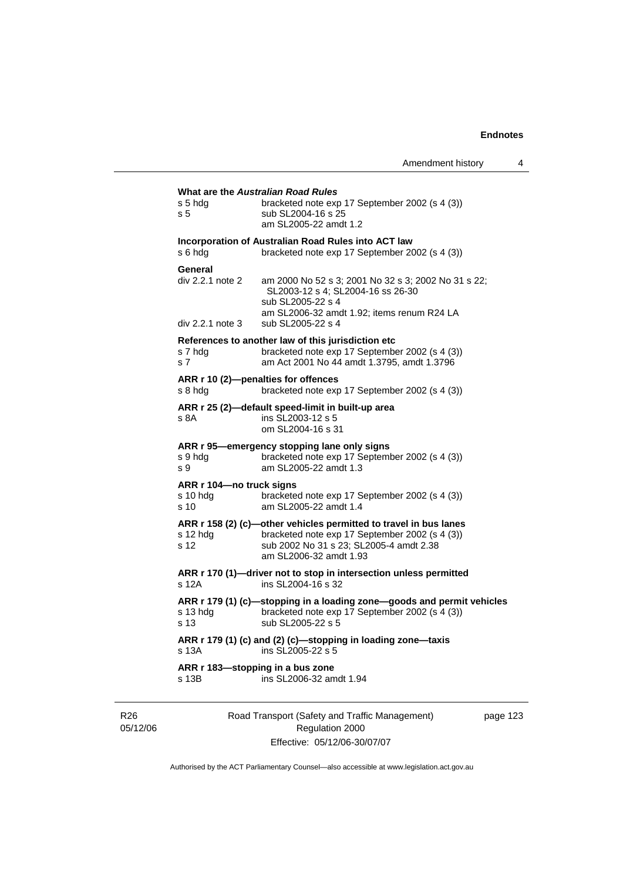| Amendment history |  |
|-------------------|--|
|-------------------|--|

| s 5 hda<br>s <sub>5</sub>                       | bracketed note exp 17 September 2002 (s 4 (3))<br>sub SL2004-16 s 25<br>am SL2005-22 amdt 1.2                                                                                            |  |
|-------------------------------------------------|------------------------------------------------------------------------------------------------------------------------------------------------------------------------------------------|--|
| s 6 hda                                         | Incorporation of Australian Road Rules into ACT law<br>bracketed note exp 17 September 2002 (s 4 (3))                                                                                    |  |
| General<br>div 2.2.1 note 2<br>div 2.2.1 note 3 | am 2000 No 52 s 3; 2001 No 32 s 3; 2002 No 31 s 22;<br>SL2003-12 s 4; SL2004-16 ss 26-30<br>sub SL2005-22 s 4<br>am SL2006-32 amdt 1.92; items renum R24 LA<br>sub SL2005-22 s 4         |  |
| s 7 hdg<br>s <sub>7</sub>                       | References to another law of this jurisdiction etc<br>bracketed note exp 17 September 2002 (s 4 (3))<br>am Act 2001 No 44 amdt 1.3795, amdt 1.3796                                       |  |
| s 8 hdg                                         | ARR r 10 (2)-penalties for offences<br>bracketed note exp 17 September 2002 (s 4 (3))                                                                                                    |  |
| s 8A                                            | ARR r 25 (2)-default speed-limit in built-up area<br>ins SL2003-12 s 5<br>om SL2004-16 s 31                                                                                              |  |
| s 9 hdg<br>s 9                                  | ARR r 95-emergency stopping lane only signs<br>bracketed note exp 17 September 2002 (s 4 (3))<br>am SL2005-22 amdt 1.3                                                                   |  |
| ARR r 104-no truck signs<br>$s10$ hdg<br>s 10   | bracketed note exp 17 September 2002 (s 4 (3))<br>am SL2005-22 amdt 1.4                                                                                                                  |  |
| s 12 hdg<br>s 12                                | ARR r 158 (2) (c)-other vehicles permitted to travel in bus lanes<br>bracketed note exp 17 September 2002 (s 4 (3))<br>sub 2002 No 31 s 23; SL2005-4 amdt 2.38<br>am SL2006-32 amdt 1.93 |  |
| $s$ 12 $A$                                      | ARR r 170 (1)-driver not to stop in intersection unless permitted<br>ins SL2004-16 s 32                                                                                                  |  |
| s 13 hdg<br>s 13                                | ARR r 179 (1) (c)-stopping in a loading zone-goods and permit vehicles<br>bracketed note exp 17 September 2002 (s 4 (3))<br>sub SL2005-22 s 5                                            |  |
| s 13A                                           | ARR r 179 (1) (c) and (2) (c)-stopping in loading zone-taxis<br>ins SL2005-22 s 5                                                                                                        |  |
| s 13B                                           | ARR r 183-stopping in a bus zone<br>ins SL2006-32 amdt 1.94                                                                                                                              |  |

R26 05/12/06

Road Transport (Safety and Traffic Management) Regulation 2000 Effective: 05/12/06-30/07/07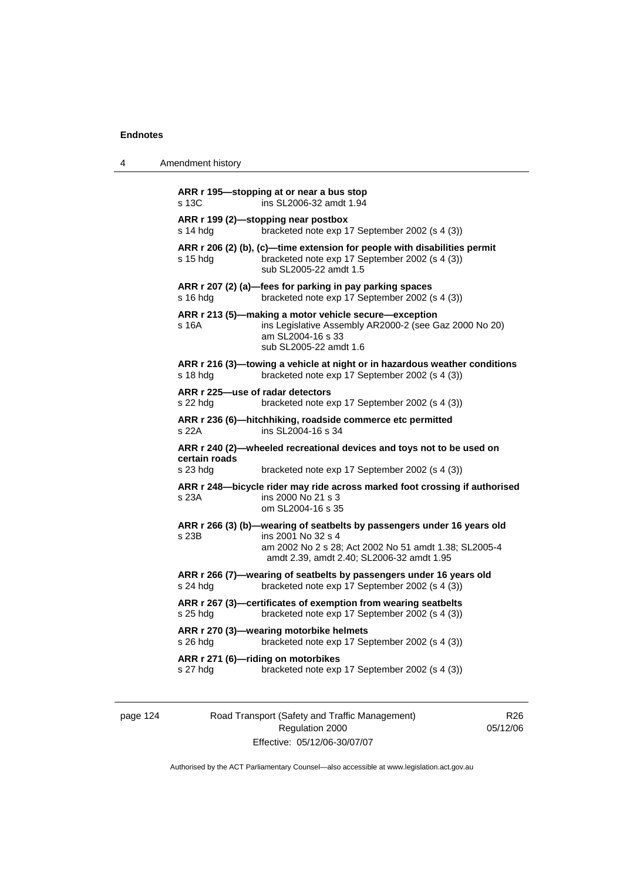4 Amendment history

| s 13C         | ARR r 195-stopping at or near a bus stop<br>ins SL 2006-32 amdt 1.94                                                                                           |
|---------------|----------------------------------------------------------------------------------------------------------------------------------------------------------------|
| s 14 hdg      | ARR r 199 (2)-stopping near postbox<br>bracketed note exp 17 September 2002 (s 4 (3))                                                                          |
| s 15 hda      | ARR r 206 (2) (b), (c)-time extension for people with disabilities permit<br>bracketed note exp 17 September 2002 (s 4 (3))<br>sub SL2005-22 amdt 1.5          |
| s 16 hda      | ARR r 207 (2) (a)-fees for parking in pay parking spaces<br>bracketed note exp 17 September 2002 (s 4 (3))                                                     |
| s 16A         | ARR r 213 (5)-making a motor vehicle secure-exception<br>ins Legislative Assembly AR2000-2 (see Gaz 2000 No 20)<br>am SL2004-16 s 33<br>sub SL2005-22 amdt 1.6 |
| s 18 hdg      | ARR r 216 (3)—towing a vehicle at night or in hazardous weather conditions<br>bracketed note exp 17 September 2002 (s 4 (3))                                   |
| s 22 hdg      | ARR r 225-use of radar detectors<br>bracketed note exp 17 September 2002 (s 4 (3))                                                                             |
| s 22A         | ARR r 236 (6)-hitchhiking, roadside commerce etc permitted<br>ins SL2004-16 s 34                                                                               |
| certain roads | ARR r 240 (2)-wheeled recreational devices and toys not to be used on                                                                                          |
| s 23 hdg      | bracketed note exp 17 September 2002 (s 4 (3))                                                                                                                 |
| s 23A         | ARR r 248-bicycle rider may ride across marked foot crossing if authorised<br>ins 2000 No 21 s 3<br>om SL2004-16 s 35                                          |
|               | ARR r 266 (3) (b)-wearing of seatbelts by passengers under 16 years old                                                                                        |
| s 23B         | ins 2001 No 32 s 4<br>am 2002 No 2 s 28; Act 2002 No 51 amdt 1.38; SL2005-4<br>amdt 2.39, amdt 2.40; SL2006-32 amdt 1.95                                       |
| s 24 hdg      | ARR r 266 (7)-wearing of seatbelts by passengers under 16 years old<br>bracketed note exp 17 September 2002 (s 4 (3))                                          |
| s 25 hdg      | ARR r 267 (3)-certificates of exemption from wearing seatbelts<br>bracketed note exp 17 September 2002 (s 4 (3))                                               |
| s 26 hdg      | ARR r 270 (3)-wearing motorbike helmets<br>bracketed note exp 17 September 2002 (s 4 (3))                                                                      |
| s 27 hdg      | ARR r 271 (6)-riding on motorbikes<br>bracketed note exp 17 September 2002 (s 4 (3))                                                                           |
|               |                                                                                                                                                                |

| page | 4 |
|------|---|
|------|---|

124 Road Transport (Safety and Traffic Management) Regulation 2000 Effective: 05/12/06-30/07/07

R26 05/12/06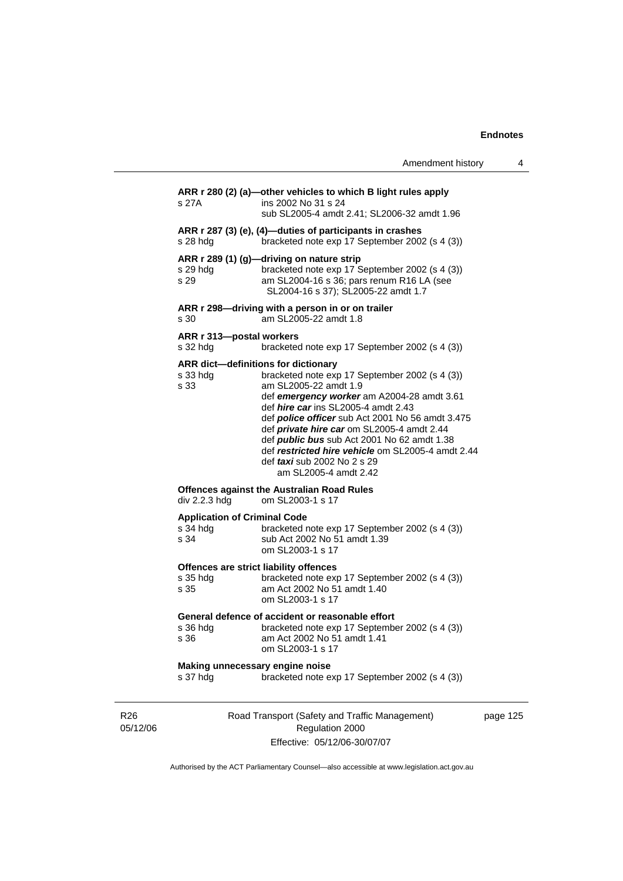|                                                         | Amendment history                                                                                                                                                                                                                                                                                                                                                                                                                                                                             | 4        |
|---------------------------------------------------------|-----------------------------------------------------------------------------------------------------------------------------------------------------------------------------------------------------------------------------------------------------------------------------------------------------------------------------------------------------------------------------------------------------------------------------------------------------------------------------------------------|----------|
| s 27A                                                   | ARR r 280 (2) (a)—other vehicles to which B light rules apply<br>ins 2002 No 31 s 24<br>sub SL2005-4 amdt 2.41; SL2006-32 amdt 1.96                                                                                                                                                                                                                                                                                                                                                           |          |
| s 28 hdg                                                | ARR r 287 (3) (e), (4)-duties of participants in crashes<br>bracketed note exp 17 September 2002 (s 4 (3))                                                                                                                                                                                                                                                                                                                                                                                    |          |
| s 29 hdg<br>s 29                                        | ARR r 289 (1) (g)-driving on nature strip<br>bracketed note exp 17 September 2002 (s 4 (3))<br>am SL2004-16 s 36; pars renum R16 LA (see<br>SL2004-16 s 37); SL2005-22 amdt 1.7                                                                                                                                                                                                                                                                                                               |          |
| s 30                                                    | ARR r 298-driving with a person in or on trailer<br>am SL2005-22 amdt 1.8                                                                                                                                                                                                                                                                                                                                                                                                                     |          |
| ARR r 313-postal workers<br>s 32 hdg                    | bracketed note exp 17 September 2002 (s 4 (3))                                                                                                                                                                                                                                                                                                                                                                                                                                                |          |
| s 33 hdg<br>s 33                                        | <b>ARR dict-definitions for dictionary</b><br>bracketed note exp 17 September 2002 (s 4 (3))<br>am SL2005-22 amdt 1.9<br>def emergency worker am A2004-28 amdt 3.61<br>def <i>hire car</i> ins SL2005-4 amdt 2.43<br>def police officer sub Act 2001 No 56 amdt 3.475<br>def private hire car om SL2005-4 amdt 2.44<br>def <i>public bus</i> sub Act 2001 No 62 amdt 1.38<br>def restricted hire vehicle om SL2005-4 amdt 2.44<br>def <i>taxi</i> sub 2002 No 2 s 29<br>am SL2005-4 amdt 2.42 |          |
| div 2.2.3 hdg                                           | <b>Offences against the Australian Road Rules</b><br>om SL2003-1 s 17                                                                                                                                                                                                                                                                                                                                                                                                                         |          |
| <b>Application of Criminal Code</b><br>s 34 hdg<br>s 34 | bracketed note exp 17 September 2002 (s 4 (3))<br>sub Act 2002 No 51 amdt 1.39<br>om SL2003-1 s 17                                                                                                                                                                                                                                                                                                                                                                                            |          |
| s 35 hdg<br>s 35                                        | Offences are strict liability offences<br>bracketed note exp 17 September 2002 (s 4 (3))<br>am Act 2002 No 51 amdt 1.40<br>om SL2003-1 s 17                                                                                                                                                                                                                                                                                                                                                   |          |
| s 36                                                    | General defence of accident or reasonable effort<br>s 36 hdg bracketed note exp 17 September 2002 (s 4 (3))<br>am Act 2002 No 51 amdt 1.41<br>om SL2003-1 s 17                                                                                                                                                                                                                                                                                                                                |          |
| Making unnecessary engine noise<br>s 37 hdg             | bracketed note exp 17 September 2002 (s 4 (3))                                                                                                                                                                                                                                                                                                                                                                                                                                                |          |
|                                                         | Road Transport (Safety and Traffic Management)<br>Regulation 2000                                                                                                                                                                                                                                                                                                                                                                                                                             | page 125 |

Effective: 05/12/06-30/07/07

R26 05/12/06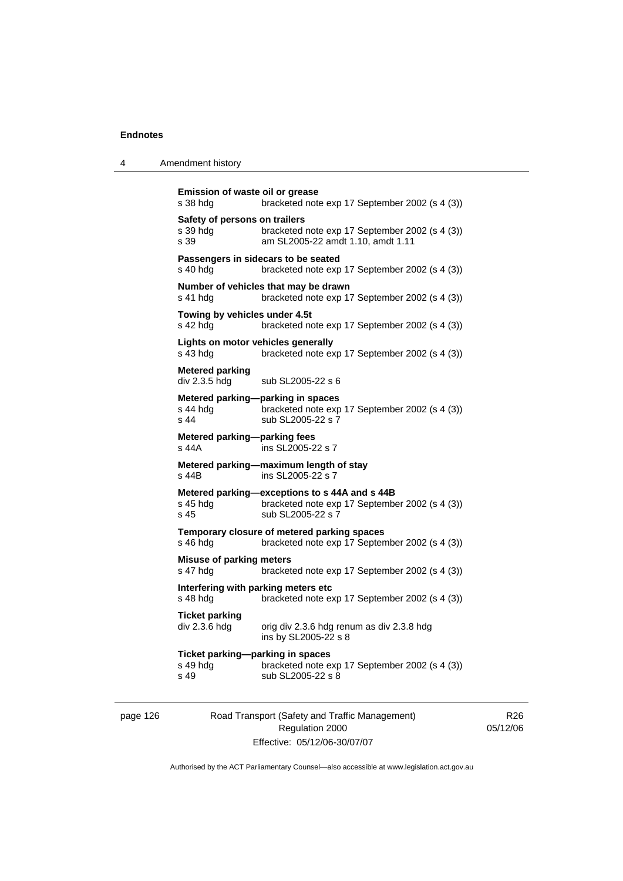| 4 | Amendment history |
|---|-------------------|
|---|-------------------|

```
Emission of waste oil or grease 
s 38 hdg bracketed note exp 17 September 2002 (s 4 (3)) 
Safety of persons on trailers 
s 39 hdg bracketed note exp 17 September 2002 (s 4 (3)) 
s 39 am SL2005-22 amdt 1.10, amdt 1.11 
Passengers in sidecars to be seated 
s 40 hdg bracketed note exp 17 September 2002 (s 4 (3)) 
Number of vehicles that may be drawn 
s 41 hdg bracketed note exp 17 September 2002 (s 4 (3)) 
Towing by vehicles under 4.5t 
s 42 hdg bracketed note exp 17 September 2002 (s 4 (3)) 
Lights on motor vehicles generally 
s 43 hdg bracketed note exp 17 September 2002 (s 4 (3)) 
Metered parking 
div 2.3.5 hdg sub SL2005-22 s 6
Metered parking—parking in spaces 
s 44 hdg<br>s \frac{1}{2} bracketed note exp 17 September 2002 (s 4 (3))<br>s 44 sub SI 2005-22 s 7
                  sub SL2005-22 s 7
Metered parking—parking fees 
s 44A ins SL2005-22 s 7 
Metered parking—maximum length of stay 
                  ins SL2005-22 s 7
Metered parking—exceptions to s 44A and s 44B 
s 45 hdg bracketed note exp 17 September 2002 (s 4 (3))<br>s 45 sub SI 2005-22 s 7
                  sub SL2005-22 s 7
Temporary closure of metered parking spaces 
s 46 hdg bracketed note exp 17 September 2002 (s 4 (3)) 
Misuse of parking meters 
s 47 hdg bracketed note exp 17 September 2002 (s 4 (3))
Interfering with parking meters etc 
s 48 hdg bracketed note exp 17 September 2002 (s 4 (3))
Ticket parking 
div 2.3.6 hdg orig div 2.3.6 hdg renum as div 2.3.8 hdg
                   ins by SL2005-22 s 8 
Ticket parking—parking in spaces 
s 49 hdg bracketed note exp 17 September 2002 (s 4 (3))<br>s 49 sub SL2005-22 s 8
                  sub SL2005-22 s 8
```
page 126 Road Transport (Safety and Traffic Management) Regulation 2000 Effective: 05/12/06-30/07/07

R26 05/12/06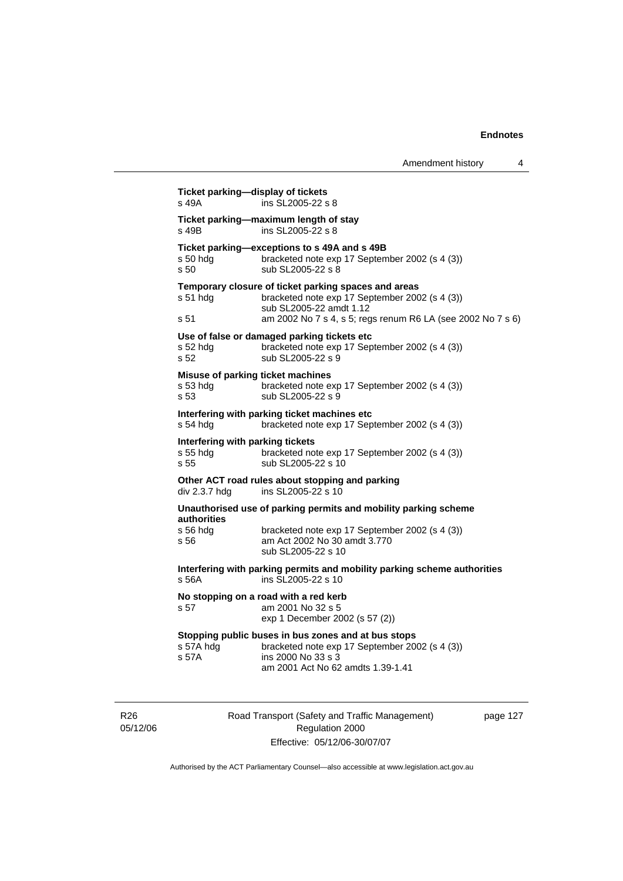| Amendment history |  |
|-------------------|--|
|                   |  |

| s 49B                                                | Ticket parking-maximum length of stay<br>ins SL2005-22 s 8                                                                                                                                       |
|------------------------------------------------------|--------------------------------------------------------------------------------------------------------------------------------------------------------------------------------------------------|
| s 50 hdg<br>s 50                                     | Ticket parking-exceptions to s 49A and s 49B<br>bracketed note exp 17 September 2002 (s 4 (3))<br>sub SL2005-22 s 8                                                                              |
| s 51 hdg<br>s 51                                     | Temporary closure of ticket parking spaces and areas<br>bracketed note exp 17 September 2002 (s 4 (3))<br>sub SL2005-22 amdt 1.12<br>am 2002 No 7 s 4, s 5; regs renum R6 LA (see 2002 No 7 s 6) |
| s 52 hdg<br>s <sub>52</sub>                          | Use of false or damaged parking tickets etc<br>bracketed note exp 17 September 2002 (s 4 (3))<br>sub SL2005-22 s 9                                                                               |
| s 53 hdg<br>s 53                                     | Misuse of parking ticket machines<br>bracketed note exp 17 September 2002 (s 4 (3))<br>sub SL2005-22 s 9                                                                                         |
| s 54 hdg                                             | Interfering with parking ticket machines etc<br>bracketed note exp 17 September 2002 (s 4 (3))                                                                                                   |
| Interfering with parking tickets<br>s 55 hdg<br>s 55 | bracketed note exp 17 September 2002 (s 4 (3))<br>sub SL2005-22 s 10                                                                                                                             |
| div 2.3.7 hdg                                        | Other ACT road rules about stopping and parking<br>ins SL2005-22 s 10                                                                                                                            |
|                                                      | Unauthorised use of parking permits and mobility parking scheme                                                                                                                                  |
| <b>authorities</b><br>s 56 hda<br>s 56               | bracketed note exp 17 September 2002 (s 4 (3))<br>am Act 2002 No 30 amdt 3.770<br>sub SL2005-22 s 10                                                                                             |
| s 56A                                                | Interfering with parking permits and mobility parking scheme authorities<br>ins SL2005-22 s 10                                                                                                   |
| s 57                                                 | No stopping on a road with a red kerb<br>am 2001 No 32 s 5<br>exp 1 December 2002 (s 57 (2))                                                                                                     |
| s 57A hdg<br>s 57A                                   | Stopping public buses in bus zones and at bus stops<br>bracketed note exp 17 September 2002 (s 4 (3))<br>ins 2000 No 33 s 3<br>am 2001 Act No 62 amdts 1.39-1.41                                 |

R26 05/12/06 Road Transport (Safety and Traffic Management) Regulation 2000 Effective: 05/12/06-30/07/07

page 127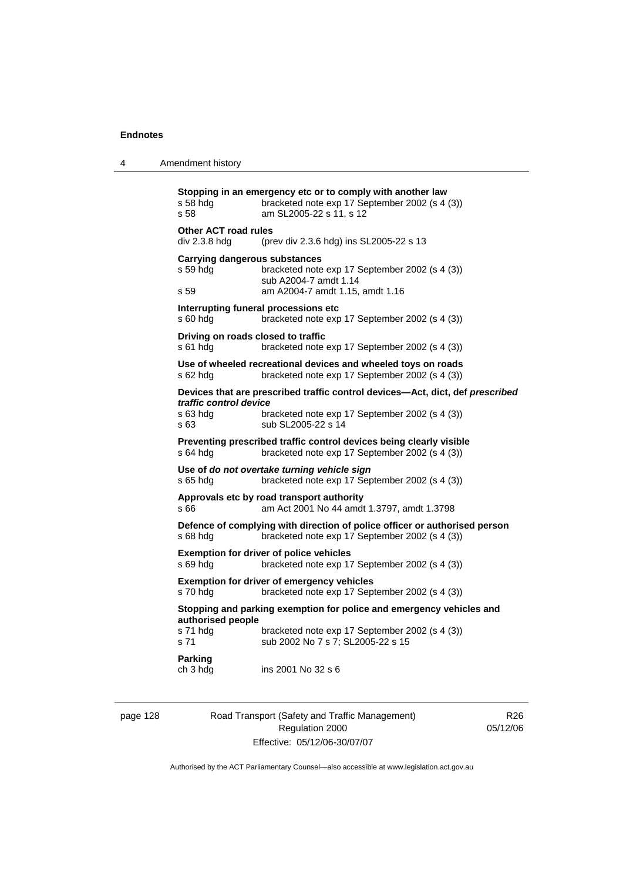```
Stopping in an emergency etc or to comply with another law 
s 58 hdq bracketed note exp 17 September 2002 (s 4 (3))
s 58 am SL2005-22 s 11, s 12 
Other ACT road rules 
div 2.3.8 hdg (prev div 2.3.6 hdg) ins SL2005-22 s 13 
Carrying dangerous substances 
s 59 hdg bracketed note exp 17 September 2002 (s 4 (3)) 
sub A2004-7 amdt 1.14<br>
s 59 am A2004-7 amdt 1.15
                 am A2004-7 amdt 1.15, amdt 1.16
Interrupting funeral processions etc 
s 60 hdg bracketed note exp 17 September 2002 (s 4 (3)) 
Driving on roads closed to traffic 
s 61 hdg bracketed note exp 17 September 2002 (s 4 (3)) 
Use of wheeled recreational devices and wheeled toys on roads 
s 62 hdg bracketed note exp 17 September 2002 (s 4 (3)) 
Devices that are prescribed traffic control devices—Act, dict, def prescribed 
traffic control device
s 63 hdg bracketed note exp 17 September 2002 (s 4 (3)) 
s 63 sub SL2005-22 s 14 
Preventing prescribed traffic control devices being clearly visible 
s 64 hdg bracketed note exp 17 September 2002 (s 4 (3))
Use of do not overtake turning vehicle sign 
s 65 hdg bracketed note exp 17 September 2002 (s 4 (3)) 
Approvals etc by road transport authority 
s 66 am Act 2001 No 44 amdt 1.3797, amdt 1.3798 
Defence of complying with direction of police officer or authorised person 
s 68 hdg bracketed note exp 17 September 2002 (s 4 (3)) 
Exemption for driver of police vehicles 
s 69 hdg bracketed note exp 17 September 2002 (s 4 (3)) 
Exemption for driver of emergency vehicles 
s 70 hdg bracketed note exp 17 September 2002 (s 4 (3)) 
Stopping and parking exemption for police and emergency vehicles and 
authorised people 
s 71 hdg bracketed note exp 17 September 2002 (s 4 (3)) 
s 71 sub 2002 No 7 s 7; SL2005-22 s 15
Parking 
ch 3 hdg ins 2001 No 32 s 6
```
page 128 Road Transport (Safety and Traffic Management) Regulation 2000 Effective: 05/12/06-30/07/07

R<sub>26</sub> 05/12/06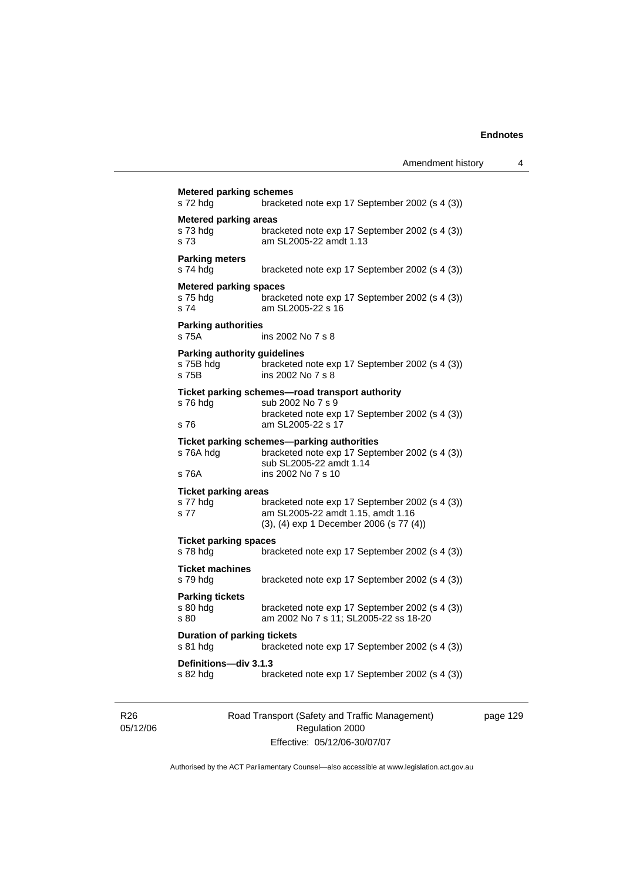| <b>Metered parking areas</b>                              |                                                                                                                                               |
|-----------------------------------------------------------|-----------------------------------------------------------------------------------------------------------------------------------------------|
| s 73 hdg<br>s <sub>73</sub>                               | bracketed note exp 17 September 2002 (s 4 (3))<br>am SL2005-22 amdt 1.13                                                                      |
| <b>Parking meters</b><br>s 74 hdg                         | bracketed note exp 17 September 2002 (s 4 (3))                                                                                                |
| <b>Metered parking spaces</b><br>s 75 hdg<br>s 74         | bracketed note exp 17 September 2002 (s 4 (3))<br>am SL2005-22 s 16                                                                           |
| <b>Parking authorities</b><br>s 75A                       | ins 2002 No 7 s 8                                                                                                                             |
| <b>Parking authority guidelines</b><br>s 75B hdg<br>s 75B | bracketed note exp 17 September 2002 (s 4 (3))<br>ins 2002 No 7 s 8                                                                           |
| s 76 hdg                                                  | Ticket parking schemes-road transport authority<br>sub 2002 No 7 s 9                                                                          |
| s 76                                                      | bracketed note exp 17 September 2002 (s 4 (3))<br>am SL2005-22 s 17                                                                           |
| s 76A hdg<br>s 76A                                        | Ticket parking schemes—parking authorities<br>bracketed note exp 17 September 2002 (s 4 (3))<br>sub SL2005-22 amdt 1.14<br>ins 2002 No 7 s 10 |
|                                                           |                                                                                                                                               |
| <b>Ticket parking areas</b><br>s 77 hdg<br>s 77           | bracketed note exp 17 September 2002 (s 4 (3))<br>am SL2005-22 amdt 1.15, amdt 1.16<br>(3), (4) exp 1 December 2006 (s 77 (4))                |
| <b>Ticket parking spaces</b><br>s 78 hda                  | bracketed note exp 17 September 2002 (s 4 (3))                                                                                                |
| <b>Ticket machines</b><br>s 79 hdg                        | bracketed note exp 17 September 2002 (s 4 (3))                                                                                                |
| <b>Parking tickets</b><br>s 80 hdg<br>s 80                | bracketed note exp 17 September 2002 (s 4 (3))<br>am 2002 No 7 s 11; SL2005-22 ss 18-20                                                       |
| <b>Duration of parking tickets</b><br>s 81 hdg            | bracketed note exp 17 September 2002 (s 4 (3))                                                                                                |

R26 05/12/06 Road Transport (Safety and Traffic Management) Regulation 2000 Effective: 05/12/06-30/07/07

page 129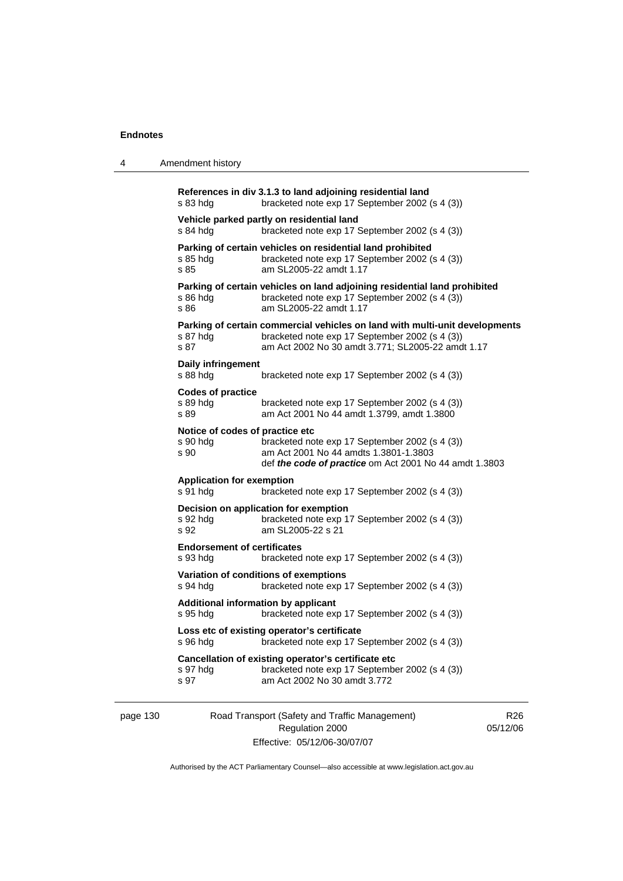4 Amendment history

|          | $s$ 83 hdg                                                                                                | References in div 3.1.3 to land adjoining residential land<br>bracketed note exp 17 September 2002 (s 4 (3))                                                                       |                             |  |
|----------|-----------------------------------------------------------------------------------------------------------|------------------------------------------------------------------------------------------------------------------------------------------------------------------------------------|-----------------------------|--|
|          | s 84 hdg                                                                                                  | Vehicle parked partly on residential land<br>bracketed note exp 17 September 2002 (s 4 (3))                                                                                        |                             |  |
|          | s 85 hdg<br>s 85                                                                                          | Parking of certain vehicles on residential land prohibited<br>bracketed note exp 17 September 2002 (s 4 (3))<br>am SL2005-22 amdt 1.17                                             |                             |  |
|          | s 86 hdg<br>s 86                                                                                          | Parking of certain vehicles on land adjoining residential land prohibited<br>bracketed note exp 17 September 2002 (s 4 (3))<br>am SL2005-22 amdt 1.17                              |                             |  |
|          | s 87 hdg<br>s 87                                                                                          | Parking of certain commercial vehicles on land with multi-unit developments<br>bracketed note exp 17 September 2002 (s 4 (3))<br>am Act 2002 No 30 amdt 3.771; SL2005-22 amdt 1.17 |                             |  |
|          | Daily infringement<br>$s88h$ dg                                                                           | bracketed note exp 17 September 2002 (s 4 (3))                                                                                                                                     |                             |  |
|          | <b>Codes of practice</b><br>s 89 hdg<br>s 89                                                              | bracketed note exp 17 September 2002 (s 4 (3))<br>am Act 2001 No 44 amdt 1.3799, amdt 1.3800                                                                                       |                             |  |
|          | Notice of codes of practice etc<br>s 90 hdg<br>s 90                                                       | bracketed note exp 17 September 2002 (s 4 (3))<br>am Act 2001 No 44 amdts 1.3801-1.3803<br>def the code of practice om Act 2001 No 44 amdt 1.3803                                  |                             |  |
|          | <b>Application for exemption</b><br>s 91 hdg<br>bracketed note exp 17 September 2002 (s 4 (3))            |                                                                                                                                                                                    |                             |  |
|          | s 92 hdg<br>s 92                                                                                          | Decision on application for exemption<br>bracketed note exp 17 September 2002 (s 4 (3))<br>am SL2005-22 s 21                                                                       |                             |  |
|          | <b>Endorsement of certificates</b><br>s 93 hdg                                                            | bracketed note exp 17 September 2002 (s 4 (3))                                                                                                                                     |                             |  |
|          | s 94 hdg                                                                                                  | Variation of conditions of exemptions<br>bracketed note exp 17 September 2002 (s 4 (3))                                                                                            |                             |  |
|          | s 95 hdg                                                                                                  | <b>Additional information by applicant</b><br>bracketed note exp 17 September 2002 (s 4 (3))                                                                                       |                             |  |
|          | Loss etc of existing operator's certificate<br>bracketed note exp 17 September 2002 (s 4 (3))<br>s 96 hdg |                                                                                                                                                                                    |                             |  |
|          | s 97 hdg<br>s 97                                                                                          | Cancellation of existing operator's certificate etc<br>bracketed note exp 17 September 2002 (s 4 (3))<br>am Act 2002 No 30 amdt 3.772                                              |                             |  |
| page 130 |                                                                                                           | Road Transport (Safety and Traffic Management)<br>Regulation 2000                                                                                                                  | R <sub>26</sub><br>05/12/06 |  |

Authorised by the ACT Parliamentary Counsel—also accessible at www.legislation.act.gov.au

Effective: 05/12/06-30/07/07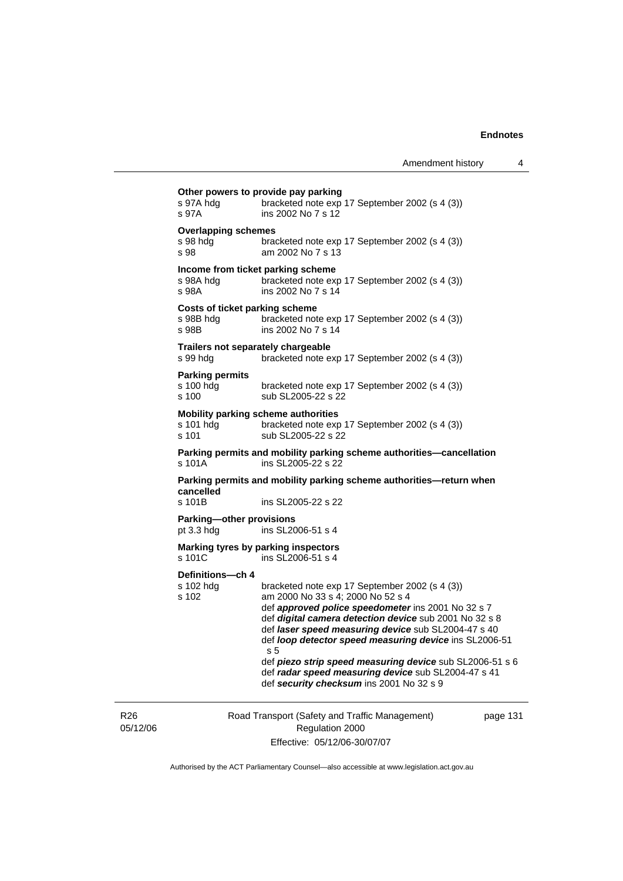| s 97A hdg<br>s 97A                                          | Other powers to provide pay parking<br>bracketed note exp 17 September 2002 (s 4 (3))<br>ins 2002 No 7 s 12                                                                                                                                                                                                                                                                                                                                                                                           |
|-------------------------------------------------------------|-------------------------------------------------------------------------------------------------------------------------------------------------------------------------------------------------------------------------------------------------------------------------------------------------------------------------------------------------------------------------------------------------------------------------------------------------------------------------------------------------------|
| <b>Overlapping schemes</b><br>s 98 hdg<br>s 98              | bracketed note exp 17 September 2002 (s 4 (3))<br>am 2002 No 7 s 13                                                                                                                                                                                                                                                                                                                                                                                                                                   |
| Income from ticket parking scheme<br>s 98A hdg<br>s 98A     | bracketed note exp 17 September 2002 (s 4 (3))<br>ins 2002 No 7 s 14                                                                                                                                                                                                                                                                                                                                                                                                                                  |
| <b>Costs of ticket parking scheme</b><br>s 98B hdg<br>s 98B | bracketed note exp 17 September 2002 (s 4 (3))<br>ins 2002 No 7 s 14                                                                                                                                                                                                                                                                                                                                                                                                                                  |
| Trailers not separately chargeable<br>s 99 hdg              | bracketed note exp 17 September 2002 (s 4 (3))                                                                                                                                                                                                                                                                                                                                                                                                                                                        |
| <b>Parking permits</b><br>s 100 hdg<br>s 100                | bracketed note exp 17 September 2002 (s 4 (3))<br>sub SL2005-22 s 22                                                                                                                                                                                                                                                                                                                                                                                                                                  |
| s 101 hdg<br>s 101                                          | Mobility parking scheme authorities<br>bracketed note exp 17 September 2002 (s 4 (3))<br>sub SL2005-22 s 22                                                                                                                                                                                                                                                                                                                                                                                           |
| s 101A                                                      | Parking permits and mobility parking scheme authorities-cancellation<br>ins SL2005-22 s 22                                                                                                                                                                                                                                                                                                                                                                                                            |
| cancelled                                                   | Parking permits and mobility parking scheme authorities—return when                                                                                                                                                                                                                                                                                                                                                                                                                                   |
| s 101B                                                      | ins SL2005-22 s 22                                                                                                                                                                                                                                                                                                                                                                                                                                                                                    |
| Parking-other provisions<br>pt $3.3$ hdg                    | ins SL2006-51 s 4                                                                                                                                                                                                                                                                                                                                                                                                                                                                                     |
| s 101C                                                      | Marking tyres by parking inspectors<br>ins SL2006-51 s 4                                                                                                                                                                                                                                                                                                                                                                                                                                              |
| Definitions-ch 4<br>s 102 hdg<br>s 102                      | bracketed note exp 17 September 2002 (s 4 (3))<br>am 2000 No 33 s 4; 2000 No 52 s 4<br>def approved police speedometer ins 2001 No 32 s 7<br>def digital camera detection device sub 2001 No 32 s 8<br>def laser speed measuring device sub SL2004-47 s 40<br>def loop detector speed measuring device ins SL2006-51<br>s <sub>5</sub><br>def piezo strip speed measuring device sub SL2006-51 s 6<br>def radar speed measuring device sub SL2004-47 s 41<br>def security checksum ins 2001 No 32 s 9 |
|                                                             |                                                                                                                                                                                                                                                                                                                                                                                                                                                                                                       |

R26 05/12/06 Road Transport (Safety and Traffic Management) Regulation 2000 Effective: 05/12/06-30/07/07

page 131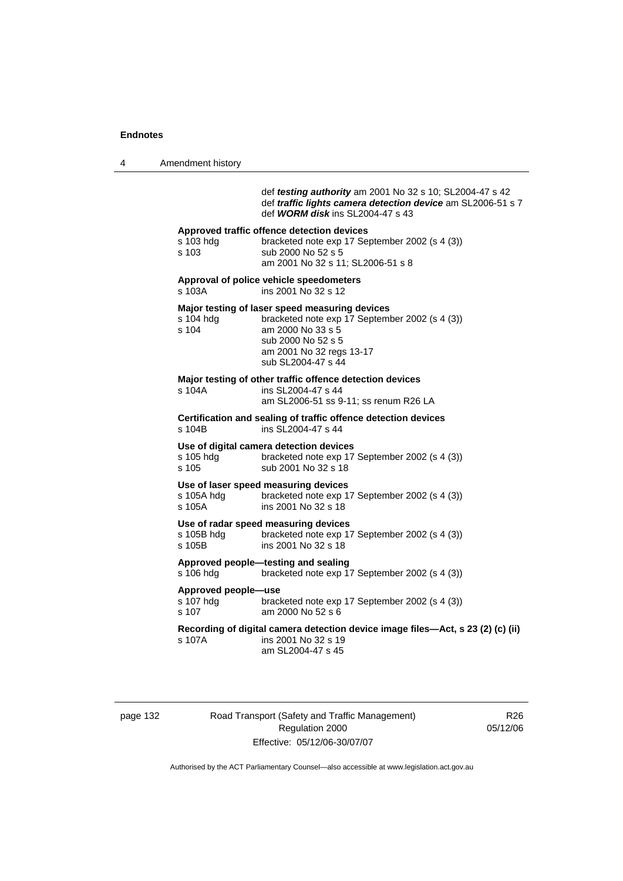4 Amendment history

def *testing authority* am 2001 No 32 s 10; SL2004-47 s 42 def *traffic lights camera detection device* am SL2006-51 s 7 def *WORM disk* ins SL2004-47 s 43

|  | s 103 hdg<br>s 103                                                                             | Approved traffic offence detection devices<br>bracketed note exp 17 September 2002 (s 4 (3))<br>sub 2000 No 52 s 5<br>am 2001 No 32 s 11; SL2006-51 s 8                                       |  |
|--|------------------------------------------------------------------------------------------------|-----------------------------------------------------------------------------------------------------------------------------------------------------------------------------------------------|--|
|  | Approval of police vehicle speedometers<br>ins 2001 No 32 s 12                                 |                                                                                                                                                                                               |  |
|  | s 104 hdg<br>s 104                                                                             | Major testing of laser speed measuring devices<br>bracketed note exp 17 September 2002 (s 4 (3))<br>am 2000 No 33 s 5<br>sub 2000 No 52 s 5<br>am 2001 No 32 regs 13-17<br>sub SL2004-47 s 44 |  |
|  | s 104A                                                                                         | Major testing of other traffic offence detection devices<br>ins SL2004-47 s 44<br>am SL2006-51 ss 9-11; ss renum R26 LA                                                                       |  |
|  | Certification and sealing of traffic offence detection devices<br>s 104B<br>ins SL2004-47 s 44 |                                                                                                                                                                                               |  |
|  | s 105 hdg<br>s 105                                                                             | Use of digital camera detection devices<br>bracketed note exp 17 September 2002 (s 4 (3))<br>sub 2001 No 32 s 18                                                                              |  |
|  | s 105A hdg<br>s 105A                                                                           | Use of laser speed measuring devices<br>bracketed note exp 17 September 2002 (s 4 (3))<br>ins 2001 No 32 s 18                                                                                 |  |
|  | s 105B hdg<br>s 105B                                                                           | Use of radar speed measuring devices<br>bracketed note exp 17 September 2002 (s 4 (3))<br>ins 2001 No 32 s 18                                                                                 |  |
|  | s 106 hdg                                                                                      | Approved people-testing and sealing<br>bracketed note exp 17 September 2002 (s 4 (3))                                                                                                         |  |
|  | Approved people-use<br>s 107 hdg<br>s 107                                                      | bracketed note exp 17 September 2002 (s 4 (3))<br>am 2000 No 52 s 6                                                                                                                           |  |

**Recording of digital camera detection device image files—Act, s 23 (2) (c) (ii)** s 107A ins 2001 No 32 s 19 ins 2001 No 32 s 19 am SL2004-47 s 45

page 132 Road Transport (Safety and Traffic Management) Regulation 2000 Effective: 05/12/06-30/07/07

R26 05/12/06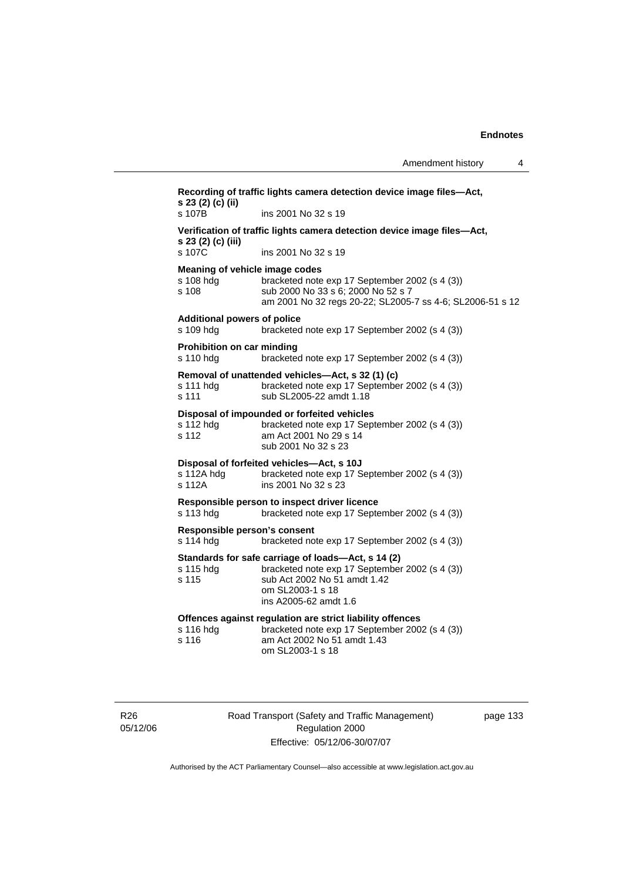| s 107B                                               | ins 2001 No 32 s 19                                                                                                                                                               |
|------------------------------------------------------|-----------------------------------------------------------------------------------------------------------------------------------------------------------------------------------|
| s 23 (2) (c) (iii)                                   | Verification of traffic lights camera detection device image files-Act,                                                                                                           |
| s 107C                                               | ins 2001 No 32 s 19                                                                                                                                                               |
| Meaning of vehicle image codes<br>s 108 hdg<br>s 108 | bracketed note exp 17 September 2002 (s 4 (3))<br>sub 2000 No 33 s 6; 2000 No 52 s 7<br>am 2001 No 32 regs 20-22; SL2005-7 ss 4-6; SL2006-51 s 12                                 |
| <b>Additional powers of police</b><br>s 109 hdg      | bracketed note exp 17 September 2002 (s 4 (3))                                                                                                                                    |
| Prohibition on car minding<br>s 110 hdg              | bracketed note exp 17 September 2002 (s 4 (3))                                                                                                                                    |
| s 111 hdg<br>s 111                                   | Removal of unattended vehicles-Act, s 32 (1) (c)<br>bracketed note exp 17 September 2002 (s 4 (3))<br>sub SL2005-22 amdt 1.18                                                     |
| s 112 hdg<br>s 112                                   | Disposal of impounded or forfeited vehicles<br>bracketed note exp 17 September 2002 (s 4 (3))<br>am Act 2001 No 29 s 14<br>sub 2001 No 32 s 23                                    |
| s 112A hdg<br>s 112A                                 | Disposal of forfeited vehicles-Act, s 10J<br>bracketed note exp 17 September 2002 (s 4 (3))<br>ins 2001 No 32 s 23                                                                |
| s 113 hdg                                            | Responsible person to inspect driver licence<br>bracketed note exp 17 September 2002 (s 4 (3))                                                                                    |
| Responsible person's consent<br>s 114 hdg            | bracketed note exp 17 September 2002 (s 4 (3))                                                                                                                                    |
| s 115 hdg<br>s 115                                   | Standards for safe carriage of loads-Act, s 14 (2)<br>bracketed note exp 17 September 2002 (s 4 (3))<br>sub Act 2002 No 51 amdt 1.42<br>om SL2003-1 s 18<br>ins A2005-62 amdt 1.6 |
| s 116 hdg<br>s 116                                   | Offences against regulation are strict liability offences<br>bracketed note exp 17 September 2002 (s 4 (3))<br>am Act 2002 No 51 amdt 1.43<br>om SL2003-1 s 18                    |

R26 05/12/06 Road Transport (Safety and Traffic Management) Regulation 2000 Effective: 05/12/06-30/07/07

page 133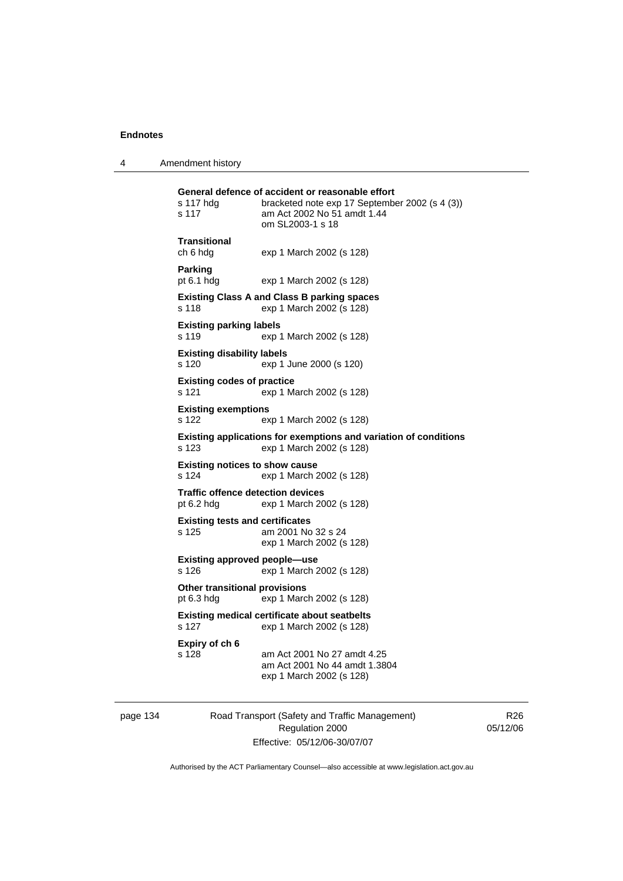4 Amendment history

| s 117 hdg<br>s 117                                                                   | General defence of accident or reasonable effort<br>bracketed note exp 17 September 2002 (s 4 (3))<br>am Act 2002 No 51 amdt 1.44<br>om SL2003-1 s 18 |
|--------------------------------------------------------------------------------------|-------------------------------------------------------------------------------------------------------------------------------------------------------|
| Transitional<br>ch 6 hdg                                                             | exp 1 March 2002 (s 128)                                                                                                                              |
| Parking<br>pt 6.1 hdg                                                                | exp 1 March 2002 (s 128)                                                                                                                              |
| s 118                                                                                | <b>Existing Class A and Class B parking spaces</b><br>exp 1 March 2002 (s 128)                                                                        |
| <b>Existing parking labels</b><br>s 119                                              | exp 1 March 2002 (s 128)                                                                                                                              |
| <b>Existing disability labels</b><br>s 120                                           | exp 1 June 2000 (s 120)                                                                                                                               |
| <b>Existing codes of practice</b><br>s 121                                           | exp 1 March 2002 (s 128)                                                                                                                              |
| <b>Existing exemptions</b><br>s 122                                                  | exp 1 March 2002 (s 128)                                                                                                                              |
| s 123                                                                                | Existing applications for exemptions and variation of conditions<br>exp 1 March 2002 (s 128)                                                          |
| <b>Existing notices to show cause</b><br>s 124<br>exp 1 March 2002 (s 128)           |                                                                                                                                                       |
| <b>Traffic offence detection devices</b><br>pt $6.2$ hdg<br>exp 1 March 2002 (s 128) |                                                                                                                                                       |
| <b>Existing tests and certificates</b><br>s 125                                      | am 2001 No 32 s 24<br>exp 1 March 2002 (s 128)                                                                                                        |
| <b>Existing approved people-use</b><br>s 126                                         | exp 1 March 2002 (s 128)                                                                                                                              |
| <b>Other transitional provisions</b><br>pt $6.3$ hdg                                 | exp 1 March 2002 (s 128)                                                                                                                              |
| s 127                                                                                | <b>Existing medical certificate about seatbelts</b><br>exp 1 March 2002 (s 128)                                                                       |
| Expiry of ch 6<br>s 128                                                              | am Act 2001 No 27 amdt 4.25<br>am Act 2001 No 44 amdt 1.3804<br>exp 1 March 2002 (s 128)                                                              |

page 134 Road Transport (Safety and Traffic Management) Regulation 2000 Effective: 05/12/06-30/07/07

R26 05/12/06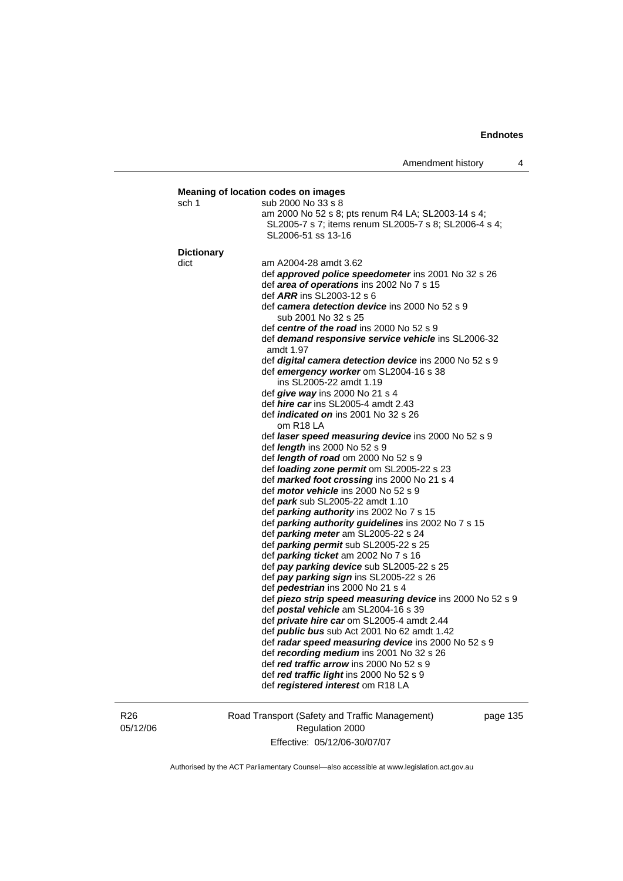## **Endnotes**

| sch 1             | sub 2000 No 33 s 8                                                                       |
|-------------------|------------------------------------------------------------------------------------------|
|                   | am 2000 No 52 s 8; pts renum R4 LA; SL2003-14 s 4;                                       |
|                   | SL2005-7 s 7; items renum SL2005-7 s 8; SL2006-4 s 4;                                    |
|                   | SL2006-51 ss 13-16                                                                       |
| <b>Dictionary</b> |                                                                                          |
| dict              | am A2004-28 amdt 3.62                                                                    |
|                   | def approved police speedometer ins 2001 No 32 s 26                                      |
|                   | def area of operations ins 2002 No 7 s 15                                                |
|                   | def <i>ARR</i> ins SL2003-12 s 6                                                         |
|                   | def camera detection device ins 2000 No 52 s 9                                           |
|                   | sub 2001 No 32 s 25                                                                      |
|                   | def centre of the road ins 2000 No 52 s 9                                                |
|                   | def <b>demand responsive service vehicle</b> ins SL2006-32<br>amdt 1.97                  |
|                   | def <i>digital camera detection device</i> ins 2000 No 52 s 9                            |
|                   | def emergency worker om SL2004-16 s 38                                                   |
|                   | ins SL2005-22 amdt 1.19                                                                  |
|                   | def <i>give way</i> ins 2000 No 21 s 4                                                   |
|                   | def hire car ins SL2005-4 amdt 2.43                                                      |
|                   | def <i>indicated on</i> ins 2001 No 32 s 26                                              |
|                   | om R <sub>18</sub> LA                                                                    |
|                   | def <i>laser speed measuring device</i> ins 2000 No 52 s 9                               |
|                   | def <i>length</i> ins 2000 No 52 s 9                                                     |
|                   | def <i>length of road</i> om 2000 No 52 s 9<br>def loading zone permit om SL2005-22 s 23 |
|                   | def marked foot crossing ins 2000 No 21 s 4                                              |
|                   | def <i>motor vehicle</i> ins 2000 No 52 s 9                                              |
|                   | def park sub SL2005-22 amdt 1.10                                                         |
|                   | def parking authority ins 2002 No 7 s 15                                                 |
|                   | def parking authority guidelines ins 2002 No 7 s 15                                      |
|                   | def <i>parking meter</i> am SL2005-22 s 24                                               |
|                   | def <i>parking permit</i> sub SL2005-22 s 25                                             |
|                   | def <i>parking ticket</i> am 2002 No 7 s 16                                              |
|                   | def pay parking device sub SL2005-22 s 25                                                |
|                   | def pay parking sign ins SL2005-22 s 26                                                  |
|                   | def <i>pedestrian</i> ins 2000 No 21 s 4                                                 |
|                   | def piezo strip speed measuring device ins 2000 No 52 s 9                                |
|                   | def postal vehicle am SL2004-16 s 39                                                     |
|                   | def <i>private hire car</i> om SL2005-4 amdt 2.44                                        |
|                   | def <i>public bus</i> sub Act 2001 No 62 amdt 1.42                                       |
|                   | def radar speed measuring device ins 2000 No 52 s 9                                      |
|                   | def recording medium ins 2001 No 32 s 26                                                 |
|                   | def red traffic arrow ins 2000 No 52 s 9                                                 |
|                   | def red traffic light ins 2000 No 52 s 9                                                 |
|                   | def registered interest om R18 LA                                                        |

R26 05/12/06 Road Transport (Safety and Traffic Management) Regulation 2000 Effective: 05/12/06-30/07/07

page 135

Authorised by the ACT Parliamentary Counsel—also accessible at www.legislation.act.gov.au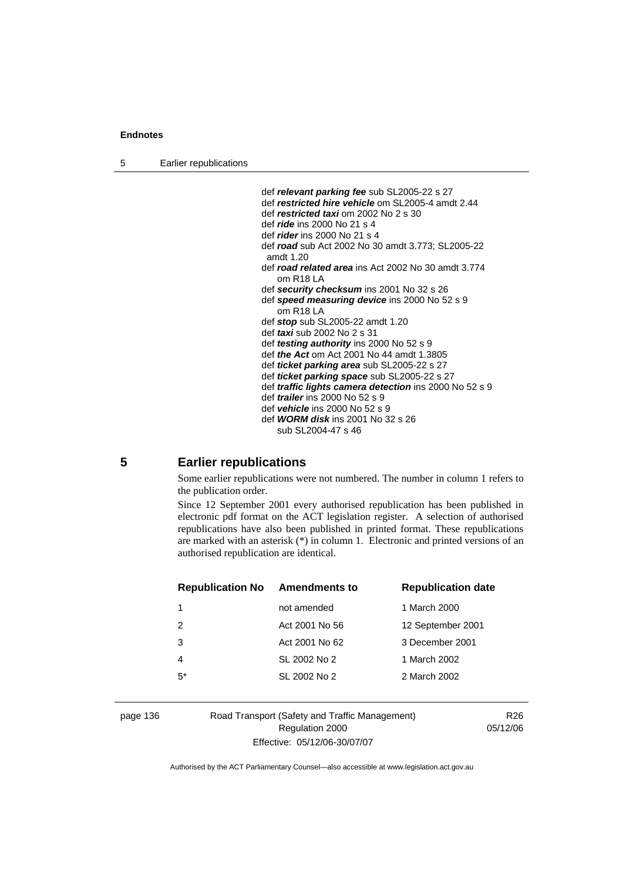## **Endnotes**

5 Earlier republications

 def *relevant parking fee* sub SL2005-22 s 27 def *restricted hire vehicle* om SL2005-4 amdt 2.44 def *restricted taxi* om 2002 No 2 s 30 def *ride* ins 2000 No 21 s 4 def *rider* ins 2000 No 21 s 4 def *road* sub Act 2002 No 30 amdt 3.773; SL2005-22 amdt 1.20 def *road related area* ins Act 2002 No 30 amdt 3.774 om R18 LA def *security checksum* ins 2001 No 32 s 26 def *speed measuring device* ins 2000 No 52 s 9 om R18 LA def *stop* sub SL2005-22 amdt 1.20 def *taxi* sub 2002 No 2 s 31 def *testing authority* ins 2000 No 52 s 9 def *the Act* om Act 2001 No 44 amdt 1.3805 def *ticket parking area* sub SL2005-22 s 27 def *ticket parking space* sub SL2005-22 s 27 def *traffic lights camera detection* ins 2000 No 52 s 9 def *trailer* ins 2000 No 52 s 9 def *vehicle* ins 2000 No 52 s 9 def *WORM disk* ins 2001 No 32 s 26 sub SL2004-47 s 46

## **5 Earlier republications**

Some earlier republications were not numbered. The number in column 1 refers to the publication order.

Since 12 September 2001 every authorised republication has been published in electronic pdf format on the ACT legislation register. A selection of authorised republications have also been published in printed format. These republications are marked with an asterisk (\*) in column 1. Electronic and printed versions of an authorised republication are identical.

| <b>Republication No</b> | Amendments to  | <b>Republication date</b> |
|-------------------------|----------------|---------------------------|
|                         | not amended    | 1 March 2000              |
| 2                       | Act 2001 No 56 | 12 September 2001         |
| 3                       | Act 2001 No 62 | 3 December 2001           |
| 4                       | SL 2002 No 2   | 1 March 2002              |
| $5^*$                   | SL 2002 No 2   | 2 March 2002              |
|                         |                |                           |

page 136 Road Transport (Safety and Traffic Management) Regulation 2000 Effective: 05/12/06-30/07/07

R26 05/12/06

Authorised by the ACT Parliamentary Counsel—also accessible at www.legislation.act.gov.au